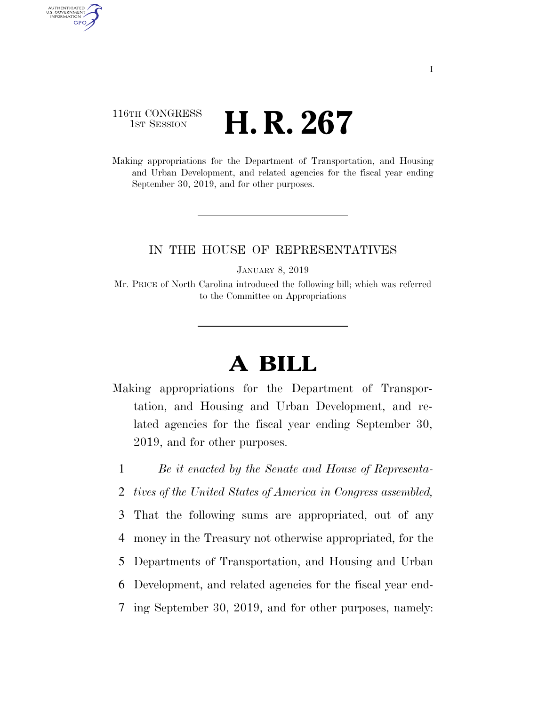# 116TH CONGRESS **1st Session H. R. 267**

AUTHENTICATED<br>U.S. GOVERNMENT<br>INFORMATION **GPO** 

> Making appropriations for the Department of Transportation, and Housing and Urban Development, and related agencies for the fiscal year ending September 30, 2019, and for other purposes.

# IN THE HOUSE OF REPRESENTATIVES

JANUARY 8, 2019

Mr. PRICE of North Carolina introduced the following bill; which was referred to the Committee on Appropriations

# **A BILL**

Making appropriations for the Department of Transportation, and Housing and Urban Development, and related agencies for the fiscal year ending September 30, 2019, and for other purposes.

1 *Be it enacted by the Senate and House of Representa-*

- 2 *tives of the United States of America in Congress assembled,*
- 3 That the following sums are appropriated, out of any
- 4 money in the Treasury not otherwise appropriated, for the
- 5 Departments of Transportation, and Housing and Urban
- 6 Development, and related agencies for the fiscal year end-
- 7 ing September 30, 2019, and for other purposes, namely: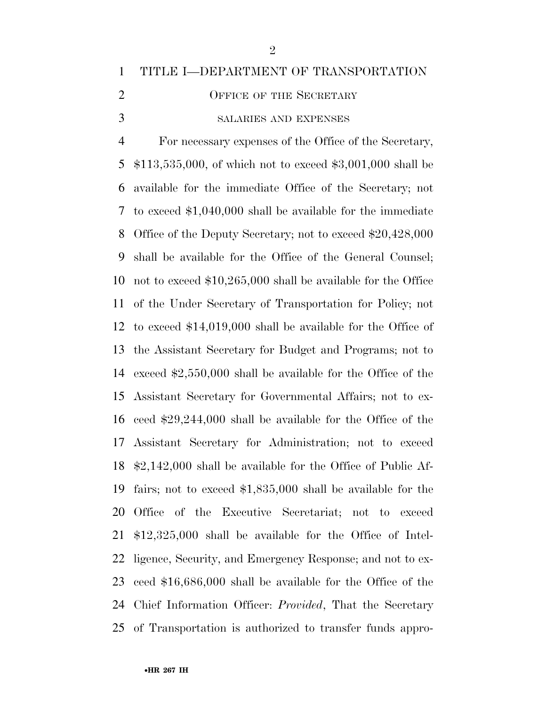# TITLE I—DEPARTMENT OF TRANSPORTATION

- 2 OFFICE OF THE SECRETARY
- SALARIES AND EXPENSES

 For necessary expenses of the Office of the Secretary, \$113,535,000, of which not to exceed \$3,001,000 shall be available for the immediate Office of the Secretary; not to exceed \$1,040,000 shall be available for the immediate Office of the Deputy Secretary; not to exceed \$20,428,000 shall be available for the Office of the General Counsel; not to exceed \$10,265,000 shall be available for the Office of the Under Secretary of Transportation for Policy; not to exceed \$14,019,000 shall be available for the Office of the Assistant Secretary for Budget and Programs; not to exceed \$2,550,000 shall be available for the Office of the Assistant Secretary for Governmental Affairs; not to ex- ceed \$29,244,000 shall be available for the Office of the Assistant Secretary for Administration; not to exceed \$2,142,000 shall be available for the Office of Public Af- fairs; not to exceed \$1,835,000 shall be available for the Office of the Executive Secretariat; not to exceed \$12,325,000 shall be available for the Office of Intel- ligence, Security, and Emergency Response; and not to ex- ceed \$16,686,000 shall be available for the Office of the Chief Information Officer: *Provided*, That the Secretary of Transportation is authorized to transfer funds appro-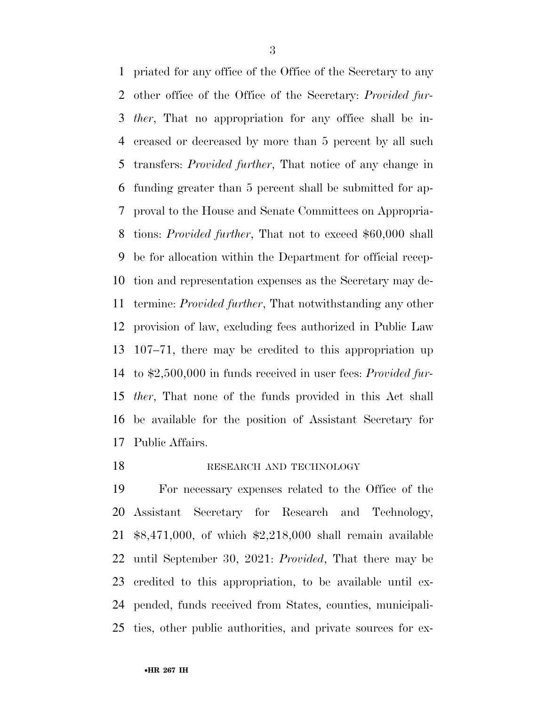priated for any office of the Office of the Secretary to any other office of the Office of the Secretary: *Provided fur- ther*, That no appropriation for any office shall be in- creased or decreased by more than 5 percent by all such transfers: *Provided further*, That notice of any change in funding greater than 5 percent shall be submitted for ap- proval to the House and Senate Committees on Appropria- tions: *Provided further*, That not to exceed \$60,000 shall be for allocation within the Department for official recep- tion and representation expenses as the Secretary may de- termine: *Provided further*, That notwithstanding any other provision of law, excluding fees authorized in Public Law 107–71, there may be credited to this appropriation up to \$2,500,000 in funds received in user fees: *Provided fur- ther*, That none of the funds provided in this Act shall be available for the position of Assistant Secretary for Public Affairs.

#### 18 RESEARCH AND TECHNOLOGY

 For necessary expenses related to the Office of the Assistant Secretary for Research and Technology, \$8,471,000, of which \$2,218,000 shall remain available until September 30, 2021: *Provided*, That there may be credited to this appropriation, to be available until ex- pended, funds received from States, counties, municipali-ties, other public authorities, and private sources for ex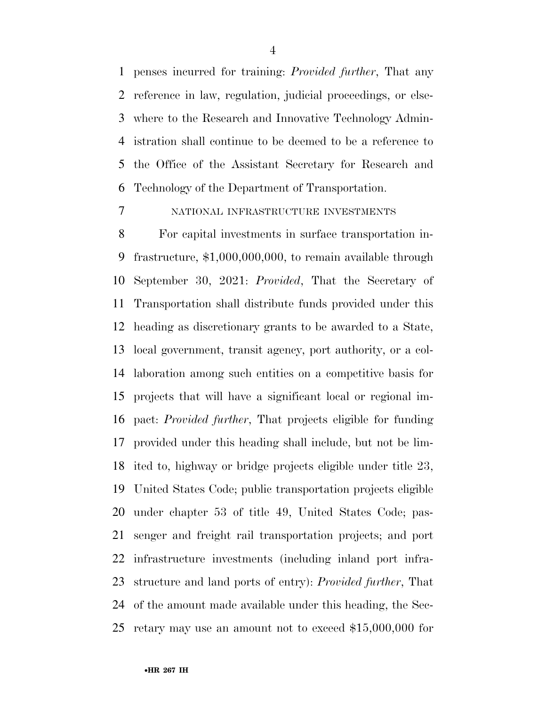penses incurred for training: *Provided further*, That any reference in law, regulation, judicial proceedings, or else- where to the Research and Innovative Technology Admin- istration shall continue to be deemed to be a reference to the Office of the Assistant Secretary for Research and Technology of the Department of Transportation.

# NATIONAL INFRASTRUCTURE INVESTMENTS

 For capital investments in surface transportation in- frastructure, \$1,000,000,000, to remain available through September 30, 2021: *Provided*, That the Secretary of Transportation shall distribute funds provided under this heading as discretionary grants to be awarded to a State, local government, transit agency, port authority, or a col- laboration among such entities on a competitive basis for projects that will have a significant local or regional im- pact: *Provided further*, That projects eligible for funding provided under this heading shall include, but not be lim- ited to, highway or bridge projects eligible under title 23, United States Code; public transportation projects eligible under chapter 53 of title 49, United States Code; pas- senger and freight rail transportation projects; and port infrastructure investments (including inland port infra- structure and land ports of entry): *Provided further*, That of the amount made available under this heading, the Sec-retary may use an amount not to exceed \$15,000,000 for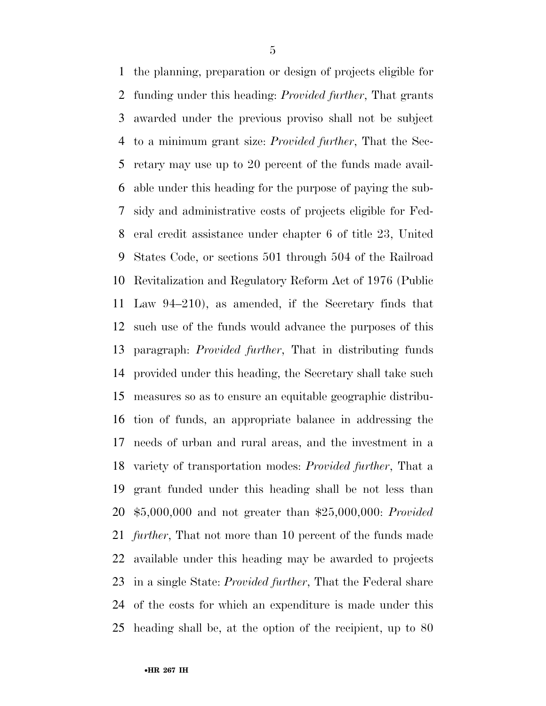the planning, preparation or design of projects eligible for funding under this heading: *Provided further*, That grants awarded under the previous proviso shall not be subject to a minimum grant size: *Provided further*, That the Sec- retary may use up to 20 percent of the funds made avail- able under this heading for the purpose of paying the sub- sidy and administrative costs of projects eligible for Fed- eral credit assistance under chapter 6 of title 23, United States Code, or sections 501 through 504 of the Railroad Revitalization and Regulatory Reform Act of 1976 (Public Law 94–210), as amended, if the Secretary finds that such use of the funds would advance the purposes of this paragraph: *Provided further*, That in distributing funds provided under this heading, the Secretary shall take such measures so as to ensure an equitable geographic distribu- tion of funds, an appropriate balance in addressing the needs of urban and rural areas, and the investment in a variety of transportation modes: *Provided further*, That a grant funded under this heading shall be not less than \$5,000,000 and not greater than \$25,000,000: *Provided further*, That not more than 10 percent of the funds made available under this heading may be awarded to projects in a single State: *Provided further*, That the Federal share of the costs for which an expenditure is made under this heading shall be, at the option of the recipient, up to 80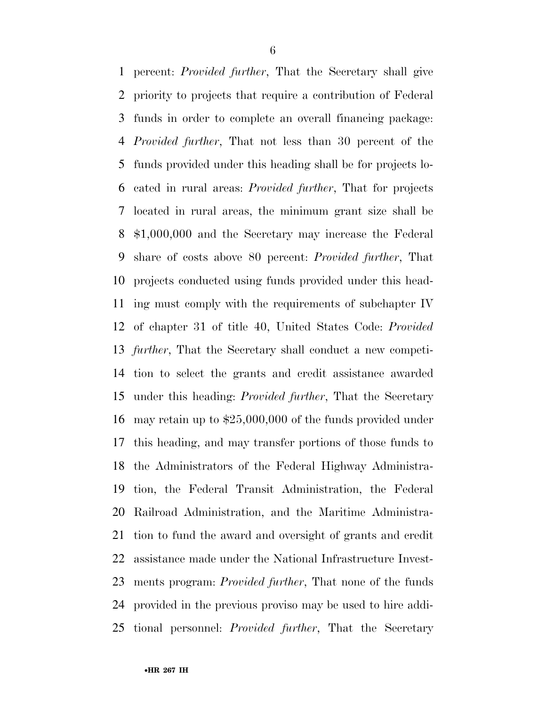percent: *Provided further*, That the Secretary shall give priority to projects that require a contribution of Federal funds in order to complete an overall financing package: *Provided further*, That not less than 30 percent of the funds provided under this heading shall be for projects lo- cated in rural areas: *Provided further*, That for projects located in rural areas, the minimum grant size shall be \$1,000,000 and the Secretary may increase the Federal share of costs above 80 percent: *Provided further*, That projects conducted using funds provided under this head- ing must comply with the requirements of subchapter IV of chapter 31 of title 40, United States Code: *Provided further*, That the Secretary shall conduct a new competi- tion to select the grants and credit assistance awarded under this heading: *Provided further*, That the Secretary may retain up to \$25,000,000 of the funds provided under this heading, and may transfer portions of those funds to the Administrators of the Federal Highway Administra- tion, the Federal Transit Administration, the Federal Railroad Administration, and the Maritime Administra- tion to fund the award and oversight of grants and credit assistance made under the National Infrastructure Invest- ments program: *Provided further*, That none of the funds provided in the previous proviso may be used to hire addi-tional personnel: *Provided further*, That the Secretary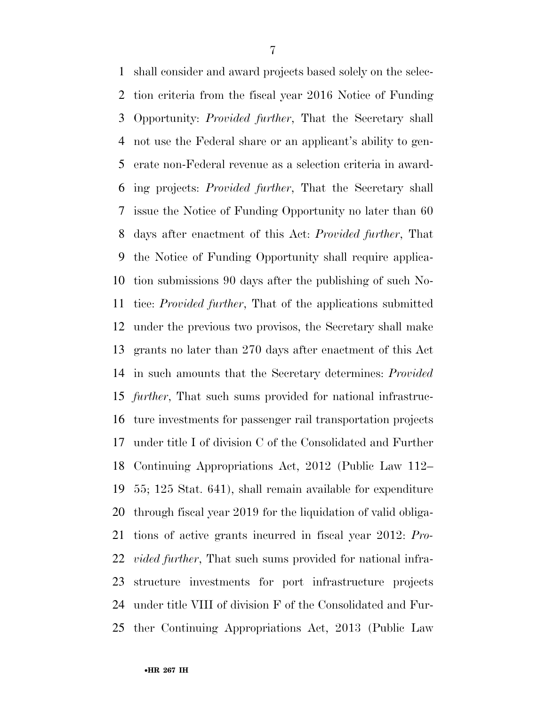shall consider and award projects based solely on the selec- tion criteria from the fiscal year 2016 Notice of Funding Opportunity: *Provided further*, That the Secretary shall not use the Federal share or an applicant's ability to gen- erate non-Federal revenue as a selection criteria in award- ing projects: *Provided further*, That the Secretary shall issue the Notice of Funding Opportunity no later than 60 days after enactment of this Act: *Provided further*, That the Notice of Funding Opportunity shall require applica- tion submissions 90 days after the publishing of such No- tice: *Provided further*, That of the applications submitted under the previous two provisos, the Secretary shall make grants no later than 270 days after enactment of this Act in such amounts that the Secretary determines: *Provided further*, That such sums provided for national infrastruc- ture investments for passenger rail transportation projects under title I of division C of the Consolidated and Further Continuing Appropriations Act, 2012 (Public Law 112– 55; 125 Stat. 641), shall remain available for expenditure through fiscal year 2019 for the liquidation of valid obliga- tions of active grants incurred in fiscal year 2012: *Pro- vided further*, That such sums provided for national infra- structure investments for port infrastructure projects under title VIII of division F of the Consolidated and Fur-ther Continuing Appropriations Act, 2013 (Public Law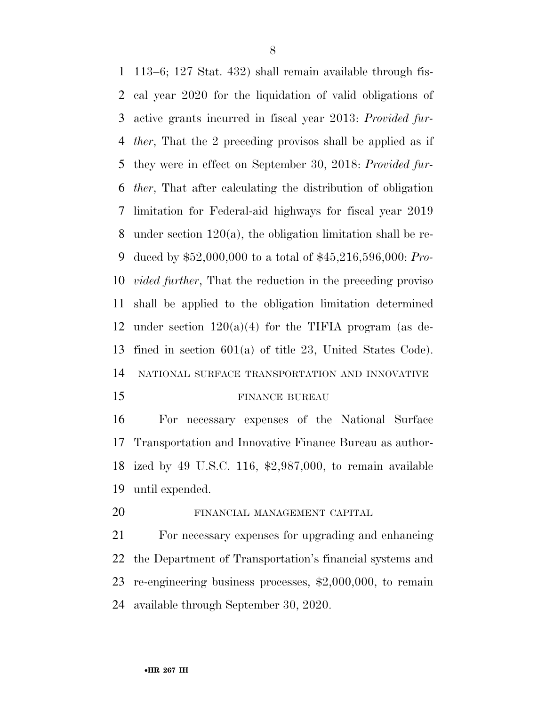113–6; 127 Stat. 432) shall remain available through fis- cal year 2020 for the liquidation of valid obligations of active grants incurred in fiscal year 2013: *Provided fur- ther*, That the 2 preceding provisos shall be applied as if they were in effect on September 30, 2018: *Provided fur- ther*, That after calculating the distribution of obligation limitation for Federal-aid highways for fiscal year 2019 under section 120(a), the obligation limitation shall be re- duced by \$52,000,000 to a total of \$45,216,596,000: *Pro- vided further*, That the reduction in the preceding proviso shall be applied to the obligation limitation determined 12 under section  $120(a)(4)$  for the TIFIA program (as de- fined in section 601(a) of title 23, United States Code). NATIONAL SURFACE TRANSPORTATION AND INNOVATIVE

#### 15 FINANCE BUREAU

 For necessary expenses of the National Surface Transportation and Innovative Finance Bureau as author- ized by 49 U.S.C. 116, \$2,987,000, to remain available until expended.

FINANCIAL MANAGEMENT CAPITAL

 For necessary expenses for upgrading and enhancing the Department of Transportation's financial systems and re-engineering business processes, \$2,000,000, to remain available through September 30, 2020.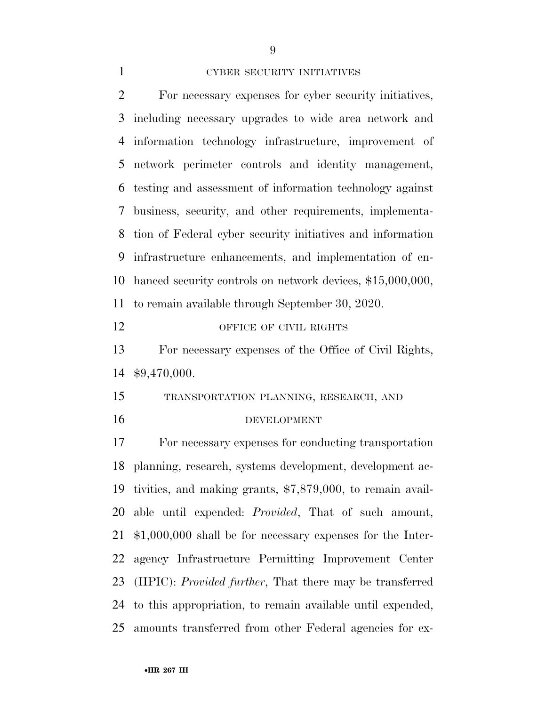#### CYBER SECURITY INITIATIVES

 For necessary expenses for cyber security initiatives, including necessary upgrades to wide area network and information technology infrastructure, improvement of network perimeter controls and identity management, testing and assessment of information technology against business, security, and other requirements, implementa- tion of Federal cyber security initiatives and information infrastructure enhancements, and implementation of en- hanced security controls on network devices, \$15,000,000, to remain available through September 30, 2020. 12 OFFICE OF CIVIL RIGHTS For necessary expenses of the Office of Civil Rights, \$9,470,000. TRANSPORTATION PLANNING, RESEARCH, AND DEVELOPMENT

 For necessary expenses for conducting transportation planning, research, systems development, development ac- tivities, and making grants, \$7,879,000, to remain avail- able until expended: *Provided*, That of such amount, \$1,000,000 shall be for necessary expenses for the Inter- agency Infrastructure Permitting Improvement Center (IIPIC): *Provided further*, That there may be transferred to this appropriation, to remain available until expended, amounts transferred from other Federal agencies for ex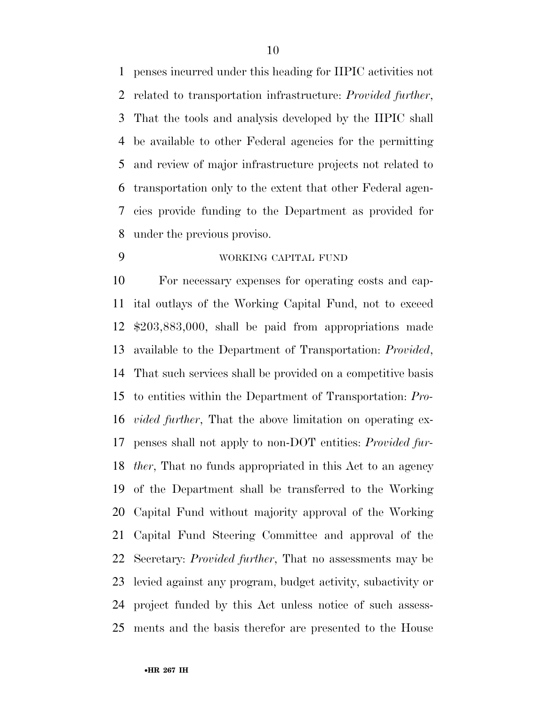penses incurred under this heading for IIPIC activities not related to transportation infrastructure: *Provided further*, That the tools and analysis developed by the IIPIC shall be available to other Federal agencies for the permitting and review of major infrastructure projects not related to transportation only to the extent that other Federal agen- cies provide funding to the Department as provided for under the previous proviso.

# WORKING CAPITAL FUND

 For necessary expenses for operating costs and cap- ital outlays of the Working Capital Fund, not to exceed \$203,883,000, shall be paid from appropriations made available to the Department of Transportation: *Provided*, That such services shall be provided on a competitive basis to entities within the Department of Transportation: *Pro- vided further*, That the above limitation on operating ex- penses shall not apply to non-DOT entities: *Provided fur- ther*, That no funds appropriated in this Act to an agency of the Department shall be transferred to the Working Capital Fund without majority approval of the Working Capital Fund Steering Committee and approval of the Secretary: *Provided further*, That no assessments may be levied against any program, budget activity, subactivity or project funded by this Act unless notice of such assess-ments and the basis therefor are presented to the House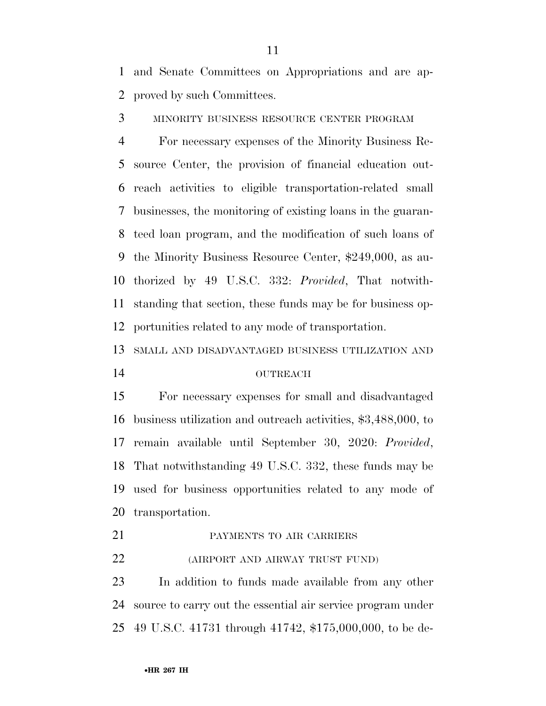and Senate Committees on Appropriations and are ap-proved by such Committees.

MINORITY BUSINESS RESOURCE CENTER PROGRAM

 For necessary expenses of the Minority Business Re- source Center, the provision of financial education out- reach activities to eligible transportation-related small businesses, the monitoring of existing loans in the guaran- teed loan program, and the modification of such loans of the Minority Business Resource Center, \$249,000, as au- thorized by 49 U.S.C. 332: *Provided*, That notwith- standing that section, these funds may be for business op-portunities related to any mode of transportation.

SMALL AND DISADVANTAGED BUSINESS UTILIZATION AND

## OUTREACH

 For necessary expenses for small and disadvantaged business utilization and outreach activities, \$3,488,000, to remain available until September 30, 2020: *Provided*, That notwithstanding 49 U.S.C. 332, these funds may be used for business opportunities related to any mode of transportation.

PAYMENTS TO AIR CARRIERS

(AIRPORT AND AIRWAY TRUST FUND)

 In addition to funds made available from any other source to carry out the essential air service program under 49 U.S.C. 41731 through 41742, \$175,000,000, to be de-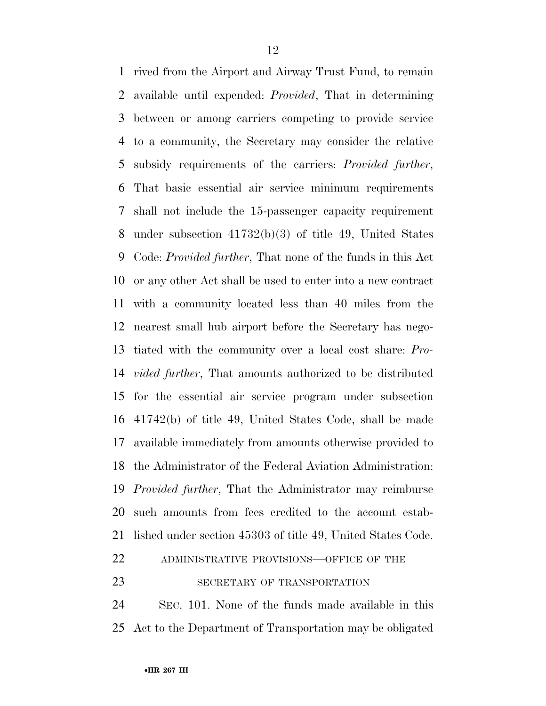rived from the Airport and Airway Trust Fund, to remain available until expended: *Provided*, That in determining between or among carriers competing to provide service to a community, the Secretary may consider the relative subsidy requirements of the carriers: *Provided further*, That basic essential air service minimum requirements shall not include the 15-passenger capacity requirement under subsection 41732(b)(3) of title 49, United States Code: *Provided further*, That none of the funds in this Act or any other Act shall be used to enter into a new contract with a community located less than 40 miles from the nearest small hub airport before the Secretary has nego- tiated with the community over a local cost share: *Pro- vided further*, That amounts authorized to be distributed for the essential air service program under subsection 41742(b) of title 49, United States Code, shall be made available immediately from amounts otherwise provided to the Administrator of the Federal Aviation Administration: *Provided further*, That the Administrator may reimburse such amounts from fees credited to the account estab- lished under section 45303 of title 49, United States Code. ADMINISTRATIVE PROVISIONS—OFFICE OF THE 23 SECRETARY OF TRANSPORTATION

 SEC. 101. None of the funds made available in this Act to the Department of Transportation may be obligated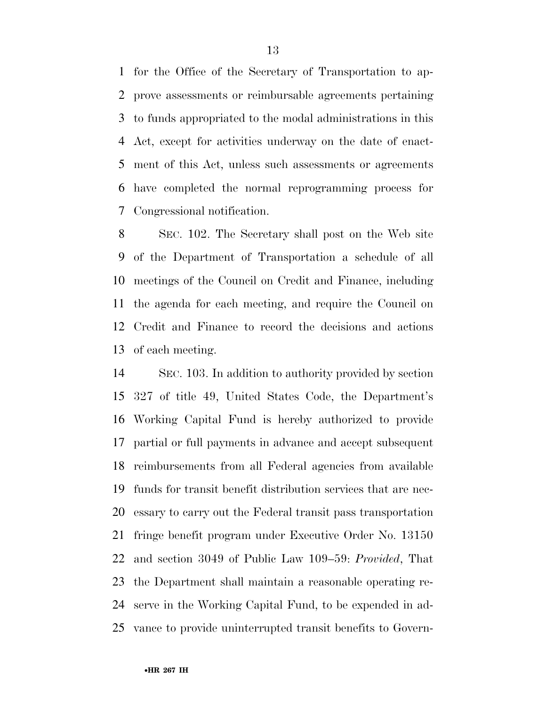for the Office of the Secretary of Transportation to ap- prove assessments or reimbursable agreements pertaining to funds appropriated to the modal administrations in this Act, except for activities underway on the date of enact- ment of this Act, unless such assessments or agreements have completed the normal reprogramming process for Congressional notification.

 SEC. 102. The Secretary shall post on the Web site of the Department of Transportation a schedule of all meetings of the Council on Credit and Finance, including the agenda for each meeting, and require the Council on Credit and Finance to record the decisions and actions of each meeting.

 SEC. 103. In addition to authority provided by section 327 of title 49, United States Code, the Department's Working Capital Fund is hereby authorized to provide partial or full payments in advance and accept subsequent reimbursements from all Federal agencies from available funds for transit benefit distribution services that are nec- essary to carry out the Federal transit pass transportation fringe benefit program under Executive Order No. 13150 and section 3049 of Public Law 109–59: *Provided*, That the Department shall maintain a reasonable operating re- serve in the Working Capital Fund, to be expended in ad-vance to provide uninterrupted transit benefits to Govern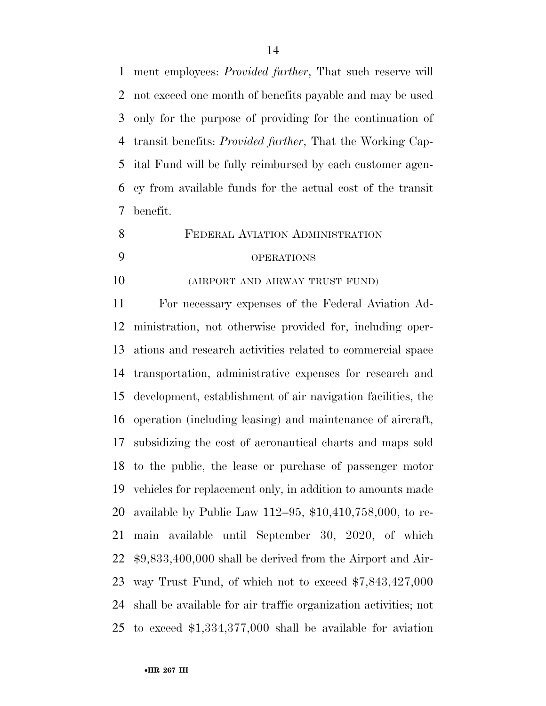ment employees: *Provided further*, That such reserve will not exceed one month of benefits payable and may be used only for the purpose of providing for the continuation of transit benefits: *Provided further*, That the Working Cap- ital Fund will be fully reimbursed by each customer agen- cy from available funds for the actual cost of the transit benefit.

 FEDERAL AVIATION ADMINISTRATION OPERATIONS

(AIRPORT AND AIRWAY TRUST FUND)

 For necessary expenses of the Federal Aviation Ad- ministration, not otherwise provided for, including oper- ations and research activities related to commercial space transportation, administrative expenses for research and development, establishment of air navigation facilities, the operation (including leasing) and maintenance of aircraft, subsidizing the cost of aeronautical charts and maps sold to the public, the lease or purchase of passenger motor vehicles for replacement only, in addition to amounts made available by Public Law 112–95, \$10,410,758,000, to re- main available until September 30, 2020, of which \$9,833,400,000 shall be derived from the Airport and Air- way Trust Fund, of which not to exceed \$7,843,427,000 shall be available for air traffic organization activities; not to exceed \$1,334,377,000 shall be available for aviation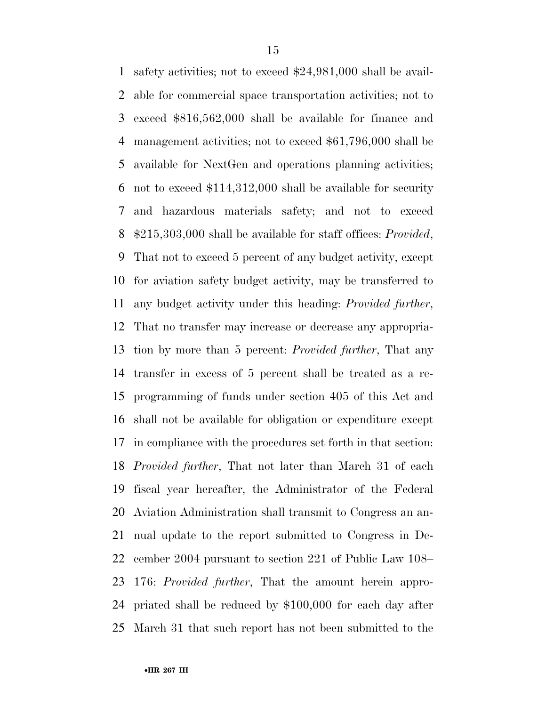safety activities; not to exceed \$24,981,000 shall be avail- able for commercial space transportation activities; not to exceed \$816,562,000 shall be available for finance and management activities; not to exceed \$61,796,000 shall be available for NextGen and operations planning activities; not to exceed \$114,312,000 shall be available for security and hazardous materials safety; and not to exceed \$215,303,000 shall be available for staff offices: *Provided*, That not to exceed 5 percent of any budget activity, except for aviation safety budget activity, may be transferred to any budget activity under this heading: *Provided further*, That no transfer may increase or decrease any appropria- tion by more than 5 percent: *Provided further*, That any transfer in excess of 5 percent shall be treated as a re- programming of funds under section 405 of this Act and shall not be available for obligation or expenditure except in compliance with the procedures set forth in that section: *Provided further*, That not later than March 31 of each fiscal year hereafter, the Administrator of the Federal Aviation Administration shall transmit to Congress an an- nual update to the report submitted to Congress in De- cember 2004 pursuant to section 221 of Public Law 108– 176: *Provided further*, That the amount herein appro- priated shall be reduced by \$100,000 for each day after March 31 that such report has not been submitted to the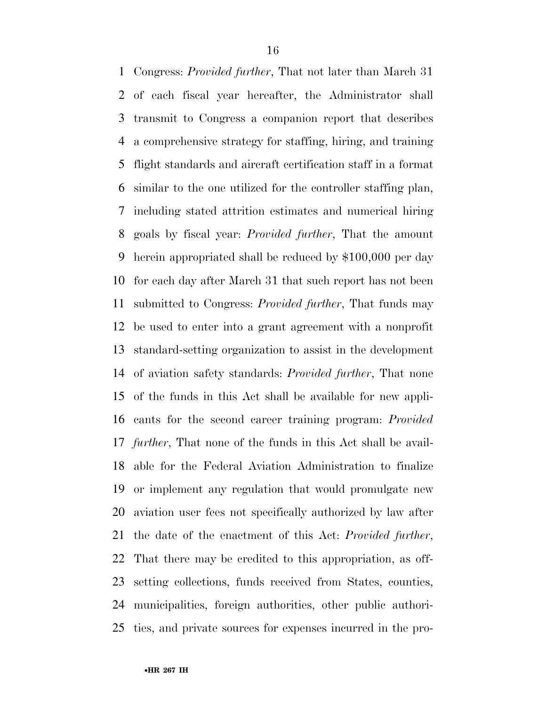Congress: *Provided further*, That not later than March 31 of each fiscal year hereafter, the Administrator shall transmit to Congress a companion report that describes a comprehensive strategy for staffing, hiring, and training flight standards and aircraft certification staff in a format similar to the one utilized for the controller staffing plan, including stated attrition estimates and numerical hiring goals by fiscal year: *Provided further*, That the amount herein appropriated shall be reduced by \$100,000 per day for each day after March 31 that such report has not been submitted to Congress: *Provided further*, That funds may be used to enter into a grant agreement with a nonprofit standard-setting organization to assist in the development of aviation safety standards: *Provided further*, That none of the funds in this Act shall be available for new appli- cants for the second career training program: *Provided further*, That none of the funds in this Act shall be avail- able for the Federal Aviation Administration to finalize or implement any regulation that would promulgate new aviation user fees not specifically authorized by law after the date of the enactment of this Act: *Provided further*, That there may be credited to this appropriation, as off- setting collections, funds received from States, counties, municipalities, foreign authorities, other public authori-ties, and private sources for expenses incurred in the pro-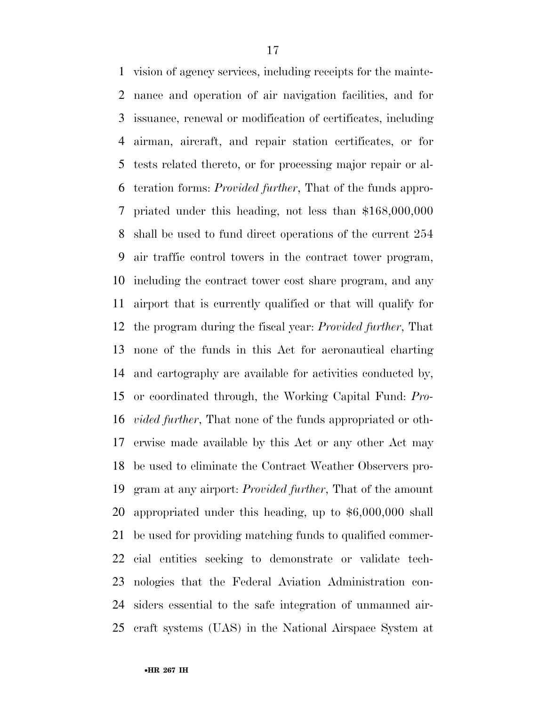vision of agency services, including receipts for the mainte- nance and operation of air navigation facilities, and for issuance, renewal or modification of certificates, including airman, aircraft, and repair station certificates, or for tests related thereto, or for processing major repair or al- teration forms: *Provided further*, That of the funds appro- priated under this heading, not less than \$168,000,000 shall be used to fund direct operations of the current 254 air traffic control towers in the contract tower program, including the contract tower cost share program, and any airport that is currently qualified or that will qualify for the program during the fiscal year: *Provided further*, That none of the funds in this Act for aeronautical charting and cartography are available for activities conducted by, or coordinated through, the Working Capital Fund: *Pro- vided further*, That none of the funds appropriated or oth- erwise made available by this Act or any other Act may be used to eliminate the Contract Weather Observers pro- gram at any airport: *Provided further*, That of the amount appropriated under this heading, up to \$6,000,000 shall be used for providing matching funds to qualified commer- cial entities seeking to demonstrate or validate tech- nologies that the Federal Aviation Administration con- siders essential to the safe integration of unmanned air-craft systems (UAS) in the National Airspace System at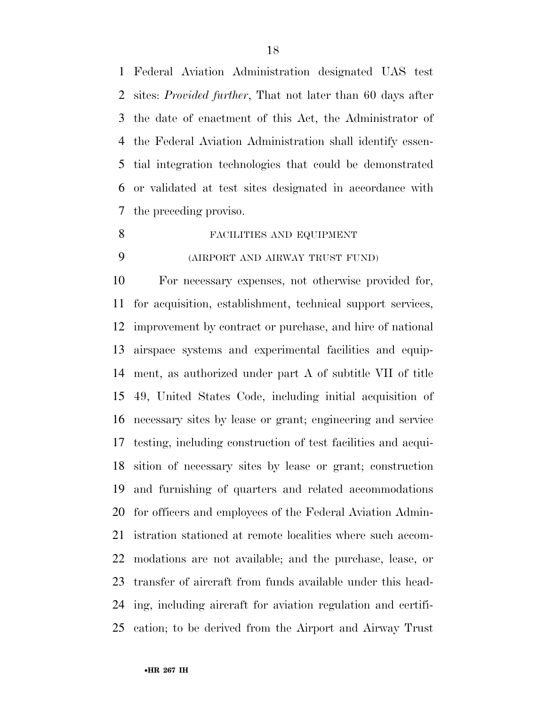Federal Aviation Administration designated UAS test sites: *Provided further*, That not later than 60 days after the date of enactment of this Act, the Administrator of the Federal Aviation Administration shall identify essen- tial integration technologies that could be demonstrated or validated at test sites designated in accordance with the preceding proviso.

- FACILITIES AND EQUIPMENT
- 

# (AIRPORT AND AIRWAY TRUST FUND)

 For necessary expenses, not otherwise provided for, for acquisition, establishment, technical support services, improvement by contract or purchase, and hire of national airspace systems and experimental facilities and equip- ment, as authorized under part A of subtitle VII of title 49, United States Code, including initial acquisition of necessary sites by lease or grant; engineering and service testing, including construction of test facilities and acqui- sition of necessary sites by lease or grant; construction and furnishing of quarters and related accommodations for officers and employees of the Federal Aviation Admin- istration stationed at remote localities where such accom- modations are not available; and the purchase, lease, or transfer of aircraft from funds available under this head- ing, including aircraft for aviation regulation and certifi-cation; to be derived from the Airport and Airway Trust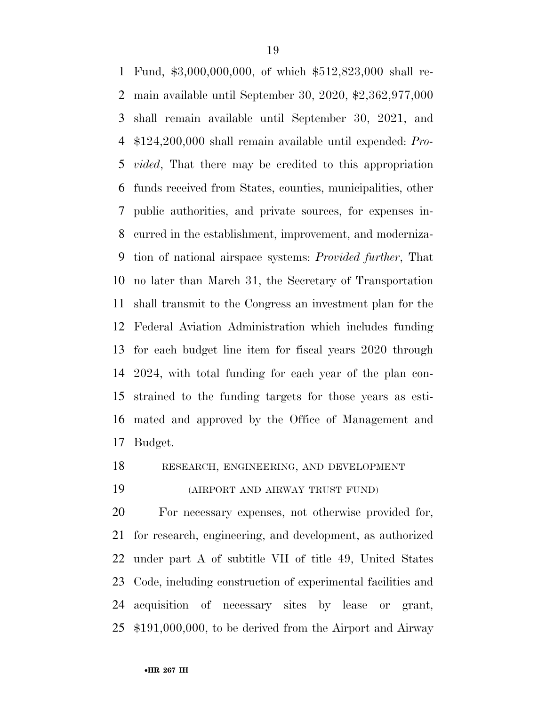Fund, \$3,000,000,000, of which \$512,823,000 shall re- main available until September 30, 2020, \$2,362,977,000 shall remain available until September 30, 2021, and \$124,200,000 shall remain available until expended: *Pro- vided*, That there may be credited to this appropriation funds received from States, counties, municipalities, other public authorities, and private sources, for expenses in- curred in the establishment, improvement, and moderniza- tion of national airspace systems: *Provided further*, That no later than March 31, the Secretary of Transportation shall transmit to the Congress an investment plan for the Federal Aviation Administration which includes funding for each budget line item for fiscal years 2020 through 2024, with total funding for each year of the plan con- strained to the funding targets for those years as esti- mated and approved by the Office of Management and Budget.

# RESEARCH, ENGINEERING, AND DEVELOPMENT

(AIRPORT AND AIRWAY TRUST FUND)

 For necessary expenses, not otherwise provided for, for research, engineering, and development, as authorized under part A of subtitle VII of title 49, United States Code, including construction of experimental facilities and acquisition of necessary sites by lease or grant, \$191,000,000, to be derived from the Airport and Airway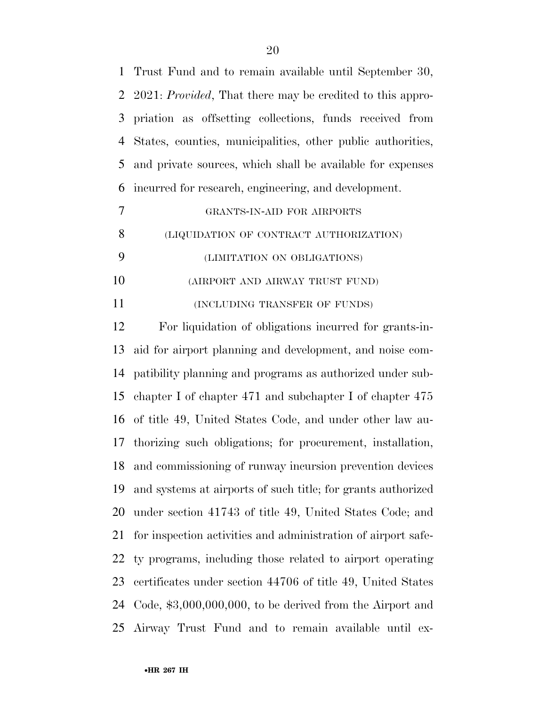| $\mathbf{1}$ | Trust Fund and to remain available until September 30,            |
|--------------|-------------------------------------------------------------------|
| 2            | 2021: <i>Provided</i> , That there may be credited to this appro- |
| 3            | priation as offsetting collections, funds received from           |
| 4            | States, counties, municipalities, other public authorities,       |
| 5            | and private sources, which shall be available for expenses        |
| 6            | incurred for research, engineering, and development.              |
| 7            | GRANTS-IN-AID FOR AIRPORTS                                        |
| 8            | (LIQUIDATION OF CONTRACT AUTHORIZATION)                           |
| 9            | (LIMITATION ON OBLIGATIONS)                                       |
| 10           | (AIRPORT AND AIRWAY TRUST FUND)                                   |
| 11           | (INCLUDING TRANSFER OF FUNDS)                                     |
| 12           | For liquidation of obligations incurred for grants-in-            |
| 13           | aid for airport planning and development, and noise com-          |
| 14           | patibility planning and programs as authorized under sub-         |
| 15           | chapter I of chapter $471$ and subchapter I of chapter $475$      |
| 16           | of title 49, United States Code, and under other law au-          |
| 17           | thorizing such obligations; for procurement, installation,        |
|              | 18 and commissioning of runway incursion prevention devices       |
| 19           | and systems at airports of such title; for grants authorized      |
| 20           | under section 41743 of title 49, United States Code; and          |
| 21           | for inspection activities and administration of airport safe-     |
| 22           | ty programs, including those related to airport operating         |
| 23           | certificates under section 44706 of title 49, United States       |
| 24           | Code, $$3,000,000,000$ , to be derived from the Airport and       |
| 25           | Airway Trust Fund and to remain available until ex-               |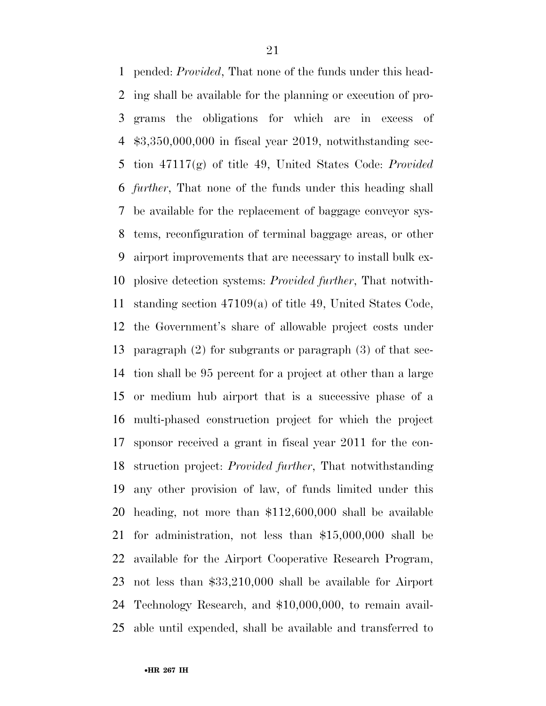pended: *Provided*, That none of the funds under this head- ing shall be available for the planning or execution of pro- grams the obligations for which are in excess of \$3,350,000,000 in fiscal year 2019, notwithstanding sec- tion 47117(g) of title 49, United States Code: *Provided further*, That none of the funds under this heading shall be available for the replacement of baggage conveyor sys- tems, reconfiguration of terminal baggage areas, or other airport improvements that are necessary to install bulk ex- plosive detection systems: *Provided further*, That notwith- standing section 47109(a) of title 49, United States Code, the Government's share of allowable project costs under paragraph (2) for subgrants or paragraph (3) of that sec- tion shall be 95 percent for a project at other than a large or medium hub airport that is a successive phase of a multi-phased construction project for which the project sponsor received a grant in fiscal year 2011 for the con- struction project: *Provided further*, That notwithstanding any other provision of law, of funds limited under this heading, not more than \$112,600,000 shall be available for administration, not less than \$15,000,000 shall be available for the Airport Cooperative Research Program, not less than \$33,210,000 shall be available for Airport Technology Research, and \$10,000,000, to remain avail-able until expended, shall be available and transferred to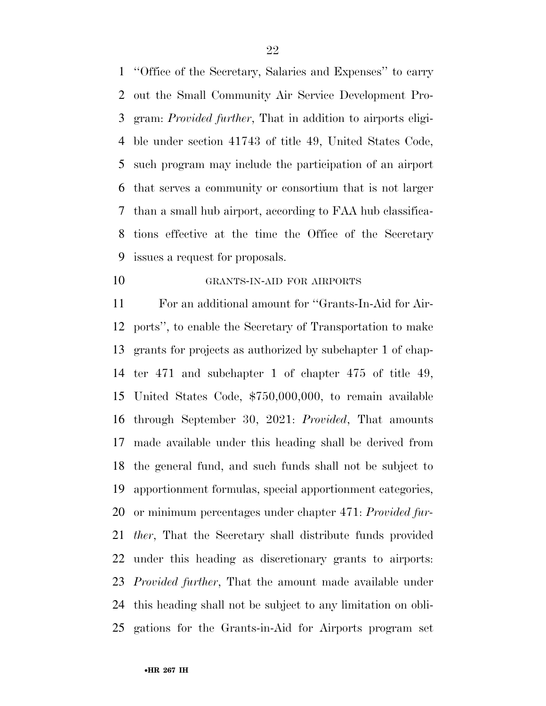''Office of the Secretary, Salaries and Expenses'' to carry out the Small Community Air Service Development Pro- gram: *Provided further*, That in addition to airports eligi- ble under section 41743 of title 49, United States Code, such program may include the participation of an airport that serves a community or consortium that is not larger than a small hub airport, according to FAA hub classifica- tions effective at the time the Office of the Secretary issues a request for proposals.

GRANTS-IN-AID FOR AIRPORTS

 For an additional amount for ''Grants-In-Aid for Air- ports'', to enable the Secretary of Transportation to make grants for projects as authorized by subchapter 1 of chap- ter 471 and subchapter 1 of chapter 475 of title 49, United States Code, \$750,000,000, to remain available through September 30, 2021: *Provided*, That amounts made available under this heading shall be derived from the general fund, and such funds shall not be subject to apportionment formulas, special apportionment categories, or minimum percentages under chapter 471: *Provided fur- ther*, That the Secretary shall distribute funds provided under this heading as discretionary grants to airports: *Provided further*, That the amount made available under this heading shall not be subject to any limitation on obli-gations for the Grants-in-Aid for Airports program set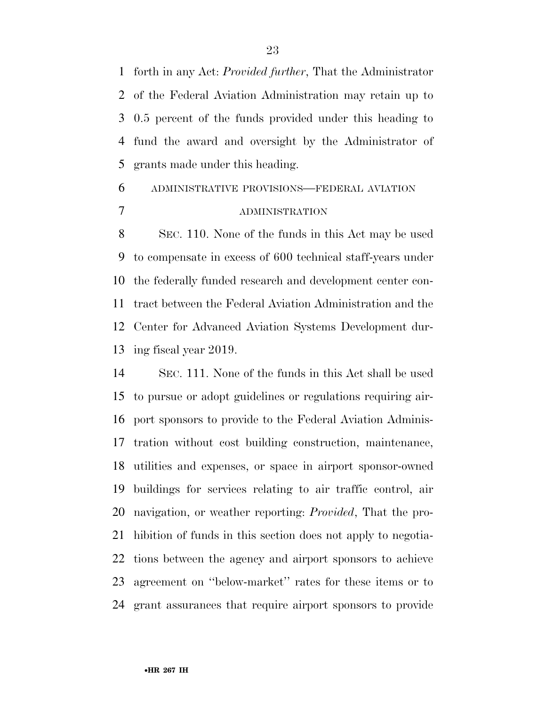forth in any Act: *Provided further*, That the Administrator of the Federal Aviation Administration may retain up to 0.5 percent of the funds provided under this heading to fund the award and oversight by the Administrator of grants made under this heading.

# ADMINISTRATIVE PROVISIONS—FEDERAL AVIATION ADMINISTRATION

 SEC. 110. None of the funds in this Act may be used to compensate in excess of 600 technical staff-years under the federally funded research and development center con- tract between the Federal Aviation Administration and the Center for Advanced Aviation Systems Development dur-ing fiscal year 2019.

 SEC. 111. None of the funds in this Act shall be used to pursue or adopt guidelines or regulations requiring air- port sponsors to provide to the Federal Aviation Adminis- tration without cost building construction, maintenance, utilities and expenses, or space in airport sponsor-owned buildings for services relating to air traffic control, air navigation, or weather reporting: *Provided*, That the pro- hibition of funds in this section does not apply to negotia- tions between the agency and airport sponsors to achieve agreement on ''below-market'' rates for these items or to grant assurances that require airport sponsors to provide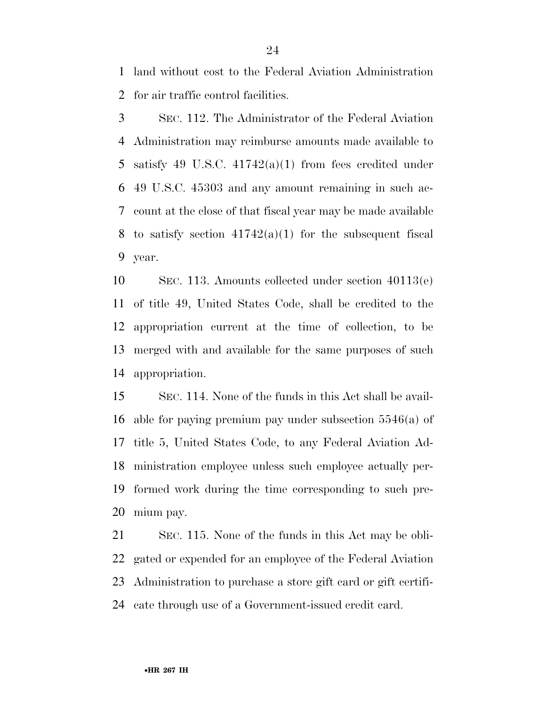land without cost to the Federal Aviation Administration for air traffic control facilities.

 SEC. 112. The Administrator of the Federal Aviation Administration may reimburse amounts made available to satisfy 49 U.S.C. 41742(a)(1) from fees credited under 49 U.S.C. 45303 and any amount remaining in such ac- count at the close of that fiscal year may be made available 8 to satisfy section  $41742(a)(1)$  for the subsequent fiscal year.

 SEC. 113. Amounts collected under section 40113(e) of title 49, United States Code, shall be credited to the appropriation current at the time of collection, to be merged with and available for the same purposes of such appropriation.

 SEC. 114. None of the funds in this Act shall be avail- able for paying premium pay under subsection 5546(a) of title 5, United States Code, to any Federal Aviation Ad- ministration employee unless such employee actually per- formed work during the time corresponding to such pre-mium pay.

 SEC. 115. None of the funds in this Act may be obli- gated or expended for an employee of the Federal Aviation Administration to purchase a store gift card or gift certifi-cate through use of a Government-issued credit card.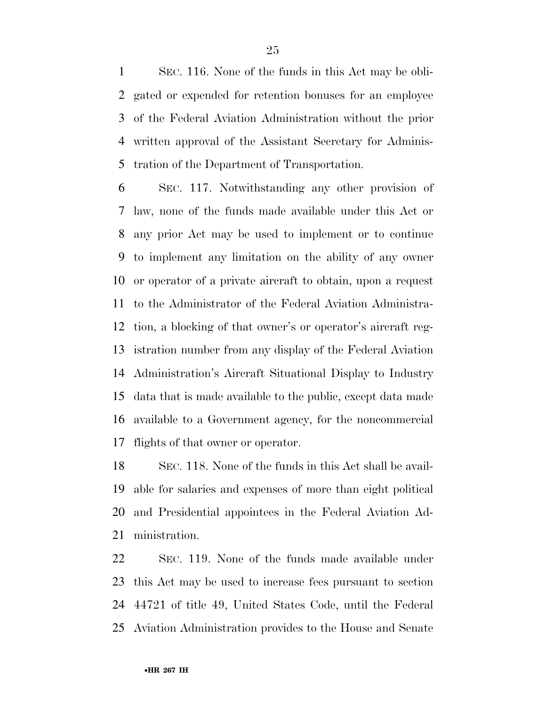SEC. 116. None of the funds in this Act may be obli- gated or expended for retention bonuses for an employee of the Federal Aviation Administration without the prior written approval of the Assistant Secretary for Adminis-tration of the Department of Transportation.

 SEC. 117. Notwithstanding any other provision of law, none of the funds made available under this Act or any prior Act may be used to implement or to continue to implement any limitation on the ability of any owner or operator of a private aircraft to obtain, upon a request to the Administrator of the Federal Aviation Administra- tion, a blocking of that owner's or operator's aircraft reg- istration number from any display of the Federal Aviation Administration's Aircraft Situational Display to Industry data that is made available to the public, except data made available to a Government agency, for the noncommercial flights of that owner or operator.

 SEC. 118. None of the funds in this Act shall be avail- able for salaries and expenses of more than eight political and Presidential appointees in the Federal Aviation Ad-ministration.

 SEC. 119. None of the funds made available under this Act may be used to increase fees pursuant to section 44721 of title 49, United States Code, until the Federal Aviation Administration provides to the House and Senate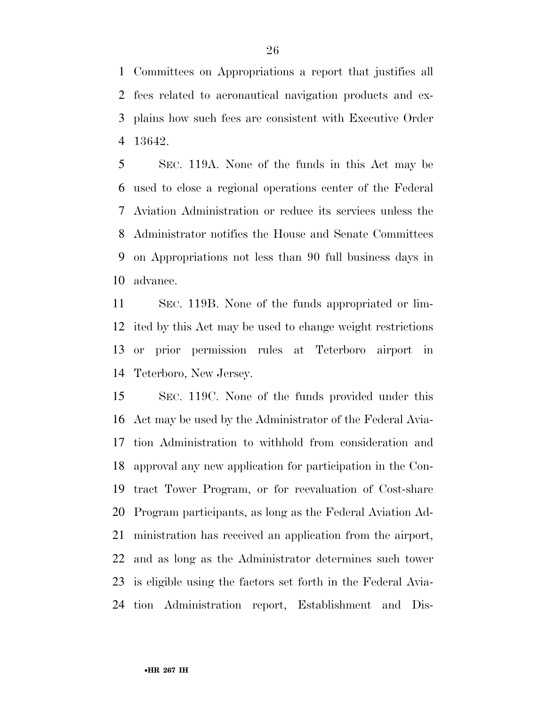Committees on Appropriations a report that justifies all fees related to aeronautical navigation products and ex- plains how such fees are consistent with Executive Order 13642.

 SEC. 119A. None of the funds in this Act may be used to close a regional operations center of the Federal Aviation Administration or reduce its services unless the Administrator notifies the House and Senate Committees on Appropriations not less than 90 full business days in advance.

 SEC. 119B. None of the funds appropriated or lim- ited by this Act may be used to change weight restrictions or prior permission rules at Teterboro airport in Teterboro, New Jersey.

 SEC. 119C. None of the funds provided under this Act may be used by the Administrator of the Federal Avia- tion Administration to withhold from consideration and approval any new application for participation in the Con- tract Tower Program, or for reevaluation of Cost-share Program participants, as long as the Federal Aviation Ad- ministration has received an application from the airport, and as long as the Administrator determines such tower is eligible using the factors set forth in the Federal Avia-tion Administration report, Establishment and Dis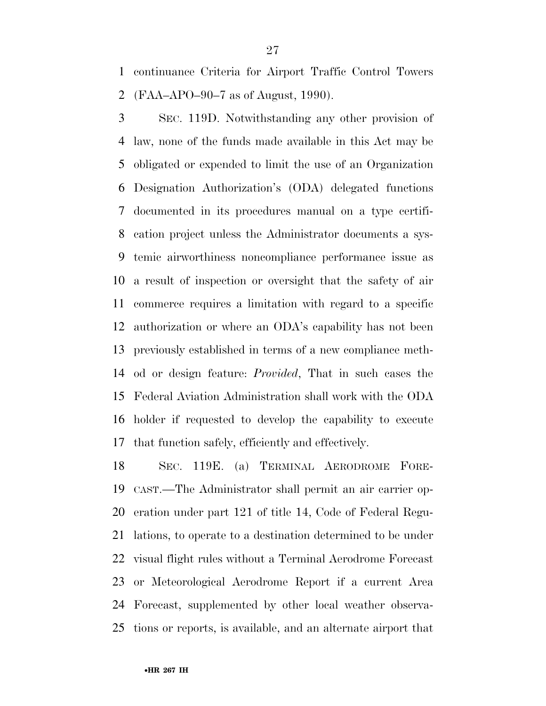continuance Criteria for Airport Traffic Control Towers (FAA–APO–90–7 as of August, 1990).

 SEC. 119D. Notwithstanding any other provision of law, none of the funds made available in this Act may be obligated or expended to limit the use of an Organization Designation Authorization's (ODA) delegated functions documented in its procedures manual on a type certifi- cation project unless the Administrator documents a sys- temic airworthiness noncompliance performance issue as a result of inspection or oversight that the safety of air commerce requires a limitation with regard to a specific authorization or where an ODA's capability has not been previously established in terms of a new compliance meth- od or design feature: *Provided*, That in such cases the Federal Aviation Administration shall work with the ODA holder if requested to develop the capability to execute that function safely, efficiently and effectively.

 SEC. 119E. (a) TERMINAL AERODROME FORE- CAST.—The Administrator shall permit an air carrier op- eration under part 121 of title 14, Code of Federal Regu- lations, to operate to a destination determined to be under visual flight rules without a Terminal Aerodrome Forecast or Meteorological Aerodrome Report if a current Area Forecast, supplemented by other local weather observa-tions or reports, is available, and an alternate airport that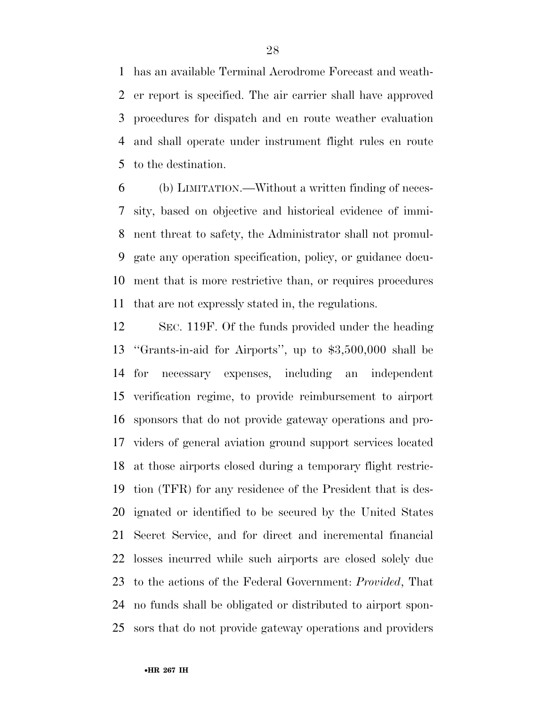has an available Terminal Aerodrome Forecast and weath- er report is specified. The air carrier shall have approved procedures for dispatch and en route weather evaluation and shall operate under instrument flight rules en route to the destination.

 (b) LIMITATION.—Without a written finding of neces- sity, based on objective and historical evidence of immi- nent threat to safety, the Administrator shall not promul- gate any operation specification, policy, or guidance docu- ment that is more restrictive than, or requires procedures that are not expressly stated in, the regulations.

 SEC. 119F. Of the funds provided under the heading ''Grants-in-aid for Airports'', up to \$3,500,000 shall be for necessary expenses, including an independent verification regime, to provide reimbursement to airport sponsors that do not provide gateway operations and pro- viders of general aviation ground support services located at those airports closed during a temporary flight restric- tion (TFR) for any residence of the President that is des- ignated or identified to be secured by the United States Secret Service, and for direct and incremental financial losses incurred while such airports are closed solely due to the actions of the Federal Government: *Provided*, That no funds shall be obligated or distributed to airport spon-sors that do not provide gateway operations and providers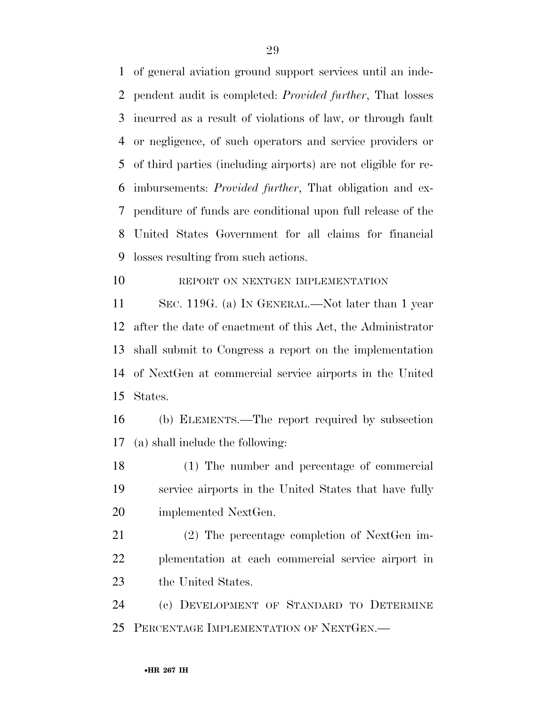of general aviation ground support services until an inde- pendent audit is completed: *Provided further*, That losses incurred as a result of violations of law, or through fault or negligence, of such operators and service providers or of third parties (including airports) are not eligible for re- imbursements: *Provided further*, That obligation and ex- penditure of funds are conditional upon full release of the United States Government for all claims for financial losses resulting from such actions.

10 REPORT ON NEXTGEN IMPLEMENTATION

 SEC. 119G. (a) IN GENERAL.—Not later than 1 year after the date of enactment of this Act, the Administrator shall submit to Congress a report on the implementation of NextGen at commercial service airports in the United States.

 (b) ELEMENTS.—The report required by subsection (a) shall include the following:

 (1) The number and percentage of commercial service airports in the United States that have fully implemented NextGen.

 (2) The percentage completion of NextGen im- plementation at each commercial service airport in 23 the United States.

 (c) DEVELOPMENT OF STANDARD TO DETERMINE PERCENTAGE IMPLEMENTATION OF NEXTGEN.—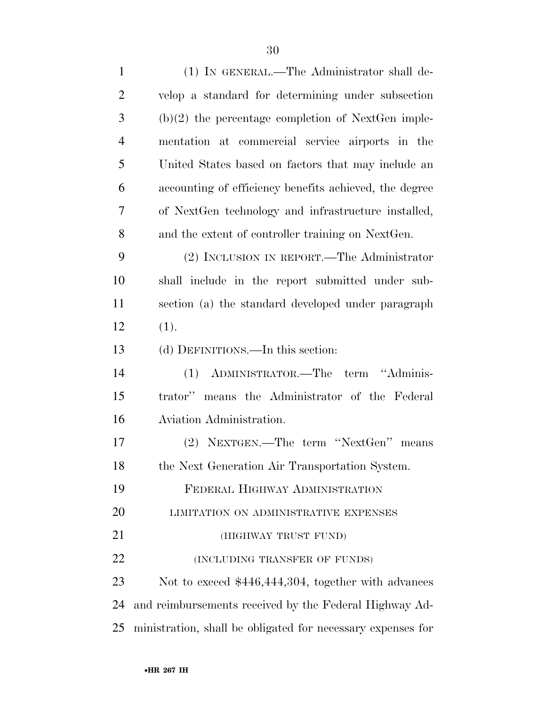| $\mathbf{1}$   | (1) IN GENERAL.—The Administrator shall de-                 |
|----------------|-------------------------------------------------------------|
| $\overline{2}$ | velop a standard for determining under subsection           |
| 3              | $(b)(2)$ the percentage completion of NextGen imple-        |
| $\overline{4}$ | mentation at commercial service airports in the             |
| 5              | United States based on factors that may include an          |
| 6              | accounting of efficiency benefits achieved, the degree      |
| $\overline{7}$ | of NextGen technology and infrastructure installed,         |
| 8              | and the extent of controller training on NextGen.           |
| 9              | (2) INCLUSION IN REPORT.—The Administrator                  |
| 10             | shall include in the report submitted under sub-            |
| 11             | section (a) the standard developed under paragraph          |
| 12             | (1).                                                        |
| 13             | (d) DEFINITIONS.—In this section:                           |
| 14             | (1) ADMINISTRATOR.—The term "Adminis-                       |
| 15             | trator" means the Administrator of the Federal              |
| 16             | Aviation Administration.                                    |
| 17             | (2) NEXTGEN.—The term "NextGen"<br>means                    |
| 18             | the Next Generation Air Transportation System.              |
| 19             | FEDERAL HIGHWAY ADMINISTRATION                              |
| 20             | LIMITATION ON ADMINISTRATIVE EXPENSES                       |
| 21             | (HIGHWAY TRUST FUND)                                        |
| 22             | (INCLUDING TRANSFER OF FUNDS)                               |
| 23             | Not to exceed \$446,444,304, together with advances         |
| 24             | and reimbursements received by the Federal Highway Ad-      |
| 25             | ministration, shall be obligated for necessary expenses for |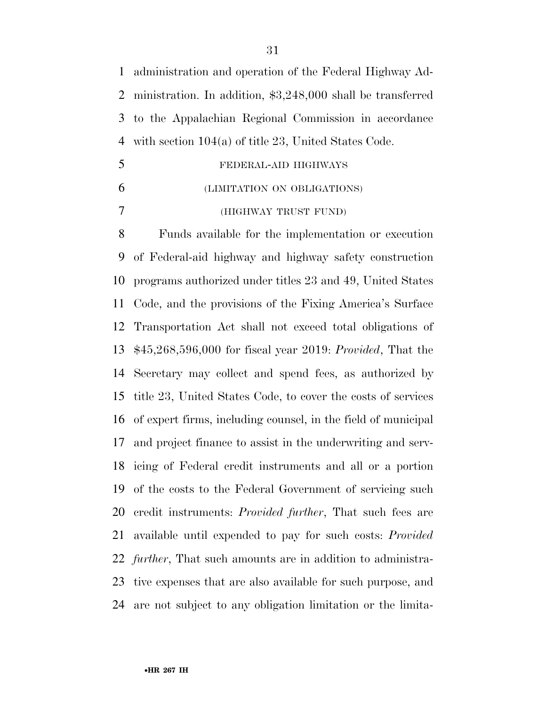administration and operation of the Federal Highway Ad- ministration. In addition, \$3,248,000 shall be transferred to the Appalachian Regional Commission in accordance with section 104(a) of title 23, United States Code.

- FEDERAL-AID HIGHWAYS
- (LIMITATION ON OBLIGATIONS)
- (HIGHWAY TRUST FUND)

 Funds available for the implementation or execution of Federal-aid highway and highway safety construction programs authorized under titles 23 and 49, United States Code, and the provisions of the Fixing America's Surface Transportation Act shall not exceed total obligations of \$45,268,596,000 for fiscal year 2019: *Provided*, That the Secretary may collect and spend fees, as authorized by title 23, United States Code, to cover the costs of services of expert firms, including counsel, in the field of municipal and project finance to assist in the underwriting and serv- icing of Federal credit instruments and all or a portion of the costs to the Federal Government of servicing such credit instruments: *Provided further*, That such fees are available until expended to pay for such costs: *Provided further*, That such amounts are in addition to administra- tive expenses that are also available for such purpose, and are not subject to any obligation limitation or the limita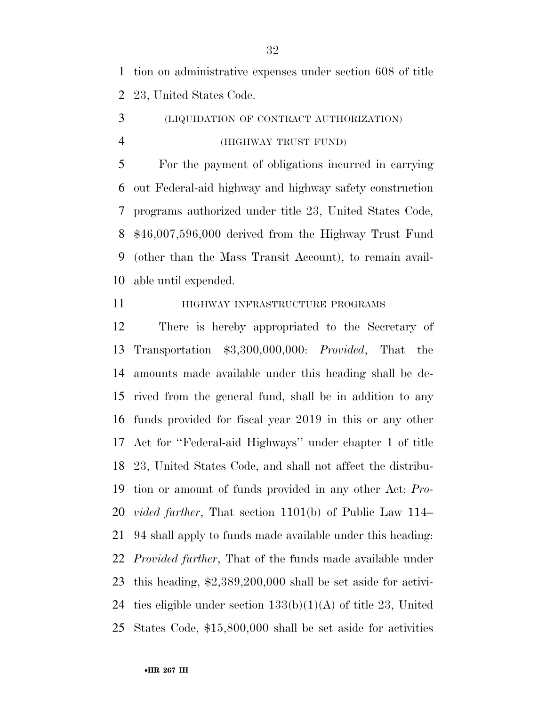tion on administrative expenses under section 608 of title 23, United States Code.

 (LIQUIDATION OF CONTRACT AUTHORIZATION) (HIGHWAY TRUST FUND)

 For the payment of obligations incurred in carrying out Federal-aid highway and highway safety construction programs authorized under title 23, United States Code, \$46,007,596,000 derived from the Highway Trust Fund (other than the Mass Transit Account), to remain avail-able until expended.

## **HIGHWAY INFRASTRUCTURE PROGRAMS**

 There is hereby appropriated to the Secretary of Transportation \$3,300,000,000: *Provided*, That the amounts made available under this heading shall be de- rived from the general fund, shall be in addition to any funds provided for fiscal year 2019 in this or any other Act for ''Federal-aid Highways'' under chapter 1 of title 23, United States Code, and shall not affect the distribu- tion or amount of funds provided in any other Act: *Pro- vided further*, That section 1101(b) of Public Law 114– 94 shall apply to funds made available under this heading: *Provided further*, That of the funds made available under this heading, \$2,389,200,000 shall be set aside for activi-24 ties eligible under section  $133(b)(1)(A)$  of title 23, United States Code, \$15,800,000 shall be set aside for activities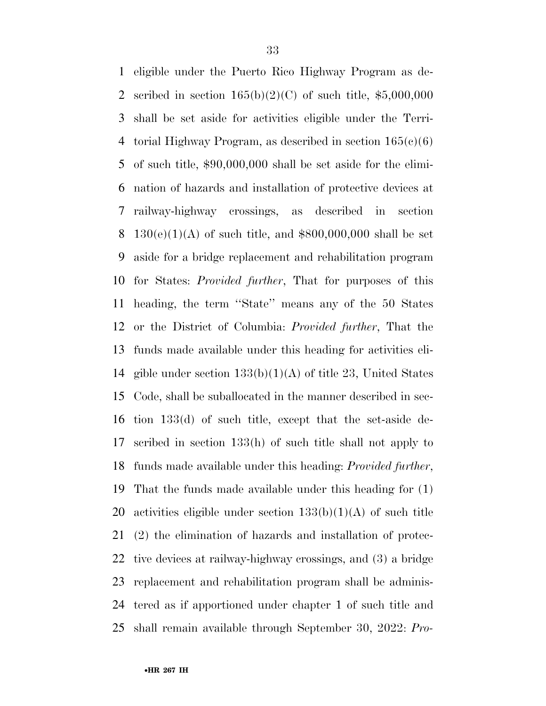eligible under the Puerto Rico Highway Program as de-2 scribed in section  $165(b)(2)(C)$  of such title, \$5,000,000 shall be set aside for activities eligible under the Terri-4 torial Highway Program, as described in section  $165(e)(6)$  of such title, \$90,000,000 shall be set aside for the elimi- nation of hazards and installation of protective devices at railway-highway crossings, as described in section 8 130(e)(1)(A) of such title, and  $$800,000,000$  shall be set aside for a bridge replacement and rehabilitation program for States: *Provided further*, That for purposes of this heading, the term ''State'' means any of the 50 States or the District of Columbia: *Provided further*, That the funds made available under this heading for activities eli-14 gible under section  $133(b)(1)(A)$  of title 23, United States Code, shall be suballocated in the manner described in sec- tion 133(d) of such title, except that the set-aside de- scribed in section 133(h) of such title shall not apply to funds made available under this heading: *Provided further*, That the funds made available under this heading for (1) 20 activities eligible under section  $133(b)(1)(A)$  of such title (2) the elimination of hazards and installation of protec- tive devices at railway-highway crossings, and (3) a bridge replacement and rehabilitation program shall be adminis- tered as if apportioned under chapter 1 of such title and shall remain available through September 30, 2022: *Pro-*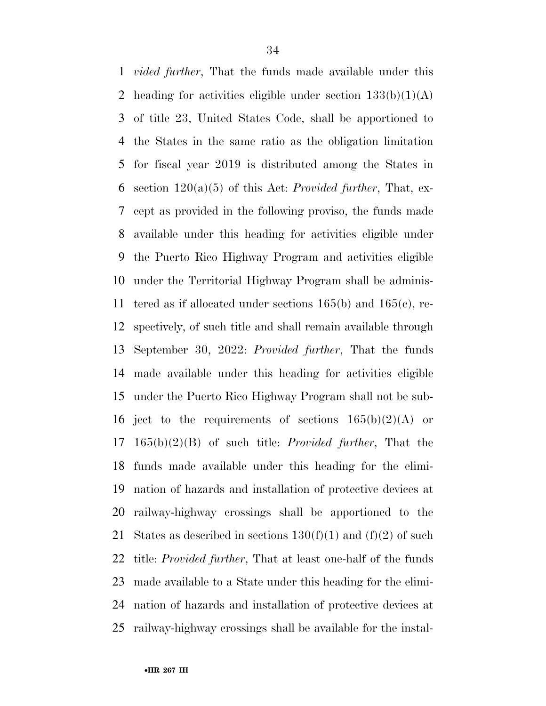*vided further*, That the funds made available under this 2 heading for activities eligible under section  $133(b)(1)(A)$  of title 23, United States Code, shall be apportioned to the States in the same ratio as the obligation limitation for fiscal year 2019 is distributed among the States in section 120(a)(5) of this Act: *Provided further*, That, ex- cept as provided in the following proviso, the funds made available under this heading for activities eligible under the Puerto Rico Highway Program and activities eligible under the Territorial Highway Program shall be adminis-11 tered as if allocated under sections  $165(b)$  and  $165(c)$ , re- spectively, of such title and shall remain available through September 30, 2022: *Provided further*, That the funds made available under this heading for activities eligible under the Puerto Rico Highway Program shall not be sub-16 ject to the requirements of sections  $165(b)(2)(A)$  or 165(b)(2)(B) of such title: *Provided further*, That the funds made available under this heading for the elimi- nation of hazards and installation of protective devices at railway-highway crossings shall be apportioned to the 21 States as described in sections  $130(f)(1)$  and  $(f)(2)$  of such title: *Provided further*, That at least one-half of the funds made available to a State under this heading for the elimi- nation of hazards and installation of protective devices at railway-highway crossings shall be available for the instal-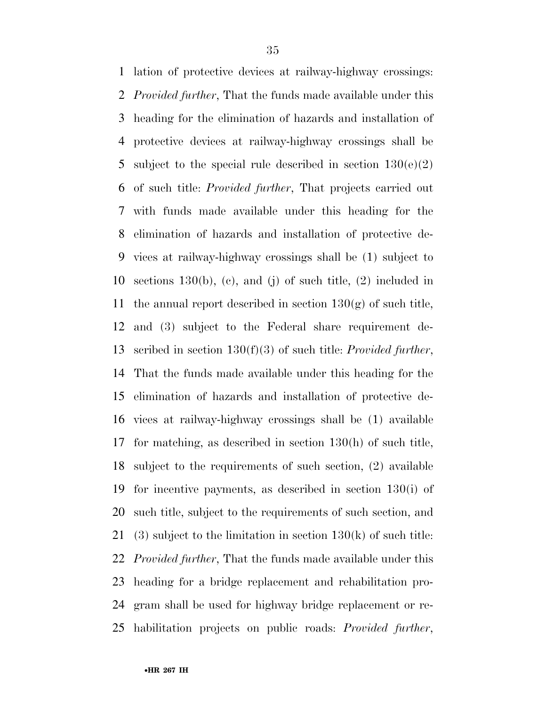lation of protective devices at railway-highway crossings: *Provided further*, That the funds made available under this heading for the elimination of hazards and installation of protective devices at railway-highway crossings shall be 5 subject to the special rule described in section  $130(e)(2)$  of such title: *Provided further*, That projects carried out with funds made available under this heading for the elimination of hazards and installation of protective de- vices at railway-highway crossings shall be (1) subject to 10 sections 130(b), (c), and (j) of such title,  $(2)$  included in 11 the annual report described in section  $130(g)$  of such title, and (3) subject to the Federal share requirement de- scribed in section 130(f)(3) of such title: *Provided further*, That the funds made available under this heading for the elimination of hazards and installation of protective de- vices at railway-highway crossings shall be (1) available for matching, as described in section 130(h) of such title, subject to the requirements of such section, (2) available for incentive payments, as described in section 130(i) of such title, subject to the requirements of such section, and 21 (3) subject to the limitation in section  $130(k)$  of such title: *Provided further*, That the funds made available under this heading for a bridge replacement and rehabilitation pro- gram shall be used for highway bridge replacement or re-habilitation projects on public roads: *Provided further*,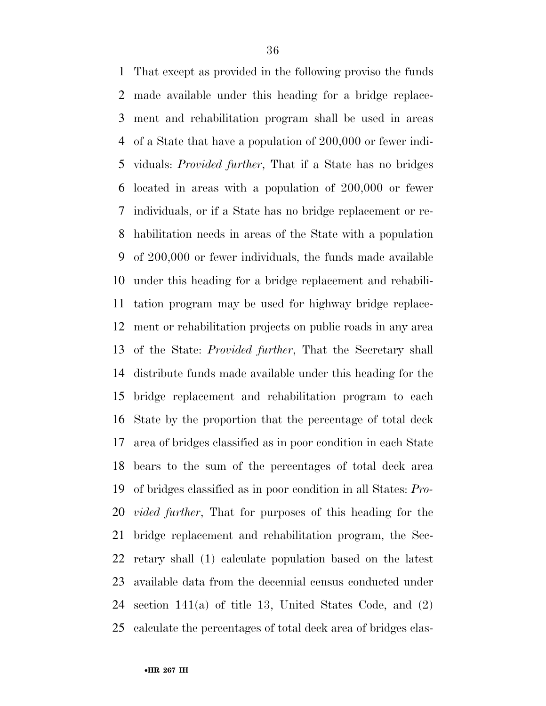That except as provided in the following proviso the funds made available under this heading for a bridge replace- ment and rehabilitation program shall be used in areas of a State that have a population of 200,000 or fewer indi- viduals: *Provided further*, That if a State has no bridges located in areas with a population of 200,000 or fewer individuals, or if a State has no bridge replacement or re- habilitation needs in areas of the State with a population of 200,000 or fewer individuals, the funds made available under this heading for a bridge replacement and rehabili- tation program may be used for highway bridge replace- ment or rehabilitation projects on public roads in any area of the State: *Provided further*, That the Secretary shall distribute funds made available under this heading for the bridge replacement and rehabilitation program to each State by the proportion that the percentage of total deck area of bridges classified as in poor condition in each State bears to the sum of the percentages of total deck area of bridges classified as in poor condition in all States: *Pro- vided further*, That for purposes of this heading for the bridge replacement and rehabilitation program, the Sec- retary shall (1) calculate population based on the latest available data from the decennial census conducted under section 141(a) of title 13, United States Code, and (2) calculate the percentages of total deck area of bridges clas-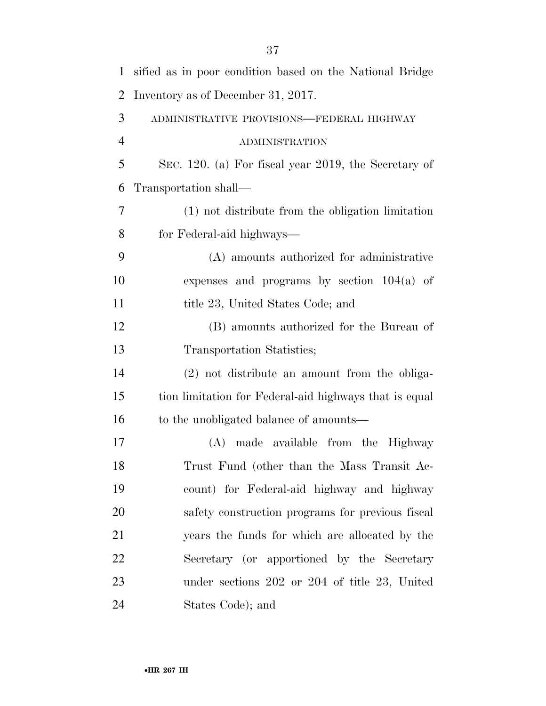| $\mathbf{1}$   | sified as in poor condition based on the National Bridge |
|----------------|----------------------------------------------------------|
| $\overline{2}$ | Inventory as of December 31, 2017.                       |
| 3              | ADMINISTRATIVE PROVISIONS-FEDERAL HIGHWAY                |
| $\overline{4}$ | ADMINISTRATION                                           |
| 5              | SEC. 120. (a) For fiscal year 2019, the Secretary of     |
| 6              | Transportation shall—                                    |
| 7              | (1) not distribute from the obligation limitation        |
| 8              | for Federal-aid highways—                                |
| 9              | (A) amounts authorized for administrative                |
| 10             | expenses and programs by section $104(a)$ of             |
| 11             | title 23, United States Code; and                        |
| 12             | (B) amounts authorized for the Bureau of                 |
| 13             | Transportation Statistics;                               |
| 14             | (2) not distribute an amount from the obliga-            |
| 15             | tion limitation for Federal-aid highways that is equal   |
| 16             | to the unobligated balance of amounts—                   |
| 17             | made available from the Highway<br>(A)                   |
| 18             | Trust Fund (other than the Mass Transit Ac-              |
| 19             | count) for Federal-aid highway and highway               |
| 20             | safety construction programs for previous fiscal         |
| 21             | years the funds for which are allocated by the           |
| 22             | Secretary (or apportioned by the Secretary               |
| 23             | under sections $202$ or $204$ of title $23$ , United     |
| 24             | States Code); and                                        |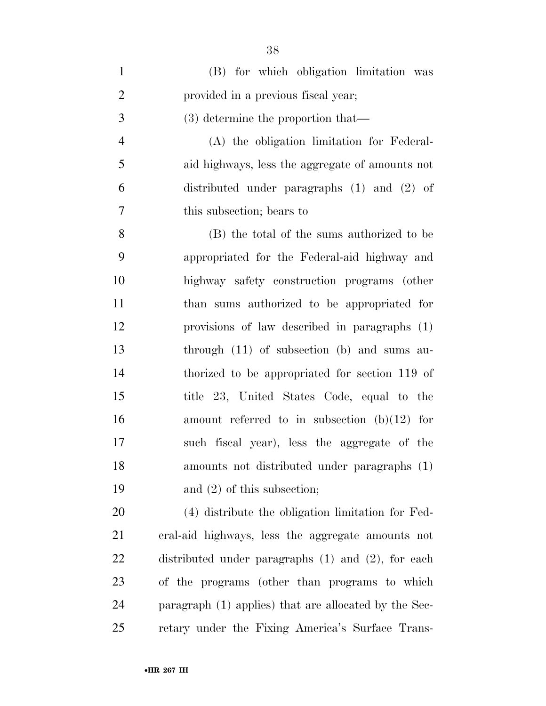| $\mathbf{1}$   | (B) for which obligation limitation was                 |
|----------------|---------------------------------------------------------|
| $\overline{2}$ | provided in a previous fiscal year;                     |
| 3              | $(3)$ determine the proportion that—                    |
| $\overline{4}$ | (A) the obligation limitation for Federal-              |
| 5              | aid highways, less the aggregate of amounts not         |
| 6              | distributed under paragraphs $(1)$ and $(2)$ of         |
| 7              | this subsection; bears to                               |
| 8              | (B) the total of the sums authorized to be              |
| 9              | appropriated for the Federal-aid highway and            |
| 10             | highway safety construction programs (other             |
| 11             | than sums authorized to be appropriated for             |
| 12             | provisions of law described in paragraphs (1)           |
| 13             | through $(11)$ of subsection $(b)$ and sums au-         |
| 14             | thorized to be appropriated for section 119 of          |
| 15             | title 23, United States Code, equal to the              |
| 16             | amount referred to in subsection $(b)(12)$ for          |
| 17             | such fiscal year), less the aggregate of the            |
| 18             | amounts not distributed under paragraphs (1)            |
| 19             | and $(2)$ of this subsection;                           |
| 20             | (4) distribute the obligation limitation for Fed-       |
| 21             | eral-aid highways, less the aggregate amounts not       |
| 22             | distributed under paragraphs $(1)$ and $(2)$ , for each |
| 23             | of the programs (other than programs to which           |
| 24             | paragraph (1) applies) that are allocated by the Sec-   |
| 25             | retary under the Fixing America's Surface Trans-        |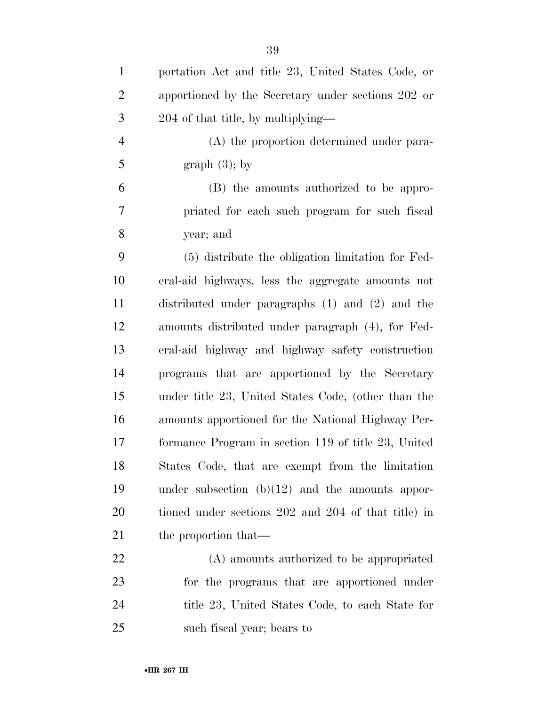| $\mathbf{1}$   | portation Act and title 23, United States Code, or   |
|----------------|------------------------------------------------------|
| $\overline{2}$ | apportioned by the Secretary under sections 202 or   |
| 3              | 204 of that title, by multiplying—                   |
| $\overline{4}$ | (A) the proportion determined under para-            |
| 5              | graph $(3)$ ; by                                     |
| 6              | (B) the amounts authorized to be appro-              |
| 7              | priated for each such program for such fiscal        |
| 8              | year; and                                            |
| 9              | (5) distribute the obligation limitation for Fed-    |
| 10             | eral-aid highways, less the aggregate amounts not    |
| 11             | distributed under paragraphs $(1)$ and $(2)$ and the |
| 12             | amounts distributed under paragraph (4), for Fed-    |
| 13             | eral-aid highway and highway safety construction     |
| 14             | programs that are apportioned by the Secretary       |
| 15             | under title 23, United States Code, (other than the  |
| 16             | amounts apportioned for the National Highway Per-    |
| 17             | formance Program in section 119 of title 23, United  |
| 18             | States Code, that are exempt from the limitation     |
| 19             | under subsection $(b)(12)$ and the amounts appor-    |
| 20             | tioned under sections 202 and 204 of that title) in  |
| 21             | the proportion that—                                 |
| 22             | (A) amounts authorized to be appropriated            |
| 23             | for the programs that are apportioned under          |
| 24             | title 23, United States Code, to each State for      |
| 25             | such fiscal year; bears to                           |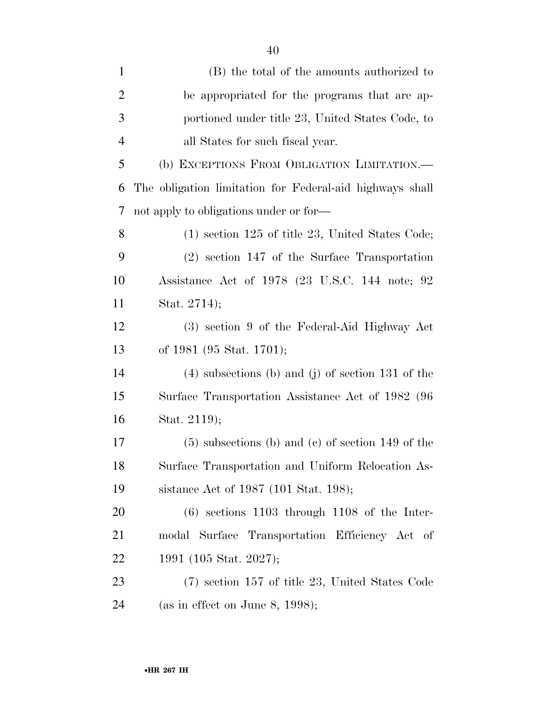| $\mathbf{1}$   | (B) the total of the amounts authorized to               |
|----------------|----------------------------------------------------------|
| $\overline{2}$ | be appropriated for the programs that are ap-            |
| 3              | portioned under title 23, United States Code, to         |
| $\overline{4}$ | all States for such fiscal year.                         |
| 5              | (b) EXCEPTIONS FROM OBLIGATION LIMITATION.—              |
| 6              | The obligation limitation for Federal-aid highways shall |
| 7              | not apply to obligations under or for—                   |
| 8              | $(1)$ section 125 of title 23, United States Code;       |
| 9              | $(2)$ section 147 of the Surface Transportation          |
| 10             | Assistance Act of 1978 (23 U.S.C. 144 note; 92           |
| 11             | Stat. 2714);                                             |
| 12             | (3) section 9 of the Federal-Aid Highway Act             |
| 13             | of 1981 (95 Stat. 1701);                                 |
| 14             | $(4)$ subsections (b) and (j) of section 131 of the      |
| 15             | Surface Transportation Assistance Act of 1982 (96        |
| 16             | Stat. 2119);                                             |
| 17             | $(5)$ subsections (b) and (c) of section 149 of the      |
| 18             | Surface Transportation and Uniform Relocation As-        |
| 19             | sistance Act of 1987 (101 Stat. 198);                    |
| 20             | $(6)$ sections 1103 through 1108 of the Inter-           |
| 21             | modal Surface Transportation Efficiency Act of           |
| 22             | 1991 (105 Stat. 2027);                                   |
| 23             | $(7)$ section 157 of title 23, United States Code        |
| 24             | (as in effect on June 8, 1998);                          |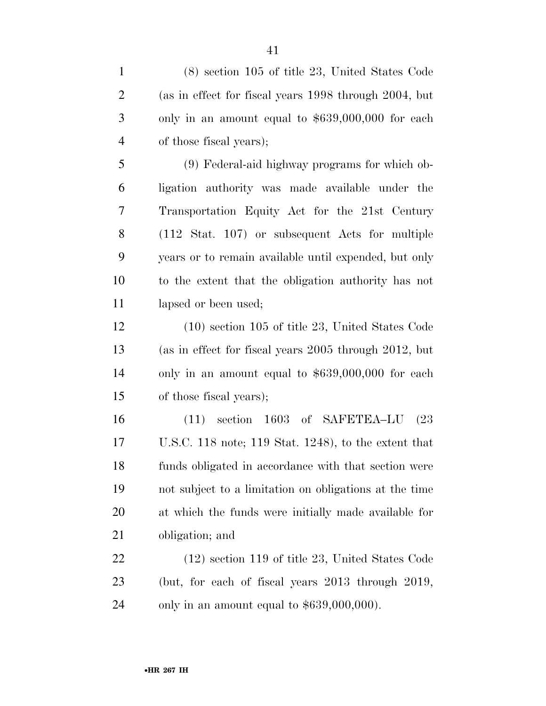(8) section 105 of title 23, United States Code (as in effect for fiscal years 1998 through 2004, but only in an amount equal to \$639,000,000 for each of those fiscal years);

 (9) Federal-aid highway programs for which ob- ligation authority was made available under the Transportation Equity Act for the 21st Century (112 Stat. 107) or subsequent Acts for multiple years or to remain available until expended, but only to the extent that the obligation authority has not 11 lapsed or been used;

 (10) section 105 of title 23, United States Code (as in effect for fiscal years 2005 through 2012, but only in an amount equal to \$639,000,000 for each of those fiscal years);

 (11) section 1603 of SAFETEA–LU (23 U.S.C. 118 note; 119 Stat. 1248), to the extent that funds obligated in accordance with that section were not subject to a limitation on obligations at the time at which the funds were initially made available for obligation; and

 (12) section 119 of title 23, United States Code (but, for each of fiscal years 2013 through 2019, only in an amount equal to \$639,000,000).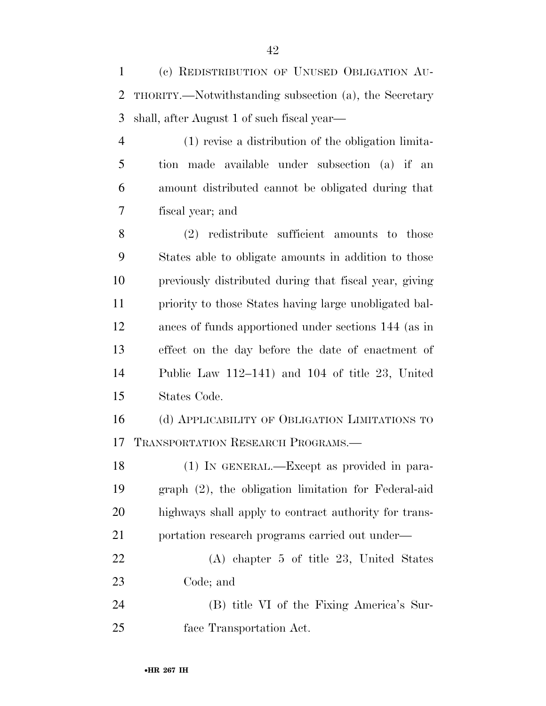(c) REDISTRIBUTION OF UNUSED OBLIGATION AU- THORITY.—Notwithstanding subsection (a), the Secretary shall, after August 1 of such fiscal year—

 (1) revise a distribution of the obligation limita- tion made available under subsection (a) if an amount distributed cannot be obligated during that fiscal year; and

 (2) redistribute sufficient amounts to those States able to obligate amounts in addition to those previously distributed during that fiscal year, giving priority to those States having large unobligated bal- ances of funds apportioned under sections 144 (as in effect on the day before the date of enactment of Public Law 112–141) and 104 of title 23, United States Code.

 (d) APPLICABILITY OF OBLIGATION LIMITATIONS TO TRANSPORTATION RESEARCH PROGRAMS.—

 (1) IN GENERAL.—Except as provided in para- graph (2), the obligation limitation for Federal-aid highways shall apply to contract authority for trans-21 portation research programs carried out under—

 (A) chapter 5 of title 23, United States Code; and

 (B) title VI of the Fixing America's Sur-face Transportation Act.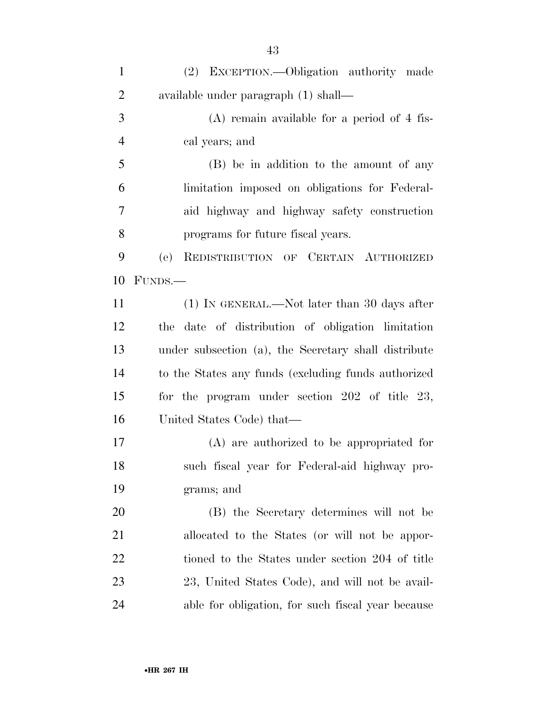| $\mathbf{1}$   | (2) EXCEPTION.—Obligation authority made             |
|----------------|------------------------------------------------------|
| $\overline{2}$ | available under paragraph (1) shall—                 |
| 3              | $(A)$ remain available for a period of 4 fis-        |
| $\overline{4}$ | cal years; and                                       |
| 5              | (B) be in addition to the amount of any              |
| 6              | limitation imposed on obligations for Federal-       |
| 7              | aid highway and highway safety construction          |
| 8              | programs for future fiscal years.                    |
| 9              | REDISTRIBUTION OF CERTAIN AUTHORIZED<br>(e)          |
| 10             | FUNDS.—                                              |
| 11             | (1) IN GENERAL.—Not later than 30 days after         |
| 12             | date of distribution of obligation limitation<br>the |
| 13             | under subsection (a), the Secretary shall distribute |
| 14             | to the States any funds (excluding funds authorized) |
| 15             | for the program under section $202$ of title $23$ ,  |
| 16             | United States Code) that—                            |
| 17             | (A) are authorized to be appropriated for            |
| 18             | such fiscal year for Federal-aid highway pro-        |
| 19             | grams; and                                           |
| 20             | (B) the Secretary determines will not be             |
| 21             | allocated to the States (or will not be appor-       |
| 22             | tioned to the States under section 204 of title      |
| 23             | 23, United States Code), and will not be avail-      |
| 24             | able for obligation, for such fiscal year because    |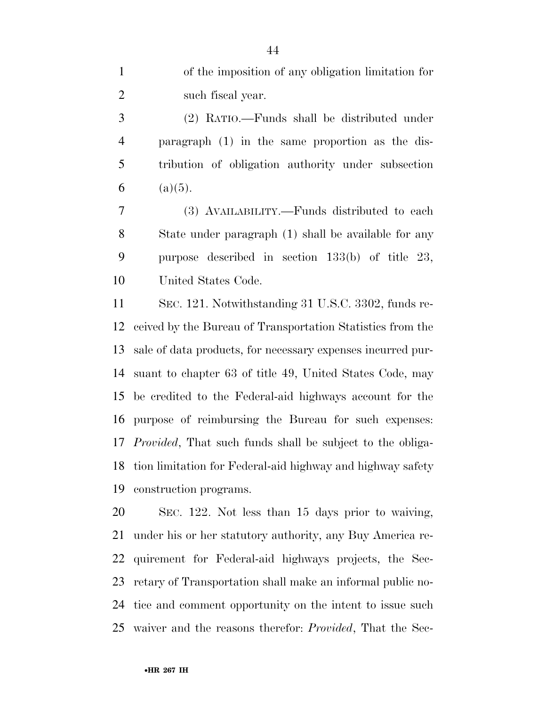(2) RATIO.—Funds shall be distributed under paragraph (1) in the same proportion as the dis- tribution of obligation authority under subsection 6 (a)(5).

 (3) AVAILABILITY.—Funds distributed to each State under paragraph (1) shall be available for any purpose described in section 133(b) of title 23, United States Code.

 SEC. 121. Notwithstanding 31 U.S.C. 3302, funds re- ceived by the Bureau of Transportation Statistics from the sale of data products, for necessary expenses incurred pur- suant to chapter 63 of title 49, United States Code, may be credited to the Federal-aid highways account for the purpose of reimbursing the Bureau for such expenses: *Provided*, That such funds shall be subject to the obliga- tion limitation for Federal-aid highway and highway safety construction programs.

 SEC. 122. Not less than 15 days prior to waiving, under his or her statutory authority, any Buy America re- quirement for Federal-aid highways projects, the Sec- retary of Transportation shall make an informal public no- tice and comment opportunity on the intent to issue such waiver and the reasons therefor: *Provided*, That the Sec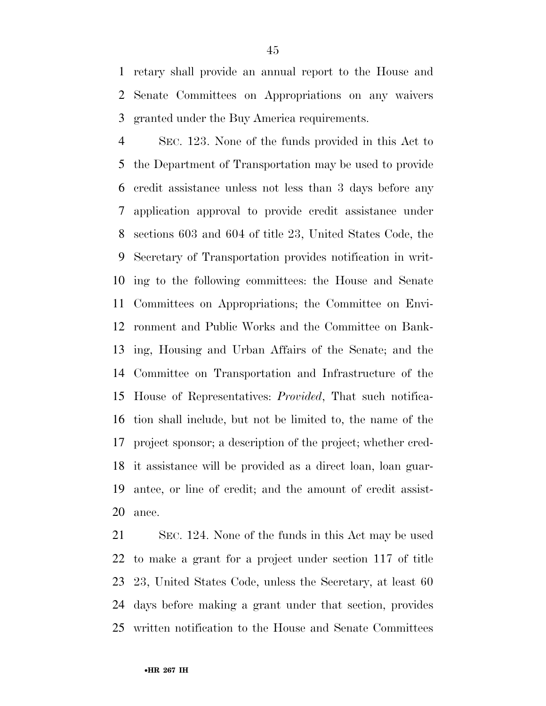retary shall provide an annual report to the House and Senate Committees on Appropriations on any waivers granted under the Buy America requirements.

 SEC. 123. None of the funds provided in this Act to the Department of Transportation may be used to provide credit assistance unless not less than 3 days before any application approval to provide credit assistance under sections 603 and 604 of title 23, United States Code, the Secretary of Transportation provides notification in writ- ing to the following committees: the House and Senate Committees on Appropriations; the Committee on Envi- ronment and Public Works and the Committee on Bank- ing, Housing and Urban Affairs of the Senate; and the Committee on Transportation and Infrastructure of the House of Representatives: *Provided*, That such notifica- tion shall include, but not be limited to, the name of the project sponsor; a description of the project; whether cred- it assistance will be provided as a direct loan, loan guar- antee, or line of credit; and the amount of credit assist-ance.

 SEC. 124. None of the funds in this Act may be used to make a grant for a project under section 117 of title 23, United States Code, unless the Secretary, at least 60 days before making a grant under that section, provides written notification to the House and Senate Committees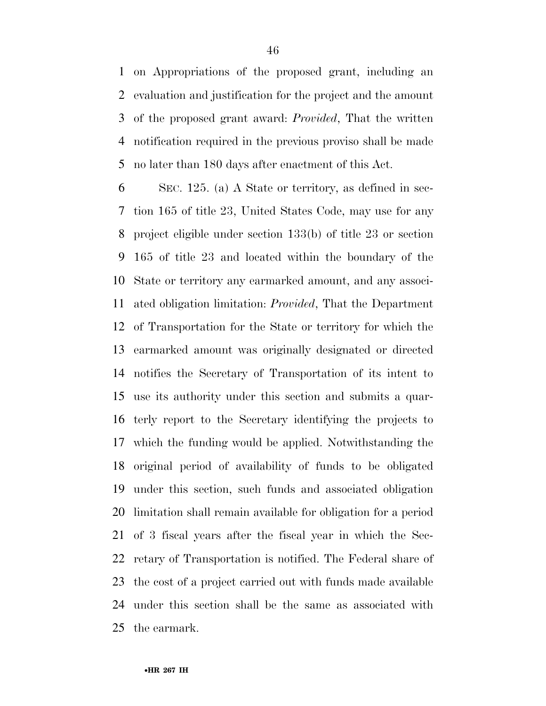on Appropriations of the proposed grant, including an evaluation and justification for the project and the amount of the proposed grant award: *Provided*, That the written notification required in the previous proviso shall be made no later than 180 days after enactment of this Act.

 SEC. 125. (a) A State or territory, as defined in sec- tion 165 of title 23, United States Code, may use for any project eligible under section 133(b) of title 23 or section 165 of title 23 and located within the boundary of the State or territory any earmarked amount, and any associ- ated obligation limitation: *Provided*, That the Department of Transportation for the State or territory for which the earmarked amount was originally designated or directed notifies the Secretary of Transportation of its intent to use its authority under this section and submits a quar- terly report to the Secretary identifying the projects to which the funding would be applied. Notwithstanding the original period of availability of funds to be obligated under this section, such funds and associated obligation limitation shall remain available for obligation for a period of 3 fiscal years after the fiscal year in which the Sec- retary of Transportation is notified. The Federal share of the cost of a project carried out with funds made available under this section shall be the same as associated with the earmark.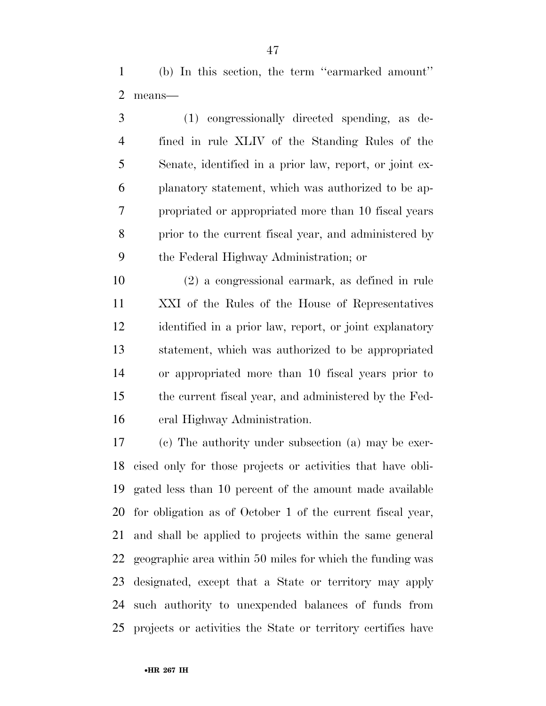(b) In this section, the term ''earmarked amount'' means—

 (1) congressionally directed spending, as de- fined in rule XLIV of the Standing Rules of the Senate, identified in a prior law, report, or joint ex- planatory statement, which was authorized to be ap- propriated or appropriated more than 10 fiscal years prior to the current fiscal year, and administered by the Federal Highway Administration; or

 (2) a congressional earmark, as defined in rule XXI of the Rules of the House of Representatives identified in a prior law, report, or joint explanatory statement, which was authorized to be appropriated or appropriated more than 10 fiscal years prior to the current fiscal year, and administered by the Fed-eral Highway Administration.

 (c) The authority under subsection (a) may be exer- cised only for those projects or activities that have obli- gated less than 10 percent of the amount made available for obligation as of October 1 of the current fiscal year, and shall be applied to projects within the same general geographic area within 50 miles for which the funding was designated, except that a State or territory may apply such authority to unexpended balances of funds from projects or activities the State or territory certifies have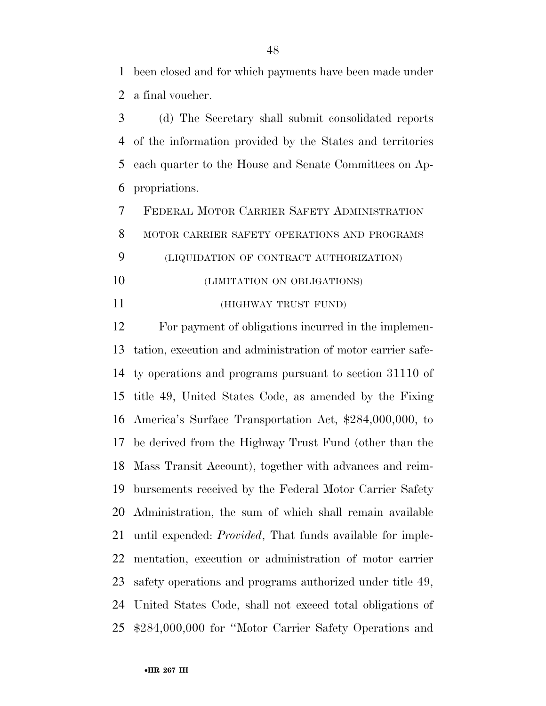been closed and for which payments have been made under a final voucher.

 (d) The Secretary shall submit consolidated reports of the information provided by the States and territories each quarter to the House and Senate Committees on Ap-propriations.

 FEDERAL MOTOR CARRIER SAFETY ADMINISTRATION MOTOR CARRIER SAFETY OPERATIONS AND PROGRAMS (LIQUIDATION OF CONTRACT AUTHORIZATION)

- (LIMITATION ON OBLIGATIONS)
- (HIGHWAY TRUST FUND)

 For payment of obligations incurred in the implemen- tation, execution and administration of motor carrier safe- ty operations and programs pursuant to section 31110 of title 49, United States Code, as amended by the Fixing America's Surface Transportation Act, \$284,000,000, to be derived from the Highway Trust Fund (other than the Mass Transit Account), together with advances and reim- bursements received by the Federal Motor Carrier Safety Administration, the sum of which shall remain available until expended: *Provided*, That funds available for imple- mentation, execution or administration of motor carrier safety operations and programs authorized under title 49, United States Code, shall not exceed total obligations of \$284,000,000 for ''Motor Carrier Safety Operations and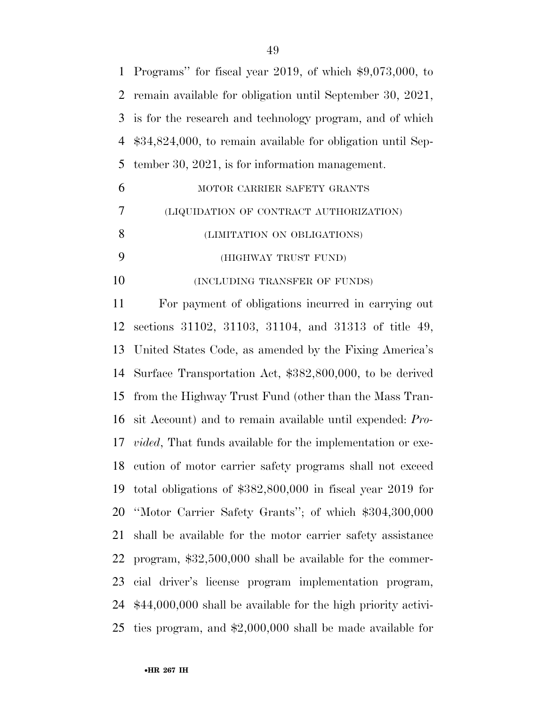| $\mathbf{1}$ | Programs" for fiscal year 2019, of which $$9,073,000$ , to            |
|--------------|-----------------------------------------------------------------------|
| 2            | remain available for obligation until September 30, 2021,             |
| 3            | is for the research and technology program, and of which              |
| 4            | $$34,824,000$ , to remain available for obligation until Sep-         |
| 5            | tember 30, $2021$ , is for information management.                    |
| 6            | MOTOR CARRIER SAFETY GRANTS                                           |
| 7            | (LIQUIDATION OF CONTRACT AUTHORIZATION)                               |
| 8            | (LIMITATION ON OBLIGATIONS)                                           |
| 9            | (HIGHWAY TRUST FUND)                                                  |
| 10           | (INCLUDING TRANSFER OF FUNDS)                                         |
| 11           | For payment of obligations incurred in carrying out                   |
| 12           | sections 31102, 31103, 31104, and 31313 of title 49,                  |
| 13           | United States Code, as amended by the Fixing America's                |
| 14           | Surface Transportation Act, \$382,800,000, to be derived              |
| 15           | from the Highway Trust Fund (other than the Mass Tran-                |
| 16           | sit Account) and to remain available until expended: Pro-             |
|              | 17 <i>vided</i> , That funds available for the implementation or exe- |
| 18           | cution of motor carrier safety programs shall not exceed              |
| 19           | total obligations of $$382,800,000$ in fiscal year 2019 for           |
| 20           | "Motor Carrier Safety Grants"; of which \$304,300,000                 |
| 21           | shall be available for the motor carrier safety assistance            |
| 22           | program, $$32,500,000$ shall be available for the commer-             |
| 23           | cial driver's license program implementation program,                 |
| 24           | $$44,000,000$ shall be available for the high priority activi-        |
| 25           | ties program, and $$2,000,000$ shall be made available for            |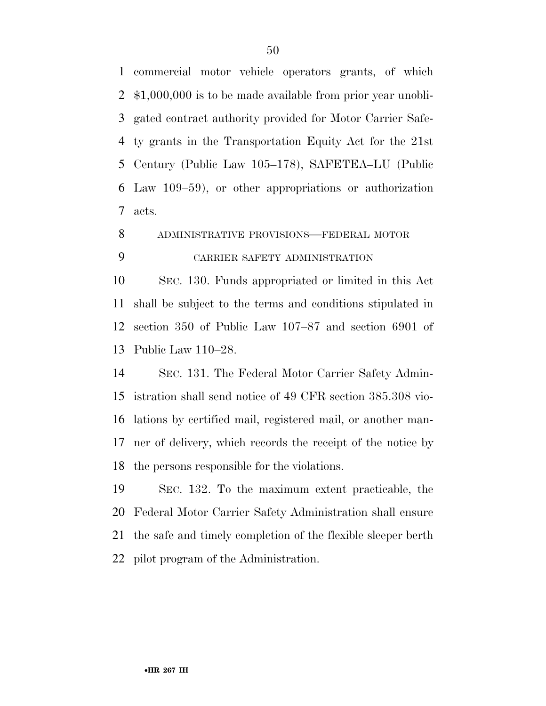commercial motor vehicle operators grants, of which \$1,000,000 is to be made available from prior year unobli- gated contract authority provided for Motor Carrier Safe- ty grants in the Transportation Equity Act for the 21st Century (Public Law 105–178), SAFETEA–LU (Public Law 109–59), or other appropriations or authorization acts.

ADMINISTRATIVE PROVISIONS—FEDERAL MOTOR

# CARRIER SAFETY ADMINISTRATION

 SEC. 130. Funds appropriated or limited in this Act shall be subject to the terms and conditions stipulated in section 350 of Public Law 107–87 and section 6901 of Public Law 110–28.

 SEC. 131. The Federal Motor Carrier Safety Admin- istration shall send notice of 49 CFR section 385.308 vio- lations by certified mail, registered mail, or another man- ner of delivery, which records the receipt of the notice by the persons responsible for the violations.

 SEC. 132. To the maximum extent practicable, the Federal Motor Carrier Safety Administration shall ensure the safe and timely completion of the flexible sleeper berth pilot program of the Administration.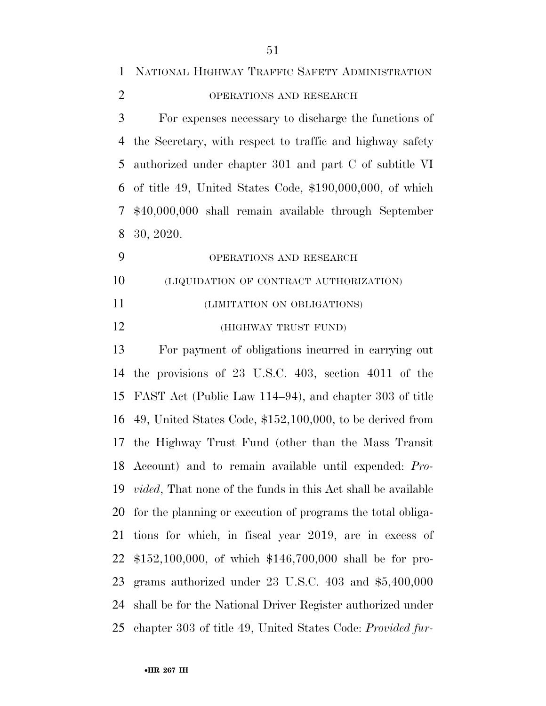| $\mathbf{1}$   | NATIONAL HIGHWAY TRAFFIC SAFETY ADMINISTRATION                       |
|----------------|----------------------------------------------------------------------|
| $\overline{2}$ | OPERATIONS AND RESEARCH                                              |
| 3              | For expenses necessary to discharge the functions of                 |
| 4              | the Secretary, with respect to traffic and highway safety            |
| 5              | authorized under chapter 301 and part C of subtitle VI               |
| 6              | of title 49, United States Code, $$190,000,000$ , of which           |
| $\overline{7}$ | \$40,000,000 shall remain available through September                |
| 8              | 30, 2020.                                                            |
| 9              | OPERATIONS AND RESEARCH                                              |
| 10             | (LIQUIDATION OF CONTRACT AUTHORIZATION)                              |
| 11             | (LIMITATION ON OBLIGATIONS)                                          |
| 12             | (HIGHWAY TRUST FUND)                                                 |
| 13             | For payment of obligations incurred in carrying out                  |
| 14             | the provisions of $23\,$ U.S.C. $403$ , section $4011\,$ of the      |
| 15             | FAST Act (Public Law 114–94), and chapter 303 of title               |
| 16             | 49, United States Code, $$152,100,000$ , to be derived from          |
|                | 17 the Highway Trust Fund (other than the Mass Transit               |
|                | 18 Account) and to remain available until expended: Pro-             |
| 19             | <i>vided</i> , That none of the funds in this Act shall be available |
| 20             | for the planning or execution of programs the total obliga-          |
| 21             | tions for which, in fiscal year 2019, are in excess of               |
| 22             | $$152,100,000$ , of which $$146,700,000$ shall be for pro-           |
| 23             | grams authorized under 23 U.S.C. $403$ and $$5,400,000$              |
| 24             | shall be for the National Driver Register authorized under           |
| 25             | chapter 303 of title 49, United States Code: Provided fur-           |
|                |                                                                      |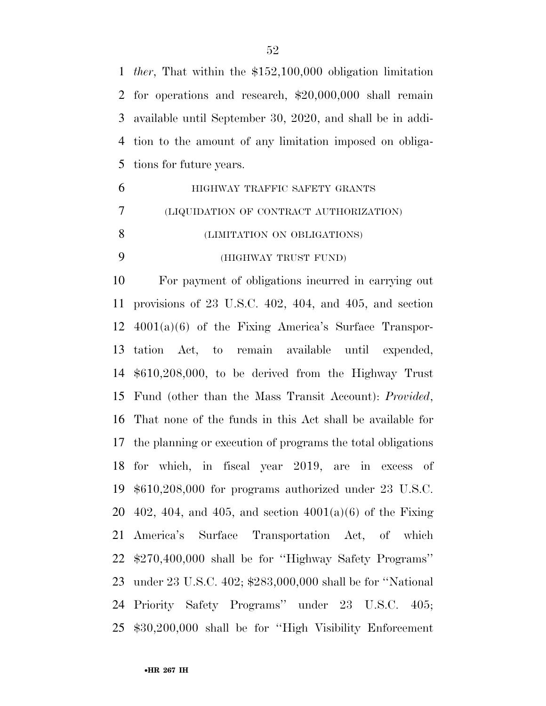*ther*, That within the \$152,100,000 obligation limitation for operations and research, \$20,000,000 shall remain available until September 30, 2020, and shall be in addi- tion to the amount of any limitation imposed on obliga-tions for future years.

 HIGHWAY TRAFFIC SAFETY GRANTS (LIQUIDATION OF CONTRACT AUTHORIZATION) (LIMITATION ON OBLIGATIONS) (HIGHWAY TRUST FUND)

 For payment of obligations incurred in carrying out provisions of 23 U.S.C. 402, 404, and 405, and section 4001(a)(6) of the Fixing America's Surface Transpor- tation Act, to remain available until expended, \$610,208,000, to be derived from the Highway Trust Fund (other than the Mass Transit Account): *Provided*, That none of the funds in this Act shall be available for the planning or execution of programs the total obligations for which, in fiscal year 2019, are in excess of \$610,208,000 for programs authorized under 23 U.S.C. 20 402, 404, and 405, and section  $4001(a)(6)$  of the Fixing America's Surface Transportation Act, of which \$270,400,000 shall be for ''Highway Safety Programs'' under 23 U.S.C. 402; \$283,000,000 shall be for ''National Priority Safety Programs'' under 23 U.S.C. 405; \$30,200,000 shall be for ''High Visibility Enforcement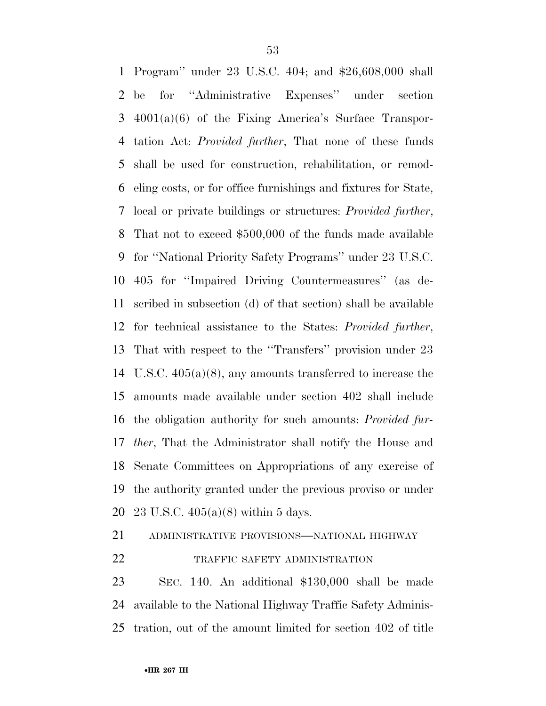Program'' under 23 U.S.C. 404; and \$26,608,000 shall be for ''Administrative Expenses'' under section 4001(a)(6) of the Fixing America's Surface Transpor- tation Act: *Provided further*, That none of these funds shall be used for construction, rehabilitation, or remod- eling costs, or for office furnishings and fixtures for State, local or private buildings or structures: *Provided further*, That not to exceed \$500,000 of the funds made available for ''National Priority Safety Programs'' under 23 U.S.C. 405 for ''Impaired Driving Countermeasures'' (as de- scribed in subsection (d) of that section) shall be available for technical assistance to the States: *Provided further*, That with respect to the ''Transfers'' provision under 23 U.S.C. 405(a)(8), any amounts transferred to increase the amounts made available under section 402 shall include the obligation authority for such amounts: *Provided fur- ther*, That the Administrator shall notify the House and Senate Committees on Appropriations of any exercise of the authority granted under the previous proviso or under 23 U.S.C. 405(a)(8) within 5 days.

ADMINISTRATIVE PROVISIONS—NATIONAL HIGHWAY

22 TRAFFIC SAFETY ADMINISTRATION

 SEC. 140. An additional \$130,000 shall be made available to the National Highway Traffic Safety Adminis-tration, out of the amount limited for section 402 of title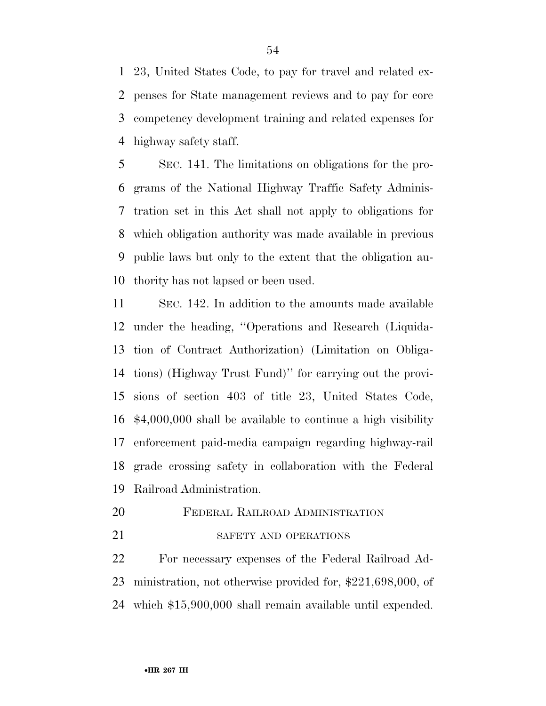23, United States Code, to pay for travel and related ex- penses for State management reviews and to pay for core competency development training and related expenses for highway safety staff.

 SEC. 141. The limitations on obligations for the pro- grams of the National Highway Traffic Safety Adminis- tration set in this Act shall not apply to obligations for which obligation authority was made available in previous public laws but only to the extent that the obligation au-thority has not lapsed or been used.

 SEC. 142. In addition to the amounts made available under the heading, ''Operations and Research (Liquida- tion of Contract Authorization) (Limitation on Obliga- tions) (Highway Trust Fund)'' for carrying out the provi- sions of section 403 of title 23, United States Code, \$4,000,000 shall be available to continue a high visibility enforcement paid-media campaign regarding highway-rail grade crossing safety in collaboration with the Federal Railroad Administration.

# FEDERAL RAILROAD ADMINISTRATION

21 SAFETY AND OPERATIONS

 For necessary expenses of the Federal Railroad Ad- ministration, not otherwise provided for, \$221,698,000, of which \$15,900,000 shall remain available until expended.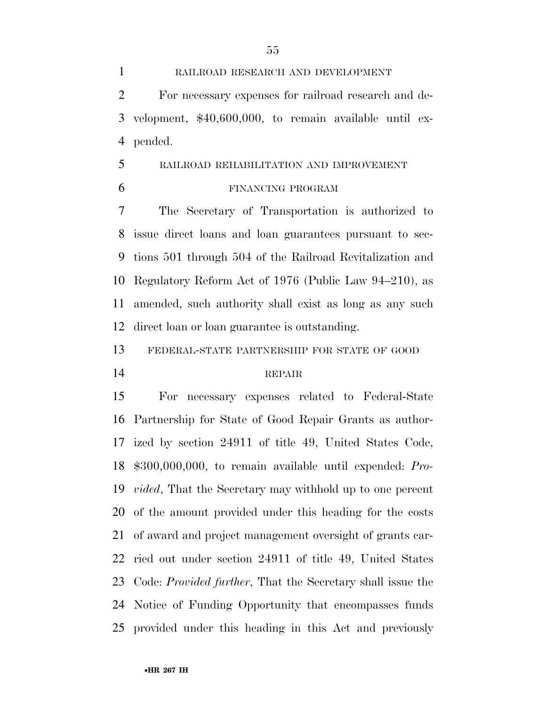RAILROAD RESEARCH AND DEVELOPMENT For necessary expenses for railroad research and de- velopment, \$40,600,000, to remain available until ex-pended.

- RAILROAD REHABILITATION AND IMPROVEMENT
- 

#### FINANCING PROGRAM

 The Secretary of Transportation is authorized to issue direct loans and loan guarantees pursuant to sec- tions 501 through 504 of the Railroad Revitalization and Regulatory Reform Act of 1976 (Public Law 94–210), as amended, such authority shall exist as long as any such direct loan or loan guarantee is outstanding.

FEDERAL-STATE PARTNERSHIP FOR STATE OF GOOD

### REPAIR

 For necessary expenses related to Federal-State Partnership for State of Good Repair Grants as author- ized by section 24911 of title 49, United States Code, \$300,000,000, to remain available until expended: *Pro- vided*, That the Secretary may withhold up to one percent of the amount provided under this heading for the costs of award and project management oversight of grants car- ried out under section 24911 of title 49, United States Code: *Provided further*, That the Secretary shall issue the Notice of Funding Opportunity that encompasses funds provided under this heading in this Act and previously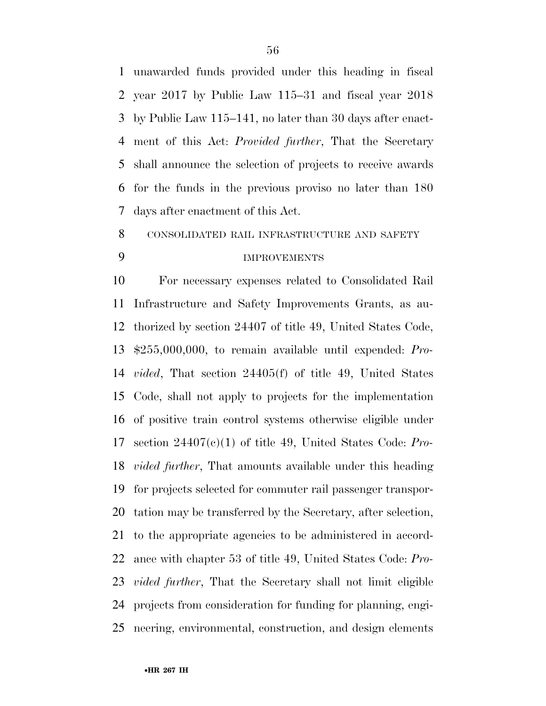unawarded funds provided under this heading in fiscal year 2017 by Public Law 115–31 and fiscal year 2018 by Public Law 115–141, no later than 30 days after enact- ment of this Act: *Provided further*, That the Secretary shall announce the selection of projects to receive awards for the funds in the previous proviso no later than 180 days after enactment of this Act.

#### CONSOLIDATED RAIL INFRASTRUCTURE AND SAFETY

# IMPROVEMENTS

 For necessary expenses related to Consolidated Rail Infrastructure and Safety Improvements Grants, as au- thorized by section 24407 of title 49, United States Code, \$255,000,000, to remain available until expended: *Pro- vided*, That section 24405(f) of title 49, United States Code, shall not apply to projects for the implementation of positive train control systems otherwise eligible under section 24407(c)(1) of title 49, United States Code: *Pro- vided further*, That amounts available under this heading for projects selected for commuter rail passenger transpor- tation may be transferred by the Secretary, after selection, to the appropriate agencies to be administered in accord- ance with chapter 53 of title 49, United States Code: *Pro- vided further*, That the Secretary shall not limit eligible projects from consideration for funding for planning, engi-neering, environmental, construction, and design elements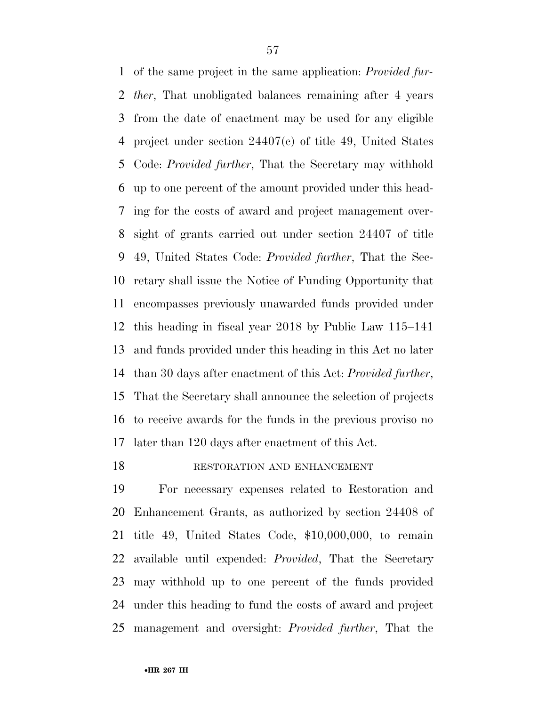of the same project in the same application: *Provided fur- ther*, That unobligated balances remaining after 4 years from the date of enactment may be used for any eligible project under section 24407(c) of title 49, United States Code: *Provided further*, That the Secretary may withhold up to one percent of the amount provided under this head- ing for the costs of award and project management over- sight of grants carried out under section 24407 of title 49, United States Code: *Provided further*, That the Sec- retary shall issue the Notice of Funding Opportunity that encompasses previously unawarded funds provided under this heading in fiscal year 2018 by Public Law 115–141 and funds provided under this heading in this Act no later than 30 days after enactment of this Act: *Provided further*, That the Secretary shall announce the selection of projects to receive awards for the funds in the previous proviso no later than 120 days after enactment of this Act.

#### 18 RESTORATION AND ENHANCEMENT

 For necessary expenses related to Restoration and Enhancement Grants, as authorized by section 24408 of title 49, United States Code, \$10,000,000, to remain available until expended: *Provided*, That the Secretary may withhold up to one percent of the funds provided under this heading to fund the costs of award and project management and oversight: *Provided further*, That the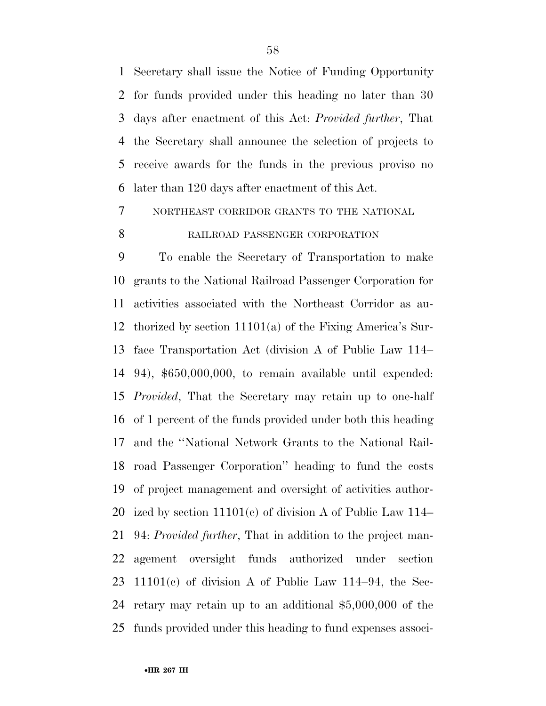Secretary shall issue the Notice of Funding Opportunity for funds provided under this heading no later than 30 days after enactment of this Act: *Provided further*, That the Secretary shall announce the selection of projects to receive awards for the funds in the previous proviso no later than 120 days after enactment of this Act.

NORTHEAST CORRIDOR GRANTS TO THE NATIONAL

# 8 RAILROAD PASSENGER CORPORATION

 To enable the Secretary of Transportation to make grants to the National Railroad Passenger Corporation for activities associated with the Northeast Corridor as au- thorized by section 11101(a) of the Fixing America's Sur- face Transportation Act (division A of Public Law 114– 94), \$650,000,000, to remain available until expended: *Provided*, That the Secretary may retain up to one-half of 1 percent of the funds provided under both this heading and the ''National Network Grants to the National Rail- road Passenger Corporation'' heading to fund the costs of project management and oversight of activities author- ized by section 11101(c) of division A of Public Law 114– 94: *Provided further*, That in addition to the project man- agement oversight funds authorized under section 23 11101 $(c)$  of division A of Public Law 114–94, the Sec- retary may retain up to an additional \$5,000,000 of the funds provided under this heading to fund expenses associ-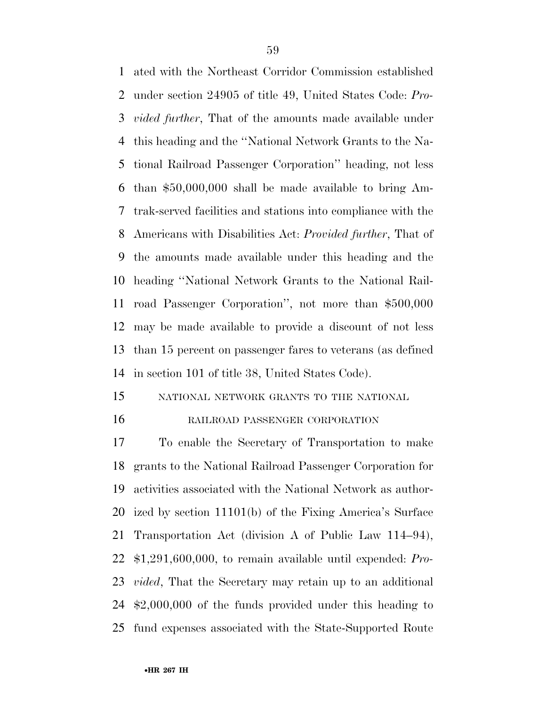ated with the Northeast Corridor Commission established under section 24905 of title 49, United States Code: *Pro- vided further*, That of the amounts made available under this heading and the ''National Network Grants to the Na- tional Railroad Passenger Corporation'' heading, not less than \$50,000,000 shall be made available to bring Am- trak-served facilities and stations into compliance with the Americans with Disabilities Act: *Provided further*, That of the amounts made available under this heading and the heading ''National Network Grants to the National Rail- road Passenger Corporation'', not more than \$500,000 may be made available to provide a discount of not less than 15 percent on passenger fares to veterans (as defined in section 101 of title 38, United States Code).

### NATIONAL NETWORK GRANTS TO THE NATIONAL

#### RAILROAD PASSENGER CORPORATION

 To enable the Secretary of Transportation to make grants to the National Railroad Passenger Corporation for activities associated with the National Network as author- ized by section 11101(b) of the Fixing America's Surface Transportation Act (division A of Public Law 114–94), \$1,291,600,000, to remain available until expended: *Pro- vided*, That the Secretary may retain up to an additional \$2,000,000 of the funds provided under this heading to fund expenses associated with the State-Supported Route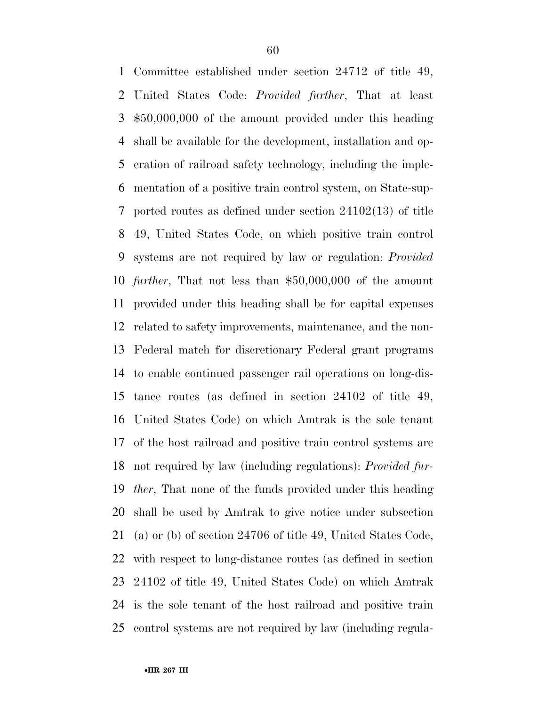Committee established under section 24712 of title 49, United States Code: *Provided further*, That at least \$50,000,000 of the amount provided under this heading shall be available for the development, installation and op- eration of railroad safety technology, including the imple- mentation of a positive train control system, on State-sup- ported routes as defined under section 24102(13) of title 49, United States Code, on which positive train control systems are not required by law or regulation: *Provided further*, That not less than \$50,000,000 of the amount provided under this heading shall be for capital expenses related to safety improvements, maintenance, and the non- Federal match for discretionary Federal grant programs to enable continued passenger rail operations on long-dis- tance routes (as defined in section 24102 of title 49, United States Code) on which Amtrak is the sole tenant of the host railroad and positive train control systems are not required by law (including regulations): *Provided fur- ther*, That none of the funds provided under this heading shall be used by Amtrak to give notice under subsection (a) or (b) of section 24706 of title 49, United States Code, with respect to long-distance routes (as defined in section 24102 of title 49, United States Code) on which Amtrak is the sole tenant of the host railroad and positive train control systems are not required by law (including regula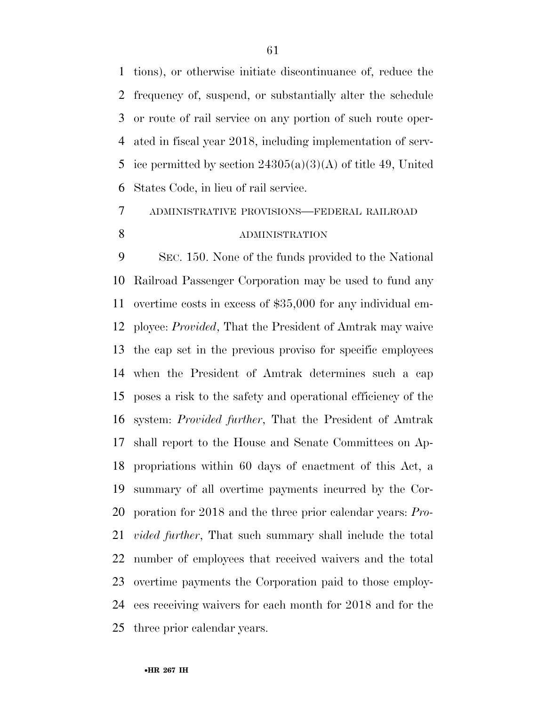tions), or otherwise initiate discontinuance of, reduce the frequency of, suspend, or substantially alter the schedule or route of rail service on any portion of such route oper- ated in fiscal year 2018, including implementation of serv-5 ice permitted by section  $24305(a)(3)(A)$  of title 49, United States Code, in lieu of rail service.

# ADMINISTRATIVE PROVISIONS—FEDERAL RAILROAD 8 ADMINISTRATION

 SEC. 150. None of the funds provided to the National Railroad Passenger Corporation may be used to fund any overtime costs in excess of \$35,000 for any individual em- ployee: *Provided*, That the President of Amtrak may waive the cap set in the previous proviso for specific employees when the President of Amtrak determines such a cap poses a risk to the safety and operational efficiency of the system: *Provided further*, That the President of Amtrak shall report to the House and Senate Committees on Ap- propriations within 60 days of enactment of this Act, a summary of all overtime payments incurred by the Cor- poration for 2018 and the three prior calendar years: *Pro- vided further*, That such summary shall include the total number of employees that received waivers and the total overtime payments the Corporation paid to those employ- ees receiving waivers for each month for 2018 and for the three prior calendar years.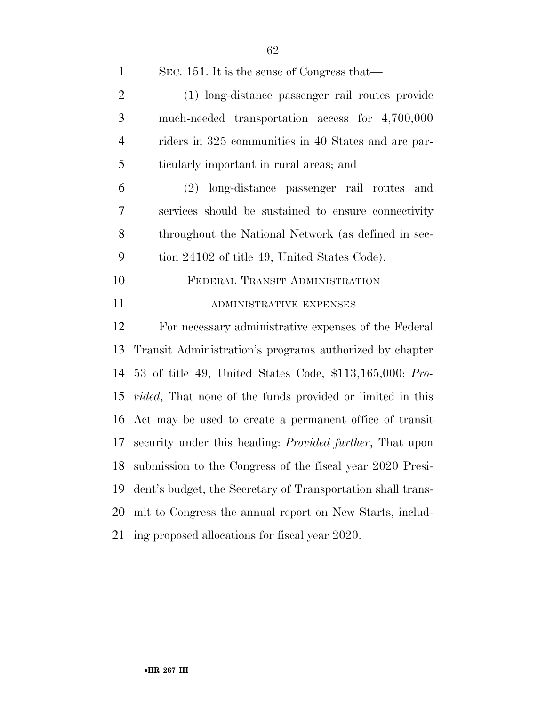| $\mathbf{1}$   | SEC. 151. It is the sense of Congress that—                       |
|----------------|-------------------------------------------------------------------|
| $\mathfrak{2}$ | (1) long-distance passenger rail routes provide                   |
| 3              | much-needed transportation access for 4,700,000                   |
| $\overline{4}$ | riders in 325 communities in 40 States and are par-               |
| 5              | ticularly important in rural areas; and                           |
| 6              | (2) long-distance passenger rail routes<br>and                    |
| 7              | services should be sustained to ensure connectivity               |
| 8              | throughout the National Network (as defined in sec-               |
| 9              | tion 24102 of title 49, United States Code).                      |
| 10             | FEDERAL TRANSIT ADMINISTRATION                                    |
| 11             | ADMINISTRATIVE EXPENSES                                           |
| 12             | For necessary administrative expenses of the Federal              |
| 13             | Transit Administration's programs authorized by chapter           |
| 14             | 53 of title 49, United States Code, $$113,165,000$ : Pro-         |
| 15             | <i>vided</i> , That none of the funds provided or limited in this |
|                | 16 Act may be used to create a permanent office of transit        |
| 17             | security under this heading: <i>Provided further</i> , That upon  |
|                | 18 submission to the Congress of the fiscal year 2020 Presi-      |
| 19             | dent's budget, the Secretary of Transportation shall trans-       |
| 20             | mit to Congress the annual report on New Starts, includ-          |
| 21             | ing proposed allocations for fiscal year 2020.                    |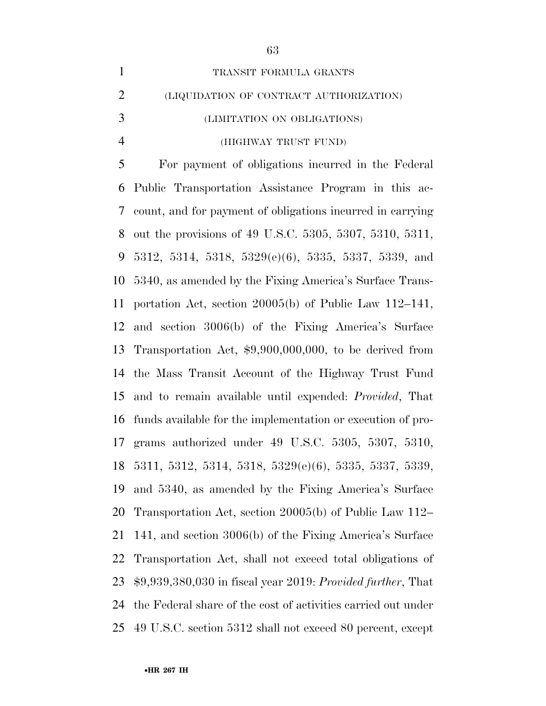| $\mathbf{1}$   | TRANSIT FORMULA GRANTS                                         |
|----------------|----------------------------------------------------------------|
| $\overline{2}$ | (LIQUIDATION OF CONTRACT AUTHORIZATION)                        |
| 3              | (LIMITATION ON OBLIGATIONS)                                    |
| $\overline{4}$ | (HIGHWAY TRUST FUND)                                           |
| 5              | For payment of obligations incurred in the Federal             |
| 6              | Public Transportation Assistance Program in this ac-           |
| 7              | count, and for payment of obligations incurred in carrying     |
| 8              | out the provisions of 49 U.S.C. 5305, 5307, 5310, 5311,        |
| 9              | $5312, 5314, 5318, 5329(e)(6), 5335, 5337, 5339,$ and          |
| 10             | 5340, as amended by the Fixing America's Surface Trans-        |
| 11             | portation Act, section $20005(b)$ of Public Law 112–141,       |
| 12             | and section 3006(b) of the Fixing America's Surface            |
| 13             | Transportation Act, $$9,900,000,000$ , to be derived from      |
| 14             | the Mass Transit Account of the Highway Trust Fund             |
| 15             | and to remain available until expended: <i>Provided</i> , That |
| 16             | funds available for the implementation or execution of pro-    |
| 17             | grams authorized under $49\,$ U.S.C. $5305, 5307, 5310,$       |
|                | 18 5311, 5312, 5314, 5318, 5329(e)(6), 5335, 5337, 5339,       |
| 19             | and 5340, as amended by the Fixing America's Surface           |
| 20             | Transportation Act, section 20005(b) of Public Law 112–        |
| 21             | 141, and section 3006(b) of the Fixing America's Surface       |
| <u>22</u>      | Transportation Act, shall not exceed total obligations of      |
| 23             | $$9,939,380,030$ in fiscal year 2019: Provided further, That   |
| 24             | the Federal share of the cost of activities carried out under  |
| 25             | 49 U.S.C. section 5312 shall not exceed 80 percent, except     |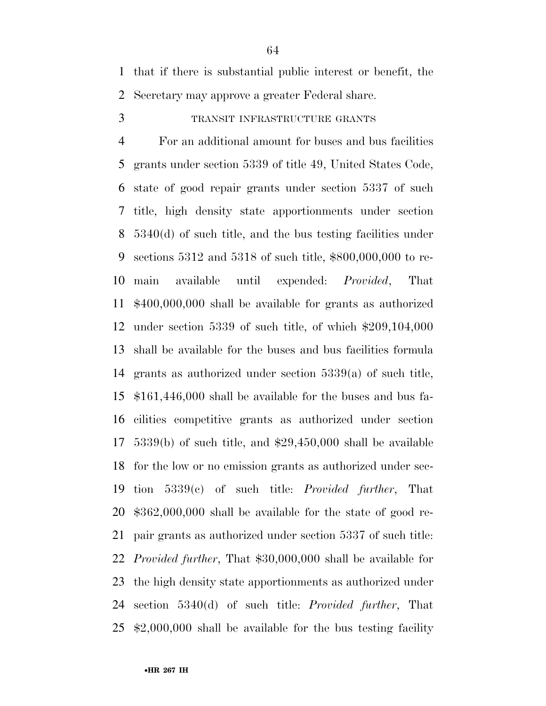that if there is substantial public interest or benefit, the Secretary may approve a greater Federal share.

TRANSIT INFRASTRUCTURE GRANTS

 For an additional amount for buses and bus facilities grants under section 5339 of title 49, United States Code, state of good repair grants under section 5337 of such title, high density state apportionments under section 5340(d) of such title, and the bus testing facilities under sections 5312 and 5318 of such title, \$800,000,000 to re- main available until expended: *Provided*, That \$400,000,000 shall be available for grants as authorized under section 5339 of such title, of which \$209,104,000 shall be available for the buses and bus facilities formula grants as authorized under section 5339(a) of such title, \$161,446,000 shall be available for the buses and bus fa- cilities competitive grants as authorized under section 5339(b) of such title, and \$29,450,000 shall be available for the low or no emission grants as authorized under sec- tion 5339(c) of such title: *Provided further*, That \$362,000,000 shall be available for the state of good re- pair grants as authorized under section 5337 of such title: *Provided further*, That \$30,000,000 shall be available for the high density state apportionments as authorized under section 5340(d) of such title: *Provided further*, That \$2,000,000 shall be available for the bus testing facility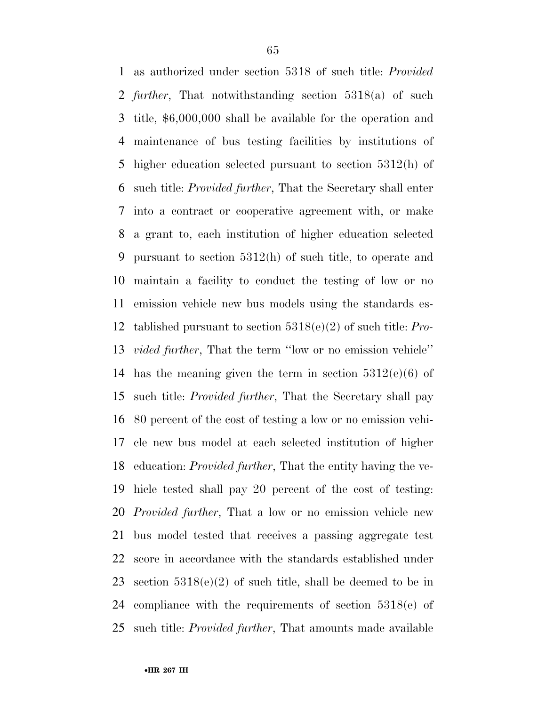as authorized under section 5318 of such title: *Provided further*, That notwithstanding section 5318(a) of such title, \$6,000,000 shall be available for the operation and maintenance of bus testing facilities by institutions of higher education selected pursuant to section 5312(h) of such title: *Provided further*, That the Secretary shall enter into a contract or cooperative agreement with, or make a grant to, each institution of higher education selected pursuant to section 5312(h) of such title, to operate and maintain a facility to conduct the testing of low or no emission vehicle new bus models using the standards es- tablished pursuant to section 5318(e)(2) of such title: *Pro- vided further*, That the term ''low or no emission vehicle'' 14 has the meaning given the term in section  $5312(e)(6)$  of such title: *Provided further*, That the Secretary shall pay 80 percent of the cost of testing a low or no emission vehi- cle new bus model at each selected institution of higher education: *Provided further*, That the entity having the ve- hicle tested shall pay 20 percent of the cost of testing: *Provided further*, That a low or no emission vehicle new bus model tested that receives a passing aggregate test score in accordance with the standards established under section 5318(e)(2) of such title, shall be deemed to be in compliance with the requirements of section 5318(e) of such title: *Provided further*, That amounts made available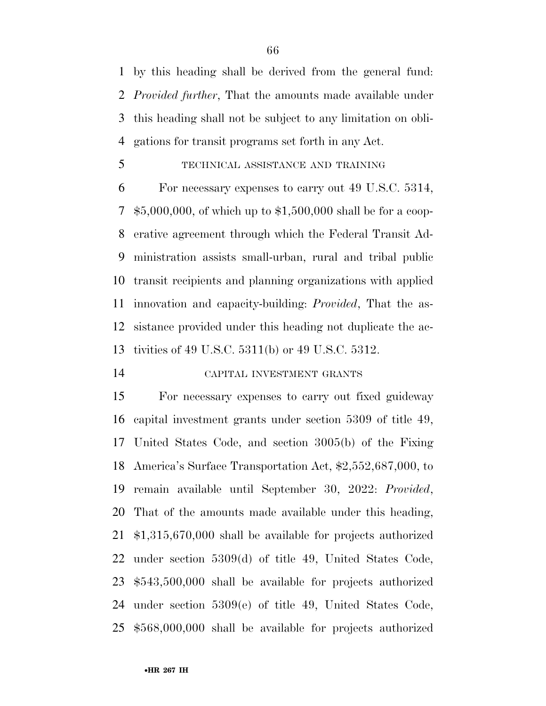by this heading shall be derived from the general fund: *Provided further*, That the amounts made available under this heading shall not be subject to any limitation on obli-gations for transit programs set forth in any Act.

#### TECHNICAL ASSISTANCE AND TRAINING

 For necessary expenses to carry out 49 U.S.C. 5314, \$5,000,000, of which up to \$1,500,000 shall be for a coop- erative agreement through which the Federal Transit Ad- ministration assists small-urban, rural and tribal public transit recipients and planning organizations with applied innovation and capacity-building: *Provided*, That the as- sistance provided under this heading not duplicate the ac-tivities of 49 U.S.C. 5311(b) or 49 U.S.C. 5312.

# CAPITAL INVESTMENT GRANTS

 For necessary expenses to carry out fixed guideway capital investment grants under section 5309 of title 49, United States Code, and section 3005(b) of the Fixing America's Surface Transportation Act, \$2,552,687,000, to remain available until September 30, 2022: *Provided*, That of the amounts made available under this heading, \$1,315,670,000 shall be available for projects authorized under section 5309(d) of title 49, United States Code, \$543,500,000 shall be available for projects authorized under section 5309(e) of title 49, United States Code, \$568,000,000 shall be available for projects authorized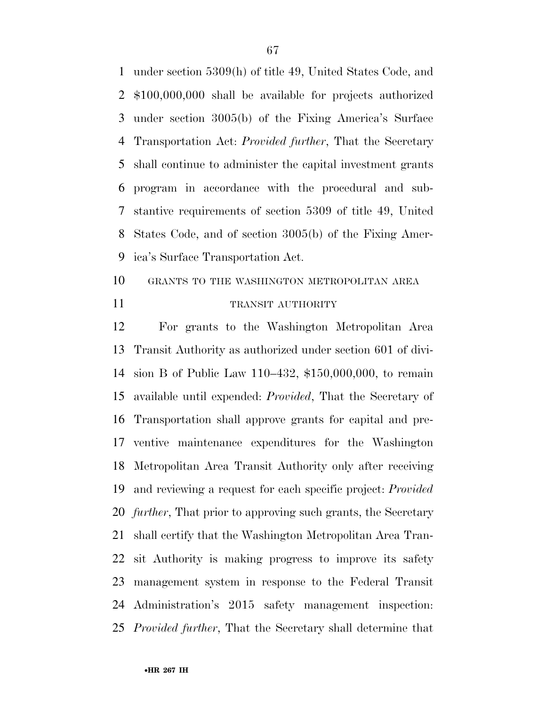under section 5309(h) of title 49, United States Code, and \$100,000,000 shall be available for projects authorized under section 3005(b) of the Fixing America's Surface Transportation Act: *Provided further*, That the Secretary shall continue to administer the capital investment grants program in accordance with the procedural and sub- stantive requirements of section 5309 of title 49, United States Code, and of section 3005(b) of the Fixing Amer-ica's Surface Transportation Act.

 GRANTS TO THE WASHINGTON METROPOLITAN AREA 11 TRANSIT AUTHORITY

 For grants to the Washington Metropolitan Area Transit Authority as authorized under section 601 of divi- sion B of Public Law 110–432, \$150,000,000, to remain available until expended: *Provided*, That the Secretary of Transportation shall approve grants for capital and pre- ventive maintenance expenditures for the Washington Metropolitan Area Transit Authority only after receiving and reviewing a request for each specific project: *Provided further*, That prior to approving such grants, the Secretary shall certify that the Washington Metropolitan Area Tran- sit Authority is making progress to improve its safety management system in response to the Federal Transit Administration's 2015 safety management inspection: *Provided further*, That the Secretary shall determine that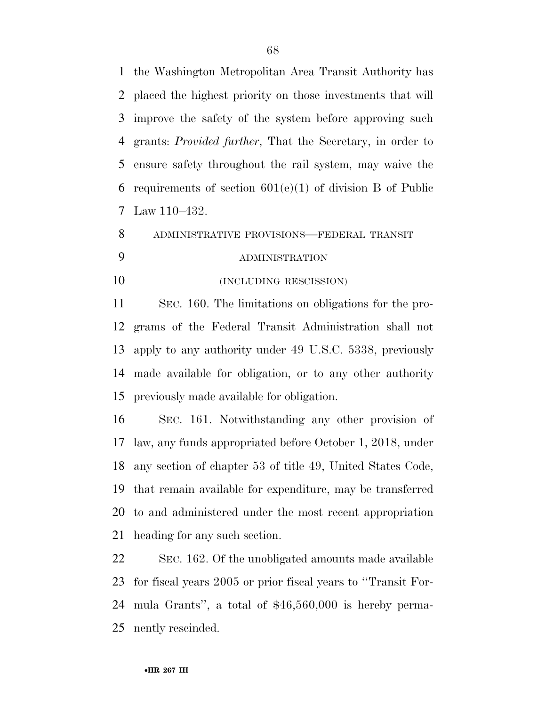the Washington Metropolitan Area Transit Authority has placed the highest priority on those investments that will improve the safety of the system before approving such grants: *Provided further*, That the Secretary, in order to ensure safety throughout the rail system, may waive the requirements of section 601(e)(1) of division B of Public Law 110–432.

 ADMINISTRATIVE PROVISIONS—FEDERAL TRANSIT ADMINISTRATION

(INCLUDING RESCISSION)

 SEC. 160. The limitations on obligations for the pro- grams of the Federal Transit Administration shall not apply to any authority under 49 U.S.C. 5338, previously made available for obligation, or to any other authority previously made available for obligation.

 SEC. 161. Notwithstanding any other provision of law, any funds appropriated before October 1, 2018, under any section of chapter 53 of title 49, United States Code, that remain available for expenditure, may be transferred to and administered under the most recent appropriation heading for any such section.

 SEC. 162. Of the unobligated amounts made available for fiscal years 2005 or prior fiscal years to ''Transit For- mula Grants'', a total of \$46,560,000 is hereby perma-nently rescinded.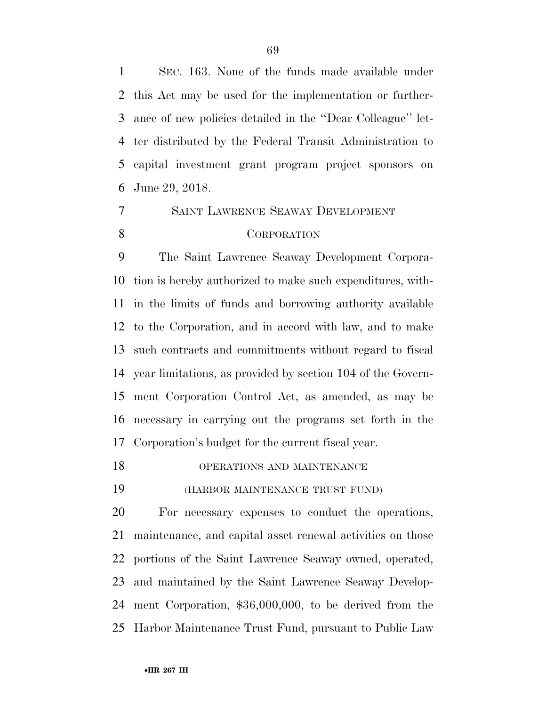SEC. 163. None of the funds made available under this Act may be used for the implementation or further- ance of new policies detailed in the ''Dear Colleague'' let- ter distributed by the Federal Transit Administration to capital investment grant program project sponsors on June 29, 2018.

# SAINT LAWRENCE SEAWAY DEVELOPMENT CORPORATION

 The Saint Lawrence Seaway Development Corpora- tion is hereby authorized to make such expenditures, with- in the limits of funds and borrowing authority available to the Corporation, and in accord with law, and to make such contracts and commitments without regard to fiscal year limitations, as provided by section 104 of the Govern- ment Corporation Control Act, as amended, as may be necessary in carrying out the programs set forth in the Corporation's budget for the current fiscal year.

18 OPERATIONS AND MAINTENANCE

(HARBOR MAINTENANCE TRUST FUND)

 For necessary expenses to conduct the operations, maintenance, and capital asset renewal activities on those portions of the Saint Lawrence Seaway owned, operated, and maintained by the Saint Lawrence Seaway Develop- ment Corporation, \$36,000,000, to be derived from the Harbor Maintenance Trust Fund, pursuant to Public Law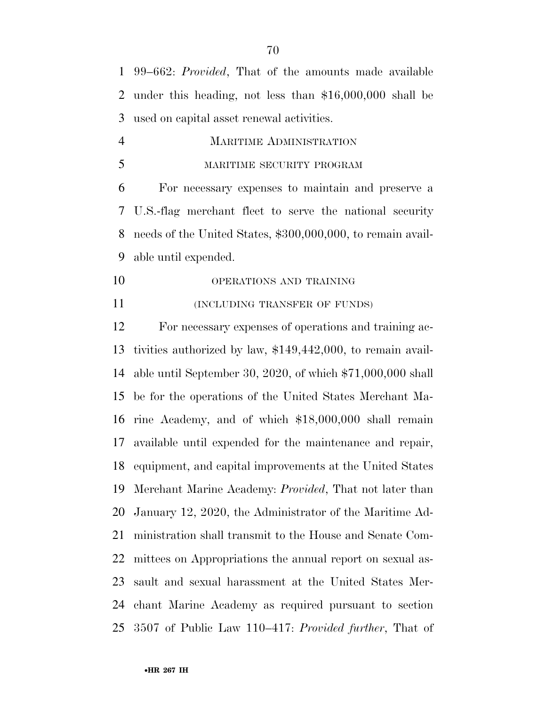99–662: *Provided*, That of the amounts made available under this heading, not less than \$16,000,000 shall be used on capital asset renewal activities.

 MARITIME ADMINISTRATION MARITIME SECURITY PROGRAM

 For necessary expenses to maintain and preserve a U.S.-flag merchant fleet to serve the national security needs of the United States, \$300,000,000, to remain avail-able until expended.

10 OPERATIONS AND TRAINING

**INCLUDING TRANSFER OF FUNDS**)

 For necessary expenses of operations and training ac- tivities authorized by law, \$149,442,000, to remain avail- able until September 30, 2020, of which \$71,000,000 shall be for the operations of the United States Merchant Ma- rine Academy, and of which \$18,000,000 shall remain available until expended for the maintenance and repair, equipment, and capital improvements at the United States Merchant Marine Academy: *Provided*, That not later than January 12, 2020, the Administrator of the Maritime Ad- ministration shall transmit to the House and Senate Com- mittees on Appropriations the annual report on sexual as- sault and sexual harassment at the United States Mer- chant Marine Academy as required pursuant to section 3507 of Public Law 110–417: *Provided further*, That of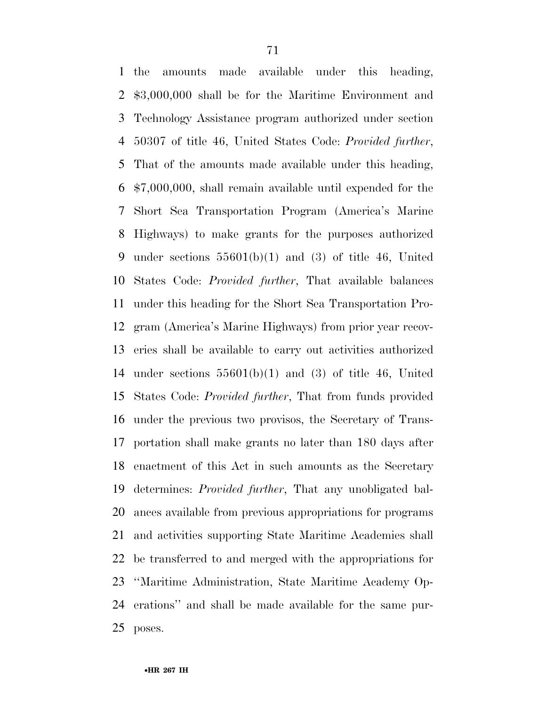the amounts made available under this heading, \$3,000,000 shall be for the Maritime Environment and Technology Assistance program authorized under section 50307 of title 46, United States Code: *Provided further*, That of the amounts made available under this heading, \$7,000,000, shall remain available until expended for the Short Sea Transportation Program (America's Marine Highways) to make grants for the purposes authorized under sections 55601(b)(1) and (3) of title 46, United States Code: *Provided further*, That available balances under this heading for the Short Sea Transportation Pro- gram (America's Marine Highways) from prior year recov- eries shall be available to carry out activities authorized under sections 55601(b)(1) and (3) of title 46, United States Code: *Provided further*, That from funds provided under the previous two provisos, the Secretary of Trans- portation shall make grants no later than 180 days after enactment of this Act in such amounts as the Secretary determines: *Provided further*, That any unobligated bal- ances available from previous appropriations for programs and activities supporting State Maritime Academies shall be transferred to and merged with the appropriations for ''Maritime Administration, State Maritime Academy Op- erations'' and shall be made available for the same pur-poses.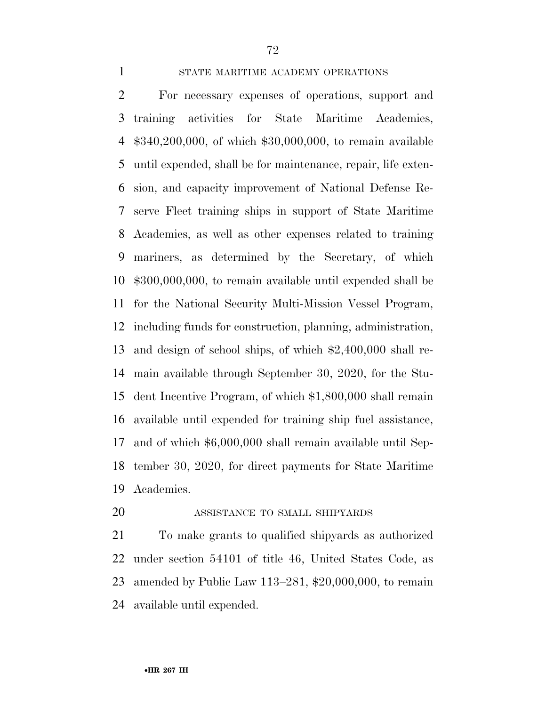#### STATE MARITIME ACADEMY OPERATIONS

 For necessary expenses of operations, support and training activities for State Maritime Academies, \$340,200,000, of which \$30,000,000, to remain available until expended, shall be for maintenance, repair, life exten- sion, and capacity improvement of National Defense Re- serve Fleet training ships in support of State Maritime Academies, as well as other expenses related to training mariners, as determined by the Secretary, of which \$300,000,000, to remain available until expended shall be for the National Security Multi-Mission Vessel Program, including funds for construction, planning, administration, and design of school ships, of which \$2,400,000 shall re- main available through September 30, 2020, for the Stu- dent Incentive Program, of which \$1,800,000 shall remain available until expended for training ship fuel assistance, and of which \$6,000,000 shall remain available until Sep- tember 30, 2020, for direct payments for State Maritime Academies.

## ASSISTANCE TO SMALL SHIPYARDS

 To make grants to qualified shipyards as authorized under section 54101 of title 46, United States Code, as amended by Public Law 113–281, \$20,000,000, to remain available until expended.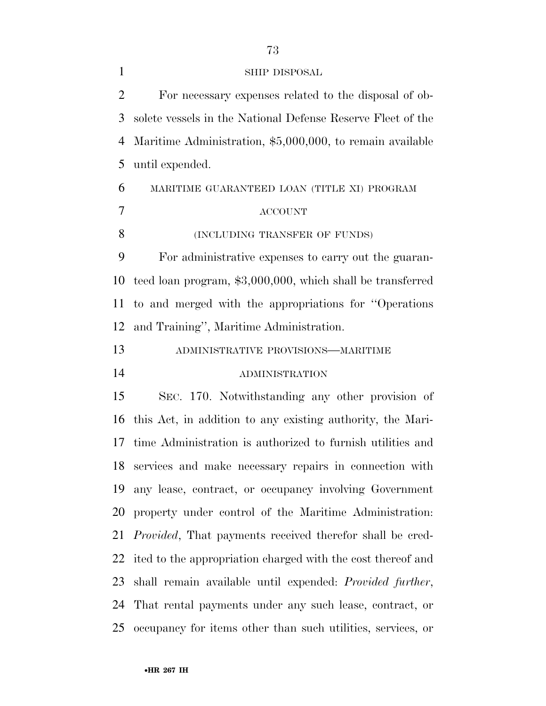For necessary expenses related to the disposal of ob- solete vessels in the National Defense Reserve Fleet of the Maritime Administration, \$5,000,000, to remain available until expended. MARITIME GUARANTEED LOAN (TITLE XI) PROGRAM ACCOUNT 8 (INCLUDING TRANSFER OF FUNDS) For administrative expenses to carry out the guaran- teed loan program, \$3,000,000, which shall be transferred to and merged with the appropriations for ''Operations and Training'', Maritime Administration. ADMINISTRATIVE PROVISIONS—MARITIME ADMINISTRATION SEC. 170. Notwithstanding any other provision of this Act, in addition to any existing authority, the Mari- time Administration is authorized to furnish utilities and services and make necessary repairs in connection with any lease, contract, or occupancy involving Government property under control of the Maritime Administration: *Provided*, That payments received therefor shall be cred- ited to the appropriation charged with the cost thereof and shall remain available until expended: *Provided further*, That rental payments under any such lease, contract, or occupancy for items other than such utilities, services, or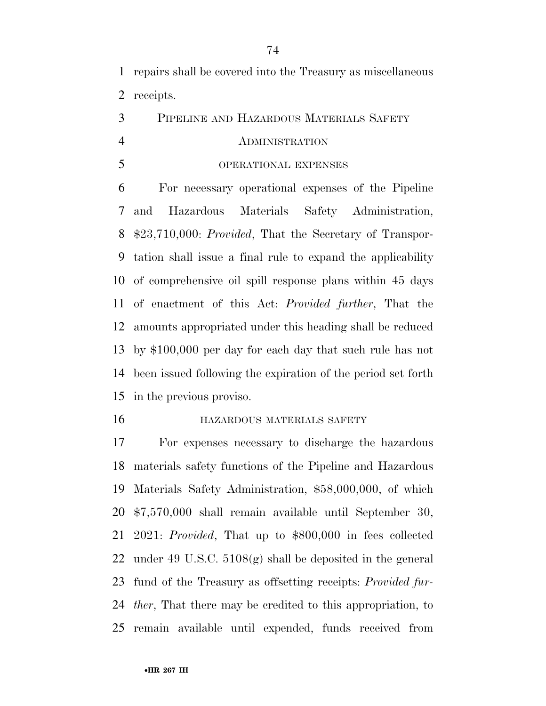repairs shall be covered into the Treasury as miscellaneous receipts.

PIPELINE AND HAZARDOUS MATERIALS SAFETY

## ADMINISTRATION

OPERATIONAL EXPENSES

 For necessary operational expenses of the Pipeline and Hazardous Materials Safety Administration, \$23,710,000: *Provided*, That the Secretary of Transpor- tation shall issue a final rule to expand the applicability of comprehensive oil spill response plans within 45 days of enactment of this Act: *Provided further*, That the amounts appropriated under this heading shall be reduced by \$100,000 per day for each day that such rule has not been issued following the expiration of the period set forth in the previous proviso.

#### **HAZARDOUS MATERIALS SAFETY**

 For expenses necessary to discharge the hazardous materials safety functions of the Pipeline and Hazardous Materials Safety Administration, \$58,000,000, of which \$7,570,000 shall remain available until September 30, 2021: *Provided*, That up to \$800,000 in fees collected under 49 U.S.C. 5108(g) shall be deposited in the general fund of the Treasury as offsetting receipts: *Provided fur- ther*, That there may be credited to this appropriation, to remain available until expended, funds received from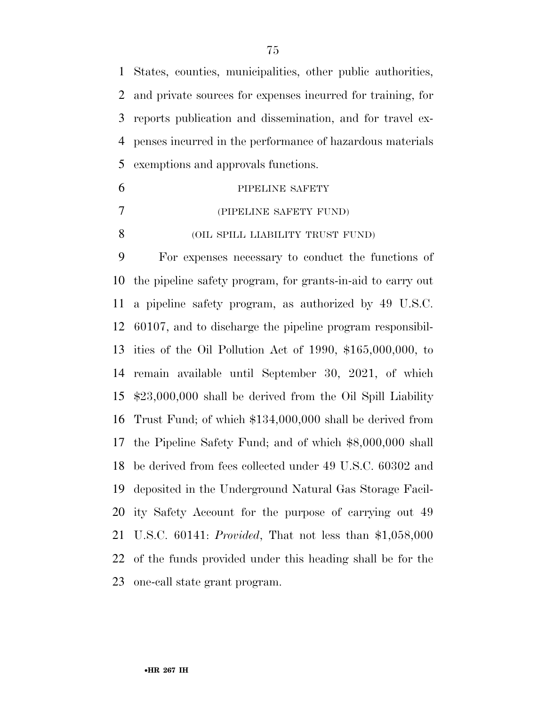States, counties, municipalities, other public authorities, and private sources for expenses incurred for training, for reports publication and dissemination, and for travel ex- penses incurred in the performance of hazardous materials exemptions and approvals functions.

| 6 | PIPELINE SAFETY                  |
|---|----------------------------------|
|   | (PIPELINE SAFETY FUND)           |
|   | (OIL SPILL LIABILITY TRUST FUND) |

 For expenses necessary to conduct the functions of the pipeline safety program, for grants-in-aid to carry out a pipeline safety program, as authorized by 49 U.S.C. 60107, and to discharge the pipeline program responsibil- ities of the Oil Pollution Act of 1990, \$165,000,000, to remain available until September 30, 2021, of which \$23,000,000 shall be derived from the Oil Spill Liability Trust Fund; of which \$134,000,000 shall be derived from the Pipeline Safety Fund; and of which \$8,000,000 shall be derived from fees collected under 49 U.S.C. 60302 and deposited in the Underground Natural Gas Storage Facil- ity Safety Account for the purpose of carrying out 49 U.S.C. 60141: *Provided*, That not less than \$1,058,000 of the funds provided under this heading shall be for the one-call state grant program.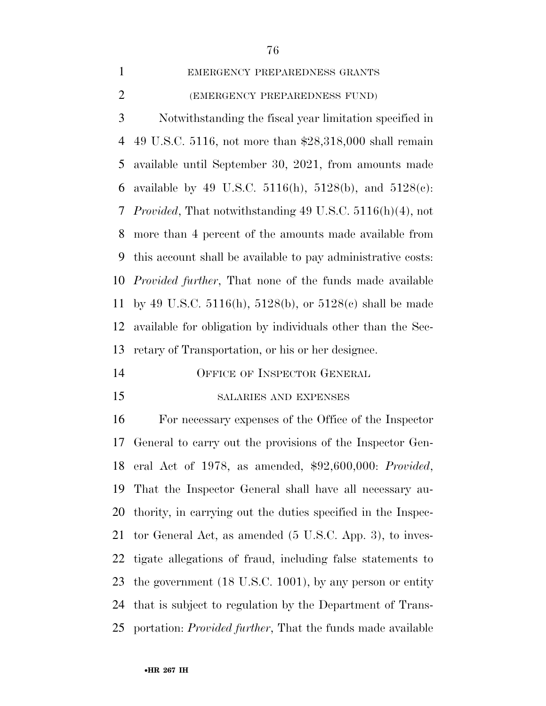# EMERGENCY PREPAREDNESS GRANTS

## (EMERGENCY PREPAREDNESS FUND)

 Notwithstanding the fiscal year limitation specified in 49 U.S.C. 5116, not more than \$28,318,000 shall remain available until September 30, 2021, from amounts made available by 49 U.S.C. 5116(h), 5128(b), and 5128(c): *Provided*, That notwithstanding 49 U.S.C. 5116(h)(4), not more than 4 percent of the amounts made available from this account shall be available to pay administrative costs: *Provided further*, That none of the funds made available by 49 U.S.C. 5116(h), 5128(b), or 5128(c) shall be made available for obligation by individuals other than the Sec-retary of Transportation, or his or her designee.

- OFFICE OF INSPECTOR GENERAL
- 

## SALARIES AND EXPENSES

 For necessary expenses of the Office of the Inspector General to carry out the provisions of the Inspector Gen- eral Act of 1978, as amended, \$92,600,000: *Provided*, That the Inspector General shall have all necessary au- thority, in carrying out the duties specified in the Inspec- tor General Act, as amended (5 U.S.C. App. 3), to inves- tigate allegations of fraud, including false statements to the government (18 U.S.C. 1001), by any person or entity that is subject to regulation by the Department of Trans-portation: *Provided further*, That the funds made available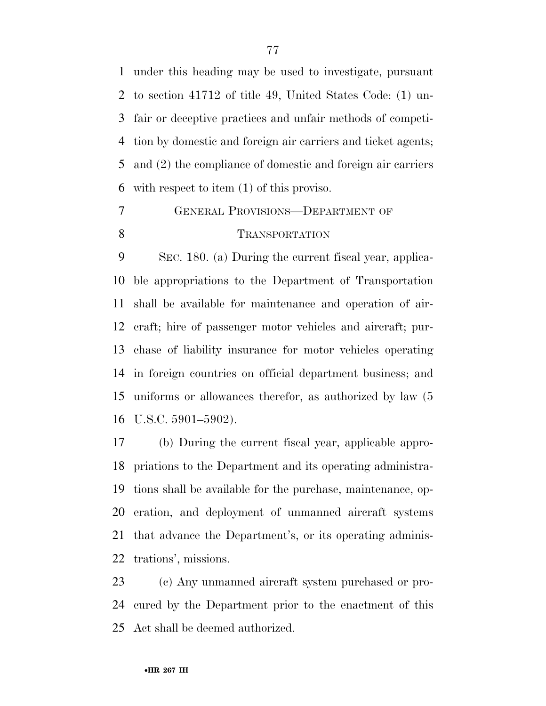under this heading may be used to investigate, pursuant to section 41712 of title 49, United States Code: (1) un- fair or deceptive practices and unfair methods of competi- tion by domestic and foreign air carriers and ticket agents; and (2) the compliance of domestic and foreign air carriers with respect to item (1) of this proviso.

# GENERAL PROVISIONS—DEPARTMENT OF 8 TRANSPORTATION

 SEC. 180. (a) During the current fiscal year, applica- ble appropriations to the Department of Transportation shall be available for maintenance and operation of air- craft; hire of passenger motor vehicles and aircraft; pur- chase of liability insurance for motor vehicles operating in foreign countries on official department business; and uniforms or allowances therefor, as authorized by law (5 U.S.C. 5901–5902).

 (b) During the current fiscal year, applicable appro- priations to the Department and its operating administra- tions shall be available for the purchase, maintenance, op- eration, and deployment of unmanned aircraft systems that advance the Department's, or its operating adminis-trations', missions.

 (c) Any unmanned aircraft system purchased or pro- cured by the Department prior to the enactment of this Act shall be deemed authorized.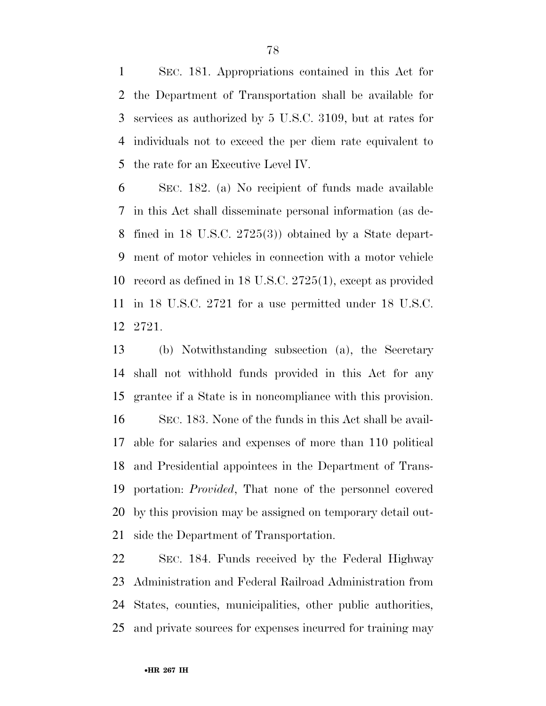SEC. 181. Appropriations contained in this Act for the Department of Transportation shall be available for services as authorized by 5 U.S.C. 3109, but at rates for individuals not to exceed the per diem rate equivalent to the rate for an Executive Level IV.

 SEC. 182. (a) No recipient of funds made available in this Act shall disseminate personal information (as de- fined in 18 U.S.C. 2725(3)) obtained by a State depart- ment of motor vehicles in connection with a motor vehicle record as defined in 18 U.S.C. 2725(1), except as provided in 18 U.S.C. 2721 for a use permitted under 18 U.S.C. 2721.

 (b) Notwithstanding subsection (a), the Secretary shall not withhold funds provided in this Act for any grantee if a State is in noncompliance with this provision. SEC. 183. None of the funds in this Act shall be avail- able for salaries and expenses of more than 110 political and Presidential appointees in the Department of Trans- portation: *Provided*, That none of the personnel covered by this provision may be assigned on temporary detail out-side the Department of Transportation.

 SEC. 184. Funds received by the Federal Highway Administration and Federal Railroad Administration from States, counties, municipalities, other public authorities, and private sources for expenses incurred for training may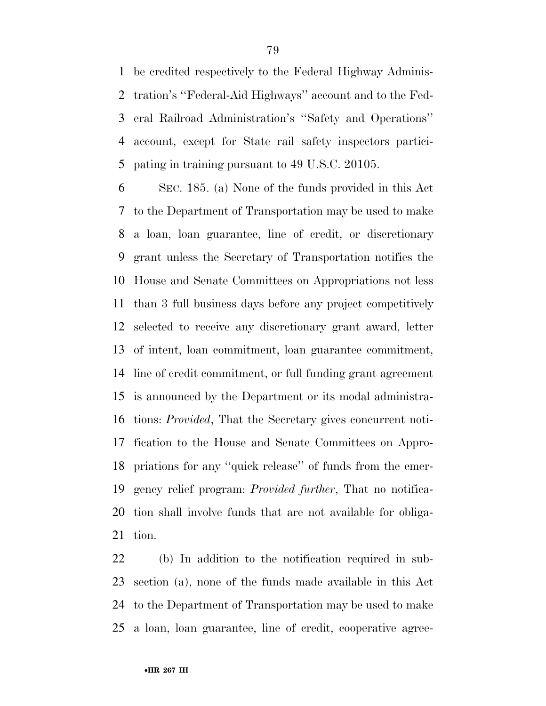be credited respectively to the Federal Highway Adminis- tration's ''Federal-Aid Highways'' account and to the Fed- eral Railroad Administration's ''Safety and Operations'' account, except for State rail safety inspectors partici-pating in training pursuant to 49 U.S.C. 20105.

 SEC. 185. (a) None of the funds provided in this Act to the Department of Transportation may be used to make a loan, loan guarantee, line of credit, or discretionary grant unless the Secretary of Transportation notifies the House and Senate Committees on Appropriations not less than 3 full business days before any project competitively selected to receive any discretionary grant award, letter of intent, loan commitment, loan guarantee commitment, line of credit commitment, or full funding grant agreement is announced by the Department or its modal administra- tions: *Provided*, That the Secretary gives concurrent noti- fication to the House and Senate Committees on Appro- priations for any ''quick release'' of funds from the emer- gency relief program: *Provided further*, That no notifica- tion shall involve funds that are not available for obliga-tion.

 (b) In addition to the notification required in sub- section (a), none of the funds made available in this Act to the Department of Transportation may be used to make a loan, loan guarantee, line of credit, cooperative agree-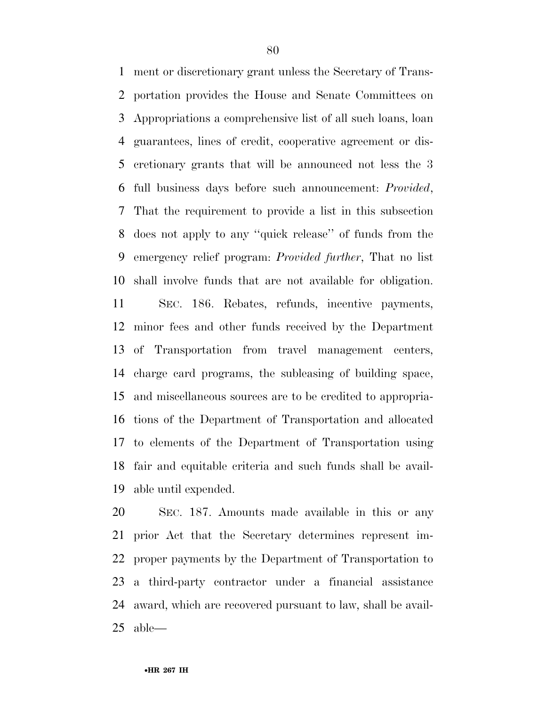ment or discretionary grant unless the Secretary of Trans- portation provides the House and Senate Committees on Appropriations a comprehensive list of all such loans, loan guarantees, lines of credit, cooperative agreement or dis- cretionary grants that will be announced not less the 3 full business days before such announcement: *Provided*, That the requirement to provide a list in this subsection does not apply to any ''quick release'' of funds from the emergency relief program: *Provided further*, That no list shall involve funds that are not available for obligation. SEC. 186. Rebates, refunds, incentive payments, minor fees and other funds received by the Department of Transportation from travel management centers, charge card programs, the subleasing of building space, and miscellaneous sources are to be credited to appropria- tions of the Department of Transportation and allocated to elements of the Department of Transportation using fair and equitable criteria and such funds shall be avail-able until expended.

 SEC. 187. Amounts made available in this or any prior Act that the Secretary determines represent im- proper payments by the Department of Transportation to a third-party contractor under a financial assistance award, which are recovered pursuant to law, shall be avail-able—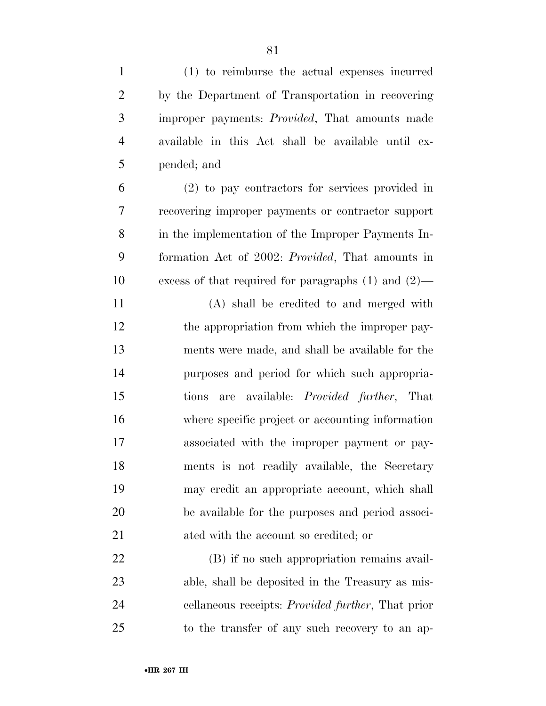| $\mathbf{1}$   | (1) to reimburse the actual expenses incurred             |
|----------------|-----------------------------------------------------------|
| $\overline{2}$ | by the Department of Transportation in recovering         |
| 3              | improper payments: <i>Provided</i> , That amounts made    |
| $\overline{4}$ | available in this Act shall be available until ex-        |
| 5              | pended; and                                               |
| 6              | (2) to pay contractors for services provided in           |
| 7              | recovering improper payments or contractor support        |
| 8              | in the implementation of the Improper Payments In-        |
| 9              | formation Act of 2002: <i>Provided</i> , That amounts in  |
| 10             | excess of that required for paragraphs $(1)$ and $(2)$ —  |
| 11             | (A) shall be credited to and merged with                  |
| 12             | the appropriation from which the improper pay-            |
| 13             | ments were made, and shall be available for the           |
| 14             | purposes and period for which such appropria-             |
| 15             | are available: <i>Provided further</i> , That<br>tions    |
| 16             | where specific project or accounting information          |
| 17             | associated with the improper payment or pay-              |
| 18             | ments is not readily available, the Secretary             |
| 19             | may credit an appropriate account, which shall            |
| 20             | be available for the purposes and period associ-          |
| 21             | ated with the account so credited; or                     |
| 22             | (B) if no such appropriation remains avail-               |
| 23             | able, shall be deposited in the Treasury as mis-          |
| 24             | cellaneous receipts: <i>Provided further</i> , That prior |
| 25             | to the transfer of any such recovery to an ap-            |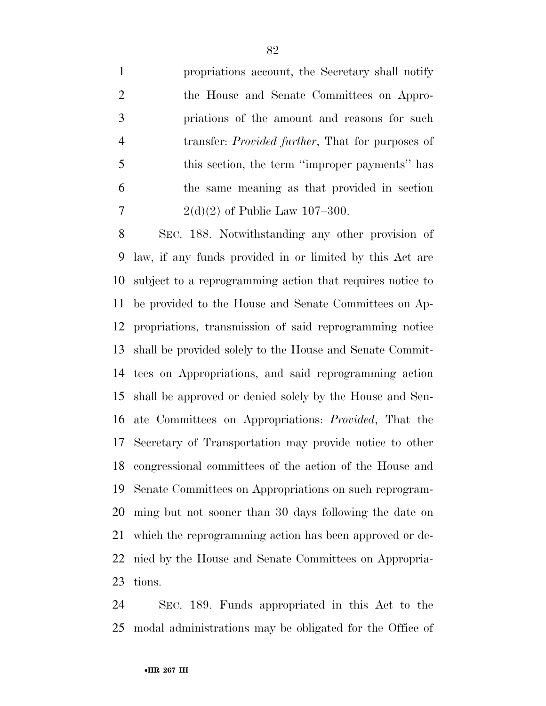propriations account, the Secretary shall notify the House and Senate Committees on Appro- priations of the amount and reasons for such transfer: *Provided further*, That for purposes of this section, the term ''improper payments'' has the same meaning as that provided in section 7 2(d)(2) of Public Law 107-300.

 SEC. 188. Notwithstanding any other provision of law, if any funds provided in or limited by this Act are subject to a reprogramming action that requires notice to be provided to the House and Senate Committees on Ap- propriations, transmission of said reprogramming notice shall be provided solely to the House and Senate Commit- tees on Appropriations, and said reprogramming action shall be approved or denied solely by the House and Sen- ate Committees on Appropriations: *Provided*, That the Secretary of Transportation may provide notice to other congressional committees of the action of the House and Senate Committees on Appropriations on such reprogram- ming but not sooner than 30 days following the date on which the reprogramming action has been approved or de- nied by the House and Senate Committees on Appropria-tions.

 SEC. 189. Funds appropriated in this Act to the modal administrations may be obligated for the Office of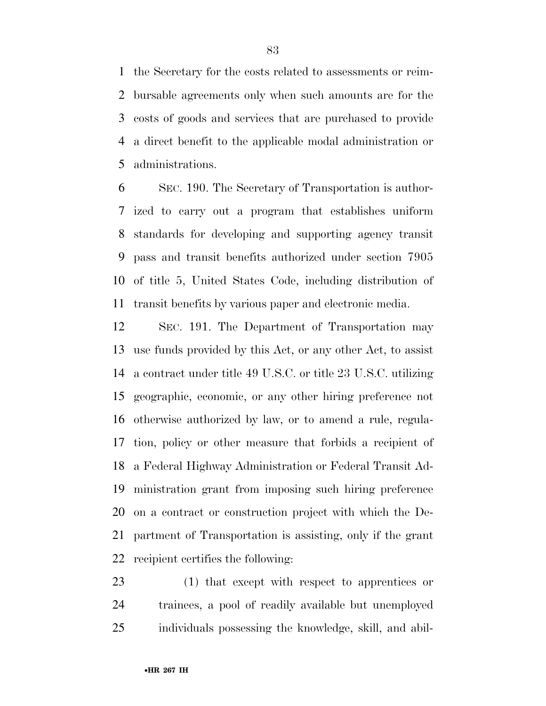the Secretary for the costs related to assessments or reim- bursable agreements only when such amounts are for the costs of goods and services that are purchased to provide a direct benefit to the applicable modal administration or administrations.

 SEC. 190. The Secretary of Transportation is author- ized to carry out a program that establishes uniform standards for developing and supporting agency transit pass and transit benefits authorized under section 7905 of title 5, United States Code, including distribution of transit benefits by various paper and electronic media.

 SEC. 191. The Department of Transportation may use funds provided by this Act, or any other Act, to assist a contract under title 49 U.S.C. or title 23 U.S.C. utilizing geographic, economic, or any other hiring preference not otherwise authorized by law, or to amend a rule, regula- tion, policy or other measure that forbids a recipient of a Federal Highway Administration or Federal Transit Ad- ministration grant from imposing such hiring preference on a contract or construction project with which the De- partment of Transportation is assisting, only if the grant recipient certifies the following:

 (1) that except with respect to apprentices or trainees, a pool of readily available but unemployed individuals possessing the knowledge, skill, and abil-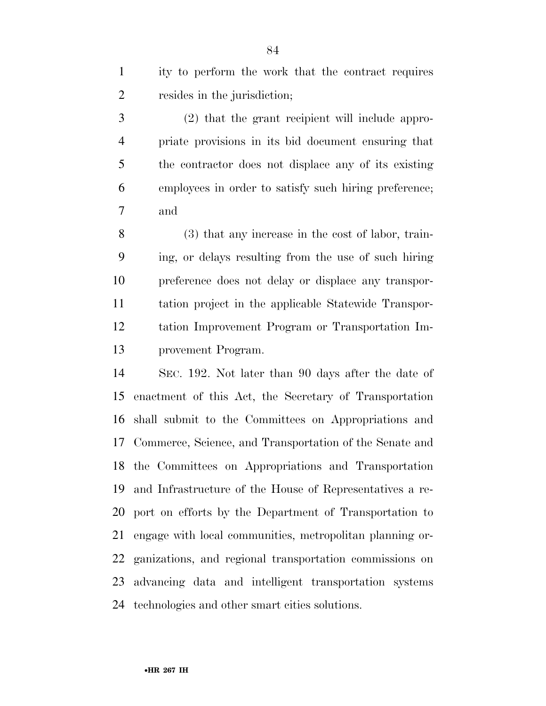| ity to perform the work that the contract requires |
|----------------------------------------------------|
| resides in the jurisdiction;                       |

 (2) that the grant recipient will include appro- priate provisions in its bid document ensuring that the contractor does not displace any of its existing employees in order to satisfy such hiring preference; and

 (3) that any increase in the cost of labor, train- ing, or delays resulting from the use of such hiring preference does not delay or displace any transpor- tation project in the applicable Statewide Transpor- tation Improvement Program or Transportation Im-provement Program.

 SEC. 192. Not later than 90 days after the date of enactment of this Act, the Secretary of Transportation shall submit to the Committees on Appropriations and Commerce, Science, and Transportation of the Senate and the Committees on Appropriations and Transportation and Infrastructure of the House of Representatives a re- port on efforts by the Department of Transportation to engage with local communities, metropolitan planning or- ganizations, and regional transportation commissions on advancing data and intelligent transportation systems technologies and other smart cities solutions.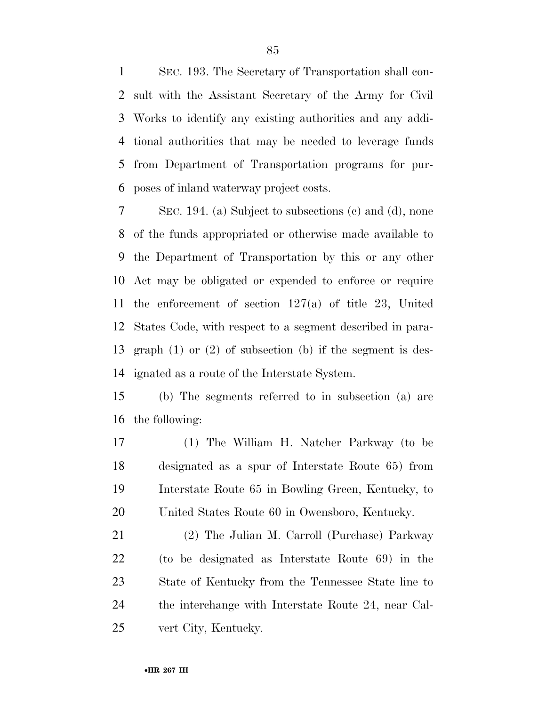SEC. 193. The Secretary of Transportation shall con- sult with the Assistant Secretary of the Army for Civil Works to identify any existing authorities and any addi- tional authorities that may be needed to leverage funds from Department of Transportation programs for pur-poses of inland waterway project costs.

 SEC. 194. (a) Subject to subsections (c) and (d), none of the funds appropriated or otherwise made available to the Department of Transportation by this or any other Act may be obligated or expended to enforce or require the enforcement of section 127(a) of title 23, United States Code, with respect to a segment described in para- graph (1) or (2) of subsection (b) if the segment is des-ignated as a route of the Interstate System.

 (b) The segments referred to in subsection (a) are the following:

 (1) The William H. Natcher Parkway (to be designated as a spur of Interstate Route 65) from Interstate Route 65 in Bowling Green, Kentucky, to United States Route 60 in Owensboro, Kentucky.

 (2) The Julian M. Carroll (Purchase) Parkway (to be designated as Interstate Route 69) in the State of Kentucky from the Tennessee State line to the interchange with Interstate Route 24, near Cal-vert City, Kentucky.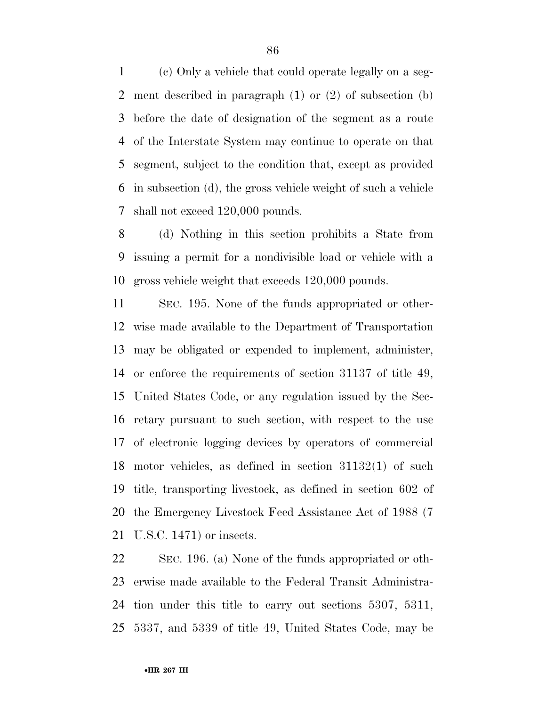(c) Only a vehicle that could operate legally on a seg- ment described in paragraph (1) or (2) of subsection (b) before the date of designation of the segment as a route of the Interstate System may continue to operate on that segment, subject to the condition that, except as provided in subsection (d), the gross vehicle weight of such a vehicle shall not exceed 120,000 pounds.

 (d) Nothing in this section prohibits a State from issuing a permit for a nondivisible load or vehicle with a gross vehicle weight that exceeds 120,000 pounds.

 SEC. 195. None of the funds appropriated or other- wise made available to the Department of Transportation may be obligated or expended to implement, administer, or enforce the requirements of section 31137 of title 49, United States Code, or any regulation issued by the Sec- retary pursuant to such section, with respect to the use of electronic logging devices by operators of commercial motor vehicles, as defined in section 31132(1) of such title, transporting livestock, as defined in section 602 of the Emergency Livestock Feed Assistance Act of 1988 (7 U.S.C. 1471) or insects.

 SEC. 196. (a) None of the funds appropriated or oth- erwise made available to the Federal Transit Administra- tion under this title to carry out sections 5307, 5311, 5337, and 5339 of title 49, United States Code, may be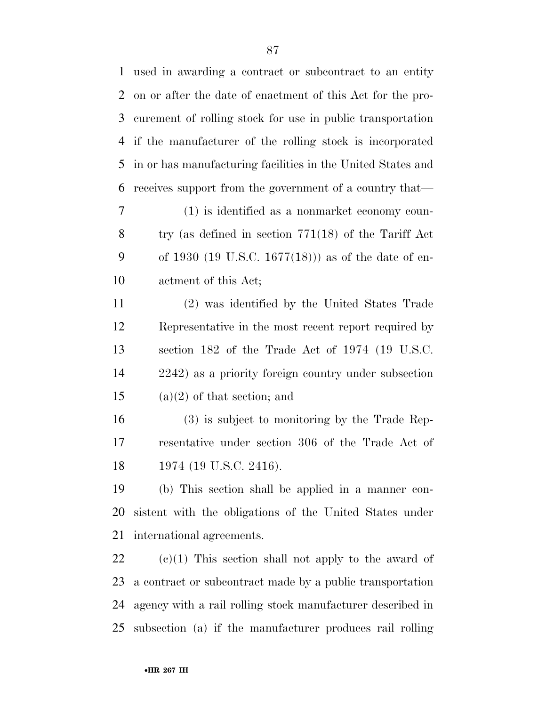| $\mathbf{1}$ | used in awarding a contract or subcontract to an entity     |
|--------------|-------------------------------------------------------------|
| 2            | on or after the date of enactment of this Act for the pro-  |
| 3            | curement of rolling stock for use in public transportation  |
| 4            | if the manufacturer of the rolling stock is incorporated    |
| 5            | in or has manufacturing facilities in the United States and |
| 6            | receives support from the government of a country that—     |
| 7            | (1) is identified as a nonmarket economy coun-              |
| 8            | try (as defined in section $771(18)$ of the Tariff Act      |
| 9            | of 1930 (19 U.S.C. 1677(18))) as of the date of en-         |
| 10           | actment of this Act;                                        |
| 11           | (2) was identified by the United States Trade               |
| 12           | Representative in the most recent report required by        |
| 13           | section 182 of the Trade Act of 1974 (19 U.S.C.             |
| 14           | 2242) as a priority foreign country under subsection        |
| 15           | $(a)(2)$ of that section; and                               |
| 16           | (3) is subject to monitoring by the Trade Rep-              |
| 17           | resentative under section 306 of the Trade Act of           |
| 18           | 1974 (19 U.S.C. 2416).                                      |
| 19           | (b) This section shall be applied in a manner con-          |
| 20           | sistent with the obligations of the United States under     |
| 21           | international agreements.                                   |
| 22           | $(e)(1)$ This section shall not apply to the award of       |
| 23           | a contract or subcontract made by a public transportation   |
| 24           | agency with a rail rolling stock manufacturer described in  |

subsection (a) if the manufacturer produces rail rolling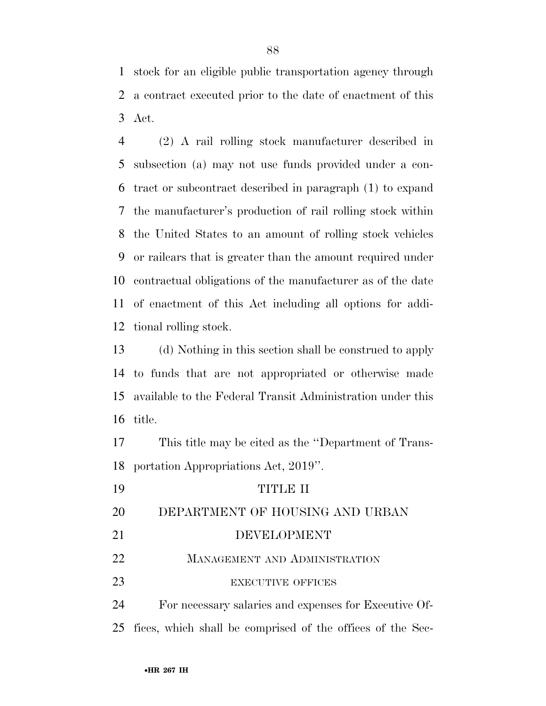stock for an eligible public transportation agency through a contract executed prior to the date of enactment of this Act.

 (2) A rail rolling stock manufacturer described in subsection (a) may not use funds provided under a con- tract or subcontract described in paragraph (1) to expand the manufacturer's production of rail rolling stock within the United States to an amount of rolling stock vehicles or railcars that is greater than the amount required under contractual obligations of the manufacturer as of the date of enactment of this Act including all options for addi-tional rolling stock.

 (d) Nothing in this section shall be construed to apply to funds that are not appropriated or otherwise made available to the Federal Transit Administration under this title.

 This title may be cited as the ''Department of Trans-portation Appropriations Act, 2019''.

| 19 | TITIR II                                                      |
|----|---------------------------------------------------------------|
| 20 | DEPARTMENT OF HOUSING AND URBAN                               |
| 21 | DEVELOPMENT                                                   |
| 22 | <b>MANAGEMENT AND ADMINISTRATION</b>                          |
| 23 | <b>EXECUTIVE OFFICES</b>                                      |
| 24 | For necessary salaries and expenses for Executive Of-         |
|    | 25 fices, which shall be comprised of the offices of the Sec- |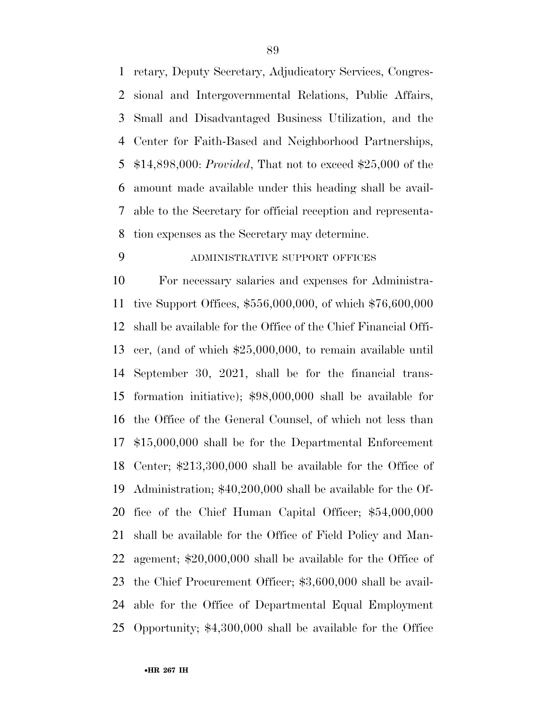retary, Deputy Secretary, Adjudicatory Services, Congres- sional and Intergovernmental Relations, Public Affairs, Small and Disadvantaged Business Utilization, and the Center for Faith-Based and Neighborhood Partnerships, \$14,898,000: *Provided*, That not to exceed \$25,000 of the amount made available under this heading shall be avail- able to the Secretary for official reception and representa-tion expenses as the Secretary may determine.

# ADMINISTRATIVE SUPPORT OFFICES

 For necessary salaries and expenses for Administra- tive Support Offices, \$556,000,000, of which \$76,600,000 shall be available for the Office of the Chief Financial Offi- cer, (and of which \$25,000,000, to remain available until September 30, 2021, shall be for the financial trans- formation initiative); \$98,000,000 shall be available for the Office of the General Counsel, of which not less than \$15,000,000 shall be for the Departmental Enforcement Center; \$213,300,000 shall be available for the Office of Administration; \$40,200,000 shall be available for the Of- fice of the Chief Human Capital Officer; \$54,000,000 shall be available for the Office of Field Policy and Man- agement; \$20,000,000 shall be available for the Office of the Chief Procurement Officer; \$3,600,000 shall be avail- able for the Office of Departmental Equal Employment Opportunity; \$4,300,000 shall be available for the Office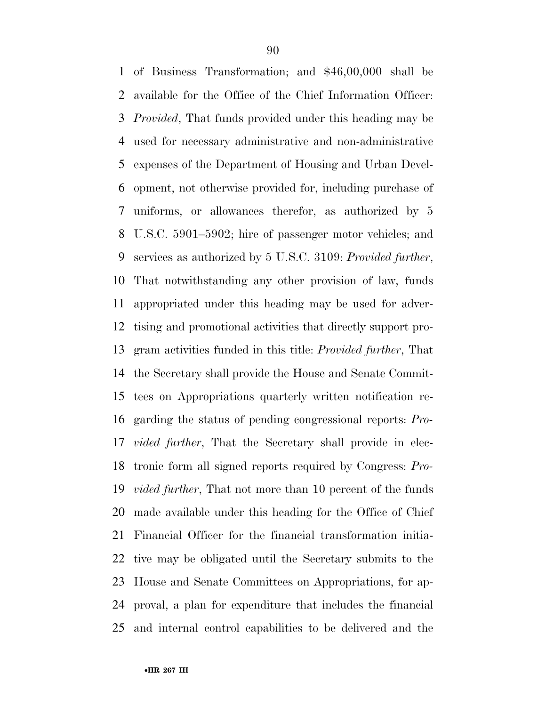of Business Transformation; and \$46,00,000 shall be available for the Office of the Chief Information Officer: *Provided*, That funds provided under this heading may be used for necessary administrative and non-administrative expenses of the Department of Housing and Urban Devel- opment, not otherwise provided for, including purchase of uniforms, or allowances therefor, as authorized by 5 U.S.C. 5901–5902; hire of passenger motor vehicles; and services as authorized by 5 U.S.C. 3109: *Provided further*, That notwithstanding any other provision of law, funds appropriated under this heading may be used for adver- tising and promotional activities that directly support pro- gram activities funded in this title: *Provided further*, That the Secretary shall provide the House and Senate Commit- tees on Appropriations quarterly written notification re- garding the status of pending congressional reports: *Pro- vided further*, That the Secretary shall provide in elec- tronic form all signed reports required by Congress: *Pro- vided further*, That not more than 10 percent of the funds made available under this heading for the Office of Chief Financial Officer for the financial transformation initia- tive may be obligated until the Secretary submits to the House and Senate Committees on Appropriations, for ap- proval, a plan for expenditure that includes the financial and internal control capabilities to be delivered and the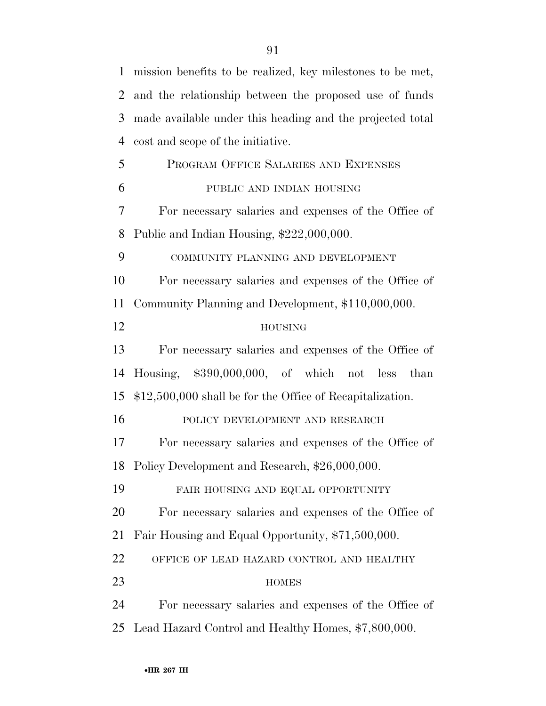| $\mathbf{1}$ | mission benefits to be realized, key milestones to be met, |
|--------------|------------------------------------------------------------|
| 2            | and the relationship between the proposed use of funds     |
| 3            | made available under this heading and the projected total  |
| 4            | cost and scope of the initiative.                          |
| 5            | PROGRAM OFFICE SALARIES AND EXPENSES                       |
| 6            | PUBLIC AND INDIAN HOUSING                                  |
| 7            | For necessary salaries and expenses of the Office of       |
| 8            | Public and Indian Housing, \$222,000,000.                  |
| 9            | COMMUNITY PLANNING AND DEVELOPMENT                         |
| 10           | For necessary salaries and expenses of the Office of       |
| 11           | Community Planning and Development, \$110,000,000.         |
| 12           | <b>HOUSING</b>                                             |
| 13           | For necessary salaries and expenses of the Office of       |
| 14           | Housing, $$390,000,000$ , of which not less<br>than        |
| 15           | \$12,500,000 shall be for the Office of Recapitalization.  |
| 16           | POLICY DEVELOPMENT AND RESEARCH                            |
| 17           | For necessary salaries and expenses of the Office of       |
|              | 18 Policy Development and Research, \$26,000,000.          |
| 19           | FAIR HOUSING AND EQUAL OPPORTUNITY                         |
| 20           | For necessary salaries and expenses of the Office of       |
| 21           | Fair Housing and Equal Opportunity, \$71,500,000.          |
| 22           | OFFICE OF LEAD HAZARD CONTROL AND HEALTHY                  |
| 23           | <b>HOMES</b>                                               |
| 24           | For necessary salaries and expenses of the Office of       |
| 25           | Lead Hazard Control and Healthy Homes, \$7,800,000.        |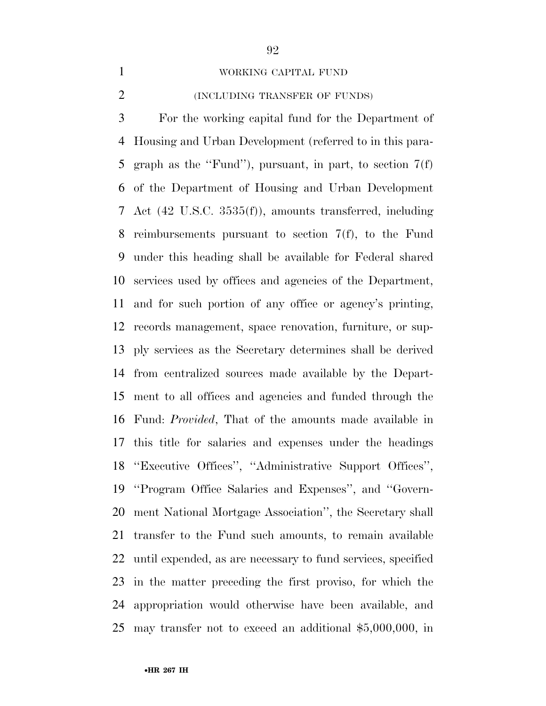### WORKING CAPITAL FUND

### (INCLUDING TRANSFER OF FUNDS)

 For the working capital fund for the Department of Housing and Urban Development (referred to in this para- graph as the ''Fund''), pursuant, in part, to section 7(f) of the Department of Housing and Urban Development Act (42 U.S.C. 3535(f)), amounts transferred, including reimbursements pursuant to section 7(f), to the Fund under this heading shall be available for Federal shared services used by offices and agencies of the Department, and for such portion of any office or agency's printing, records management, space renovation, furniture, or sup- ply services as the Secretary determines shall be derived from centralized sources made available by the Depart- ment to all offices and agencies and funded through the Fund: *Provided*, That of the amounts made available in this title for salaries and expenses under the headings ''Executive Offices'', ''Administrative Support Offices'', ''Program Office Salaries and Expenses'', and ''Govern- ment National Mortgage Association'', the Secretary shall transfer to the Fund such amounts, to remain available until expended, as are necessary to fund services, specified in the matter preceding the first proviso, for which the appropriation would otherwise have been available, and may transfer not to exceed an additional \$5,000,000, in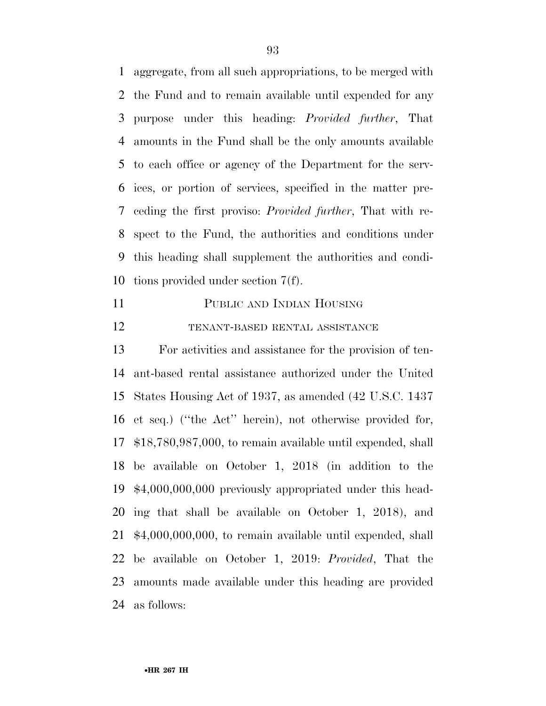aggregate, from all such appropriations, to be merged with the Fund and to remain available until expended for any purpose under this heading: *Provided further*, That amounts in the Fund shall be the only amounts available to each office or agency of the Department for the serv- ices, or portion of services, specified in the matter pre- ceding the first proviso: *Provided further*, That with re- spect to the Fund, the authorities and conditions under this heading shall supplement the authorities and condi-tions provided under section 7(f).

 PUBLIC AND INDIAN HOUSING TENANT-BASED RENTAL ASSISTANCE

 For activities and assistance for the provision of ten- ant-based rental assistance authorized under the United States Housing Act of 1937, as amended (42 U.S.C. 1437 et seq.) (''the Act'' herein), not otherwise provided for, \$18,780,987,000, to remain available until expended, shall be available on October 1, 2018 (in addition to the \$4,000,000,000 previously appropriated under this head- ing that shall be available on October 1, 2018), and \$4,000,000,000, to remain available until expended, shall be available on October 1, 2019: *Provided*, That the amounts made available under this heading are provided as follows: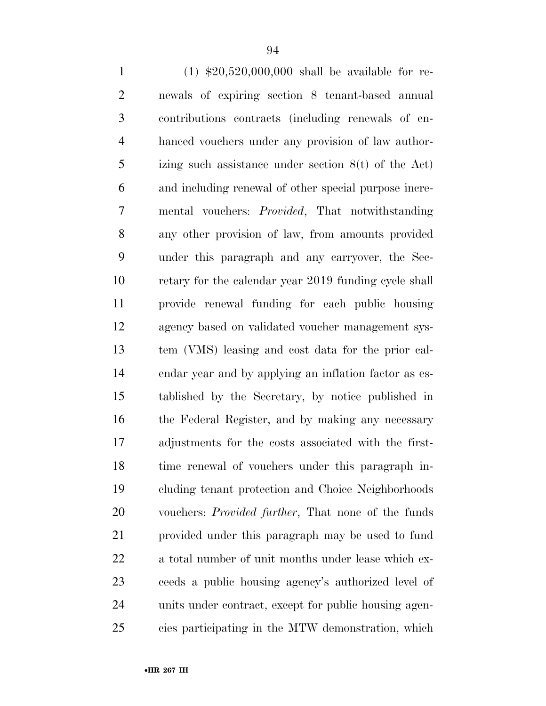(1) \$20,520,000,000 shall be available for re- newals of expiring section 8 tenant-based annual contributions contracts (including renewals of en- hanced vouchers under any provision of law author- izing such assistance under section 8(t) of the Act) and including renewal of other special purpose incre- mental vouchers: *Provided*, That notwithstanding any other provision of law, from amounts provided under this paragraph and any carryover, the Sec- retary for the calendar year 2019 funding cycle shall provide renewal funding for each public housing agency based on validated voucher management sys- tem (VMS) leasing and cost data for the prior cal- endar year and by applying an inflation factor as es- tablished by the Secretary, by notice published in the Federal Register, and by making any necessary adjustments for the costs associated with the first- time renewal of vouchers under this paragraph in- cluding tenant protection and Choice Neighborhoods vouchers: *Provided further*, That none of the funds provided under this paragraph may be used to fund a total number of unit months under lease which ex- ceeds a public housing agency's authorized level of units under contract, except for public housing agen-cies participating in the MTW demonstration, which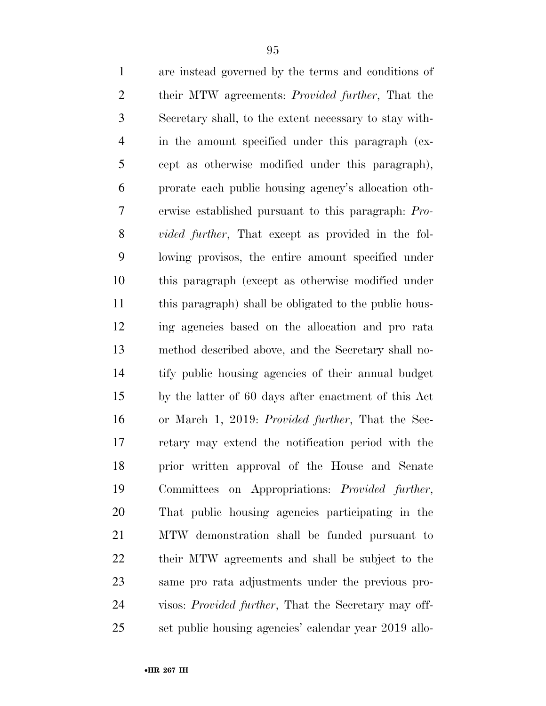are instead governed by the terms and conditions of their MTW agreements: *Provided further*, That the Secretary shall, to the extent necessary to stay with- in the amount specified under this paragraph (ex- cept as otherwise modified under this paragraph), prorate each public housing agency's allocation oth- erwise established pursuant to this paragraph: *Pro- vided further*, That except as provided in the fol- lowing provisos, the entire amount specified under this paragraph (except as otherwise modified under this paragraph) shall be obligated to the public hous- ing agencies based on the allocation and pro rata method described above, and the Secretary shall no- tify public housing agencies of their annual budget by the latter of 60 days after enactment of this Act or March 1, 2019: *Provided further*, That the Sec- retary may extend the notification period with the prior written approval of the House and Senate Committees on Appropriations: *Provided further*, That public housing agencies participating in the MTW demonstration shall be funded pursuant to their MTW agreements and shall be subject to the same pro rata adjustments under the previous pro- visos: *Provided further*, That the Secretary may off-set public housing agencies' calendar year 2019 allo-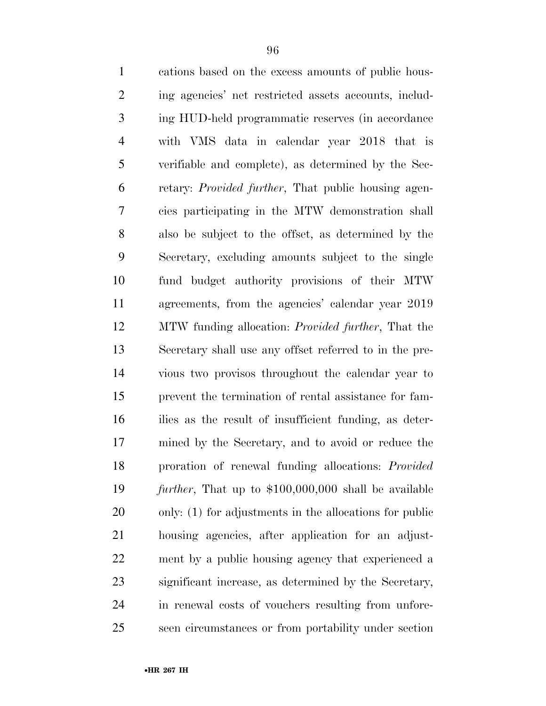| $\mathbf{1}$   | cations based on the excess amounts of public hous-          |
|----------------|--------------------------------------------------------------|
| $\overline{2}$ | ing agencies' net restricted assets accounts, includ-        |
| 3              | ing HUD-held programmatic reserves (in accordance            |
| $\overline{4}$ | with VMS data in calendar year 2018 that is                  |
| 5              | verifiable and complete), as determined by the Sec-          |
| 6              | retary: <i>Provided further</i> , That public housing agen-  |
| 7              | cies participating in the MTW demonstration shall            |
| 8              | also be subject to the offset, as determined by the          |
| 9              | Secretary, excluding amounts subject to the single           |
| 10             | fund budget authority provisions of their MTW                |
| 11             | agreements, from the agencies' calendar year 2019            |
| 12             | MTW funding allocation: <i>Provided further</i> , That the   |
| 13             | Secretary shall use any offset referred to in the pre-       |
| 14             | vious two provisos throughout the calendar year to           |
| 15             | prevent the termination of rental assistance for fam-        |
| 16             | ilies as the result of insufficient funding, as deter-       |
| 17             | mined by the Secretary, and to avoid or reduce the           |
| 18             | proration of renewal funding allocations: Provided           |
| 19             | <i>further</i> , That up to \$100,000,000 shall be available |
| 20             | only: $(1)$ for adjustments in the allocations for public    |
| 21             | housing agencies, after application for an adjust-           |
| 22             | ment by a public housing agency that experienced a           |
| 23             | significant increase, as determined by the Secretary,        |
| 24             | in renewal costs of vouchers resulting from unfore-          |
| 25             | seen circumstances or from portability under section         |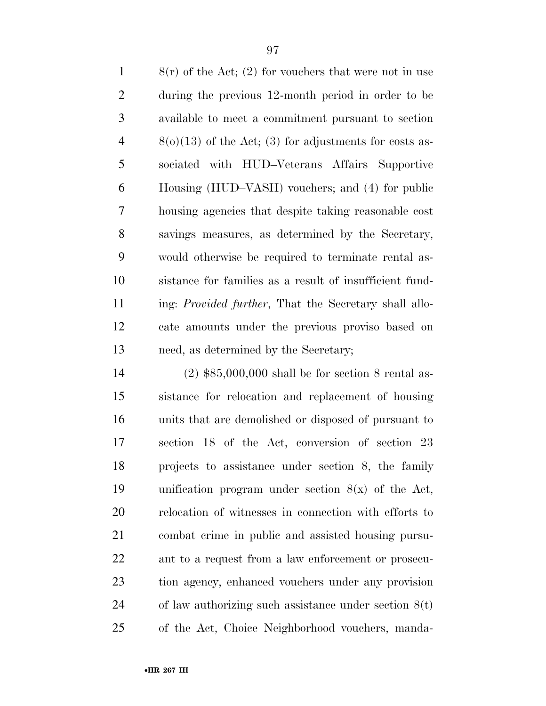8(r) of the Act; (2) for vouchers that were not in use during the previous 12-month period in order to be available to meet a commitment pursuant to section  $4 \qquad 8(0)(13)$  of the Act; (3) for adjustments for costs as- sociated with HUD–Veterans Affairs Supportive Housing (HUD–VASH) vouchers; and (4) for public housing agencies that despite taking reasonable cost savings measures, as determined by the Secretary, would otherwise be required to terminate rental as- sistance for families as a result of insufficient fund- ing: *Provided further*, That the Secretary shall allo- cate amounts under the previous proviso based on need, as determined by the Secretary;

 (2) \$85,000,000 shall be for section 8 rental as- sistance for relocation and replacement of housing units that are demolished or disposed of pursuant to section 18 of the Act, conversion of section 23 projects to assistance under section 8, the family unification program under section 8(x) of the Act, relocation of witnesses in connection with efforts to combat crime in public and assisted housing pursu- ant to a request from a law enforcement or prosecu- tion agency, enhanced vouchers under any provision of law authorizing such assistance under section 8(t) of the Act, Choice Neighborhood vouchers, manda-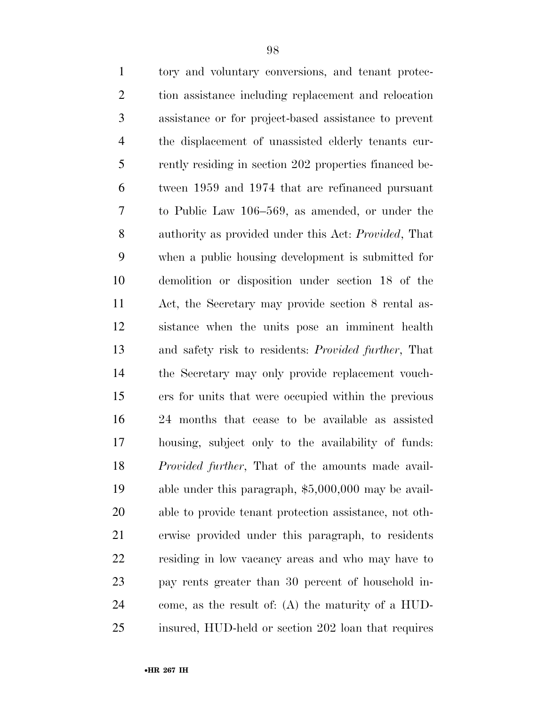| $\mathbf{1}$   | tory and voluntary conversions, and tenant protec-           |
|----------------|--------------------------------------------------------------|
| $\overline{2}$ | tion assistance including replacement and relocation         |
| 3              | assistance or for project-based assistance to prevent        |
| $\overline{4}$ | the displacement of unassisted elderly tenants cur-          |
| 5              | rently residing in section 202 properties financed be-       |
| 6              | tween 1959 and 1974 that are refinanced pursuant             |
| 7              | to Public Law 106–569, as amended, or under the              |
| 8              | authority as provided under this Act: <i>Provided</i> , That |
| 9              | when a public housing development is submitted for           |
| 10             | demolition or disposition under section 18 of the            |
| 11             | Act, the Secretary may provide section 8 rental as-          |
| 12             | sistance when the units pose an imminent health              |
| 13             | and safety risk to residents: <i>Provided further</i> , That |
| 14             | the Secretary may only provide replacement vouch-            |
| 15             | ers for units that were occupied within the previous         |
| 16             | 24 months that cease to be available as assisted             |
| 17             | housing, subject only to the availability of funds:          |
| 18             | <i>Provided further</i> , That of the amounts made avail-    |
| 19             | able under this paragraph, $$5,000,000$ may be avail-        |
| 20             | able to provide tenant protection assistance, not oth-       |
| 21             | erwise provided under this paragraph, to residents           |
| 22             | residing in low vacancy areas and who may have to            |
| 23             | pay rents greater than 30 percent of household in-           |
| 24             | come, as the result of: $(A)$ the maturity of a HUD-         |
| 25             | insured, HUD-held or section 202 loan that requires          |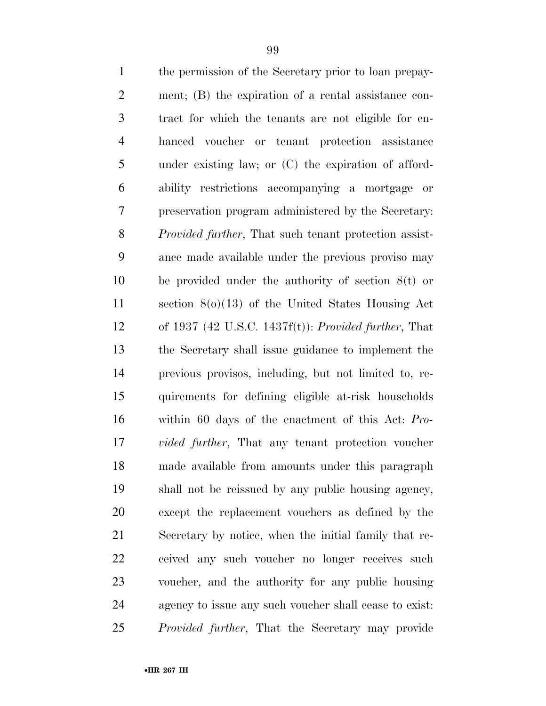| $\mathbf{1}$   | the permission of the Secretary prior to loan prepay-         |
|----------------|---------------------------------------------------------------|
| $\mathbf{2}$   | ment; (B) the expiration of a rental assistance con-          |
| $\mathfrak{Z}$ | tract for which the tenants are not eligible for en-          |
| $\overline{4}$ | hanced voucher or tenant protection assistance                |
| 5              | under existing law; or $(C)$ the expiration of afford-        |
| 6              | ability restrictions accompanying a mortgage<br>or            |
| $\tau$         | preservation program administered by the Secretary:           |
| 8              | <i>Provided further</i> , That such tenant protection assist- |
| 9              | ance made available under the previous proviso may            |
| 10             | be provided under the authority of section $8(t)$ or          |
| 11             | section $8(0)(13)$ of the United States Housing Act           |
| 12             | of 1937 (42 U.S.C. 1437f(t)): Provided further, That          |
| 13             | the Secretary shall issue guidance to implement the           |
| 14             | previous provisos, including, but not limited to, re-         |
| 15             | quirements for defining eligible at-risk households           |
| 16             | within 60 days of the enactment of this Act: Pro-             |
| 17             | <i>vided further</i> , That any tenant protection voucher     |
| 18             | made available from amounts under this paragraph              |
| 19             | shall not be reissued by any public housing agency,           |
| 20             | except the replacement vouchers as defined by the             |
| 21             | Secretary by notice, when the initial family that re-         |
| 22             | ceived any such voucher no longer receives such               |
| 23             | voucher, and the authority for any public housing             |
| 24             | agency to issue any such voucher shall cease to exist.        |
| 25             | <i>Provided further</i> , That the Secretary may provide      |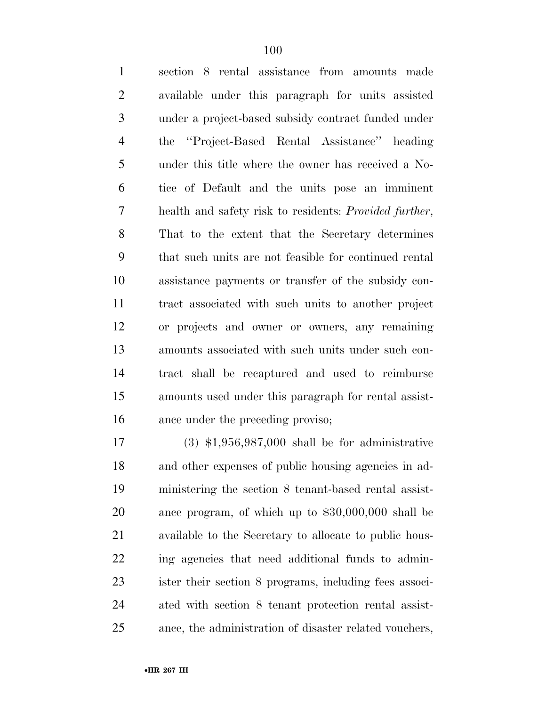section 8 rental assistance from amounts made available under this paragraph for units assisted under a project-based subsidy contract funded under the ''Project-Based Rental Assistance'' heading under this title where the owner has received a No- tice of Default and the units pose an imminent health and safety risk to residents: *Provided further*, That to the extent that the Secretary determines that such units are not feasible for continued rental assistance payments or transfer of the subsidy con- tract associated with such units to another project or projects and owner or owners, any remaining amounts associated with such units under such con- tract shall be recaptured and used to reimburse amounts used under this paragraph for rental assist-ance under the preceding proviso;

 (3) \$1,956,987,000 shall be for administrative and other expenses of public housing agencies in ad- ministering the section 8 tenant-based rental assist- ance program, of which up to \$30,000,000 shall be available to the Secretary to allocate to public hous- ing agencies that need additional funds to admin- ister their section 8 programs, including fees associ- ated with section 8 tenant protection rental assist-ance, the administration of disaster related vouchers,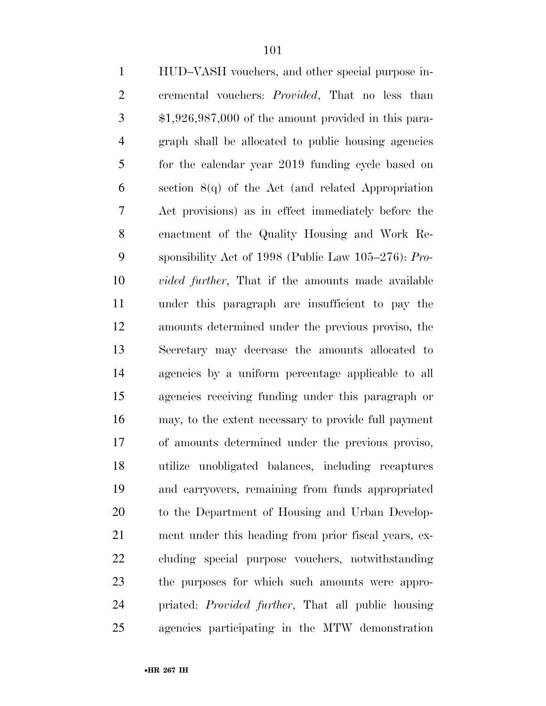| $\mathbf{1}$   | HUD-VASH vouchers, and other special purpose in-           |
|----------------|------------------------------------------------------------|
| $\mathbf{2}$   | cremental vouchers: Provided, That no less than            |
| 3              | $$1,926,987,000$ of the amount provided in this para-      |
| $\overline{4}$ | graph shall be allocated to public housing agencies        |
| 5              | for the calendar year 2019 funding cycle based on          |
| 6              | section $8(q)$ of the Act (and related Appropriation       |
| 7              | Act provisions) as in effect immediately before the        |
| 8              | enactment of the Quality Housing and Work Re-              |
| 9              | sponsibility Act of 1998 (Public Law $105-276$ ): Pro-     |
| 10             | <i>vided further</i> , That if the amounts made available  |
| 11             | under this paragraph are insufficient to pay the           |
| 12             | amounts determined under the previous proviso, the         |
| 13             | Secretary may decrease the amounts allocated to            |
| 14             | agencies by a uniform percentage applicable to all         |
| 15             | agencies receiving funding under this paragraph or         |
| 16             | may, to the extent necessary to provide full payment       |
| 17             | of amounts determined under the previous proviso,          |
| 18             | utilize unobligated balances, including recaptures         |
| 19             | and carryovers, remaining from funds appropriated          |
| 20             | to the Department of Housing and Urban Develop-            |
| 21             | ment under this heading from prior fiscal years, ex-       |
| 22             | cluding special purpose vouchers, notwithstanding          |
| 23             | the purposes for which such amounts were appro-            |
| 24             | priated: <i>Provided further</i> , That all public housing |
| 25             | agencies participating in the MTW demonstration            |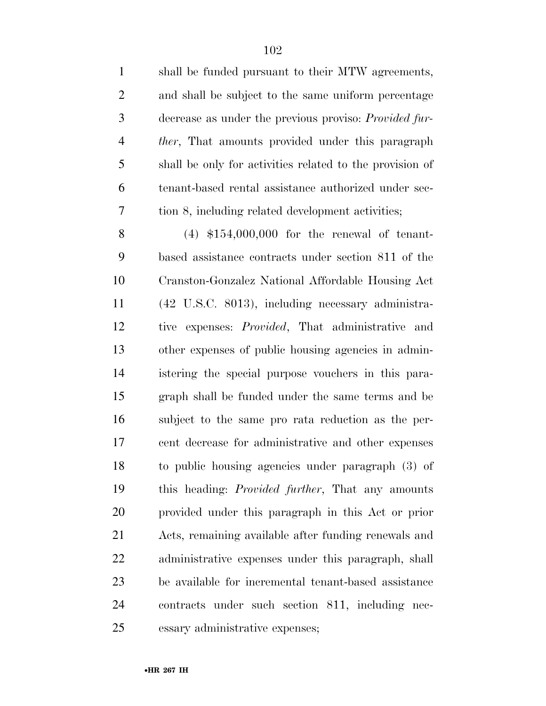| $\mathbf{1}$   | shall be funded pursuant to their MTW agreements,            |
|----------------|--------------------------------------------------------------|
| $\overline{2}$ | and shall be subject to the same uniform percentage          |
| 3              | decrease as under the previous proviso: <i>Provided fur-</i> |
| $\overline{4}$ | <i>ther</i> , That amounts provided under this paragraph     |
| 5              | shall be only for activities related to the provision of     |
| 6              | tenant-based rental assistance authorized under sec-         |
| 7              | tion 8, including related development activities;            |
| 8              | $(4)$ \$154,000,000 for the renewal of tenant-               |
| 9              | based assistance contracts under section 811 of the          |
| 10             | Cranston-Gonzalez National Affordable Housing Act            |
| 11             | (42 U.S.C. 8013), including necessary administra-            |
| 12             | expenses: <i>Provided</i> , That administrative and<br>tive  |
| 13             | other expenses of public housing agencies in admin-          |
| 14             | istering the special purpose vouchers in this para-          |
| 15             | graph shall be funded under the same terms and be            |
| 16             | subject to the same pro rata reduction as the per-           |
| 17             | cent decrease for administrative and other expenses          |
| 18             | to public housing agencies under paragraph (3) of            |
| 19             | this heading: <i>Provided further</i> , That any amounts     |
| 20             | provided under this paragraph in this Act or prior           |
| 21             | Acts, remaining available after funding renewals and         |
| 22             | administrative expenses under this paragraph, shall          |
| 23             | be available for incremental tenant-based assistance         |
| 24             | contracts under such section 811, including nec-             |
| 25             | essary administrative expenses;                              |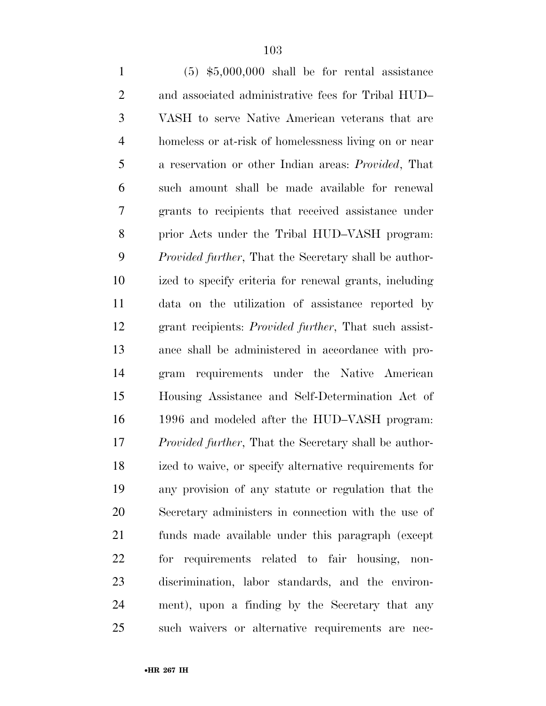(5) \$5,000,000 shall be for rental assistance and associated administrative fees for Tribal HUD– VASH to serve Native American veterans that are homeless or at-risk of homelessness living on or near a reservation or other Indian areas: *Provided*, That such amount shall be made available for renewal grants to recipients that received assistance under prior Acts under the Tribal HUD–VASH program: *Provided further*, That the Secretary shall be author- ized to specify criteria for renewal grants, including data on the utilization of assistance reported by grant recipients: *Provided further*, That such assist- ance shall be administered in accordance with pro- gram requirements under the Native American Housing Assistance and Self-Determination Act of 1996 and modeled after the HUD–VASH program: *Provided further*, That the Secretary shall be author- ized to waive, or specify alternative requirements for any provision of any statute or regulation that the Secretary administers in connection with the use of funds made available under this paragraph (except for requirements related to fair housing, non- discrimination, labor standards, and the environ- ment), upon a finding by the Secretary that any such waivers or alternative requirements are nec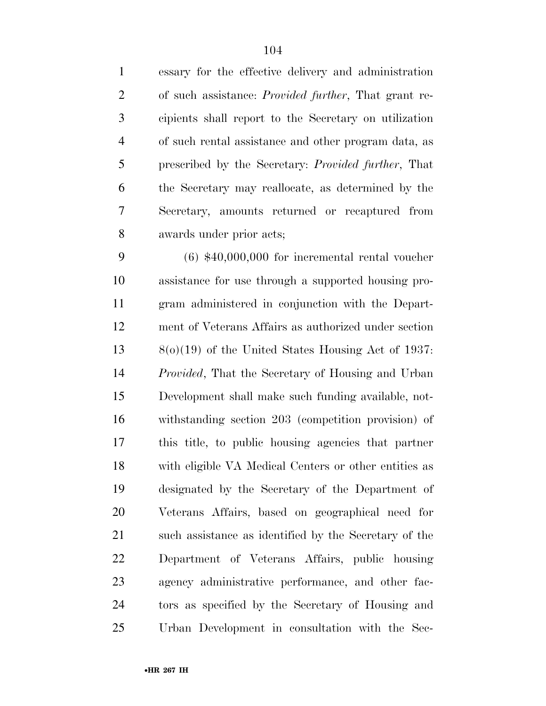essary for the effective delivery and administration of such assistance: *Provided further*, That grant re- cipients shall report to the Secretary on utilization of such rental assistance and other program data, as prescribed by the Secretary: *Provided further*, That the Secretary may reallocate, as determined by the Secretary, amounts returned or recaptured from awards under prior acts; (6) \$40,000,000 for incremental rental voucher

 assistance for use through a supported housing pro- gram administered in conjunction with the Depart- ment of Veterans Affairs as authorized under section 8(o)(19) of the United States Housing Act of 1937: *Provided*, That the Secretary of Housing and Urban Development shall make such funding available, not- withstanding section 203 (competition provision) of this title, to public housing agencies that partner with eligible VA Medical Centers or other entities as designated by the Secretary of the Department of Veterans Affairs, based on geographical need for 21 such assistance as identified by the Secretary of the Department of Veterans Affairs, public housing agency administrative performance, and other fac- tors as specified by the Secretary of Housing and Urban Development in consultation with the Sec-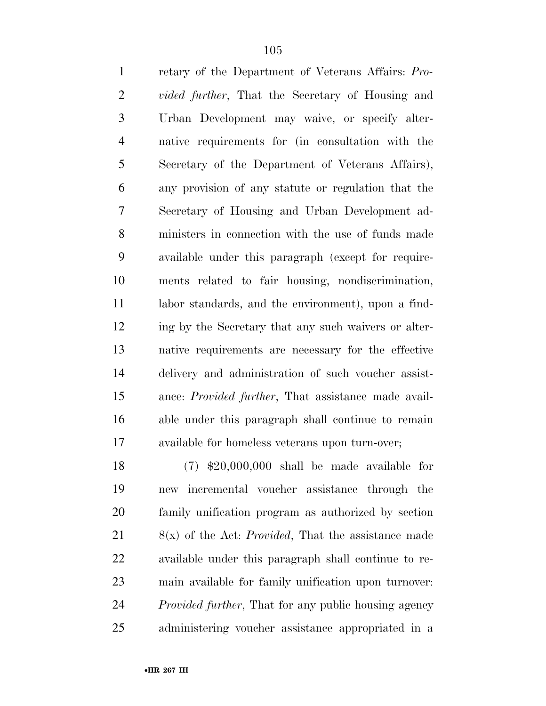retary of the Department of Veterans Affairs: *Pro- vided further*, That the Secretary of Housing and Urban Development may waive, or specify alter- native requirements for (in consultation with the Secretary of the Department of Veterans Affairs), any provision of any statute or regulation that the Secretary of Housing and Urban Development ad- ministers in connection with the use of funds made available under this paragraph (except for require- ments related to fair housing, nondiscrimination, labor standards, and the environment), upon a find- ing by the Secretary that any such waivers or alter- native requirements are necessary for the effective delivery and administration of such voucher assist- ance: *Provided further*, That assistance made avail- able under this paragraph shall continue to remain available for homeless veterans upon turn-over;

 (7) \$20,000,000 shall be made available for new incremental voucher assistance through the family unification program as authorized by section 8(x) of the Act: *Provided*, That the assistance made available under this paragraph shall continue to re- main available for family unification upon turnover: *Provided further*, That for any public housing agency administering voucher assistance appropriated in a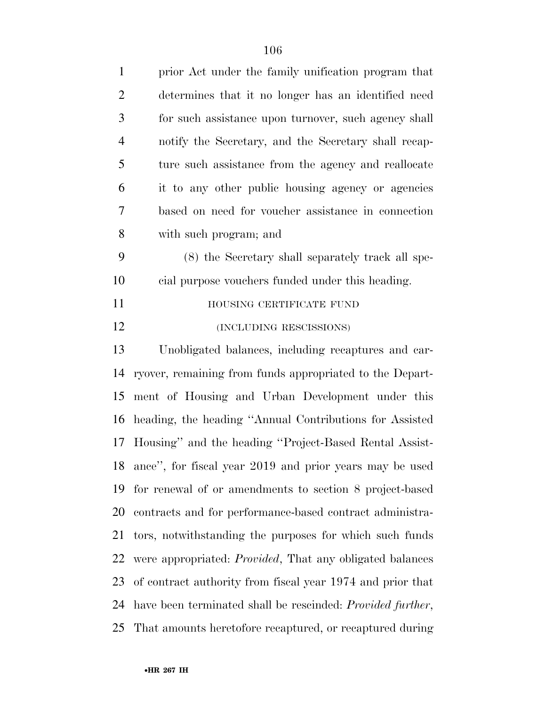| $\mathbf{1}$   | prior Act under the family unification program that                |
|----------------|--------------------------------------------------------------------|
| $\overline{2}$ | determines that it no longer has an identified need                |
| 3              | for such assistance upon turnover, such agency shall               |
| $\overline{4}$ | notify the Secretary, and the Secretary shall recap-               |
| 5              | ture such assistance from the agency and reallocate                |
| 6              | it to any other public housing agency or agencies                  |
| 7              | based on need for voucher assistance in connection                 |
| 8              | with such program; and                                             |
| 9              | (8) the Secretary shall separately track all spe-                  |
| 10             | cial purpose vouchers funded under this heading.                   |
| 11             | HOUSING CERTIFICATE FUND                                           |
| 12             | (INCLUDING RESCISSIONS)                                            |
| 13             | Unobligated balances, including recaptures and car-                |
| 14             | ryover, remaining from funds appropriated to the Depart-           |
| 15             | ment of Housing and Urban Development under this                   |
| 16             | heading, the heading "Annual Contributions for Assisted            |
| 17             | Housing" and the heading "Project-Based Rental Assist-             |
|                | 18 ance", for fiscal year 2019 and prior years may be used         |
| 19             | for renewal of or amendments to section 8 project-based            |
| 20             | contracts and for performance-based contract administra-           |
| 21             | tors, notwithstanding the purposes for which such funds            |
| 22             | were appropriated: <i>Provided</i> , That any obligated balances   |
| 23             | of contract authority from fiscal year 1974 and prior that         |
| 24             | have been terminated shall be rescinded: <i>Provided further</i> , |
| 25             | That amounts heretofore recaptured, or recaptured during           |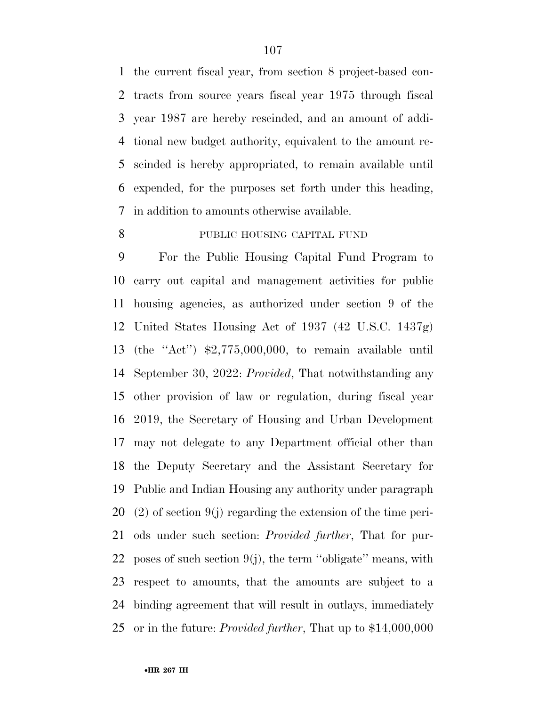the current fiscal year, from section 8 project-based con- tracts from source years fiscal year 1975 through fiscal year 1987 are hereby rescinded, and an amount of addi- tional new budget authority, equivalent to the amount re- scinded is hereby appropriated, to remain available until expended, for the purposes set forth under this heading, in addition to amounts otherwise available.

## PUBLIC HOUSING CAPITAL FUND

 For the Public Housing Capital Fund Program to carry out capital and management activities for public housing agencies, as authorized under section 9 of the United States Housing Act of 1937 (42 U.S.C. 1437g) (the ''Act'') \$2,775,000,000, to remain available until September 30, 2022: *Provided*, That notwithstanding any other provision of law or regulation, during fiscal year 2019, the Secretary of Housing and Urban Development may not delegate to any Department official other than the Deputy Secretary and the Assistant Secretary for Public and Indian Housing any authority under paragraph (2) of section 9(j) regarding the extension of the time peri- ods under such section: *Provided further*, That for pur-22 poses of such section  $9(j)$ , the term "obligate" means, with respect to amounts, that the amounts are subject to a binding agreement that will result in outlays, immediately or in the future: *Provided further*, That up to \$14,000,000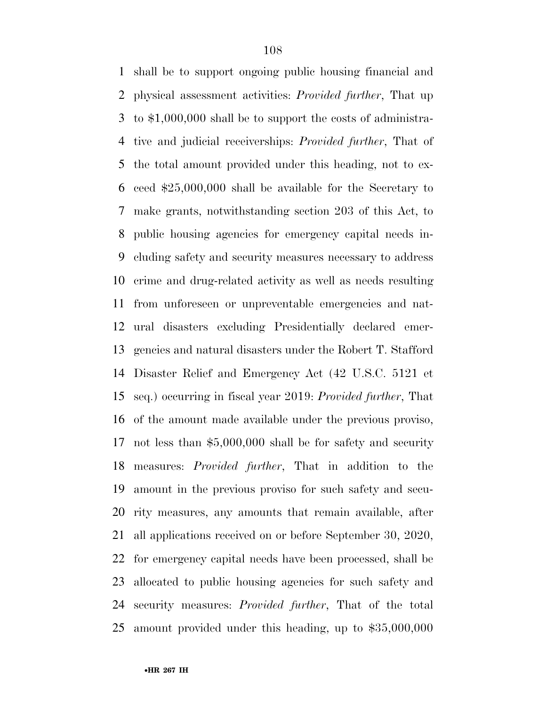shall be to support ongoing public housing financial and physical assessment activities: *Provided further*, That up to \$1,000,000 shall be to support the costs of administra- tive and judicial receiverships: *Provided further*, That of the total amount provided under this heading, not to ex- ceed \$25,000,000 shall be available for the Secretary to make grants, notwithstanding section 203 of this Act, to public housing agencies for emergency capital needs in- cluding safety and security measures necessary to address crime and drug-related activity as well as needs resulting from unforeseen or unpreventable emergencies and nat- ural disasters excluding Presidentially declared emer- gencies and natural disasters under the Robert T. Stafford Disaster Relief and Emergency Act (42 U.S.C. 5121 et seq.) occurring in fiscal year 2019: *Provided further*, That of the amount made available under the previous proviso, not less than \$5,000,000 shall be for safety and security measures: *Provided further*, That in addition to the amount in the previous proviso for such safety and secu- rity measures, any amounts that remain available, after all applications received on or before September 30, 2020, for emergency capital needs have been processed, shall be allocated to public housing agencies for such safety and security measures: *Provided further*, That of the total amount provided under this heading, up to \$35,000,000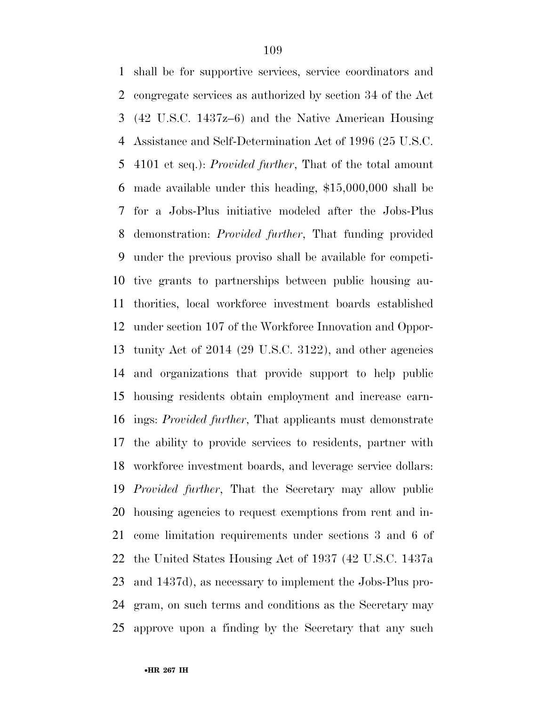shall be for supportive services, service coordinators and congregate services as authorized by section 34 of the Act (42 U.S.C. 1437z–6) and the Native American Housing Assistance and Self-Determination Act of 1996 (25 U.S.C. 4101 et seq.): *Provided further*, That of the total amount made available under this heading, \$15,000,000 shall be for a Jobs-Plus initiative modeled after the Jobs-Plus demonstration: *Provided further*, That funding provided under the previous proviso shall be available for competi- tive grants to partnerships between public housing au- thorities, local workforce investment boards established under section 107 of the Workforce Innovation and Oppor- tunity Act of 2014 (29 U.S.C. 3122), and other agencies and organizations that provide support to help public housing residents obtain employment and increase earn- ings: *Provided further*, That applicants must demonstrate the ability to provide services to residents, partner with workforce investment boards, and leverage service dollars: *Provided further*, That the Secretary may allow public housing agencies to request exemptions from rent and in- come limitation requirements under sections 3 and 6 of the United States Housing Act of 1937 (42 U.S.C. 1437a and 1437d), as necessary to implement the Jobs-Plus pro- gram, on such terms and conditions as the Secretary may approve upon a finding by the Secretary that any such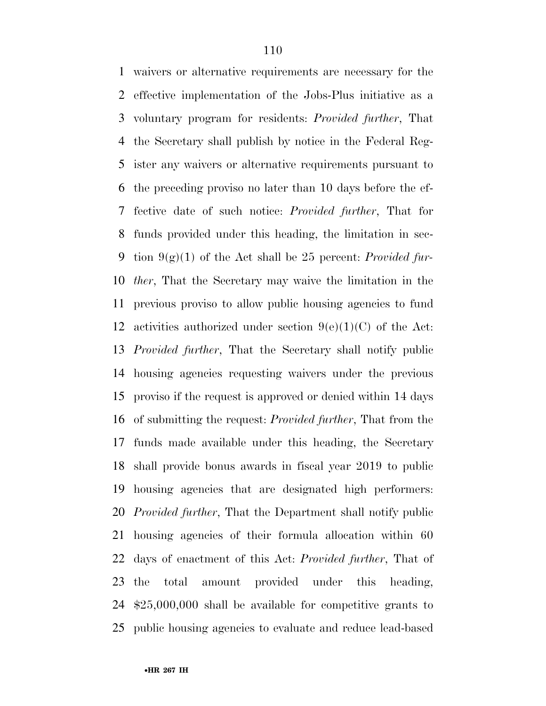waivers or alternative requirements are necessary for the effective implementation of the Jobs-Plus initiative as a voluntary program for residents: *Provided further*, That the Secretary shall publish by notice in the Federal Reg- ister any waivers or alternative requirements pursuant to the preceding proviso no later than 10 days before the ef- fective date of such notice: *Provided further*, That for funds provided under this heading, the limitation in sec- tion 9(g)(1) of the Act shall be 25 percent: *Provided fur- ther*, That the Secretary may waive the limitation in the previous proviso to allow public housing agencies to fund 12 activities authorized under section  $9(e)(1)(C)$  of the Act: *Provided further*, That the Secretary shall notify public housing agencies requesting waivers under the previous proviso if the request is approved or denied within 14 days of submitting the request: *Provided further*, That from the funds made available under this heading, the Secretary shall provide bonus awards in fiscal year 2019 to public housing agencies that are designated high performers: *Provided further*, That the Department shall notify public housing agencies of their formula allocation within 60 days of enactment of this Act: *Provided further*, That of the total amount provided under this heading, \$25,000,000 shall be available for competitive grants to public housing agencies to evaluate and reduce lead-based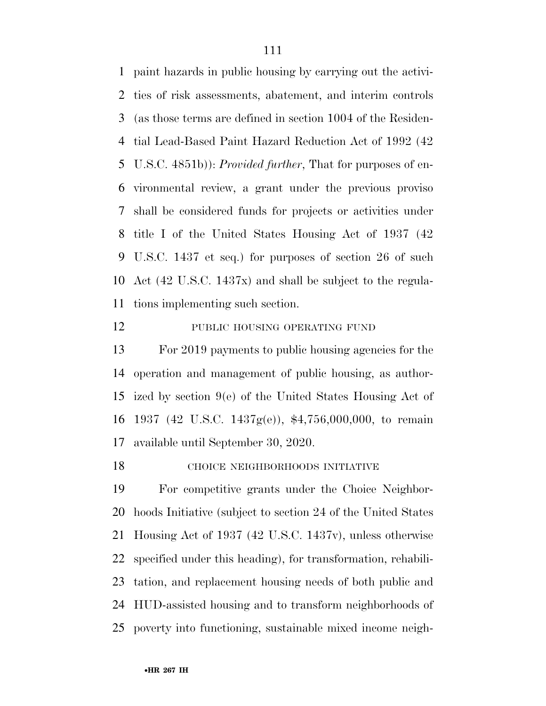paint hazards in public housing by carrying out the activi- ties of risk assessments, abatement, and interim controls (as those terms are defined in section 1004 of the Residen- tial Lead-Based Paint Hazard Reduction Act of 1992 (42 U.S.C. 4851b)): *Provided further*, That for purposes of en- vironmental review, a grant under the previous proviso shall be considered funds for projects or activities under title I of the United States Housing Act of 1937 (42 U.S.C. 1437 et seq.) for purposes of section 26 of such Act (42 U.S.C. 1437x) and shall be subject to the regula-tions implementing such section.

### 12 PUBLIC HOUSING OPERATING FUND

 For 2019 payments to public housing agencies for the operation and management of public housing, as author- ized by section 9(e) of the United States Housing Act of 1937 (42 U.S.C. 1437g(e)), \$4,756,000,000, to remain available until September 30, 2020.

CHOICE NEIGHBORHOODS INITIATIVE

 For competitive grants under the Choice Neighbor- hoods Initiative (subject to section 24 of the United States Housing Act of 1937 (42 U.S.C. 1437v), unless otherwise specified under this heading), for transformation, rehabili- tation, and replacement housing needs of both public and HUD-assisted housing and to transform neighborhoods of poverty into functioning, sustainable mixed income neigh-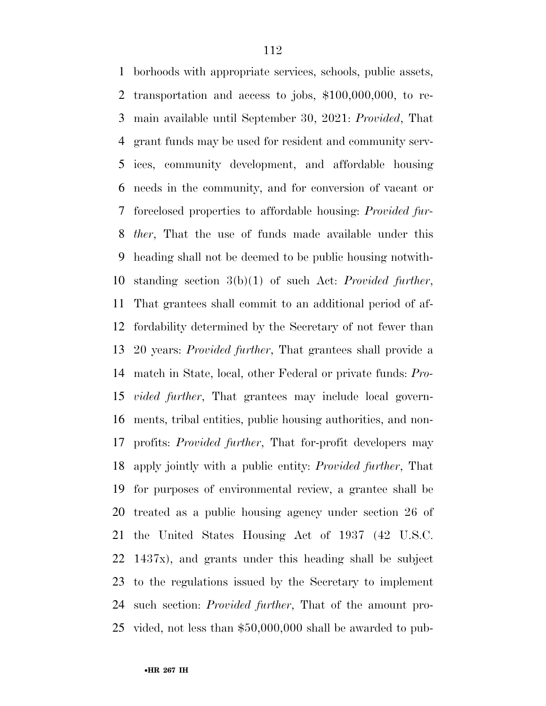borhoods with appropriate services, schools, public assets, transportation and access to jobs, \$100,000,000, to re- main available until September 30, 2021: *Provided*, That grant funds may be used for resident and community serv- ices, community development, and affordable housing needs in the community, and for conversion of vacant or foreclosed properties to affordable housing: *Provided fur- ther*, That the use of funds made available under this heading shall not be deemed to be public housing notwith- standing section 3(b)(1) of such Act: *Provided further*, That grantees shall commit to an additional period of af- fordability determined by the Secretary of not fewer than 20 years: *Provided further*, That grantees shall provide a match in State, local, other Federal or private funds: *Pro- vided further*, That grantees may include local govern- ments, tribal entities, public housing authorities, and non- profits: *Provided further*, That for-profit developers may apply jointly with a public entity: *Provided further*, That for purposes of environmental review, a grantee shall be treated as a public housing agency under section 26 of the United States Housing Act of 1937 (42 U.S.C. 1437x), and grants under this heading shall be subject to the regulations issued by the Secretary to implement such section: *Provided further*, That of the amount pro-vided, not less than \$50,000,000 shall be awarded to pub-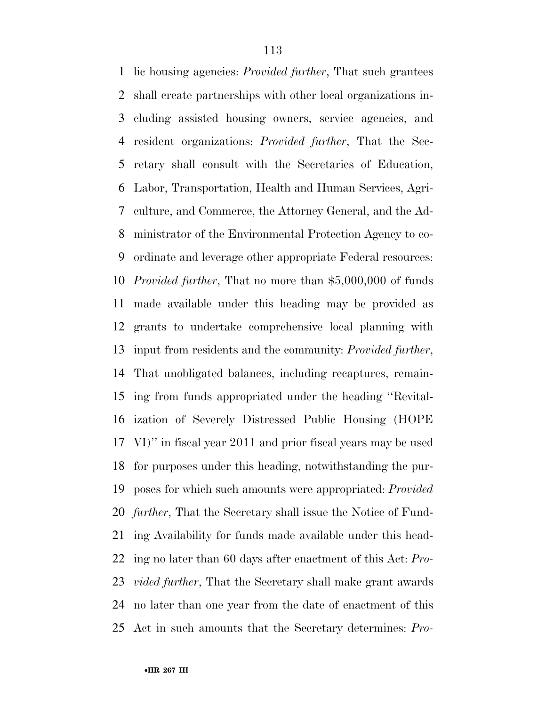lic housing agencies: *Provided further*, That such grantees shall create partnerships with other local organizations in- cluding assisted housing owners, service agencies, and resident organizations: *Provided further*, That the Sec- retary shall consult with the Secretaries of Education, Labor, Transportation, Health and Human Services, Agri- culture, and Commerce, the Attorney General, and the Ad- ministrator of the Environmental Protection Agency to co- ordinate and leverage other appropriate Federal resources: *Provided further*, That no more than \$5,000,000 of funds made available under this heading may be provided as grants to undertake comprehensive local planning with input from residents and the community: *Provided further*, That unobligated balances, including recaptures, remain- ing from funds appropriated under the heading ''Revital- ization of Severely Distressed Public Housing (HOPE VI)'' in fiscal year 2011 and prior fiscal years may be used for purposes under this heading, notwithstanding the pur- poses for which such amounts were appropriated: *Provided further*, That the Secretary shall issue the Notice of Fund- ing Availability for funds made available under this head- ing no later than 60 days after enactment of this Act: *Pro- vided further*, That the Secretary shall make grant awards no later than one year from the date of enactment of this Act in such amounts that the Secretary determines: *Pro-*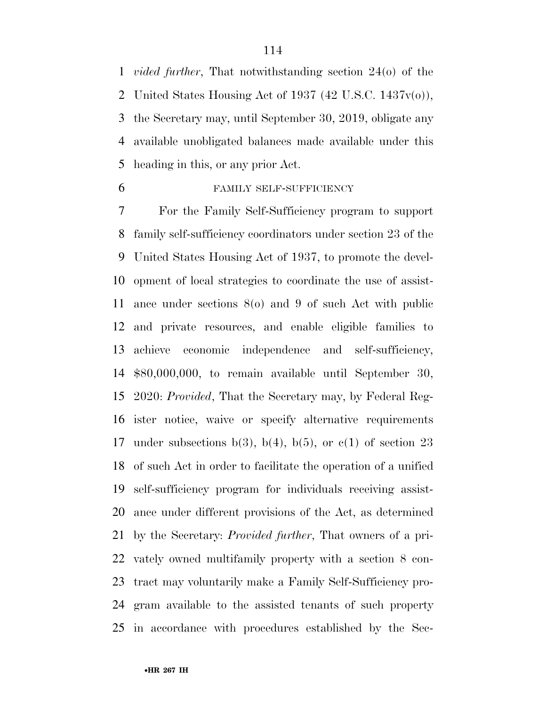*vided further*, That notwithstanding section 24(o) of the 2 United States Housing Act of 1937 (42 U.S.C.  $1437v(0)$ ), the Secretary may, until September 30, 2019, obligate any available unobligated balances made available under this heading in this, or any prior Act.

## FAMILY SELF-SUFFICIENCY

 For the Family Self-Sufficiency program to support family self-sufficiency coordinators under section 23 of the United States Housing Act of 1937, to promote the devel- opment of local strategies to coordinate the use of assist- ance under sections 8(o) and 9 of such Act with public and private resources, and enable eligible families to achieve economic independence and self-sufficiency, \$80,000,000, to remain available until September 30, 2020: *Provided*, That the Secretary may, by Federal Reg- ister notice, waive or specify alternative requirements 17 under subsections  $b(3)$ ,  $b(4)$ ,  $b(5)$ , or  $c(1)$  of section 23 of such Act in order to facilitate the operation of a unified self-sufficiency program for individuals receiving assist- ance under different provisions of the Act, as determined by the Secretary: *Provided further*, That owners of a pri- vately owned multifamily property with a section 8 con- tract may voluntarily make a Family Self-Sufficiency pro- gram available to the assisted tenants of such property in accordance with procedures established by the Sec-

•**HR 267 IH**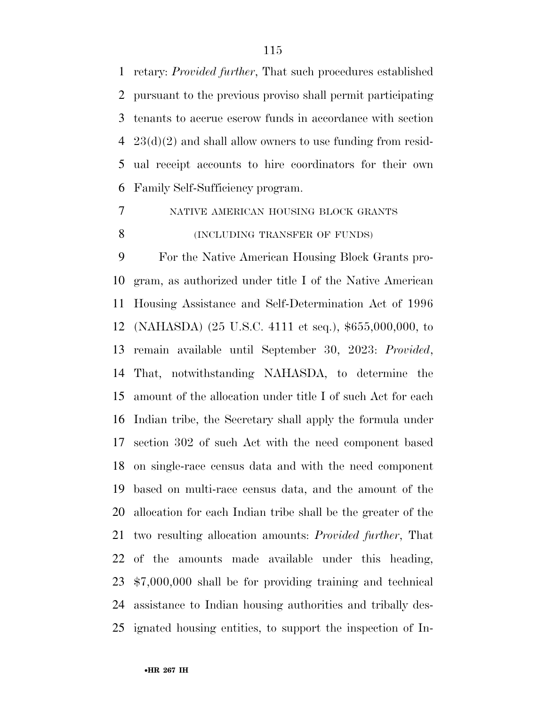retary: *Provided further*, That such procedures established pursuant to the previous proviso shall permit participating tenants to accrue escrow funds in accordance with section 23(d)(2) and shall allow owners to use funding from resid- ual receipt accounts to hire coordinators for their own Family Self-Sufficiency program.

NATIVE AMERICAN HOUSING BLOCK GRANTS

# **(INCLUDING TRANSFER OF FUNDS)**

 For the Native American Housing Block Grants pro- gram, as authorized under title I of the Native American Housing Assistance and Self-Determination Act of 1996 (NAHASDA) (25 U.S.C. 4111 et seq.), \$655,000,000, to remain available until September 30, 2023: *Provided*, That, notwithstanding NAHASDA, to determine the amount of the allocation under title I of such Act for each Indian tribe, the Secretary shall apply the formula under section 302 of such Act with the need component based on single-race census data and with the need component based on multi-race census data, and the amount of the allocation for each Indian tribe shall be the greater of the two resulting allocation amounts: *Provided further*, That of the amounts made available under this heading, \$7,000,000 shall be for providing training and technical assistance to Indian housing authorities and tribally des-ignated housing entities, to support the inspection of In-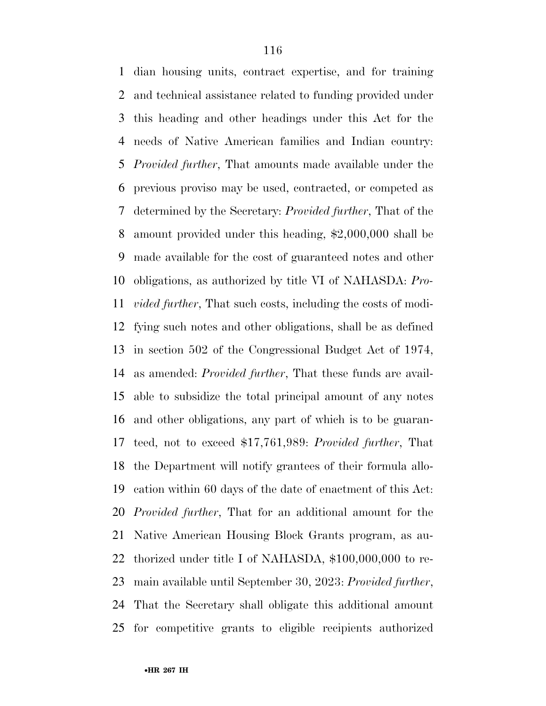dian housing units, contract expertise, and for training and technical assistance related to funding provided under this heading and other headings under this Act for the needs of Native American families and Indian country: *Provided further*, That amounts made available under the previous proviso may be used, contracted, or competed as determined by the Secretary: *Provided further*, That of the amount provided under this heading, \$2,000,000 shall be made available for the cost of guaranteed notes and other obligations, as authorized by title VI of NAHASDA: *Pro- vided further*, That such costs, including the costs of modi- fying such notes and other obligations, shall be as defined in section 502 of the Congressional Budget Act of 1974, as amended: *Provided further*, That these funds are avail- able to subsidize the total principal amount of any notes and other obligations, any part of which is to be guaran- teed, not to exceed \$17,761,989: *Provided further*, That the Department will notify grantees of their formula allo- cation within 60 days of the date of enactment of this Act: *Provided further*, That for an additional amount for the Native American Housing Block Grants program, as au- thorized under title I of NAHASDA, \$100,000,000 to re- main available until September 30, 2023: *Provided further*, That the Secretary shall obligate this additional amount for competitive grants to eligible recipients authorized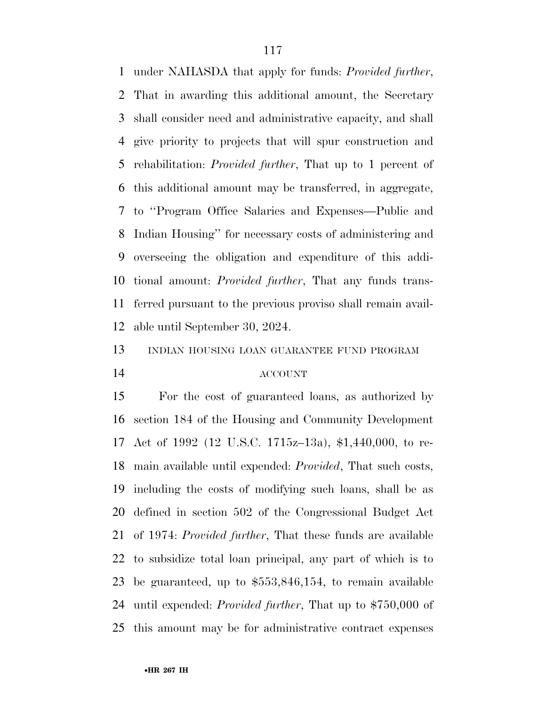under NAHASDA that apply for funds: *Provided further*, That in awarding this additional amount, the Secretary shall consider need and administrative capacity, and shall give priority to projects that will spur construction and rehabilitation: *Provided further*, That up to 1 percent of this additional amount may be transferred, in aggregate, to ''Program Office Salaries and Expenses—Public and Indian Housing'' for necessary costs of administering and overseeing the obligation and expenditure of this addi- tional amount: *Provided further*, That any funds trans- ferred pursuant to the previous proviso shall remain avail-able until September 30, 2024.

INDIAN HOUSING LOAN GUARANTEE FUND PROGRAM

### ACCOUNT

 For the cost of guaranteed loans, as authorized by section 184 of the Housing and Community Development Act of 1992 (12 U.S.C. 1715z–13a), \$1,440,000, to re- main available until expended: *Provided*, That such costs, including the costs of modifying such loans, shall be as defined in section 502 of the Congressional Budget Act of 1974: *Provided further*, That these funds are available to subsidize total loan principal, any part of which is to be guaranteed, up to \$553,846,154, to remain available until expended: *Provided further*, That up to \$750,000 of this amount may be for administrative contract expenses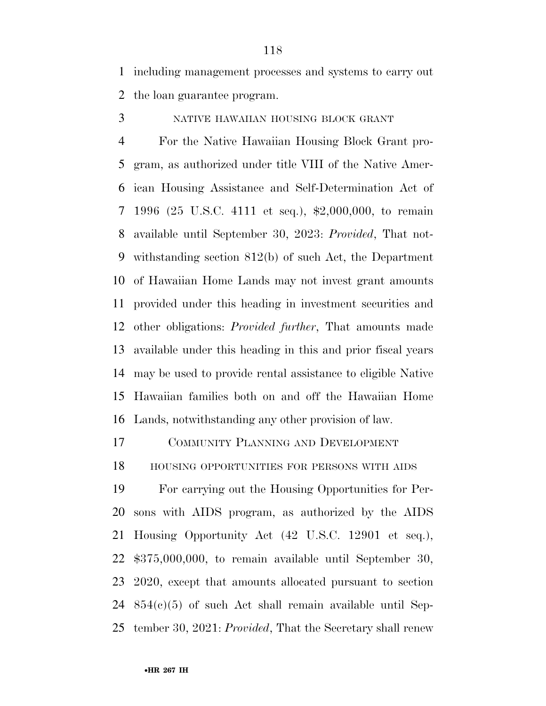including management processes and systems to carry out the loan guarantee program.

NATIVE HAWAIIAN HOUSING BLOCK GRANT

 For the Native Hawaiian Housing Block Grant pro- gram, as authorized under title VIII of the Native Amer- ican Housing Assistance and Self-Determination Act of 1996 (25 U.S.C. 4111 et seq.), \$2,000,000, to remain available until September 30, 2023: *Provided*, That not- withstanding section 812(b) of such Act, the Department of Hawaiian Home Lands may not invest grant amounts provided under this heading in investment securities and other obligations: *Provided further*, That amounts made available under this heading in this and prior fiscal years may be used to provide rental assistance to eligible Native Hawaiian families both on and off the Hawaiian Home Lands, notwithstanding any other provision of law.

COMMUNITY PLANNING AND DEVELOPMENT

HOUSING OPPORTUNITIES FOR PERSONS WITH AIDS

 For carrying out the Housing Opportunities for Per- sons with AIDS program, as authorized by the AIDS Housing Opportunity Act (42 U.S.C. 12901 et seq.), \$375,000,000, to remain available until September 30, 2020, except that amounts allocated pursuant to section 854(c)(5) of such Act shall remain available until Sep-tember 30, 2021: *Provided*, That the Secretary shall renew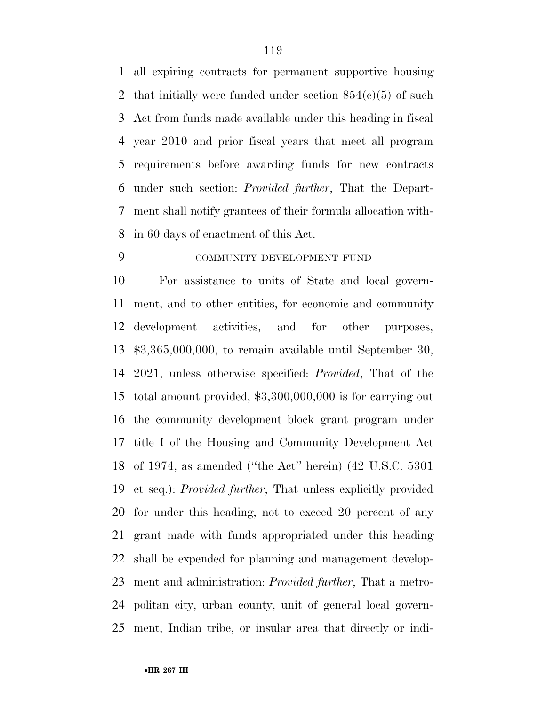all expiring contracts for permanent supportive housing 2 that initially were funded under section  $854(c)(5)$  of such Act from funds made available under this heading in fiscal year 2010 and prior fiscal years that meet all program requirements before awarding funds for new contracts under such section: *Provided further*, That the Depart- ment shall notify grantees of their formula allocation with-in 60 days of enactment of this Act.

# COMMUNITY DEVELOPMENT FUND

 For assistance to units of State and local govern- ment, and to other entities, for economic and community development activities, and for other purposes, \$3,365,000,000, to remain available until September 30, 2021, unless otherwise specified: *Provided*, That of the total amount provided, \$3,300,000,000 is for carrying out the community development block grant program under title I of the Housing and Community Development Act of 1974, as amended (''the Act'' herein) (42 U.S.C. 5301 et seq.): *Provided further*, That unless explicitly provided for under this heading, not to exceed 20 percent of any grant made with funds appropriated under this heading shall be expended for planning and management develop- ment and administration: *Provided further*, That a metro- politan city, urban county, unit of general local govern-ment, Indian tribe, or insular area that directly or indi-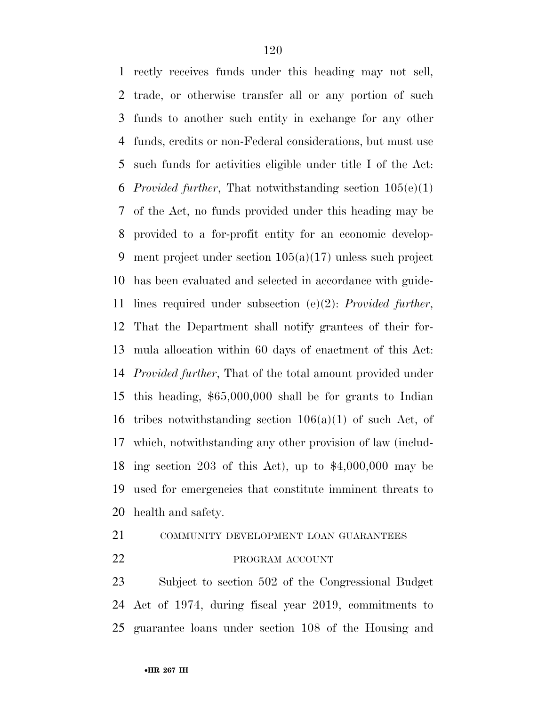rectly receives funds under this heading may not sell, trade, or otherwise transfer all or any portion of such funds to another such entity in exchange for any other funds, credits or non-Federal considerations, but must use such funds for activities eligible under title I of the Act: *Provided further*, That notwithstanding section 105(e)(1) of the Act, no funds provided under this heading may be provided to a for-profit entity for an economic develop- ment project under section 105(a)(17) unless such project has been evaluated and selected in accordance with guide- lines required under subsection (e)(2): *Provided further*, That the Department shall notify grantees of their for- mula allocation within 60 days of enactment of this Act: *Provided further*, That of the total amount provided under this heading, \$65,000,000 shall be for grants to Indian 16 tribes notwithstanding section  $106(a)(1)$  of such Act, of which, notwithstanding any other provision of law (includ- ing section 203 of this Act), up to \$4,000,000 may be used for emergencies that constitute imminent threats to health and safety.

21 COMMUNITY DEVELOPMENT LOAN GUARANTEES

# 22 PROGRAM ACCOUNT

 Subject to section 502 of the Congressional Budget Act of 1974, during fiscal year 2019, commitments to guarantee loans under section 108 of the Housing and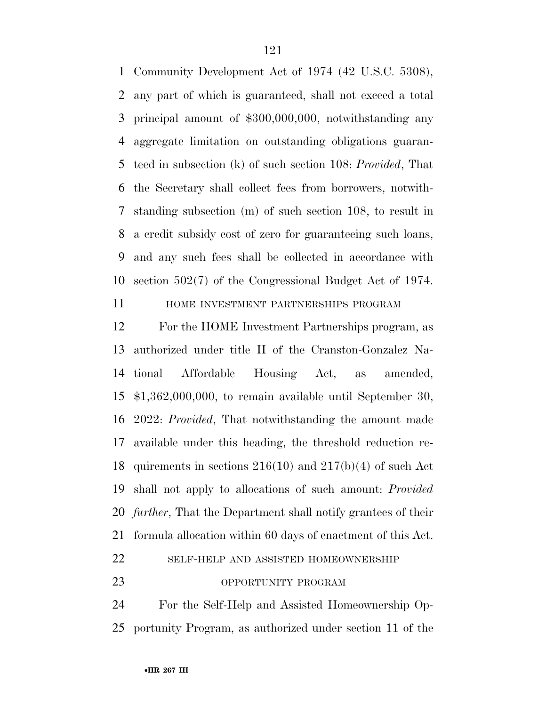Community Development Act of 1974 (42 U.S.C. 5308), any part of which is guaranteed, shall not exceed a total principal amount of \$300,000,000, notwithstanding any aggregate limitation on outstanding obligations guaran- teed in subsection (k) of such section 108: *Provided*, That the Secretary shall collect fees from borrowers, notwith- standing subsection (m) of such section 108, to result in a credit subsidy cost of zero for guaranteeing such loans, and any such fees shall be collected in accordance with section 502(7) of the Congressional Budget Act of 1974.

HOME INVESTMENT PARTNERSHIPS PROGRAM

 For the HOME Investment Partnerships program, as authorized under title II of the Cranston-Gonzalez Na- tional Affordable Housing Act, as amended, \$1,362,000,000, to remain available until September 30, 2022: *Provided*, That notwithstanding the amount made available under this heading, the threshold reduction re- quirements in sections 216(10) and 217(b)(4) of such Act shall not apply to allocations of such amount: *Provided further*, That the Department shall notify grantees of their formula allocation within 60 days of enactment of this Act. SELF-HELP AND ASSISTED HOMEOWNERSHIP

#### OPPORTUNITY PROGRAM

 For the Self-Help and Assisted Homeownership Op-portunity Program, as authorized under section 11 of the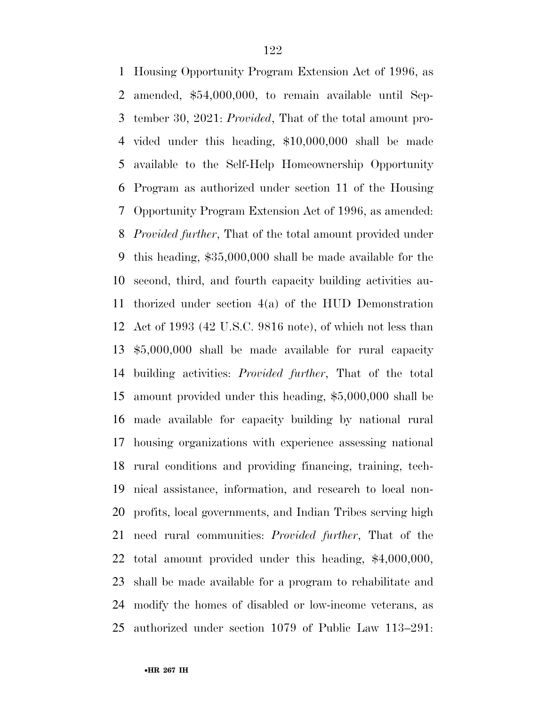Housing Opportunity Program Extension Act of 1996, as amended, \$54,000,000, to remain available until Sep- tember 30, 2021: *Provided*, That of the total amount pro- vided under this heading, \$10,000,000 shall be made available to the Self-Help Homeownership Opportunity Program as authorized under section 11 of the Housing Opportunity Program Extension Act of 1996, as amended: *Provided further*, That of the total amount provided under this heading, \$35,000,000 shall be made available for the second, third, and fourth capacity building activities au- thorized under section 4(a) of the HUD Demonstration Act of 1993 (42 U.S.C. 9816 note), of which not less than \$5,000,000 shall be made available for rural capacity building activities: *Provided further*, That of the total amount provided under this heading, \$5,000,000 shall be made available for capacity building by national rural housing organizations with experience assessing national rural conditions and providing financing, training, tech- nical assistance, information, and research to local non- profits, local governments, and Indian Tribes serving high need rural communities: *Provided further*, That of the total amount provided under this heading, \$4,000,000, shall be made available for a program to rehabilitate and modify the homes of disabled or low-income veterans, as authorized under section 1079 of Public Law 113–291: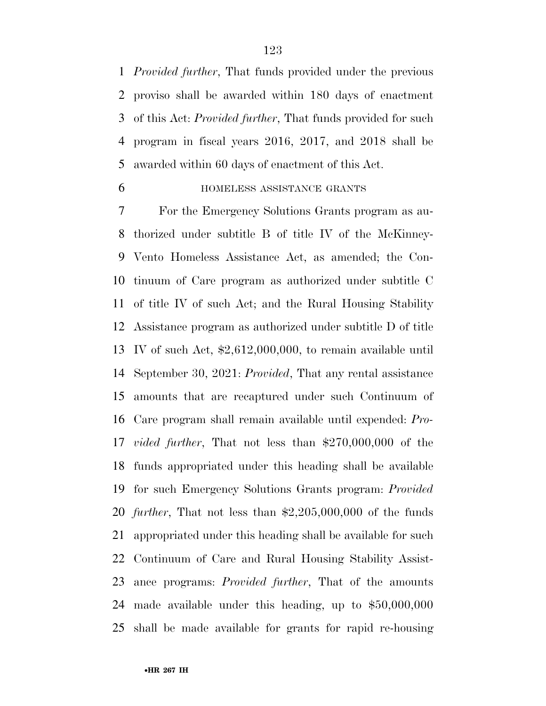*Provided further*, That funds provided under the previous proviso shall be awarded within 180 days of enactment of this Act: *Provided further*, That funds provided for such program in fiscal years 2016, 2017, and 2018 shall be awarded within 60 days of enactment of this Act.

# HOMELESS ASSISTANCE GRANTS

 For the Emergency Solutions Grants program as au- thorized under subtitle B of title IV of the McKinney- Vento Homeless Assistance Act, as amended; the Con- tinuum of Care program as authorized under subtitle C of title IV of such Act; and the Rural Housing Stability Assistance program as authorized under subtitle D of title IV of such Act, \$2,612,000,000, to remain available until September 30, 2021: *Provided*, That any rental assistance amounts that are recaptured under such Continuum of Care program shall remain available until expended: *Pro- vided further*, That not less than \$270,000,000 of the funds appropriated under this heading shall be available for such Emergency Solutions Grants program: *Provided further*, That not less than \$2,205,000,000 of the funds appropriated under this heading shall be available for such Continuum of Care and Rural Housing Stability Assist- ance programs: *Provided further*, That of the amounts made available under this heading, up to \$50,000,000 shall be made available for grants for rapid re-housing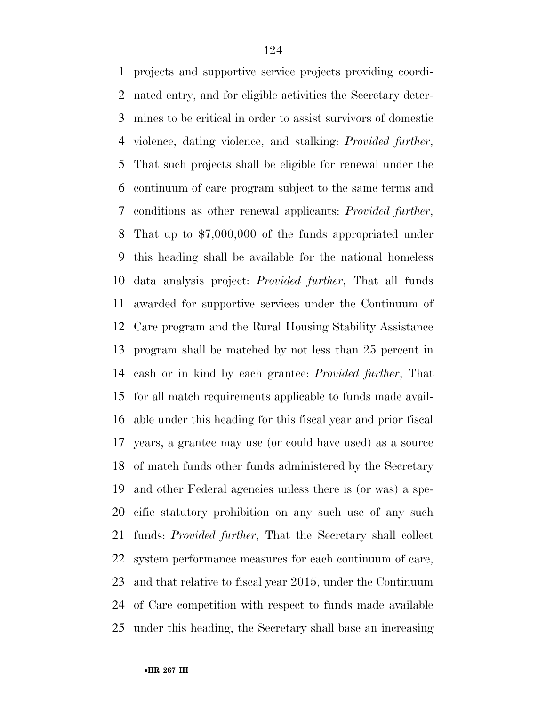projects and supportive service projects providing coordi- nated entry, and for eligible activities the Secretary deter- mines to be critical in order to assist survivors of domestic violence, dating violence, and stalking: *Provided further*, That such projects shall be eligible for renewal under the continuum of care program subject to the same terms and conditions as other renewal applicants: *Provided further*, That up to \$7,000,000 of the funds appropriated under this heading shall be available for the national homeless data analysis project: *Provided further*, That all funds awarded for supportive services under the Continuum of Care program and the Rural Housing Stability Assistance program shall be matched by not less than 25 percent in cash or in kind by each grantee: *Provided further*, That for all match requirements applicable to funds made avail- able under this heading for this fiscal year and prior fiscal years, a grantee may use (or could have used) as a source of match funds other funds administered by the Secretary and other Federal agencies unless there is (or was) a spe- cific statutory prohibition on any such use of any such funds: *Provided further*, That the Secretary shall collect system performance measures for each continuum of care, and that relative to fiscal year 2015, under the Continuum of Care competition with respect to funds made available under this heading, the Secretary shall base an increasing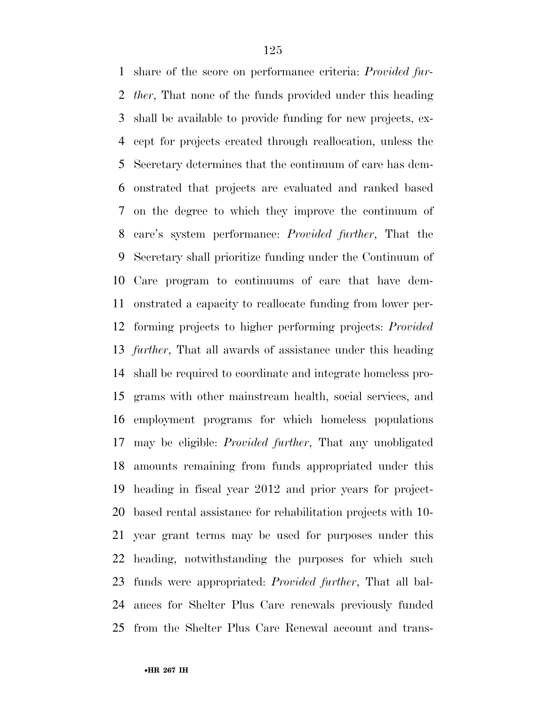share of the score on performance criteria: *Provided fur- ther*, That none of the funds provided under this heading shall be available to provide funding for new projects, ex- cept for projects created through reallocation, unless the Secretary determines that the continuum of care has dem- onstrated that projects are evaluated and ranked based on the degree to which they improve the continuum of care's system performance: *Provided further*, That the Secretary shall prioritize funding under the Continuum of Care program to continuums of care that have dem- onstrated a capacity to reallocate funding from lower per- forming projects to higher performing projects: *Provided further*, That all awards of assistance under this heading shall be required to coordinate and integrate homeless pro- grams with other mainstream health, social services, and employment programs for which homeless populations may be eligible: *Provided further*, That any unobligated amounts remaining from funds appropriated under this heading in fiscal year 2012 and prior years for project- based rental assistance for rehabilitation projects with 10- year grant terms may be used for purposes under this heading, notwithstanding the purposes for which such funds were appropriated: *Provided further*, That all bal- ances for Shelter Plus Care renewals previously funded from the Shelter Plus Care Renewal account and trans-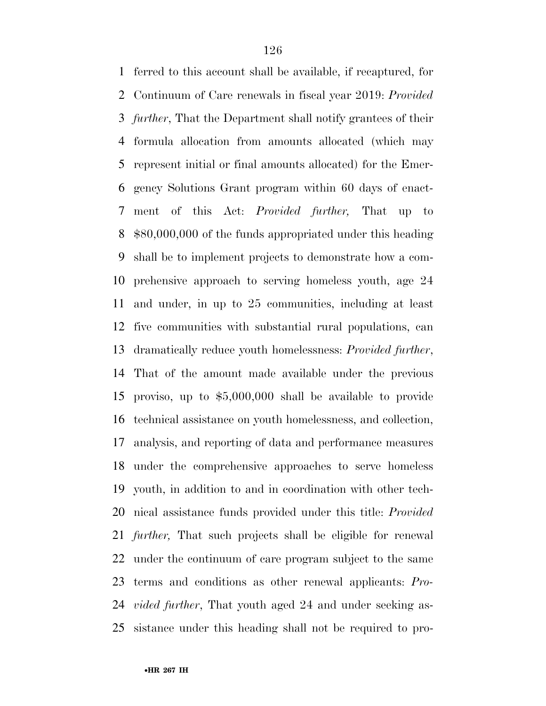ferred to this account shall be available, if recaptured, for Continuum of Care renewals in fiscal year 2019: *Provided further*, That the Department shall notify grantees of their formula allocation from amounts allocated (which may represent initial or final amounts allocated) for the Emer- gency Solutions Grant program within 60 days of enact- ment of this Act: *Provided further,* That up to \$80,000,000 of the funds appropriated under this heading shall be to implement projects to demonstrate how a com- prehensive approach to serving homeless youth, age 24 and under, in up to 25 communities, including at least five communities with substantial rural populations, can dramatically reduce youth homelessness: *Provided further*, That of the amount made available under the previous proviso, up to \$5,000,000 shall be available to provide technical assistance on youth homelessness, and collection, analysis, and reporting of data and performance measures under the comprehensive approaches to serve homeless youth, in addition to and in coordination with other tech- nical assistance funds provided under this title: *Provided further,* That such projects shall be eligible for renewal under the continuum of care program subject to the same terms and conditions as other renewal applicants: *Pro- vided further*, That youth aged 24 and under seeking as-sistance under this heading shall not be required to pro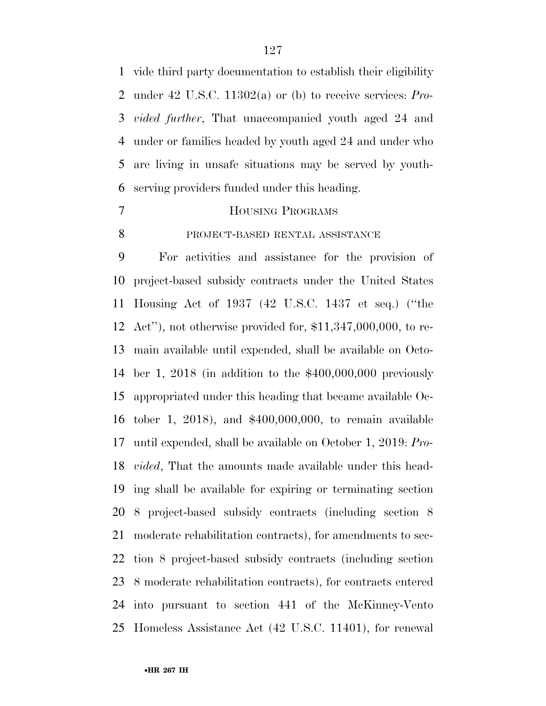vide third party documentation to establish their eligibility under 42 U.S.C. 11302(a) or (b) to receive services: *Pro- vided further*, That unaccompanied youth aged 24 and under or families headed by youth aged 24 and under who are living in unsafe situations may be served by youth-serving providers funded under this heading.

# HOUSING PROGRAMS

8 PROJECT-BASED RENTAL ASSISTANCE

 For activities and assistance for the provision of project-based subsidy contracts under the United States Housing Act of 1937 (42 U.S.C. 1437 et seq.) (''the Act''), not otherwise provided for, \$11,347,000,000, to re- main available until expended, shall be available on Octo- ber 1, 2018 (in addition to the \$400,000,000 previously appropriated under this heading that became available Oc- tober 1, 2018), and \$400,000,000, to remain available until expended, shall be available on October 1, 2019: *Pro- vided*, That the amounts made available under this head- ing shall be available for expiring or terminating section 8 project-based subsidy contracts (including section 8 moderate rehabilitation contracts), for amendments to sec- tion 8 project-based subsidy contracts (including section 8 moderate rehabilitation contracts), for contracts entered into pursuant to section 441 of the McKinney-Vento Homeless Assistance Act (42 U.S.C. 11401), for renewal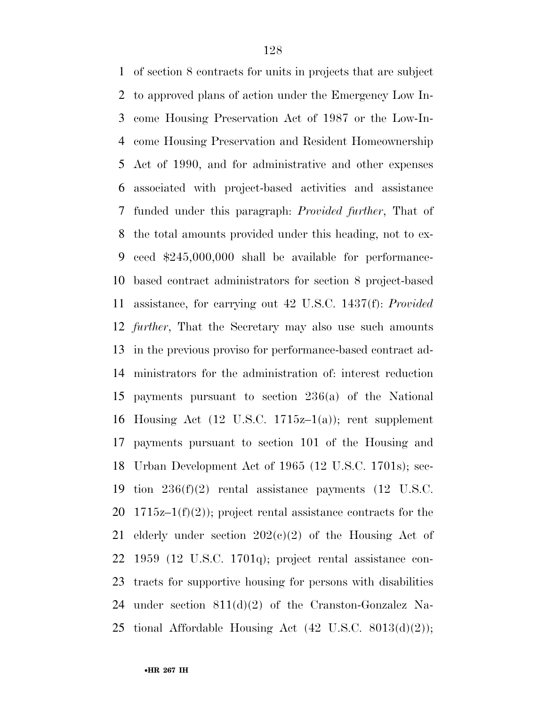of section 8 contracts for units in projects that are subject to approved plans of action under the Emergency Low In- come Housing Preservation Act of 1987 or the Low-In- come Housing Preservation and Resident Homeownership Act of 1990, and for administrative and other expenses associated with project-based activities and assistance funded under this paragraph: *Provided further*, That of the total amounts provided under this heading, not to ex- ceed \$245,000,000 shall be available for performance- based contract administrators for section 8 project-based assistance, for carrying out 42 U.S.C. 1437(f): *Provided further*, That the Secretary may also use such amounts in the previous proviso for performance-based contract ad- ministrators for the administration of: interest reduction payments pursuant to section 236(a) of the National 16 Housing Act  $(12 \text{ U.S.C. } 1715z-1(a))$ ; rent supplement payments pursuant to section 101 of the Housing and Urban Development Act of 1965 (12 U.S.C. 1701s); sec- tion 236(f)(2) rental assistance payments (12 U.S.C. 20 1715 $z-1(f)(2)$ ; project rental assistance contracts for the 21 elderly under section  $202(c)(2)$  of the Housing Act of 1959 (12 U.S.C. 1701q); project rental assistance con- tracts for supportive housing for persons with disabilities under section 811(d)(2) of the Cranston-Gonzalez Na-25 tional Affordable Housing Act  $(42 \text{ U.S.C. } 8013(d)(2));$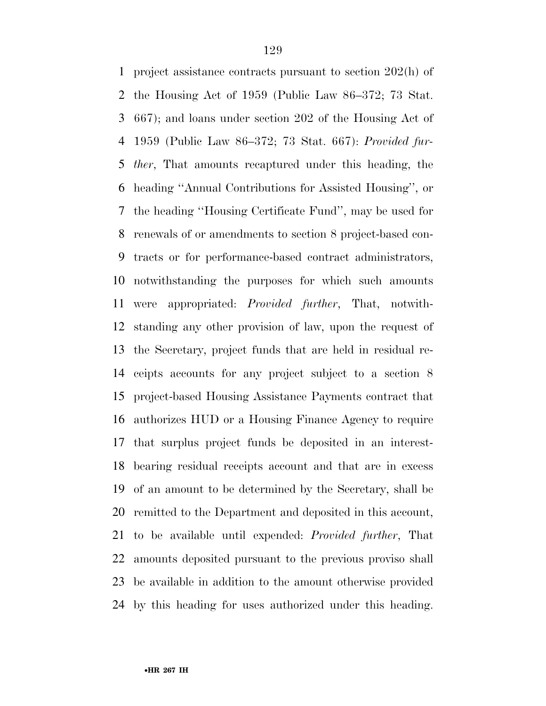project assistance contracts pursuant to section 202(h) of the Housing Act of 1959 (Public Law 86–372; 73 Stat. 667); and loans under section 202 of the Housing Act of 1959 (Public Law 86–372; 73 Stat. 667): *Provided fur- ther*, That amounts recaptured under this heading, the heading ''Annual Contributions for Assisted Housing'', or the heading ''Housing Certificate Fund'', may be used for renewals of or amendments to section 8 project-based con- tracts or for performance-based contract administrators, notwithstanding the purposes for which such amounts were appropriated: *Provided further*, That, notwith- standing any other provision of law, upon the request of the Secretary, project funds that are held in residual re- ceipts accounts for any project subject to a section 8 project-based Housing Assistance Payments contract that authorizes HUD or a Housing Finance Agency to require that surplus project funds be deposited in an interest- bearing residual receipts account and that are in excess of an amount to be determined by the Secretary, shall be remitted to the Department and deposited in this account, to be available until expended: *Provided further*, That amounts deposited pursuant to the previous proviso shall be available in addition to the amount otherwise provided by this heading for uses authorized under this heading.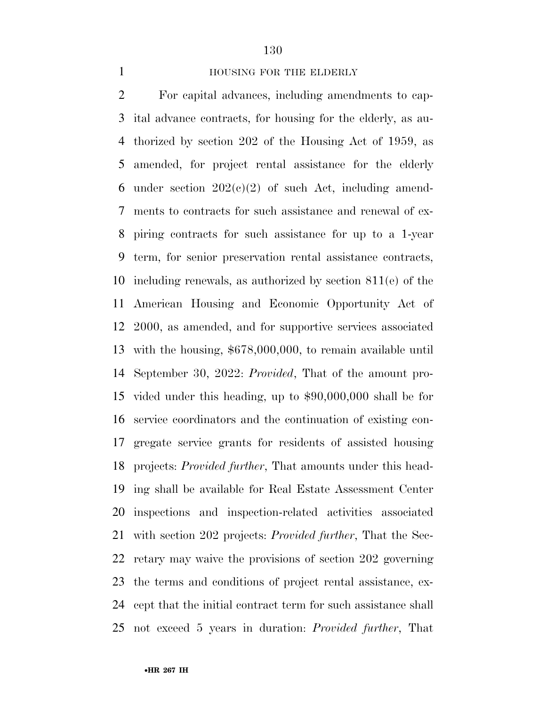#### **HOUSING FOR THE ELDERLY**

 For capital advances, including amendments to cap- ital advance contracts, for housing for the elderly, as au- thorized by section 202 of the Housing Act of 1959, as amended, for project rental assistance for the elderly 6 under section  $202(c)(2)$  of such Act, including amend- ments to contracts for such assistance and renewal of ex- piring contracts for such assistance for up to a 1-year term, for senior preservation rental assistance contracts, including renewals, as authorized by section 811(e) of the American Housing and Economic Opportunity Act of 2000, as amended, and for supportive services associated with the housing, \$678,000,000, to remain available until September 30, 2022: *Provided*, That of the amount pro- vided under this heading, up to \$90,000,000 shall be for service coordinators and the continuation of existing con- gregate service grants for residents of assisted housing projects: *Provided further*, That amounts under this head- ing shall be available for Real Estate Assessment Center inspections and inspection-related activities associated with section 202 projects: *Provided further*, That the Sec- retary may waive the provisions of section 202 governing the terms and conditions of project rental assistance, ex- cept that the initial contract term for such assistance shall not exceed 5 years in duration: *Provided further*, That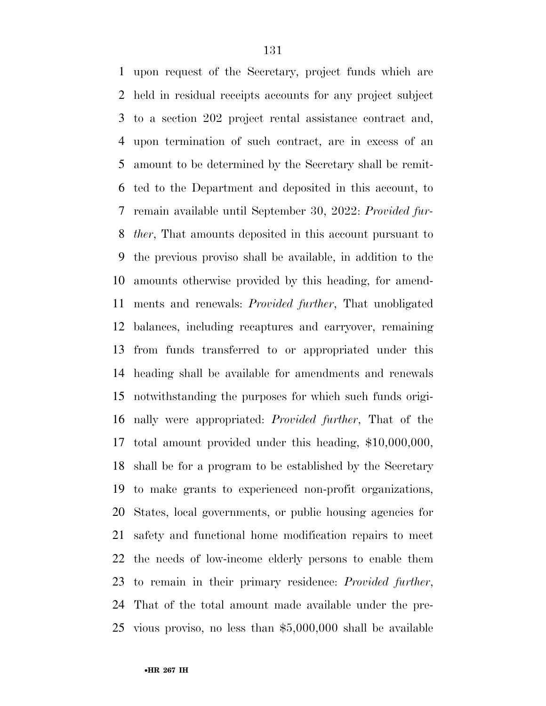upon request of the Secretary, project funds which are held in residual receipts accounts for any project subject to a section 202 project rental assistance contract and, upon termination of such contract, are in excess of an amount to be determined by the Secretary shall be remit- ted to the Department and deposited in this account, to remain available until September 30, 2022: *Provided fur- ther*, That amounts deposited in this account pursuant to the previous proviso shall be available, in addition to the amounts otherwise provided by this heading, for amend- ments and renewals: *Provided further*, That unobligated balances, including recaptures and carryover, remaining from funds transferred to or appropriated under this heading shall be available for amendments and renewals notwithstanding the purposes for which such funds origi- nally were appropriated: *Provided further*, That of the total amount provided under this heading, \$10,000,000, shall be for a program to be established by the Secretary to make grants to experienced non-profit organizations, States, local governments, or public housing agencies for safety and functional home modification repairs to meet the needs of low-income elderly persons to enable them to remain in their primary residence: *Provided further*, That of the total amount made available under the pre-vious proviso, no less than \$5,000,000 shall be available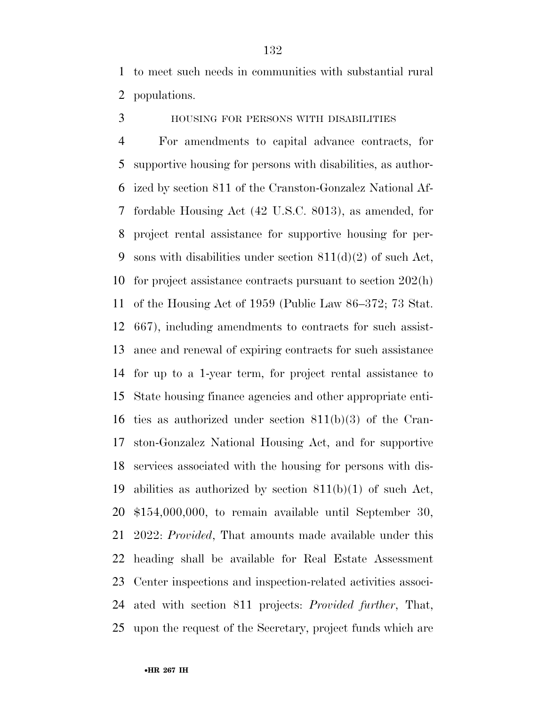to meet such needs in communities with substantial rural populations.

HOUSING FOR PERSONS WITH DISABILITIES

 For amendments to capital advance contracts, for supportive housing for persons with disabilities, as author- ized by section 811 of the Cranston-Gonzalez National Af- fordable Housing Act (42 U.S.C. 8013), as amended, for project rental assistance for supportive housing for per-9 sons with disabilities under section  $811(d)(2)$  of such Act, for project assistance contracts pursuant to section 202(h) of the Housing Act of 1959 (Public Law 86–372; 73 Stat. 667), including amendments to contracts for such assist- ance and renewal of expiring contracts for such assistance for up to a 1-year term, for project rental assistance to State housing finance agencies and other appropriate enti- ties as authorized under section 811(b)(3) of the Cran- ston-Gonzalez National Housing Act, and for supportive services associated with the housing for persons with dis- abilities as authorized by section 811(b)(1) of such Act, \$154,000,000, to remain available until September 30, 2022: *Provided*, That amounts made available under this heading shall be available for Real Estate Assessment Center inspections and inspection-related activities associ- ated with section 811 projects: *Provided further*, That, upon the request of the Secretary, project funds which are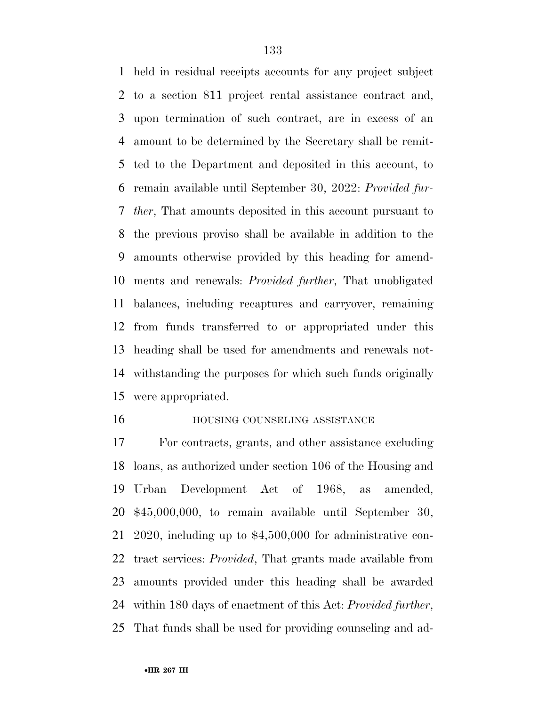held in residual receipts accounts for any project subject to a section 811 project rental assistance contract and, upon termination of such contract, are in excess of an amount to be determined by the Secretary shall be remit- ted to the Department and deposited in this account, to remain available until September 30, 2022: *Provided fur- ther*, That amounts deposited in this account pursuant to the previous proviso shall be available in addition to the amounts otherwise provided by this heading for amend- ments and renewals: *Provided further*, That unobligated balances, including recaptures and carryover, remaining from funds transferred to or appropriated under this heading shall be used for amendments and renewals not- withstanding the purposes for which such funds originally were appropriated.

#### **HOUSING COUNSELING ASSISTANCE**

 For contracts, grants, and other assistance excluding loans, as authorized under section 106 of the Housing and Urban Development Act of 1968, as amended, \$45,000,000, to remain available until September 30, 2020, including up to \$4,500,000 for administrative con- tract services: *Provided*, That grants made available from amounts provided under this heading shall be awarded within 180 days of enactment of this Act: *Provided further*, That funds shall be used for providing counseling and ad-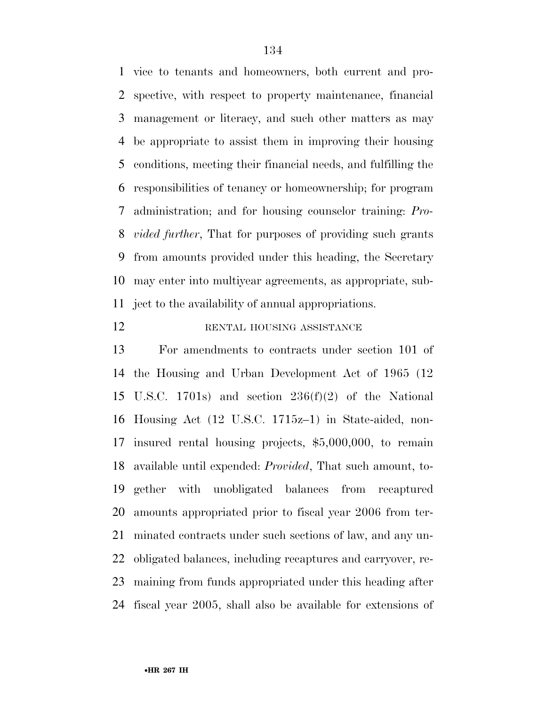vice to tenants and homeowners, both current and pro- spective, with respect to property maintenance, financial management or literacy, and such other matters as may be appropriate to assist them in improving their housing conditions, meeting their financial needs, and fulfilling the responsibilities of tenancy or homeownership; for program administration; and for housing counselor training: *Pro- vided further*, That for purposes of providing such grants from amounts provided under this heading, the Secretary may enter into multiyear agreements, as appropriate, sub-ject to the availability of annual appropriations.

# 12 RENTAL HOUSING ASSISTANCE

 For amendments to contracts under section 101 of the Housing and Urban Development Act of 1965 (12 U.S.C. 1701s) and section 236(f)(2) of the National Housing Act (12 U.S.C. 1715z–1) in State-aided, non- insured rental housing projects, \$5,000,000, to remain available until expended: *Provided*, That such amount, to- gether with unobligated balances from recaptured amounts appropriated prior to fiscal year 2006 from ter- minated contracts under such sections of law, and any un- obligated balances, including recaptures and carryover, re- maining from funds appropriated under this heading after fiscal year 2005, shall also be available for extensions of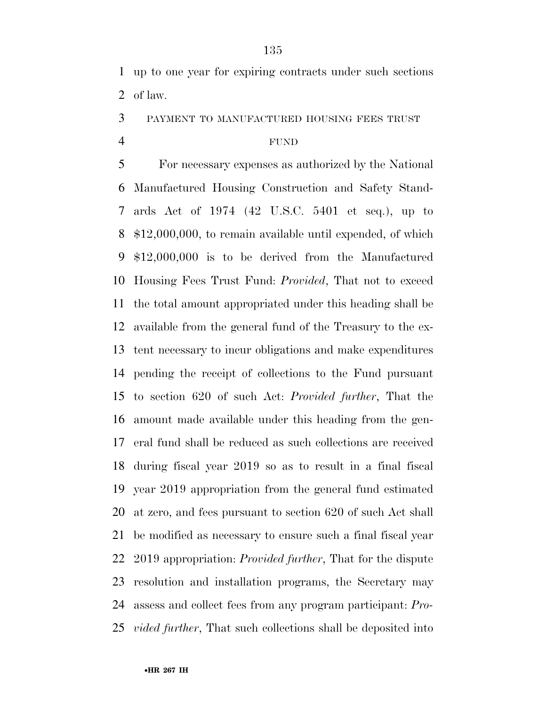up to one year for expiring contracts under such sections of law.

PAYMENT TO MANUFACTURED HOUSING FEES TRUST

#### FUND

 For necessary expenses as authorized by the National Manufactured Housing Construction and Safety Stand- ards Act of 1974 (42 U.S.C. 5401 et seq.), up to \$12,000,000, to remain available until expended, of which \$12,000,000 is to be derived from the Manufactured Housing Fees Trust Fund: *Provided*, That not to exceed the total amount appropriated under this heading shall be available from the general fund of the Treasury to the ex- tent necessary to incur obligations and make expenditures pending the receipt of collections to the Fund pursuant to section 620 of such Act: *Provided further*, That the amount made available under this heading from the gen- eral fund shall be reduced as such collections are received during fiscal year 2019 so as to result in a final fiscal year 2019 appropriation from the general fund estimated at zero, and fees pursuant to section 620 of such Act shall be modified as necessary to ensure such a final fiscal year 2019 appropriation: *Provided further*, That for the dispute resolution and installation programs, the Secretary may assess and collect fees from any program participant: *Pro-vided further*, That such collections shall be deposited into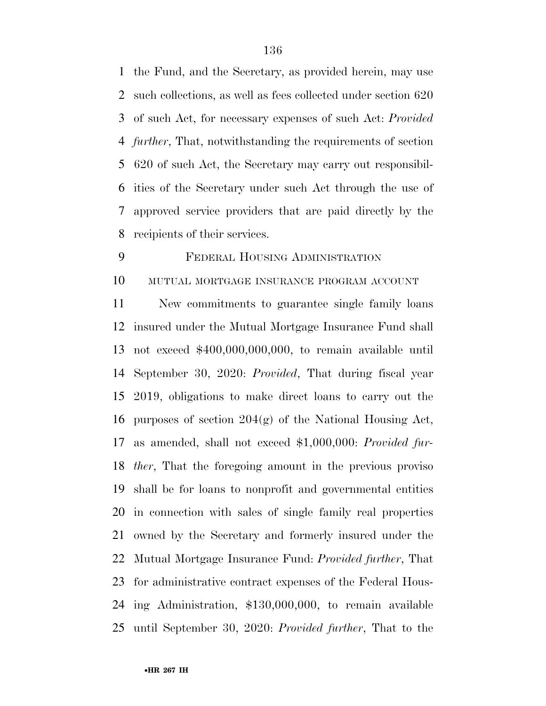the Fund, and the Secretary, as provided herein, may use such collections, as well as fees collected under section 620 of such Act, for necessary expenses of such Act: *Provided further*, That, notwithstanding the requirements of section 620 of such Act, the Secretary may carry out responsibil- ities of the Secretary under such Act through the use of approved service providers that are paid directly by the recipients of their services.

# FEDERAL HOUSING ADMINISTRATION

# MUTUAL MORTGAGE INSURANCE PROGRAM ACCOUNT

 New commitments to guarantee single family loans insured under the Mutual Mortgage Insurance Fund shall not exceed \$400,000,000,000, to remain available until September 30, 2020: *Provided*, That during fiscal year 2019, obligations to make direct loans to carry out the 16 purposes of section  $204(g)$  of the National Housing Act, as amended, shall not exceed \$1,000,000: *Provided fur- ther*, That the foregoing amount in the previous proviso shall be for loans to nonprofit and governmental entities in connection with sales of single family real properties owned by the Secretary and formerly insured under the Mutual Mortgage Insurance Fund: *Provided further*, That for administrative contract expenses of the Federal Hous- ing Administration, \$130,000,000, to remain available until September 30, 2020: *Provided further*, That to the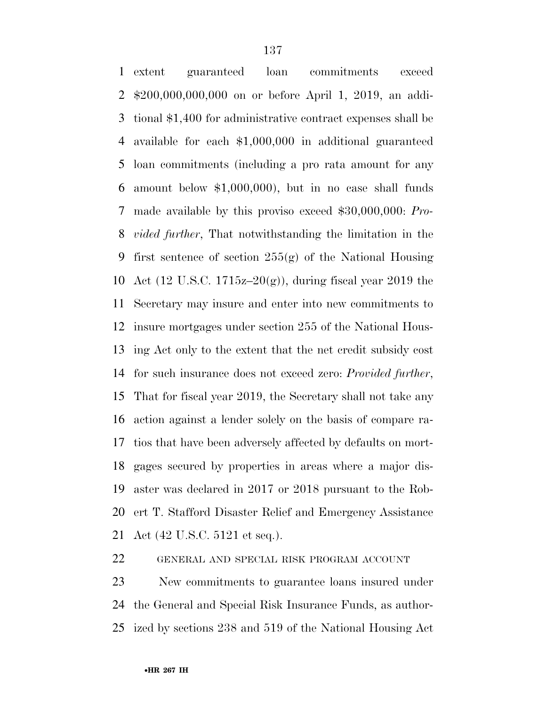extent guaranteed loan commitments exceed \$200,000,000,000 on or before April 1, 2019, an addi- tional \$1,400 for administrative contract expenses shall be available for each \$1,000,000 in additional guaranteed loan commitments (including a pro rata amount for any amount below \$1,000,000), but in no case shall funds made available by this proviso exceed \$30,000,000: *Pro- vided further*, That notwithstanding the limitation in the first sentence of section 255(g) of the National Housing Act (12 U.S.C. 1715z–20(g)), during fiscal year 2019 the Secretary may insure and enter into new commitments to insure mortgages under section 255 of the National Hous- ing Act only to the extent that the net credit subsidy cost for such insurance does not exceed zero: *Provided further*, That for fiscal year 2019, the Secretary shall not take any action against a lender solely on the basis of compare ra- tios that have been adversely affected by defaults on mort- gages secured by properties in areas where a major dis- aster was declared in 2017 or 2018 pursuant to the Rob- ert T. Stafford Disaster Relief and Emergency Assistance Act (42 U.S.C. 5121 et seq.).

GENERAL AND SPECIAL RISK PROGRAM ACCOUNT

 New commitments to guarantee loans insured under the General and Special Risk Insurance Funds, as author-ized by sections 238 and 519 of the National Housing Act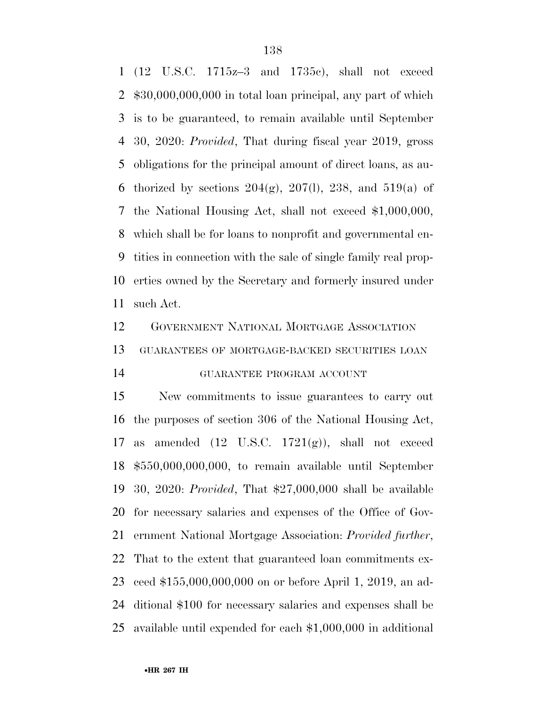(12 U.S.C. 1715z–3 and 1735c), shall not exceed \$30,000,000,000 in total loan principal, any part of which is to be guaranteed, to remain available until September 30, 2020: *Provided*, That during fiscal year 2019, gross obligations for the principal amount of direct loans, as au-6 thorized by sections  $204(g)$ ,  $207(l)$ ,  $238$ , and  $519(a)$  of the National Housing Act, shall not exceed \$1,000,000, which shall be for loans to nonprofit and governmental en- tities in connection with the sale of single family real prop- erties owned by the Secretary and formerly insured under such Act.

 GOVERNMENT NATIONAL MORTGAGE ASSOCIATION GUARANTEES OF MORTGAGE-BACKED SECURITIES LOAN

# GUARANTEE PROGRAM ACCOUNT

 New commitments to issue guarantees to carry out the purposes of section 306 of the National Housing Act, 17 as amended  $(12 \text{ U.S.C. } 1721(g))$ , shall not exceed \$550,000,000,000, to remain available until September 30, 2020: *Provided*, That \$27,000,000 shall be available for necessary salaries and expenses of the Office of Gov- ernment National Mortgage Association: *Provided further*, That to the extent that guaranteed loan commitments ex- ceed \$155,000,000,000 on or before April 1, 2019, an ad- ditional \$100 for necessary salaries and expenses shall be available until expended for each \$1,000,000 in additional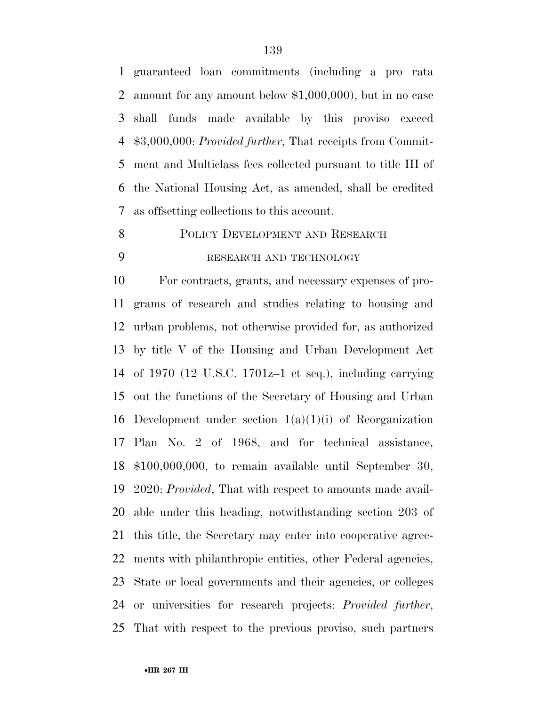guaranteed loan commitments (including a pro rata amount for any amount below \$1,000,000), but in no case shall funds made available by this proviso exceed \$3,000,000: *Provided further*, That receipts from Commit- ment and Multiclass fees collected pursuant to title III of the National Housing Act, as amended, shall be credited as offsetting collections to this account.

8 POLICY DEVELOPMENT AND RESEARCH RESEARCH AND TECHNOLOGY

 For contracts, grants, and necessary expenses of pro- grams of research and studies relating to housing and urban problems, not otherwise provided for, as authorized by title V of the Housing and Urban Development Act of 1970 (12 U.S.C. 1701z–1 et seq.), including carrying out the functions of the Secretary of Housing and Urban 16 Development under section  $1(a)(1)(i)$  of Reorganization Plan No. 2 of 1968, and for technical assistance, \$100,000,000, to remain available until September 30, 2020: *Provided*, That with respect to amounts made avail- able under this heading, notwithstanding section 203 of this title, the Secretary may enter into cooperative agree- ments with philanthropic entities, other Federal agencies, State or local governments and their agencies, or colleges or universities for research projects: *Provided further*, That with respect to the previous proviso, such partners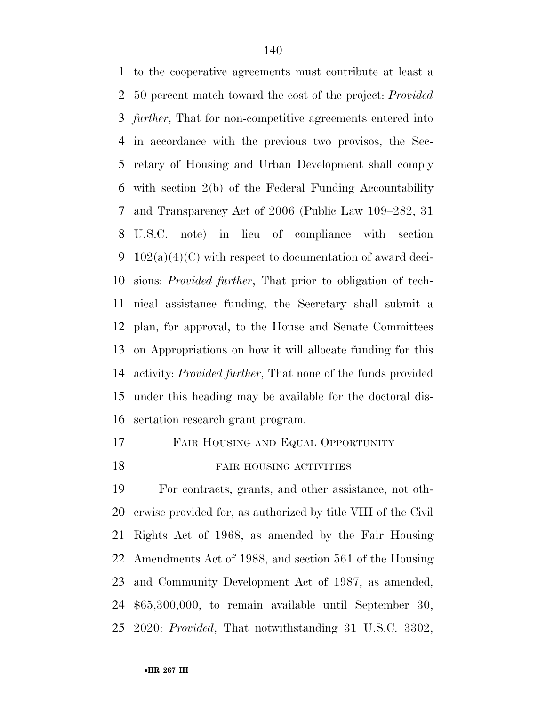to the cooperative agreements must contribute at least a 50 percent match toward the cost of the project: *Provided further*, That for non-competitive agreements entered into in accordance with the previous two provisos, the Sec- retary of Housing and Urban Development shall comply with section 2(b) of the Federal Funding Accountability and Transparency Act of 2006 (Public Law 109–282, 31 U.S.C. note) in lieu of compliance with section  $102(a)(4)(C)$  with respect to documentation of award deci- sions: *Provided further*, That prior to obligation of tech- nical assistance funding, the Secretary shall submit a plan, for approval, to the House and Senate Committees on Appropriations on how it will allocate funding for this activity: *Provided further*, That none of the funds provided under this heading may be available for the doctoral dis-sertation research grant program.

- FAIR HOUSING AND EQUAL OPPORTUNITY
- 

#### 18 FAIR HOUSING ACTIVITIES

 For contracts, grants, and other assistance, not oth- erwise provided for, as authorized by title VIII of the Civil Rights Act of 1968, as amended by the Fair Housing Amendments Act of 1988, and section 561 of the Housing and Community Development Act of 1987, as amended, \$65,300,000, to remain available until September 30, 2020: *Provided*, That notwithstanding 31 U.S.C. 3302,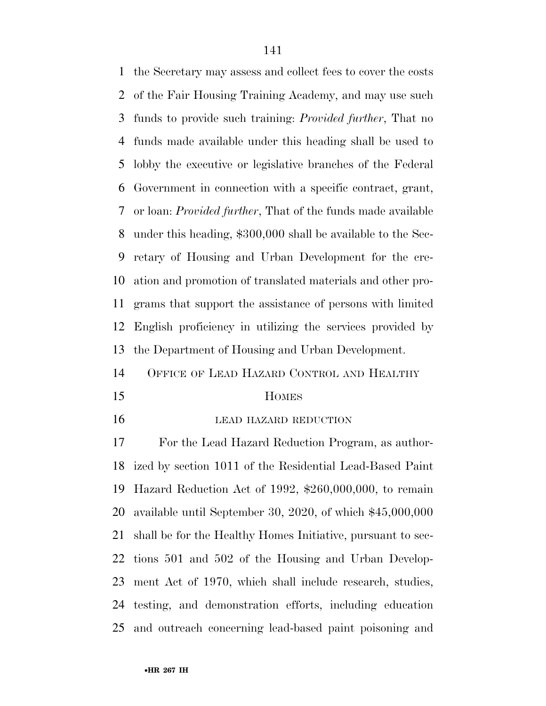the Secretary may assess and collect fees to cover the costs of the Fair Housing Training Academy, and may use such funds to provide such training: *Provided further*, That no funds made available under this heading shall be used to lobby the executive or legislative branches of the Federal Government in connection with a specific contract, grant, or loan: *Provided further*, That of the funds made available under this heading, \$300,000 shall be available to the Sec- retary of Housing and Urban Development for the cre- ation and promotion of translated materials and other pro- grams that support the assistance of persons with limited English proficiency in utilizing the services provided by the Department of Housing and Urban Development.

OFFICE OF LEAD HAZARD CONTROL AND HEALTHY

#### HOMES

**LEAD HAZARD REDUCTION** 

 For the Lead Hazard Reduction Program, as author- ized by section 1011 of the Residential Lead-Based Paint Hazard Reduction Act of 1992, \$260,000,000, to remain available until September 30, 2020, of which \$45,000,000 shall be for the Healthy Homes Initiative, pursuant to sec- tions 501 and 502 of the Housing and Urban Develop- ment Act of 1970, which shall include research, studies, testing, and demonstration efforts, including education and outreach concerning lead-based paint poisoning and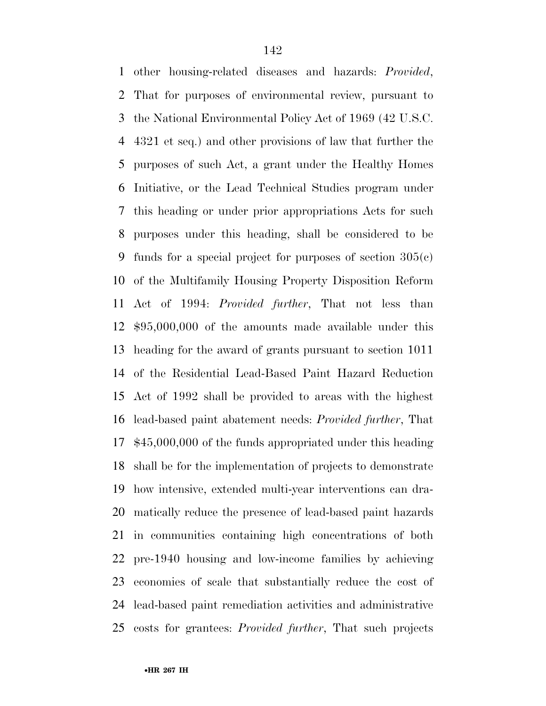other housing-related diseases and hazards: *Provided*, That for purposes of environmental review, pursuant to the National Environmental Policy Act of 1969 (42 U.S.C. 4321 et seq.) and other provisions of law that further the purposes of such Act, a grant under the Healthy Homes Initiative, or the Lead Technical Studies program under this heading or under prior appropriations Acts for such purposes under this heading, shall be considered to be funds for a special project for purposes of section 305(c) of the Multifamily Housing Property Disposition Reform Act of 1994: *Provided further*, That not less than \$95,000,000 of the amounts made available under this heading for the award of grants pursuant to section 1011 of the Residential Lead-Based Paint Hazard Reduction Act of 1992 shall be provided to areas with the highest lead-based paint abatement needs: *Provided further*, That \$45,000,000 of the funds appropriated under this heading shall be for the implementation of projects to demonstrate how intensive, extended multi-year interventions can dra- matically reduce the presence of lead-based paint hazards in communities containing high concentrations of both pre-1940 housing and low-income families by achieving economies of scale that substantially reduce the cost of lead-based paint remediation activities and administrative costs for grantees: *Provided further*, That such projects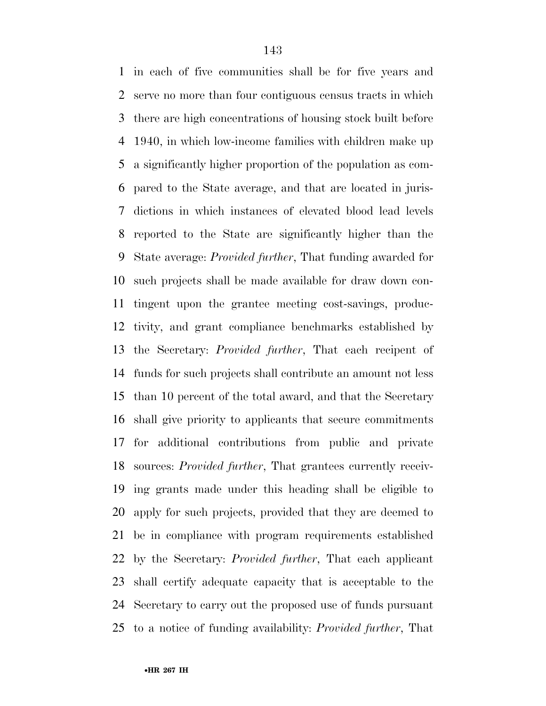in each of five communities shall be for five years and serve no more than four contiguous census tracts in which there are high concentrations of housing stock built before 1940, in which low-income families with children make up a significantly higher proportion of the population as com- pared to the State average, and that are located in juris- dictions in which instances of elevated blood lead levels reported to the State are significantly higher than the State average: *Provided further*, That funding awarded for such projects shall be made available for draw down con- tingent upon the grantee meeting cost-savings, produc- tivity, and grant compliance benchmarks established by the Secretary: *Provided further*, That each recipent of funds for such projects shall contribute an amount not less than 10 percent of the total award, and that the Secretary shall give priority to applicants that secure commitments for additional contributions from public and private sources: *Provided further*, That grantees currently receiv- ing grants made under this heading shall be eligible to apply for such projects, provided that they are deemed to be in compliance with program requirements established by the Secretary: *Provided further*, That each applicant shall certify adequate capacity that is acceptable to the Secretary to carry out the proposed use of funds pursuant to a notice of funding availability: *Provided further*, That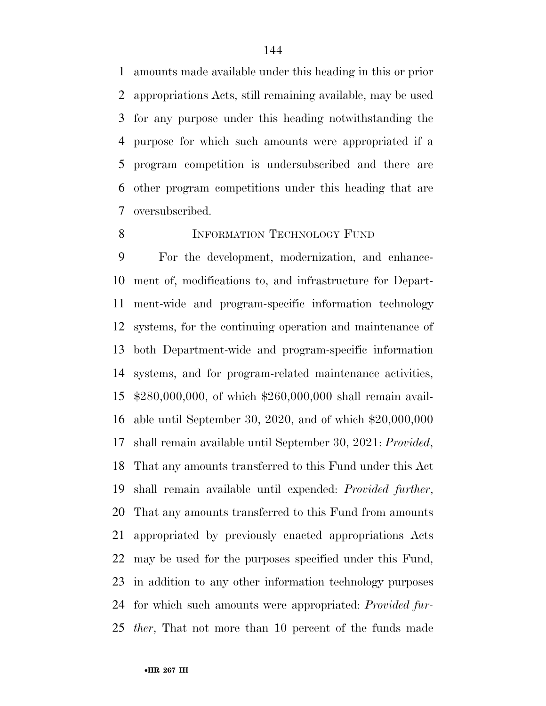amounts made available under this heading in this or prior appropriations Acts, still remaining available, may be used for any purpose under this heading notwithstanding the purpose for which such amounts were appropriated if a program competition is undersubscribed and there are other program competitions under this heading that are oversubscribed.

#### 8 INFORMATION TECHNOLOGY FUND

 For the development, modernization, and enhance- ment of, modifications to, and infrastructure for Depart- ment-wide and program-specific information technology systems, for the continuing operation and maintenance of both Department-wide and program-specific information systems, and for program-related maintenance activities, \$280,000,000, of which \$260,000,000 shall remain avail- able until September 30, 2020, and of which \$20,000,000 shall remain available until September 30, 2021: *Provided*, That any amounts transferred to this Fund under this Act shall remain available until expended: *Provided further*, That any amounts transferred to this Fund from amounts appropriated by previously enacted appropriations Acts may be used for the purposes specified under this Fund, in addition to any other information technology purposes for which such amounts were appropriated: *Provided fur-ther*, That not more than 10 percent of the funds made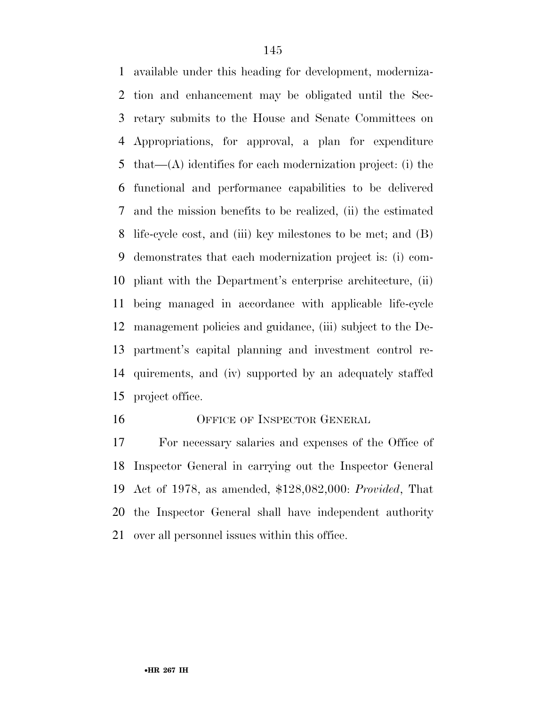available under this heading for development, moderniza- tion and enhancement may be obligated until the Sec- retary submits to the House and Senate Committees on Appropriations, for approval, a plan for expenditure that—(A) identifies for each modernization project: (i) the functional and performance capabilities to be delivered and the mission benefits to be realized, (ii) the estimated life-cycle cost, and (iii) key milestones to be met; and (B) demonstrates that each modernization project is: (i) com- pliant with the Department's enterprise architecture, (ii) being managed in accordance with applicable life-cycle management policies and guidance, (iii) subject to the De- partment's capital planning and investment control re- quirements, and (iv) supported by an adequately staffed project office.

#### 16 OFFICE OF INSPECTOR GENERAL

 For necessary salaries and expenses of the Office of Inspector General in carrying out the Inspector General Act of 1978, as amended, \$128,082,000: *Provided*, That the Inspector General shall have independent authority over all personnel issues within this office.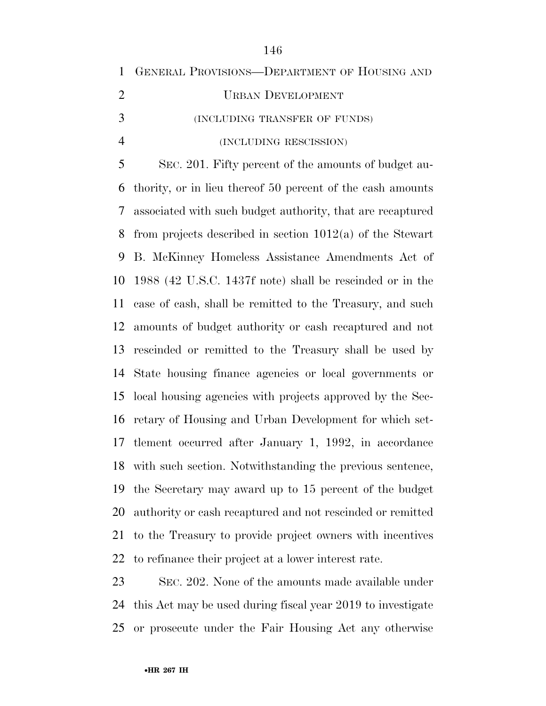| $\mathbf{1}$   | GENERAL PROVISIONS-DEPARTMENT OF HOUSING AND                |
|----------------|-------------------------------------------------------------|
| $\overline{2}$ | <b>URBAN DEVELOPMENT</b>                                    |
| 3              | (INCLUDING TRANSFER OF FUNDS)                               |
| $\overline{4}$ | (INCLUDING RESCISSION)                                      |
| 5              | SEC. 201. Fifty percent of the amounts of budget au-        |
| 6              | thority, or in lieu thereof 50 percent of the cash amounts  |
| 7              | associated with such budget authority, that are recaptured  |
| 8              | from projects described in section $1012(a)$ of the Stewart |
| 9              | B. McKinney Homeless Assistance Amendments Act of           |
| 10             | 1988 (42 U.S.C. 1437f note) shall be rescinded or in the    |
| 11             | case of cash, shall be remitted to the Treasury, and such   |
| 12             | amounts of budget authority or cash recaptured and not      |
| 13             | rescinded or remitted to the Treasury shall be used by      |
| 14             | State housing finance agencies or local governments or      |
| 15             | local housing agencies with projects approved by the Sec-   |
| 16             | retary of Housing and Urban Development for which set-      |
| 17             | tlement occurred after January 1, 1992, in accordance       |
| 18             | with such section. Notwithstanding the previous sentence,   |
| 19             | the Secretary may award up to 15 percent of the budget      |
| 20             | authority or cash recaptured and not rescinded or remitted  |
| 21             | to the Treasury to provide project owners with incentives   |
|                | 22 to refinance their project at a lower interest rate.     |
|                |                                                             |

 SEC. 202. None of the amounts made available under this Act may be used during fiscal year 2019 to investigate or prosecute under the Fair Housing Act any otherwise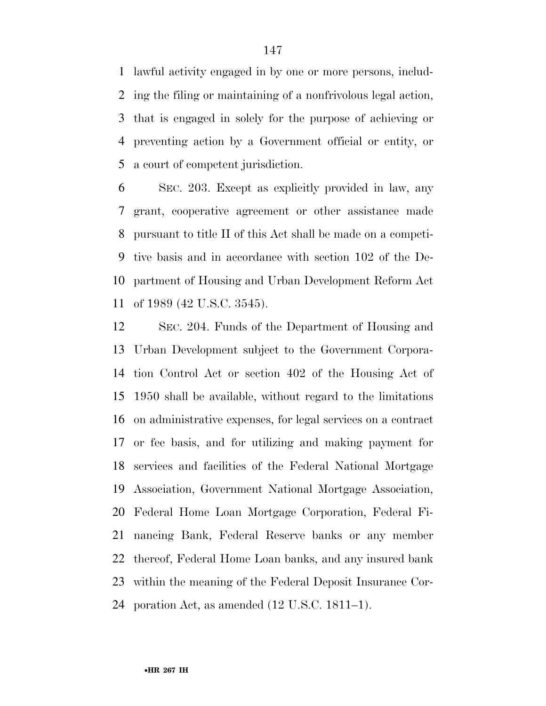lawful activity engaged in by one or more persons, includ- ing the filing or maintaining of a nonfrivolous legal action, that is engaged in solely for the purpose of achieving or preventing action by a Government official or entity, or a court of competent jurisdiction.

 SEC. 203. Except as explicitly provided in law, any grant, cooperative agreement or other assistance made pursuant to title II of this Act shall be made on a competi- tive basis and in accordance with section 102 of the De- partment of Housing and Urban Development Reform Act of 1989 (42 U.S.C. 3545).

 SEC. 204. Funds of the Department of Housing and Urban Development subject to the Government Corpora- tion Control Act or section 402 of the Housing Act of 1950 shall be available, without regard to the limitations on administrative expenses, for legal services on a contract or fee basis, and for utilizing and making payment for services and facilities of the Federal National Mortgage Association, Government National Mortgage Association, Federal Home Loan Mortgage Corporation, Federal Fi- nancing Bank, Federal Reserve banks or any member thereof, Federal Home Loan banks, and any insured bank within the meaning of the Federal Deposit Insurance Cor-poration Act, as amended (12 U.S.C. 1811–1).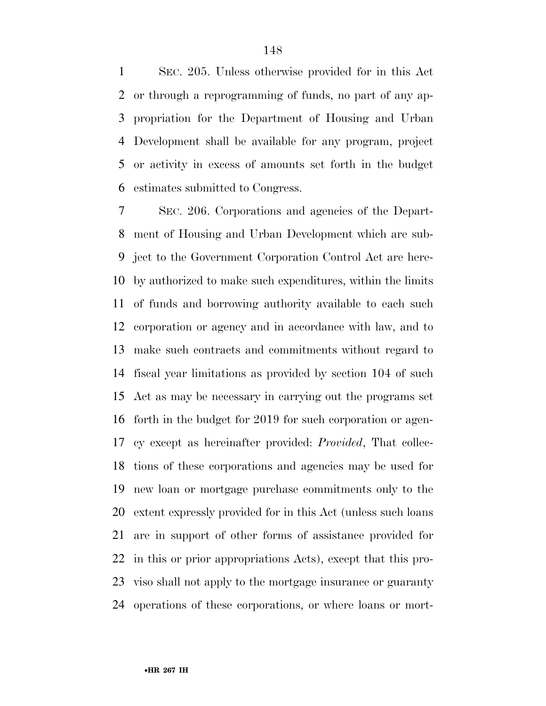SEC. 205. Unless otherwise provided for in this Act or through a reprogramming of funds, no part of any ap- propriation for the Department of Housing and Urban Development shall be available for any program, project or activity in excess of amounts set forth in the budget estimates submitted to Congress.

 SEC. 206. Corporations and agencies of the Depart- ment of Housing and Urban Development which are sub- ject to the Government Corporation Control Act are here- by authorized to make such expenditures, within the limits of funds and borrowing authority available to each such corporation or agency and in accordance with law, and to make such contracts and commitments without regard to fiscal year limitations as provided by section 104 of such Act as may be necessary in carrying out the programs set forth in the budget for 2019 for such corporation or agen- cy except as hereinafter provided: *Provided*, That collec- tions of these corporations and agencies may be used for new loan or mortgage purchase commitments only to the extent expressly provided for in this Act (unless such loans are in support of other forms of assistance provided for in this or prior appropriations Acts), except that this pro- viso shall not apply to the mortgage insurance or guaranty operations of these corporations, or where loans or mort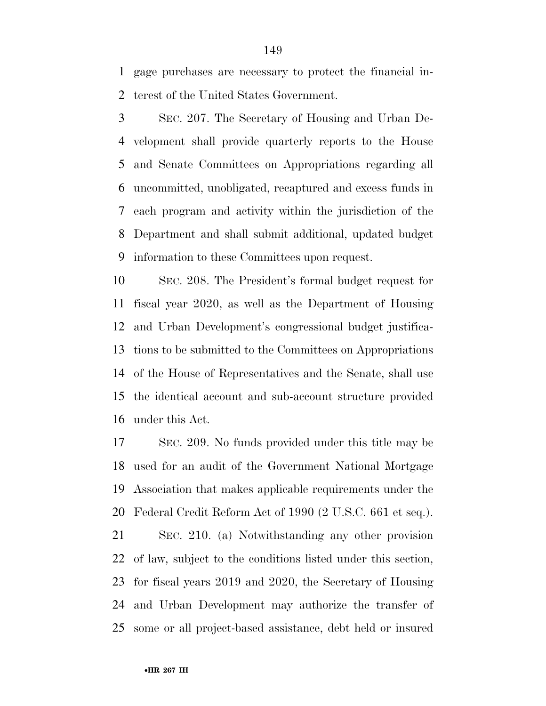gage purchases are necessary to protect the financial in-terest of the United States Government.

 SEC. 207. The Secretary of Housing and Urban De- velopment shall provide quarterly reports to the House and Senate Committees on Appropriations regarding all uncommitted, unobligated, recaptured and excess funds in each program and activity within the jurisdiction of the Department and shall submit additional, updated budget information to these Committees upon request.

 SEC. 208. The President's formal budget request for fiscal year 2020, as well as the Department of Housing and Urban Development's congressional budget justifica- tions to be submitted to the Committees on Appropriations of the House of Representatives and the Senate, shall use the identical account and sub-account structure provided under this Act.

 SEC. 209. No funds provided under this title may be used for an audit of the Government National Mortgage Association that makes applicable requirements under the Federal Credit Reform Act of 1990 (2 U.S.C. 661 et seq.).

 SEC. 210. (a) Notwithstanding any other provision of law, subject to the conditions listed under this section, for fiscal years 2019 and 2020, the Secretary of Housing and Urban Development may authorize the transfer of some or all project-based assistance, debt held or insured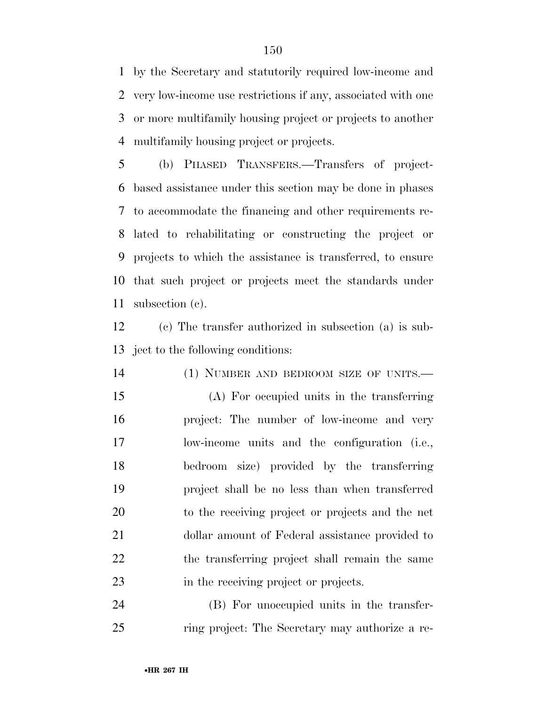by the Secretary and statutorily required low-income and very low-income use restrictions if any, associated with one or more multifamily housing project or projects to another multifamily housing project or projects.

 (b) PHASED TRANSFERS.—Transfers of project- based assistance under this section may be done in phases to accommodate the financing and other requirements re- lated to rehabilitating or constructing the project or projects to which the assistance is transferred, to ensure that such project or projects meet the standards under subsection (c).

 (c) The transfer authorized in subsection (a) is sub-ject to the following conditions:

 (1) NUMBER AND BEDROOM SIZE OF UNITS.— (A) For occupied units in the transferring project: The number of low-income and very low-income units and the configuration (i.e., bedroom size) provided by the transferring project shall be no less than when transferred to the receiving project or projects and the net dollar amount of Federal assistance provided to 22 the transferring project shall remain the same in the receiving project or projects.

 (B) For unoccupied units in the transfer-ring project: The Secretary may authorize a re-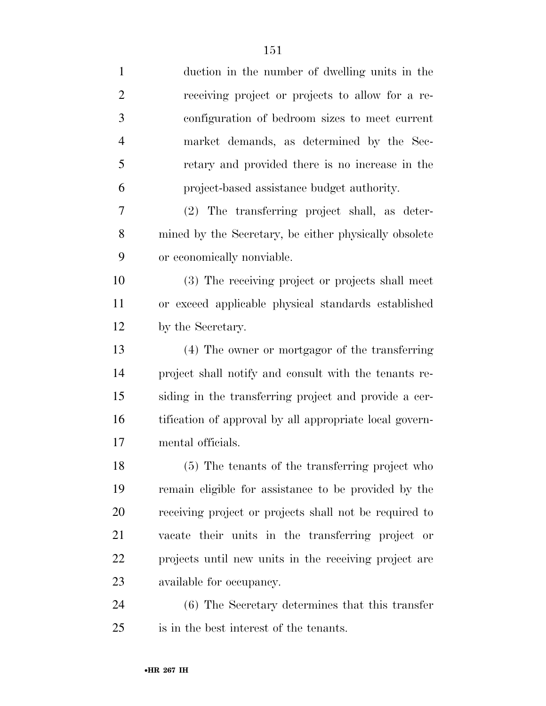| $\mathbf{1}$   | duction in the number of dwelling units in the          |
|----------------|---------------------------------------------------------|
| $\overline{2}$ | receiving project or projects to allow for a re-        |
| 3              | configuration of bedroom sizes to meet current          |
| $\overline{4}$ | market demands, as determined by the Sec-               |
| 5              | retary and provided there is no increase in the         |
| 6              | project-based assistance budget authority.              |
| 7              | (2) The transferring project shall, as deter-           |
| 8              | mined by the Secretary, be either physically obsolete   |
| 9              | or economically nonviable.                              |
| 10             | (3) The receiving project or projects shall meet        |
| 11             | or exceed applicable physical standards established     |
| 12             | by the Secretary.                                       |
| 13             | (4) The owner or mortgagor of the transferring          |
| 14             | project shall notify and consult with the tenants re-   |
| 15             | siding in the transferring project and provide a cer-   |
| 16             | tification of approval by all appropriate local govern- |
| 17             | mental officials.                                       |
| 18             | (5) The tenants of the transferring project who         |
| 19             | remain eligible for assistance to be provided by the    |
| 20             | receiving project or projects shall not be required to  |
| 21             | vacate their units in the transferring project or       |
| 22             | projects until new units in the receiving project are   |
| 23             | available for occupancy.                                |
| 24             | (6) The Secretary determines that this transfer         |
| 25             | is in the best interest of the tenants.                 |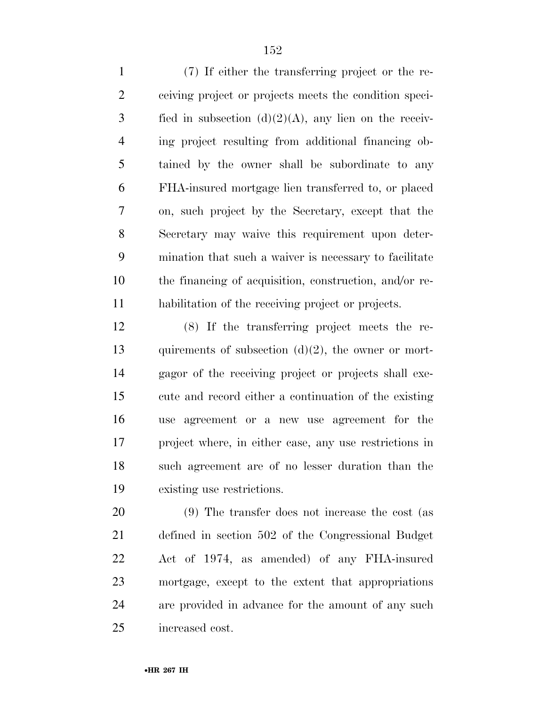(7) If either the transferring project or the re- ceiving project or projects meets the condition speci-3 fied in subsection  $(d)(2)(A)$ , any lien on the receiv- ing project resulting from additional financing ob- tained by the owner shall be subordinate to any FHA-insured mortgage lien transferred to, or placed on, such project by the Secretary, except that the Secretary may waive this requirement upon deter- mination that such a waiver is necessary to facilitate the financing of acquisition, construction, and/or re-habilitation of the receiving project or projects.

 (8) If the transferring project meets the re-13 quirements of subsection  $(d)(2)$ , the owner or mort- gagor of the receiving project or projects shall exe- cute and record either a continuation of the existing use agreement or a new use agreement for the project where, in either case, any use restrictions in such agreement are of no lesser duration than the existing use restrictions.

 (9) The transfer does not increase the cost (as defined in section 502 of the Congressional Budget Act of 1974, as amended) of any FHA-insured mortgage, except to the extent that appropriations are provided in advance for the amount of any such increased cost.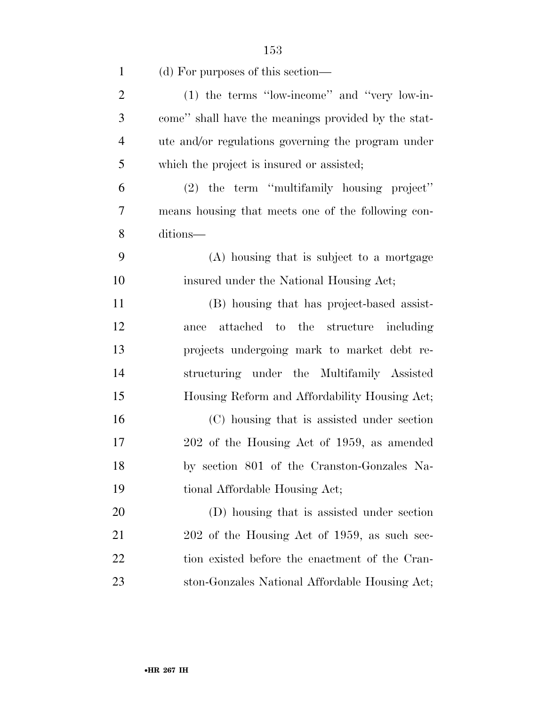| $\mathbf{1}$   | (d) For purposes of this section—                   |
|----------------|-----------------------------------------------------|
| $\overline{2}$ | $(1)$ the terms "low-income" and "very low-in-      |
| 3              | come" shall have the meanings provided by the stat- |
| $\overline{4}$ | ute and/or regulations governing the program under  |
| 5              | which the project is insured or assisted;           |
| 6              | (2) the term "multifamily housing project"          |
| 7              | means housing that meets one of the following con-  |
| 8              | ditions—                                            |
| 9              | (A) housing that is subject to a mortgage           |
| 10             | insured under the National Housing Act;             |
| 11             | (B) housing that has project-based assist-          |
| 12             | ance attached to the structure including            |
| 13             | projects undergoing mark to market debt re-         |
| 14             | structuring under the Multifamily Assisted          |
| 15             | Housing Reform and Affordability Housing Act;       |
| 16             | (C) housing that is assisted under section          |
| 17             | 202 of the Housing Act of 1959, as amended          |
| 18             | by section 801 of the Cranston-Gonzales Na-         |
| 19             | tional Affordable Housing Act;                      |
| <b>20</b>      | (D) housing that is assisted under section          |
| 21             | 202 of the Housing Act of 1959, as such sec-        |
| 22             | tion existed before the enactment of the Cran-      |
| 23             | ston-Gonzales National Affordable Housing Act;      |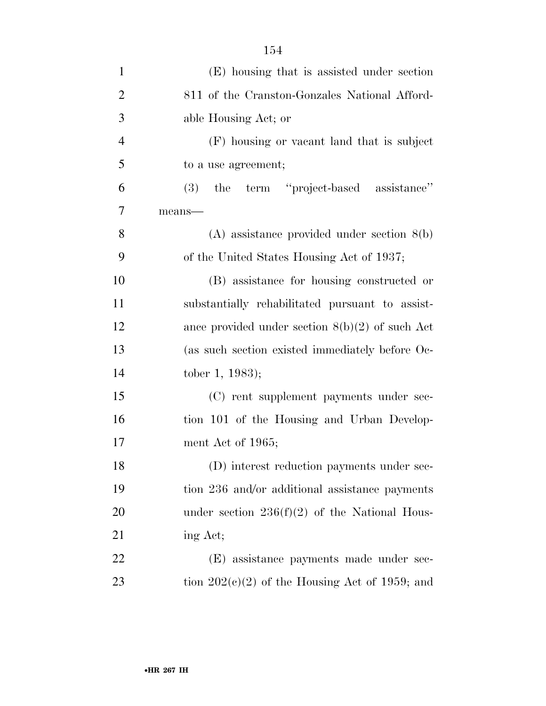| $\mathbf{1}$   | (E) housing that is assisted under section           |
|----------------|------------------------------------------------------|
| $\overline{2}$ | 811 of the Cranston-Gonzales National Afford-        |
| 3              | able Housing Act; or                                 |
| $\overline{4}$ | (F) housing or vacant land that is subject           |
| 5              | to a use agreement;                                  |
| 6              | term "project-based assistance"<br>the<br><b>(3)</b> |
| 7              | $means$ —                                            |
| 8              | $(A)$ assistance provided under section $8(b)$       |
| 9              | of the United States Housing Act of 1937;            |
| 10             | (B) assistance for housing constructed or            |
| 11             | substantially rehabilitated pursuant to assist-      |
| 12             | ance provided under section $8(b)(2)$ of such Act    |
| 13             | (as such section existed immediately before Oc-      |
| 14             | tober 1, 1983);                                      |
| 15             | (C) rent supplement payments under sec-              |
| 16             | tion 101 of the Housing and Urban Develop-           |
| 17             | ment Act of 1965;                                    |
| 18             | (D) interest reduction payments under sec-           |
| 19             | tion 236 and/or additional assistance payments       |
| 20             | under section $236(f)(2)$ of the National Hous-      |
| 21             | ing Act;                                             |
| 22             | (E) assistance payments made under sec-              |
| 23             | tion $202(e)(2)$ of the Housing Act of 1959; and     |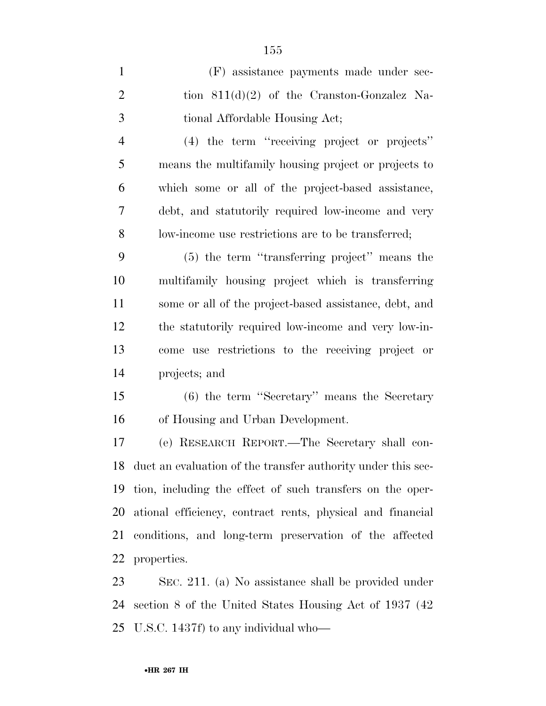| $\mathbf{1}$   | (F) assistance payments made under sec-                         |
|----------------|-----------------------------------------------------------------|
| $\overline{2}$ | tion $811(d)(2)$ of the Cranston-Gonzalez Na-                   |
| 3              | tional Affordable Housing Act;                                  |
| $\overline{4}$ | (4) the term "receiving project or projects"                    |
| 5              | means the multifamily housing project or projects to            |
| 6              | which some or all of the project-based assistance,              |
| 7              | debt, and statutorily required low-income and very              |
| 8              | low-income use restrictions are to be transferred;              |
| 9              | (5) the term "transferring project" means the                   |
| 10             | multifamily housing project which is transferring               |
| 11             | some or all of the project-based assistance, debt, and          |
| 12             | the statutorily required low-income and very low-in-            |
| 13             | come use restrictions to the receiving project or               |
| 14             | projects; and                                                   |
| 15             | $(6)$ the term "Secretary" means the Secretary                  |
| 16             | of Housing and Urban Development.                               |
| 17             | (e) RESEARCH REPORT.—The Secretary shall con-                   |
|                | 18 duct an evaluation of the transfer authority under this sec- |
| 19             | tion, including the effect of such transfers on the oper-       |
| 20             | ational efficiency, contract rents, physical and financial      |
| 21             | conditions, and long-term preservation of the affected          |
|                | 22 properties.                                                  |
| 23             | SEC 211 (a) No assistance shall be provided under               |

 SEC. 211. (a) No assistance shall be provided under section 8 of the United States Housing Act of 1937 (42 U.S.C. 1437f) to any individual who—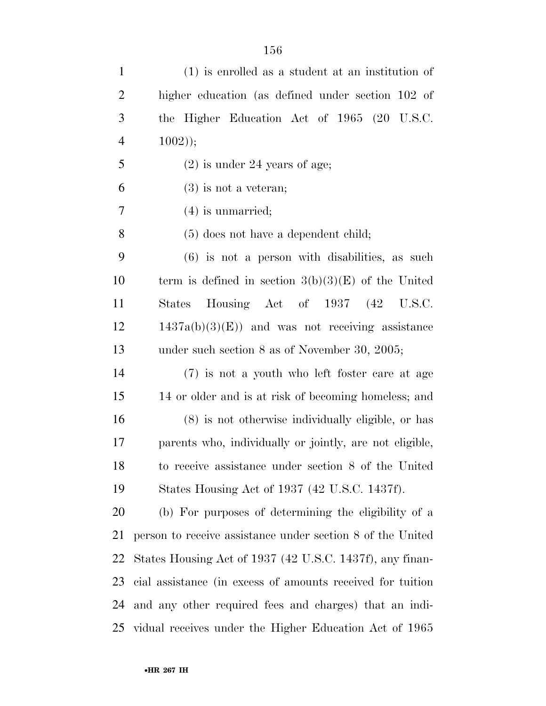| $\mathbf{1}$   | $(1)$ is enrolled as a student at an institution of        |
|----------------|------------------------------------------------------------|
| $\overline{2}$ | higher education (as defined under section 102 of          |
| 3              | the Higher Education Act of 1965 (20 U.S.C.                |
| $\overline{4}$ | $1002$ );                                                  |
| 5              | $(2)$ is under 24 years of age;                            |
| 6              | $(3)$ is not a veteran;                                    |
| 7              | $(4)$ is unmarried;                                        |
| 8              | $(5)$ does not have a dependent child;                     |
| 9              | $(6)$ is not a person with disabilities, as such           |
| 10             | term is defined in section $3(b)(3)(E)$ of the United      |
| 11             | Housing Act of 1937 (42 U.S.C.<br>States                   |
| 12             | $1437a(b)(3)(E)$ and was not receiving assistance          |
| 13             | under such section $8$ as of November 30, 2005;            |
| 14             | (7) is not a youth who left foster care at age             |
| 15             | 14 or older and is at risk of becoming homeless; and       |
| 16             | $(8)$ is not otherwise individually eligible, or has       |
| 17             | parents who, individually or jointly, are not eligible,    |
| 18             | to receive assistance under section 8 of the United        |
| 19             | States Housing Act of 1937 (42 U.S.C. 1437f).              |
| 20             | (b) For purposes of determining the eligibility of a       |
| 21             | person to receive assistance under section 8 of the United |
| 22             | States Housing Act of 1937 (42 U.S.C. 1437f), any finan-   |
| 23             | cial assistance (in excess of amounts received for tuition |
| 24             | and any other required fees and charges) that an indi-     |
|                | 25 vidual receives under the Higher Education Act of 1965  |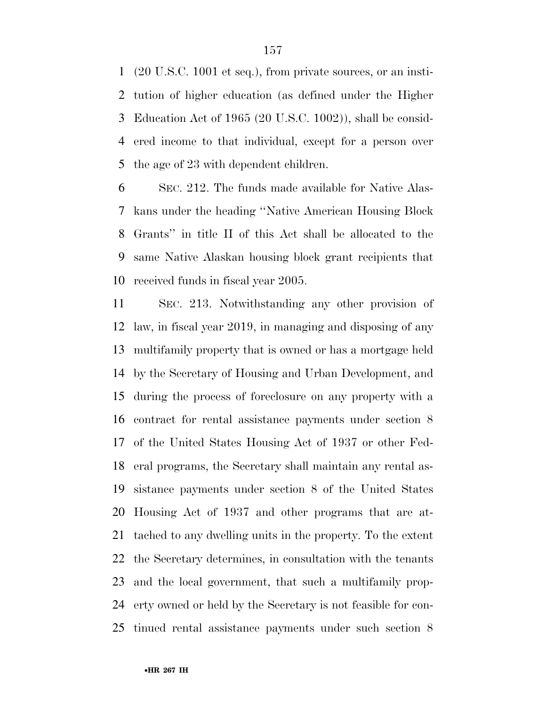(20 U.S.C. 1001 et seq.), from private sources, or an insti- tution of higher education (as defined under the Higher Education Act of 1965 (20 U.S.C. 1002)), shall be consid- ered income to that individual, except for a person over the age of 23 with dependent children.

 SEC. 212. The funds made available for Native Alas- kans under the heading ''Native American Housing Block Grants'' in title II of this Act shall be allocated to the same Native Alaskan housing block grant recipients that received funds in fiscal year 2005.

 SEC. 213. Notwithstanding any other provision of law, in fiscal year 2019, in managing and disposing of any multifamily property that is owned or has a mortgage held by the Secretary of Housing and Urban Development, and during the process of foreclosure on any property with a contract for rental assistance payments under section 8 of the United States Housing Act of 1937 or other Fed- eral programs, the Secretary shall maintain any rental as- sistance payments under section 8 of the United States Housing Act of 1937 and other programs that are at- tached to any dwelling units in the property. To the extent the Secretary determines, in consultation with the tenants and the local government, that such a multifamily prop- erty owned or held by the Secretary is not feasible for con-tinued rental assistance payments under such section 8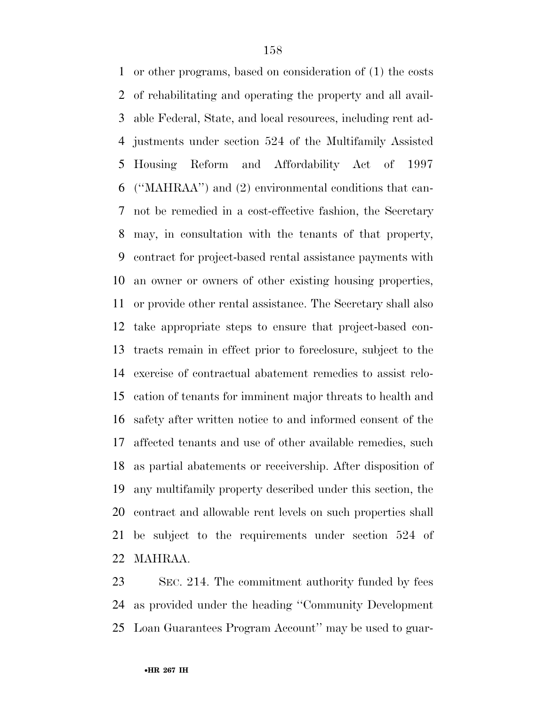or other programs, based on consideration of (1) the costs of rehabilitating and operating the property and all avail- able Federal, State, and local resources, including rent ad- justments under section 524 of the Multifamily Assisted Housing Reform and Affordability Act of 1997 (''MAHRAA'') and (2) environmental conditions that can- not be remedied in a cost-effective fashion, the Secretary may, in consultation with the tenants of that property, contract for project-based rental assistance payments with an owner or owners of other existing housing properties, or provide other rental assistance. The Secretary shall also take appropriate steps to ensure that project-based con- tracts remain in effect prior to foreclosure, subject to the exercise of contractual abatement remedies to assist relo- cation of tenants for imminent major threats to health and safety after written notice to and informed consent of the affected tenants and use of other available remedies, such as partial abatements or receivership. After disposition of any multifamily property described under this section, the contract and allowable rent levels on such properties shall be subject to the requirements under section 524 of MAHRAA.

 SEC. 214. The commitment authority funded by fees as provided under the heading ''Community Development Loan Guarantees Program Account'' may be used to guar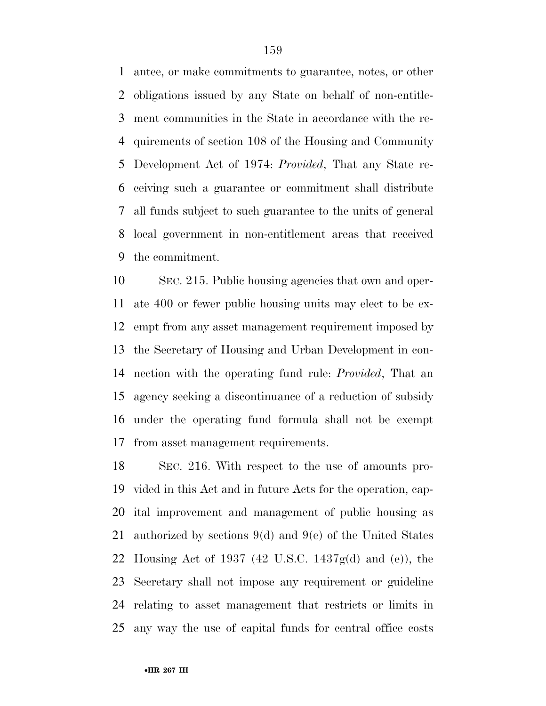antee, or make commitments to guarantee, notes, or other obligations issued by any State on behalf of non-entitle- ment communities in the State in accordance with the re- quirements of section 108 of the Housing and Community Development Act of 1974: *Provided*, That any State re- ceiving such a guarantee or commitment shall distribute all funds subject to such guarantee to the units of general local government in non-entitlement areas that received the commitment.

 SEC. 215. Public housing agencies that own and oper- ate 400 or fewer public housing units may elect to be ex- empt from any asset management requirement imposed by the Secretary of Housing and Urban Development in con- nection with the operating fund rule: *Provided*, That an agency seeking a discontinuance of a reduction of subsidy under the operating fund formula shall not be exempt from asset management requirements.

 SEC. 216. With respect to the use of amounts pro- vided in this Act and in future Acts for the operation, cap- ital improvement and management of public housing as authorized by sections 9(d) and 9(e) of the United States Housing Act of 1937 (42 U.S.C. 1437g(d) and (e)), the Secretary shall not impose any requirement or guideline relating to asset management that restricts or limits in any way the use of capital funds for central office costs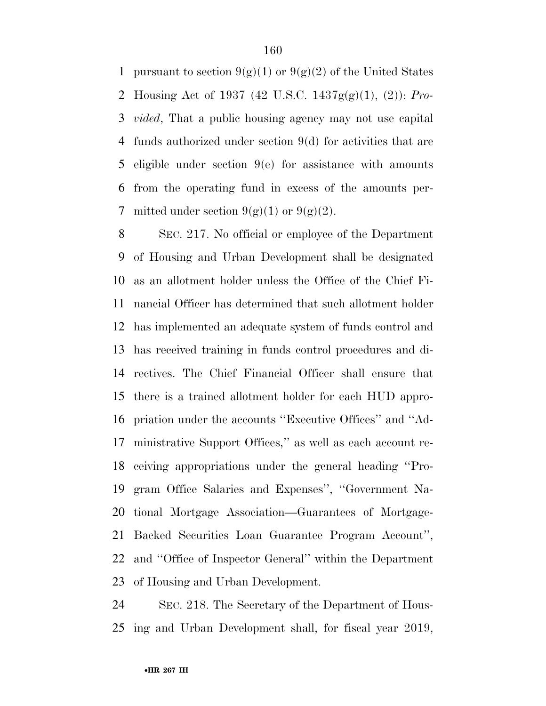1 pursuant to section  $9(g)(1)$  or  $9(g)(2)$  of the United States Housing Act of 1937 (42 U.S.C. 1437g(g)(1), (2)): *Pro- vided*, That a public housing agency may not use capital funds authorized under section 9(d) for activities that are eligible under section 9(e) for assistance with amounts from the operating fund in excess of the amounts per-7 mitted under section  $9(g)(1)$  or  $9(g)(2)$ .

 SEC. 217. No official or employee of the Department of Housing and Urban Development shall be designated as an allotment holder unless the Office of the Chief Fi- nancial Officer has determined that such allotment holder has implemented an adequate system of funds control and has received training in funds control procedures and di- rectives. The Chief Financial Officer shall ensure that there is a trained allotment holder for each HUD appro- priation under the accounts ''Executive Offices'' and ''Ad- ministrative Support Offices,'' as well as each account re- ceiving appropriations under the general heading ''Pro- gram Office Salaries and Expenses'', ''Government Na- tional Mortgage Association—Guarantees of Mortgage- Backed Securities Loan Guarantee Program Account'', and ''Office of Inspector General'' within the Department of Housing and Urban Development.

 SEC. 218. The Secretary of the Department of Hous-ing and Urban Development shall, for fiscal year 2019,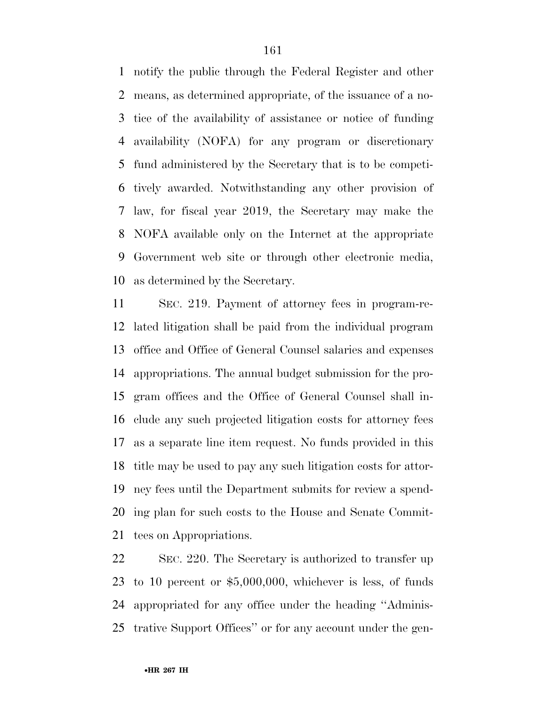notify the public through the Federal Register and other means, as determined appropriate, of the issuance of a no- tice of the availability of assistance or notice of funding availability (NOFA) for any program or discretionary fund administered by the Secretary that is to be competi- tively awarded. Notwithstanding any other provision of law, for fiscal year 2019, the Secretary may make the NOFA available only on the Internet at the appropriate Government web site or through other electronic media, as determined by the Secretary.

 SEC. 219. Payment of attorney fees in program-re- lated litigation shall be paid from the individual program office and Office of General Counsel salaries and expenses appropriations. The annual budget submission for the pro- gram offices and the Office of General Counsel shall in- clude any such projected litigation costs for attorney fees as a separate line item request. No funds provided in this title may be used to pay any such litigation costs for attor- ney fees until the Department submits for review a spend- ing plan for such costs to the House and Senate Commit-tees on Appropriations.

 SEC. 220. The Secretary is authorized to transfer up to 10 percent or \$5,000,000, whichever is less, of funds appropriated for any office under the heading ''Adminis-trative Support Offices'' or for any account under the gen-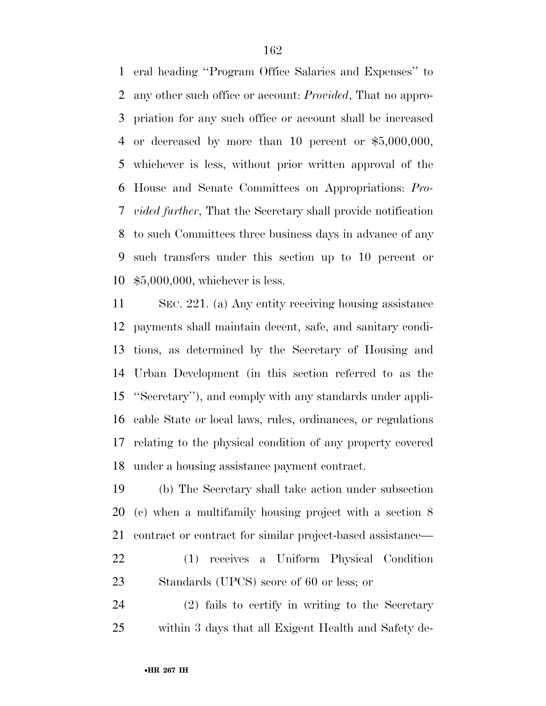eral heading ''Program Office Salaries and Expenses'' to any other such office or account: *Provided*, That no appro- priation for any such office or account shall be increased or decreased by more than 10 percent or \$5,000,000, whichever is less, without prior written approval of the House and Senate Committees on Appropriations: *Pro- vided further*, That the Secretary shall provide notification to such Committees three business days in advance of any such transfers under this section up to 10 percent or \$5,000,000, whichever is less.

 SEC. 221. (a) Any entity receiving housing assistance payments shall maintain decent, safe, and sanitary condi- tions, as determined by the Secretary of Housing and Urban Development (in this section referred to as the ''Secretary''), and comply with any standards under appli- cable State or local laws, rules, ordinances, or regulations relating to the physical condition of any property covered under a housing assistance payment contract.

 (b) The Secretary shall take action under subsection (c) when a multifamily housing project with a section 8 contract or contract for similar project-based assistance—

 (1) receives a Uniform Physical Condition Standards (UPCS) score of 60 or less; or

 (2) fails to certify in writing to the Secretary within 3 days that all Exigent Health and Safety de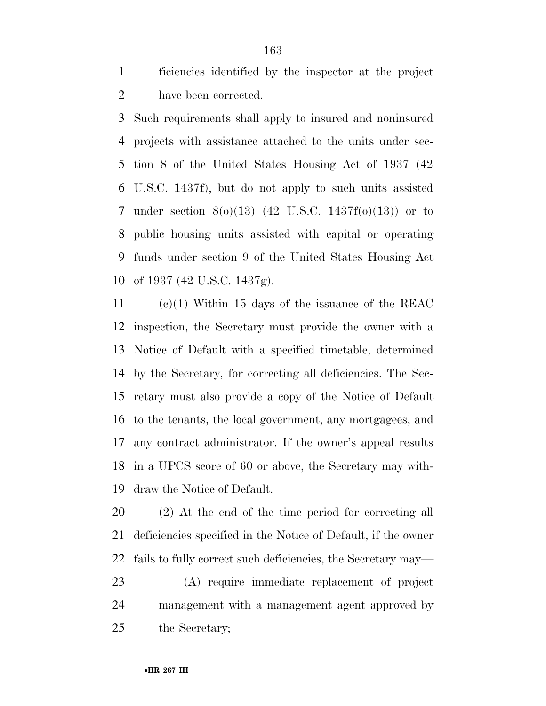ficiencies identified by the inspector at the project have been corrected.

 Such requirements shall apply to insured and noninsured projects with assistance attached to the units under sec- tion 8 of the United States Housing Act of 1937 (42 U.S.C. 1437f), but do not apply to such units assisted under section 8(o)(13) (42 U.S.C. 1437f(o)(13)) or to public housing units assisted with capital or operating funds under section 9 of the United States Housing Act of 1937 (42 U.S.C. 1437g).

 (c)(1) Within 15 days of the issuance of the REAC inspection, the Secretary must provide the owner with a Notice of Default with a specified timetable, determined by the Secretary, for correcting all deficiencies. The Sec- retary must also provide a copy of the Notice of Default to the tenants, the local government, any mortgagees, and any contract administrator. If the owner's appeal results in a UPCS score of 60 or above, the Secretary may with-draw the Notice of Default.

 (2) At the end of the time period for correcting all deficiencies specified in the Notice of Default, if the owner fails to fully correct such deficiencies, the Secretary may—

 (A) require immediate replacement of project management with a management agent approved by the Secretary;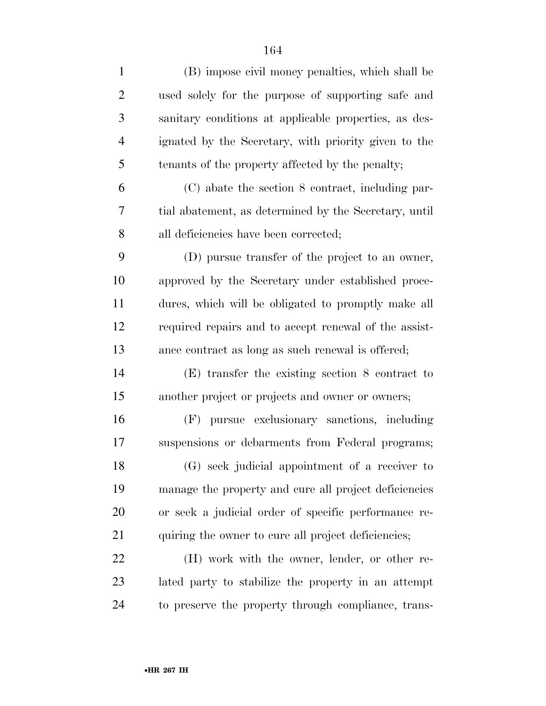| $\mathbf{1}$   | (B) impose civil money penalties, which shall be      |
|----------------|-------------------------------------------------------|
| $\overline{2}$ | used solely for the purpose of supporting safe and    |
| 3              | sanitary conditions at applicable properties, as des- |
| $\overline{4}$ | ignated by the Secretary, with priority given to the  |
| 5              | tenants of the property affected by the penalty;      |
| 6              | (C) abate the section 8 contract, including par-      |
| 7              | tial abatement, as determined by the Secretary, until |
| 8              | all deficiencies have been corrected;                 |
| 9              | (D) pursue transfer of the project to an owner,       |
| 10             | approved by the Secretary under established proce-    |
| 11             | dures, which will be obligated to promptly make all   |
| 12             | required repairs and to accept renewal of the assist- |
| 13             | ance contract as long as such renewal is offered;     |
| 14             | $(E)$ transfer the existing section 8 contract to     |
| 15             | another project or projects and owner or owners;      |
| 16             | (F) pursue exclusionary sanctions, including          |
| 17             | suspensions or debarments from Federal programs;      |
| 18             | (G) seek judicial appointment of a receiver to        |
| 19             | manage the property and cure all project deficiencies |
| 20             | or seek a judicial order of specific performance re-  |
| 21             | quiring the owner to cure all project deficiencies;   |
| 22             | (H) work with the owner, lender, or other re-         |
| 23             | lated party to stabilize the property in an attempt   |
| 24             | to preserve the property through compliance, trans-   |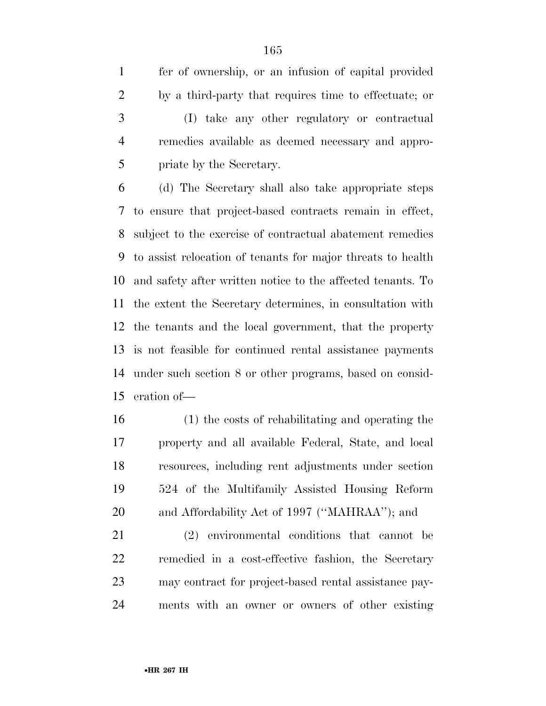fer of ownership, or an infusion of capital provided by a third-party that requires time to effectuate; or (I) take any other regulatory or contractual remedies available as deemed necessary and appro-priate by the Secretary.

 (d) The Secretary shall also take appropriate steps to ensure that project-based contracts remain in effect, subject to the exercise of contractual abatement remedies to assist relocation of tenants for major threats to health and safety after written notice to the affected tenants. To the extent the Secretary determines, in consultation with the tenants and the local government, that the property is not feasible for continued rental assistance payments under such section 8 or other programs, based on consid-eration of—

 (1) the costs of rehabilitating and operating the property and all available Federal, State, and local resources, including rent adjustments under section 524 of the Multifamily Assisted Housing Reform and Affordability Act of 1997 (''MAHRAA''); and

 (2) environmental conditions that cannot be remedied in a cost-effective fashion, the Secretary may contract for project-based rental assistance pay-ments with an owner or owners of other existing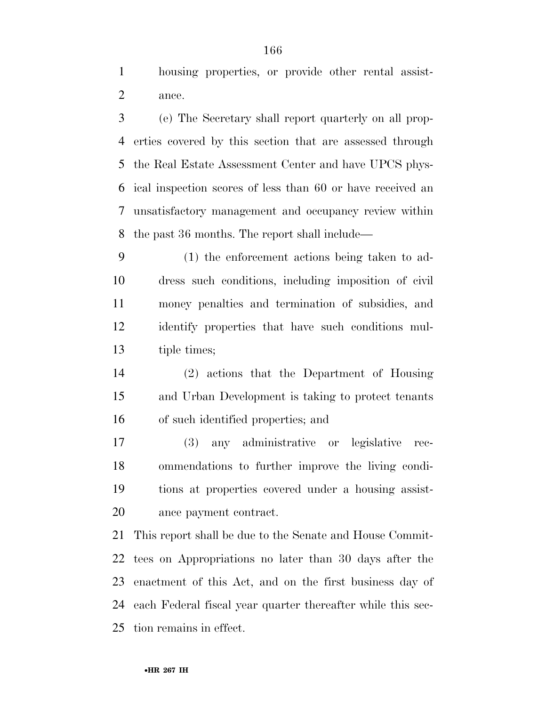housing properties, or provide other rental assist-ance.

 (e) The Secretary shall report quarterly on all prop- erties covered by this section that are assessed through the Real Estate Assessment Center and have UPCS phys- ical inspection scores of less than 60 or have received an unsatisfactory management and occupancy review within the past 36 months. The report shall include—

 (1) the enforcement actions being taken to ad- dress such conditions, including imposition of civil money penalties and termination of subsidies, and identify properties that have such conditions mul-tiple times;

 (2) actions that the Department of Housing and Urban Development is taking to protect tenants of such identified properties; and

 (3) any administrative or legislative rec- ommendations to further improve the living condi- tions at properties covered under a housing assist-ance payment contract.

 This report shall be due to the Senate and House Commit- tees on Appropriations no later than 30 days after the enactment of this Act, and on the first business day of each Federal fiscal year quarter thereafter while this sec-tion remains in effect.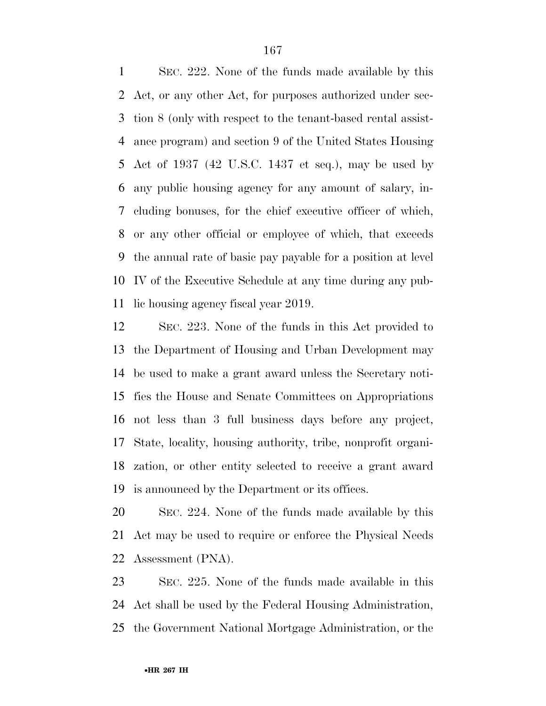SEC. 222. None of the funds made available by this Act, or any other Act, for purposes authorized under sec- tion 8 (only with respect to the tenant-based rental assist- ance program) and section 9 of the United States Housing Act of 1937 (42 U.S.C. 1437 et seq.), may be used by any public housing agency for any amount of salary, in- cluding bonuses, for the chief executive officer of which, or any other official or employee of which, that exceeds the annual rate of basic pay payable for a position at level IV of the Executive Schedule at any time during any pub-lic housing agency fiscal year 2019.

 SEC. 223. None of the funds in this Act provided to the Department of Housing and Urban Development may be used to make a grant award unless the Secretary noti- fies the House and Senate Committees on Appropriations not less than 3 full business days before any project, State, locality, housing authority, tribe, nonprofit organi- zation, or other entity selected to receive a grant award is announced by the Department or its offices.

 SEC. 224. None of the funds made available by this Act may be used to require or enforce the Physical Needs Assessment (PNA).

 SEC. 225. None of the funds made available in this Act shall be used by the Federal Housing Administration, the Government National Mortgage Administration, or the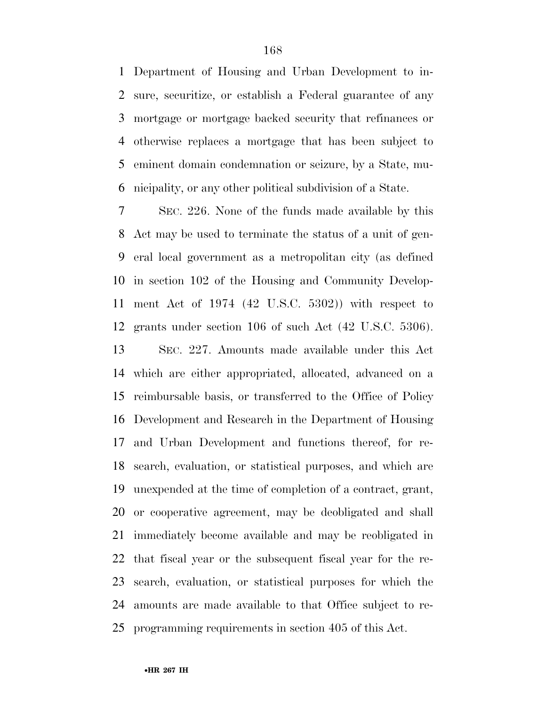Department of Housing and Urban Development to in- sure, securitize, or establish a Federal guarantee of any mortgage or mortgage backed security that refinances or otherwise replaces a mortgage that has been subject to eminent domain condemnation or seizure, by a State, mu-nicipality, or any other political subdivision of a State.

 SEC. 226. None of the funds made available by this Act may be used to terminate the status of a unit of gen- eral local government as a metropolitan city (as defined in section 102 of the Housing and Community Develop- ment Act of 1974 (42 U.S.C. 5302)) with respect to grants under section 106 of such Act (42 U.S.C. 5306).

 SEC. 227. Amounts made available under this Act which are either appropriated, allocated, advanced on a reimbursable basis, or transferred to the Office of Policy Development and Research in the Department of Housing and Urban Development and functions thereof, for re- search, evaluation, or statistical purposes, and which are unexpended at the time of completion of a contract, grant, or cooperative agreement, may be deobligated and shall immediately become available and may be reobligated in that fiscal year or the subsequent fiscal year for the re- search, evaluation, or statistical purposes for which the amounts are made available to that Office subject to re-programming requirements in section 405 of this Act.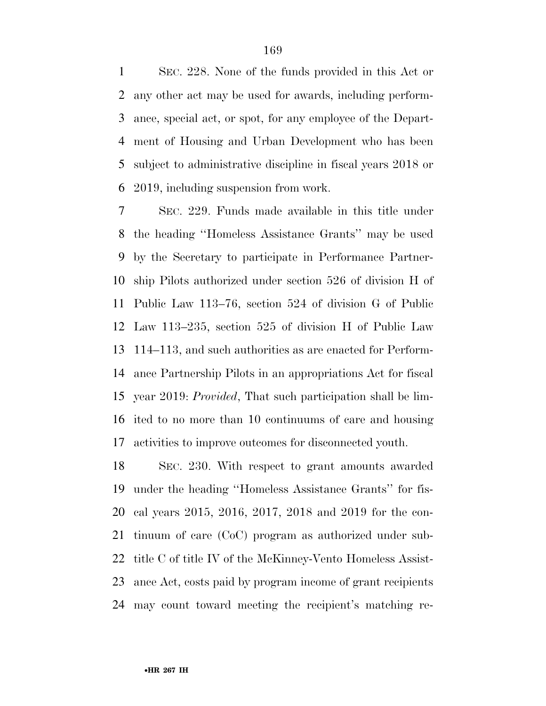SEC. 228. None of the funds provided in this Act or any other act may be used for awards, including perform- ance, special act, or spot, for any employee of the Depart- ment of Housing and Urban Development who has been subject to administrative discipline in fiscal years 2018 or 2019, including suspension from work.

 SEC. 229. Funds made available in this title under the heading ''Homeless Assistance Grants'' may be used by the Secretary to participate in Performance Partner- ship Pilots authorized under section 526 of division H of Public Law 113–76, section 524 of division G of Public Law 113–235, section 525 of division H of Public Law 114–113, and such authorities as are enacted for Perform- ance Partnership Pilots in an appropriations Act for fiscal year 2019: *Provided*, That such participation shall be lim- ited to no more than 10 continuums of care and housing activities to improve outcomes for disconnected youth.

 SEC. 230. With respect to grant amounts awarded under the heading ''Homeless Assistance Grants'' for fis- cal years 2015, 2016, 2017, 2018 and 2019 for the con- tinuum of care (CoC) program as authorized under sub- title C of title IV of the McKinney-Vento Homeless Assist- ance Act, costs paid by program income of grant recipients may count toward meeting the recipient's matching re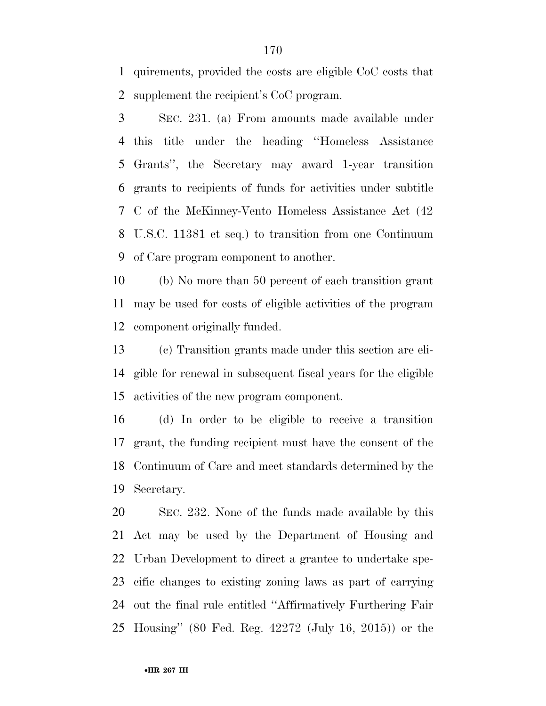quirements, provided the costs are eligible CoC costs that supplement the recipient's CoC program.

 SEC. 231. (a) From amounts made available under this title under the heading ''Homeless Assistance Grants'', the Secretary may award 1-year transition grants to recipients of funds for activities under subtitle C of the McKinney-Vento Homeless Assistance Act (42 U.S.C. 11381 et seq.) to transition from one Continuum of Care program component to another.

 (b) No more than 50 percent of each transition grant may be used for costs of eligible activities of the program component originally funded.

 (c) Transition grants made under this section are eli- gible for renewal in subsequent fiscal years for the eligible activities of the new program component.

 (d) In order to be eligible to receive a transition grant, the funding recipient must have the consent of the Continuum of Care and meet standards determined by the Secretary.

 SEC. 232. None of the funds made available by this Act may be used by the Department of Housing and Urban Development to direct a grantee to undertake spe- cific changes to existing zoning laws as part of carrying out the final rule entitled ''Affirmatively Furthering Fair Housing'' (80 Fed. Reg. 42272 (July 16, 2015)) or the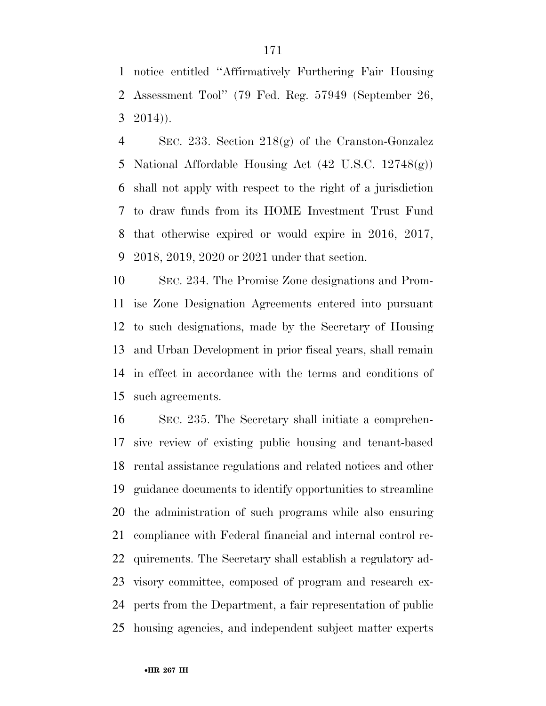notice entitled ''Affirmatively Furthering Fair Housing Assessment Tool'' (79 Fed. Reg. 57949 (September 26,  $3 \quad 2014)$ ).

 SEC. 233. Section 218(g) of the Cranston-Gonzalez National Affordable Housing Act (42 U.S.C. 12748(g)) shall not apply with respect to the right of a jurisdiction to draw funds from its HOME Investment Trust Fund that otherwise expired or would expire in 2016, 2017, 2018, 2019, 2020 or 2021 under that section.

 SEC. 234. The Promise Zone designations and Prom- ise Zone Designation Agreements entered into pursuant to such designations, made by the Secretary of Housing and Urban Development in prior fiscal years, shall remain in effect in accordance with the terms and conditions of such agreements.

 SEC. 235. The Secretary shall initiate a comprehen- sive review of existing public housing and tenant-based rental assistance regulations and related notices and other guidance documents to identify opportunities to streamline the administration of such programs while also ensuring compliance with Federal financial and internal control re- quirements. The Secretary shall establish a regulatory ad- visory committee, composed of program and research ex- perts from the Department, a fair representation of public housing agencies, and independent subject matter experts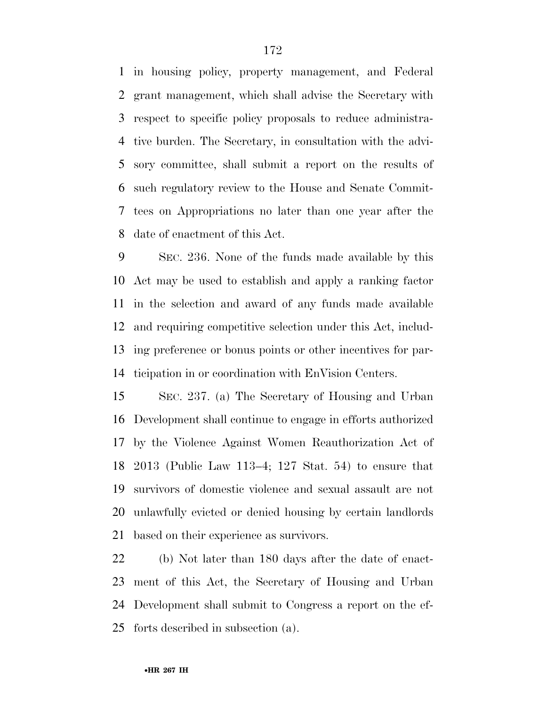in housing policy, property management, and Federal grant management, which shall advise the Secretary with respect to specific policy proposals to reduce administra- tive burden. The Secretary, in consultation with the advi- sory committee, shall submit a report on the results of such regulatory review to the House and Senate Commit- tees on Appropriations no later than one year after the date of enactment of this Act.

 SEC. 236. None of the funds made available by this Act may be used to establish and apply a ranking factor in the selection and award of any funds made available and requiring competitive selection under this Act, includ- ing preference or bonus points or other incentives for par-ticipation in or coordination with EnVision Centers.

 SEC. 237. (a) The Secretary of Housing and Urban Development shall continue to engage in efforts authorized by the Violence Against Women Reauthorization Act of 2013 (Public Law 113–4; 127 Stat. 54) to ensure that survivors of domestic violence and sexual assault are not unlawfully evicted or denied housing by certain landlords based on their experience as survivors.

 (b) Not later than 180 days after the date of enact- ment of this Act, the Secretary of Housing and Urban Development shall submit to Congress a report on the ef-forts described in subsection (a).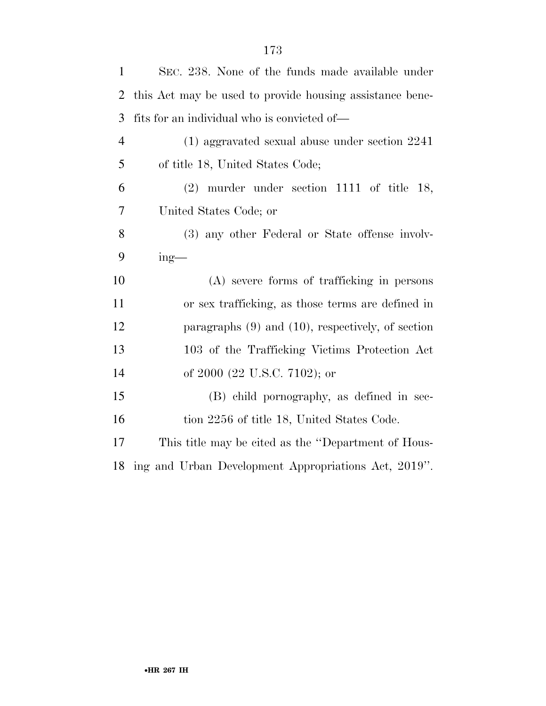| 1              | SEC. 238. None of the funds made available under         |
|----------------|----------------------------------------------------------|
| $\overline{2}$ | this Act may be used to provide housing assistance bene- |
| 3              | fits for an individual who is convicted of—              |
| $\overline{4}$ | $(1)$ aggravated sexual abuse under section $2241$       |
| 5              | of title 18, United States Code;                         |
| 6              | $(2)$ murder under section 1111 of title 18,             |
| 7              | United States Code; or                                   |
| 8              | (3) any other Federal or State offense involv-           |
| 9              | $ing$ —                                                  |
|                |                                                          |
| 10             | (A) severe forms of trafficking in persons               |
| 11             | or sex trafficking, as those terms are defined in        |
| 12             | paragraphs $(9)$ and $(10)$ , respectively, of section   |
| 13             | 103 of the Trafficking Victims Protection Act            |
| 14             | of 2000 (22 U.S.C. 7102); or                             |
| 15             | (B) child pornography, as defined in sec-                |
| 16             | tion 2256 of title 18, United States Code.               |
| 17             | This title may be cited as the "Department of Hous-      |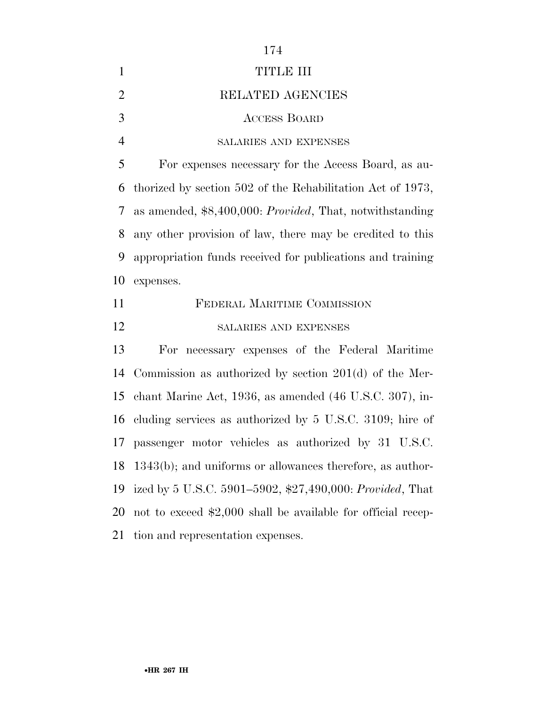|                | 174                                                                 |
|----------------|---------------------------------------------------------------------|
| 1              | TITLE III                                                           |
| $\overline{2}$ | RELATED AGENCIES                                                    |
| 3              | <b>ACCESS BOARD</b>                                                 |
| $\overline{4}$ | SALARIES AND EXPENSES                                               |
| 5              | For expenses necessary for the Access Board, as au-                 |
| 6              | thorized by section 502 of the Rehabilitation Act of 1973,          |
| 7              | as amended, $$8,400,000$ : <i>Provided</i> , That, notwithstanding  |
| 8              | any other provision of law, there may be credited to this           |
| 9              | appropriation funds received for publications and training          |
| 10             | expenses.                                                           |
| 11             | FEDERAL MARITIME COMMISSION                                         |
| 12             | SALARIES AND EXPENSES                                               |
| 13             | For necessary expenses of the Federal Maritime                      |
| 14             | Commission as authorized by section $201(d)$ of the Mer-            |
| 15             | chant Marine Act, 1936, as amended $(46 \text{ U.S.C. } 307)$ , in- |
| 16             | cluding services as authorized by 5 U.S.C. 3109; hire of            |
|                |                                                                     |
|                | 17 passenger motor vehicles as authorized by 31 U.S.C.              |
| 18             | $1343(b)$ ; and uniforms or allowances therefore, as author-        |
| 19             | ized by 5 U.S.C. 5901–5902, \$27,490,000: Provided, That            |
| 20             | not to exceed \$2,000 shall be available for official recep-        |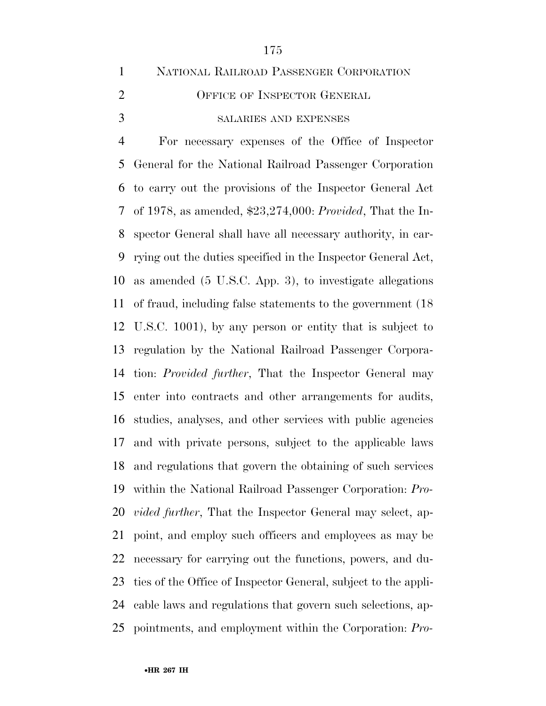|                | NATIONAL RAILROAD PASSENGER CORPORATION |
|----------------|-----------------------------------------|
| $\overline{2}$ | OFFICE OF INSPECTOR GENERAL             |
| 3              | <b>SALARIES AND EXPENSES</b>            |

 For necessary expenses of the Office of Inspector General for the National Railroad Passenger Corporation to carry out the provisions of the Inspector General Act of 1978, as amended, \$23,274,000: *Provided*, That the In- spector General shall have all necessary authority, in car- rying out the duties specified in the Inspector General Act, as amended (5 U.S.C. App. 3), to investigate allegations of fraud, including false statements to the government (18 U.S.C. 1001), by any person or entity that is subject to regulation by the National Railroad Passenger Corpora- tion: *Provided further*, That the Inspector General may enter into contracts and other arrangements for audits, studies, analyses, and other services with public agencies and with private persons, subject to the applicable laws and regulations that govern the obtaining of such services within the National Railroad Passenger Corporation: *Pro- vided further*, That the Inspector General may select, ap- point, and employ such officers and employees as may be necessary for carrying out the functions, powers, and du- ties of the Office of Inspector General, subject to the appli- cable laws and regulations that govern such selections, ap-pointments, and employment within the Corporation: *Pro-*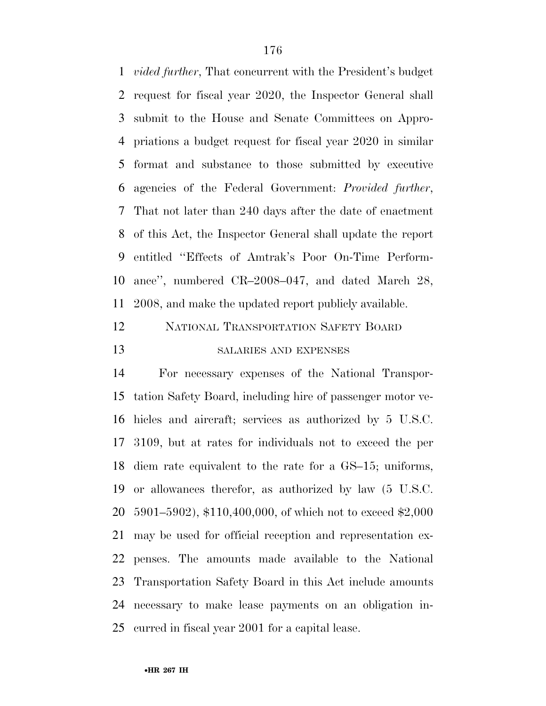*vided further*, That concurrent with the President's budget request for fiscal year 2020, the Inspector General shall submit to the House and Senate Committees on Appro- priations a budget request for fiscal year 2020 in similar format and substance to those submitted by executive agencies of the Federal Government: *Provided further*, That not later than 240 days after the date of enactment of this Act, the Inspector General shall update the report entitled ''Effects of Amtrak's Poor On-Time Perform- ance'', numbered CR–2008–047, and dated March 28, 2008, and make the updated report publicly available.

# NATIONAL TRANSPORTATION SAFETY BOARD 13 SALARIES AND EXPENSES

 For necessary expenses of the National Transpor- tation Safety Board, including hire of passenger motor ve- hicles and aircraft; services as authorized by 5 U.S.C. 3109, but at rates for individuals not to exceed the per diem rate equivalent to the rate for a GS–15; uniforms, or allowances therefor, as authorized by law (5 U.S.C. 5901–5902), \$110,400,000, of which not to exceed \$2,000 may be used for official reception and representation ex- penses. The amounts made available to the National Transportation Safety Board in this Act include amounts necessary to make lease payments on an obligation in-curred in fiscal year 2001 for a capital lease.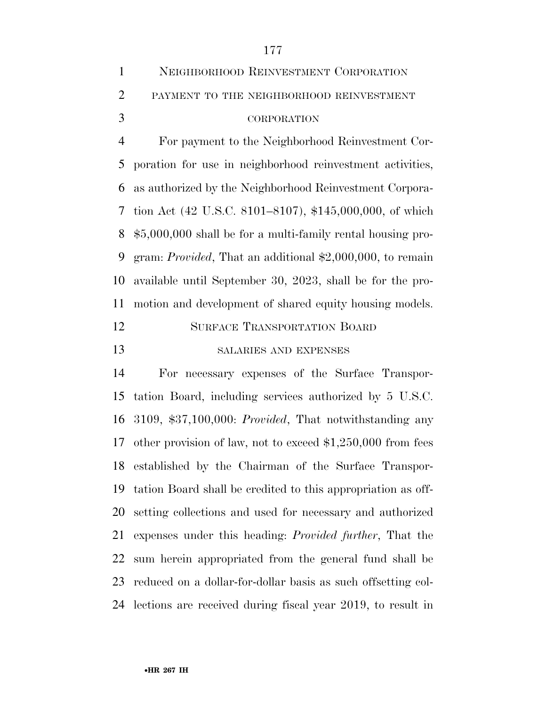| 1              | NEIGHBORHOOD REINVESTMENT CORPORATION                        |
|----------------|--------------------------------------------------------------|
| $\overline{2}$ | PAYMENT TO THE NEIGHBORHOOD REINVESTMENT                     |
| 3              | <b>CORPORATION</b>                                           |
| $\overline{4}$ | For payment to the Neighborhood Reinvestment Cor-            |
| 5              | poration for use in neighborhood reinvestment activities,    |
| 6              | as authorized by the Neighborhood Reinvestment Corpora-      |
| 7              | tion Act (42 U.S.C. 8101–8107), \$145,000,000, of which      |
| 8              | $$5,000,000$ shall be for a multi-family rental housing pro- |
| 9              | gram: Provided, That an additional \$2,000,000, to remain    |
| 10             | available until September 30, 2023, shall be for the pro-    |
| 11             | motion and development of shared equity housing models.      |
| 12             | <b>SURFACE TRANSPORTATION BOARD</b>                          |
| 13             | SALARIES AND EXPENSES                                        |

 For necessary expenses of the Surface Transpor- tation Board, including services authorized by 5 U.S.C. 3109, \$37,100,000: *Provided*, That notwithstanding any other provision of law, not to exceed \$1,250,000 from fees established by the Chairman of the Surface Transpor- tation Board shall be credited to this appropriation as off- setting collections and used for necessary and authorized expenses under this heading: *Provided further*, That the sum herein appropriated from the general fund shall be reduced on a dollar-for-dollar basis as such offsetting col-lections are received during fiscal year 2019, to result in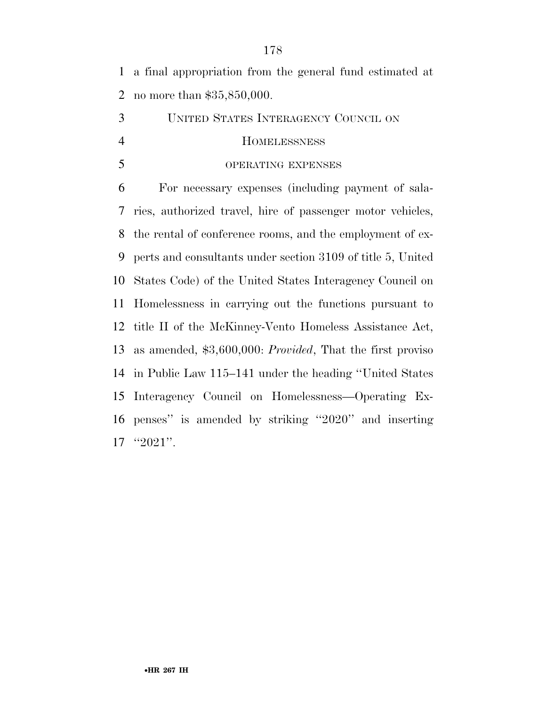a final appropriation from the general fund estimated at no more than \$35,850,000.

 UNITED STATES INTERAGENCY COUNCIL ON HOMELESSNESS

### OPERATING EXPENSES

 For necessary expenses (including payment of sala- ries, authorized travel, hire of passenger motor vehicles, the rental of conference rooms, and the employment of ex- perts and consultants under section 3109 of title 5, United States Code) of the United States Interagency Council on Homelessness in carrying out the functions pursuant to title II of the McKinney-Vento Homeless Assistance Act, as amended, \$3,600,000: *Provided*, That the first proviso in Public Law 115–141 under the heading ''United States Interagency Council on Homelessness—Operating Ex- penses'' is amended by striking ''2020'' and inserting ''2021''.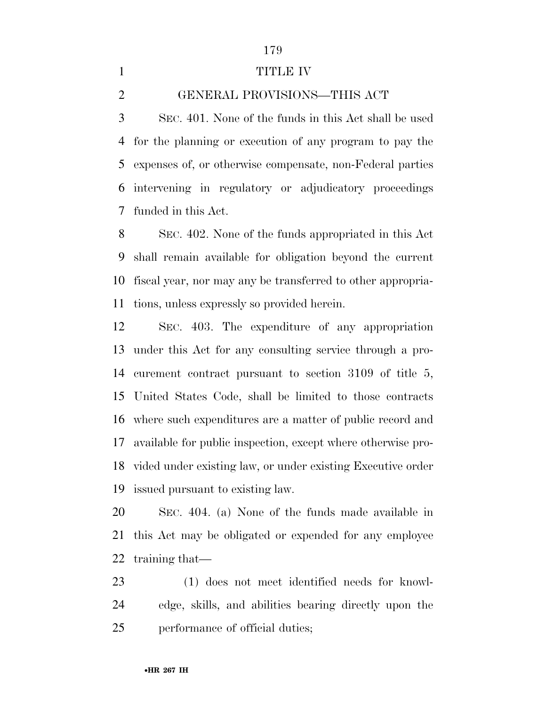### 1 TITLE IV

## GENERAL PROVISIONS—THIS ACT

 SEC. 401. None of the funds in this Act shall be used for the planning or execution of any program to pay the expenses of, or otherwise compensate, non-Federal parties intervening in regulatory or adjudicatory proceedings funded in this Act.

 SEC. 402. None of the funds appropriated in this Act shall remain available for obligation beyond the current fiscal year, nor may any be transferred to other appropria-tions, unless expressly so provided herein.

 SEC. 403. The expenditure of any appropriation under this Act for any consulting service through a pro- curement contract pursuant to section 3109 of title 5, United States Code, shall be limited to those contracts where such expenditures are a matter of public record and available for public inspection, except where otherwise pro- vided under existing law, or under existing Executive order issued pursuant to existing law.

 SEC. 404. (a) None of the funds made available in this Act may be obligated or expended for any employee training that—

 (1) does not meet identified needs for knowl- edge, skills, and abilities bearing directly upon the performance of official duties;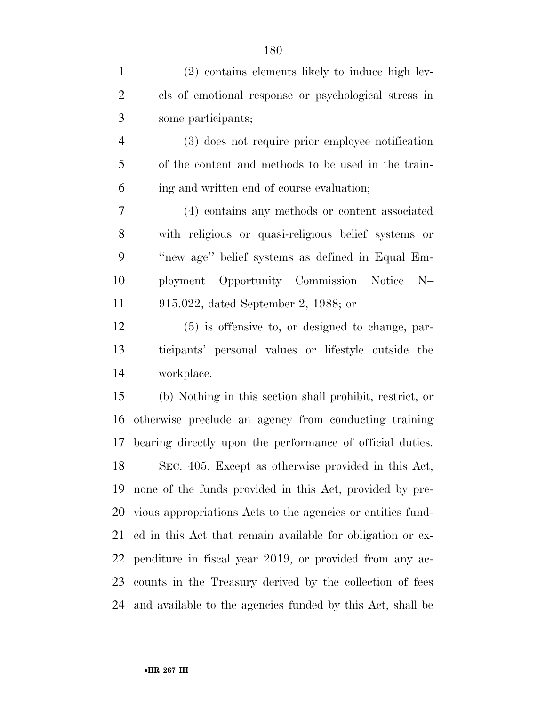| $\mathbf{1}$   | (2) contains elements likely to induce high lev-            |
|----------------|-------------------------------------------------------------|
| $\overline{2}$ | els of emotional response or psychological stress in        |
| 3              | some participants;                                          |
| $\overline{4}$ | (3) does not require prior employee notification            |
| 5              | of the content and methods to be used in the train-         |
| 6              | ing and written end of course evaluation;                   |
| 7              | (4) contains any methods or content associated              |
| 8              | with religious or quasi-religious belief systems or         |
| 9              | "new age" belief systems as defined in Equal Em-            |
| 10             | ployment Opportunity Commission Notice<br>$N-$              |
| 11             | 915.022, dated September 2, 1988; or                        |
| 12             | $(5)$ is offensive to, or designed to change, par-          |
| 13             | ticipants' personal values or lifestyle outside the         |
| 14             | workplace.                                                  |
| 15             | (b) Nothing in this section shall prohibit, restrict, or    |
| 16             | otherwise preclude an agency from conducting training       |
| 17             | bearing directly upon the performance of official duties.   |
| 18             | SEC. 405. Except as otherwise provided in this Act,         |
| 19             | none of the funds provided in this Act, provided by pre-    |
| 20             | vious appropriations Acts to the agencies or entities fund- |
| 21             | ed in this Act that remain available for obligation or ex-  |
| 22             | penditure in fiscal year 2019, or provided from any ac-     |
| 23             | counts in the Treasury derived by the collection of fees    |
| 24             | and available to the agencies funded by this Act, shall be  |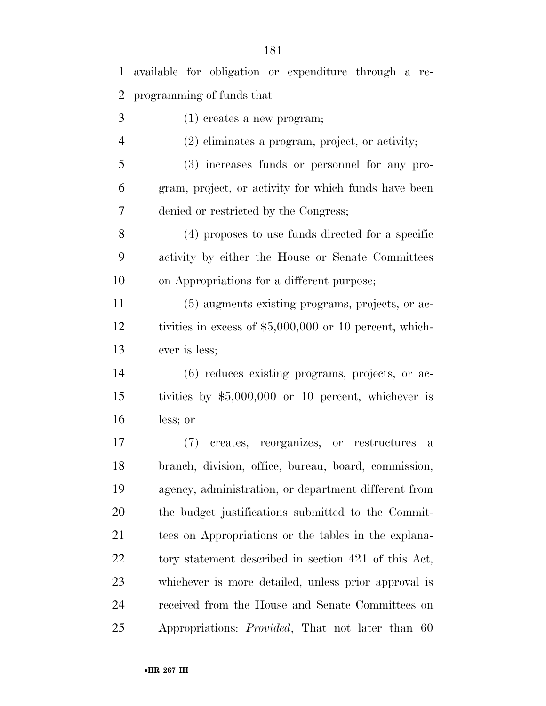| $\mathbf{1}$   | available for obligation or expenditure through a re-    |
|----------------|----------------------------------------------------------|
| 2              | programming of funds that—                               |
| 3              | $(1)$ creates a new program;                             |
| $\overline{4}$ | (2) eliminates a program, project, or activity;          |
| 5              | (3) increases funds or personnel for any pro-            |
| 6              | gram, project, or activity for which funds have been     |
| 7              | denied or restricted by the Congress;                    |
| 8              | (4) proposes to use funds directed for a specific        |
| 9              | activity by either the House or Senate Committees        |
| 10             | on Appropriations for a different purpose;               |
| 11             | (5) augments existing programs, projects, or ac-         |
| 12             | tivities in excess of $$5,000,000$ or 10 percent, which- |
| 13             | ever is less;                                            |
| 14             | (6) reduces existing programs, projects, or ac-          |
| 15             | tivities by $$5,000,000$ or 10 percent, whichever is     |
| 16             | less; or                                                 |
| 17             | creates, reorganizes, or restructures<br>(7)<br>a        |
| 18             | branch, division, office, bureau, board, commission,     |
| 19             | agency, administration, or department different from     |
| <b>20</b>      | the budget justifications submitted to the Commit-       |
| 21             | tees on Appropriations or the tables in the explana-     |
| 22             | tory statement described in section 421 of this Act,     |
| 23             | whichever is more detailed, unless prior approval is     |
| 24             | received from the House and Senate Committees on         |
| 25             | Appropriations: <i>Provided</i> , That not later than 60 |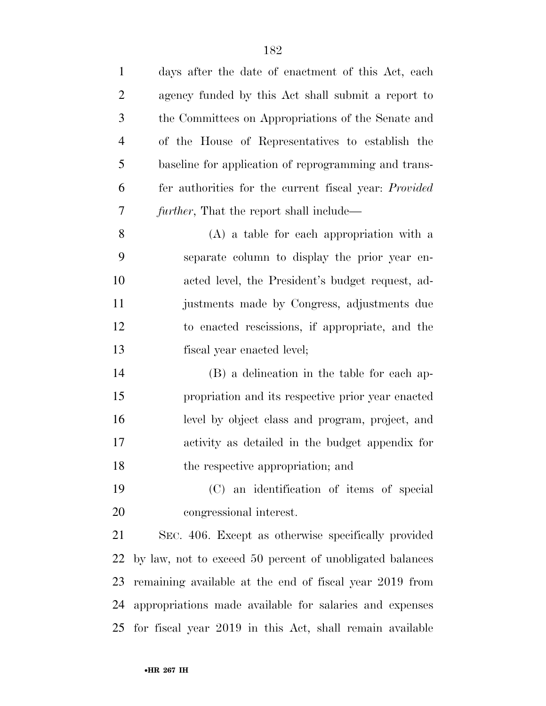| $\mathbf{1}$   | days after the date of enactment of this Act, each           |
|----------------|--------------------------------------------------------------|
| $\overline{c}$ | agency funded by this Act shall submit a report to           |
| 3              | the Committees on Appropriations of the Senate and           |
| $\overline{4}$ | of the House of Representatives to establish the             |
| 5              | baseline for application of reprogramming and trans-         |
| 6              | fer authorities for the current fiscal year: <i>Provided</i> |
| 7              | <i>further</i> , That the report shall include—              |
| 8              | $(A)$ a table for each appropriation with a                  |
| 9              | separate column to display the prior year en-                |
| 10             | acted level, the President's budget request, ad-             |
| 11             | justments made by Congress, adjustments due                  |
| 12             | to enacted rescissions, if appropriate, and the              |
| 13             | fiscal year enacted level;                                   |
| 14             | (B) a delineation in the table for each ap-                  |
| 15             | propriation and its respective prior year enacted            |
| 16             | level by object class and program, project, and              |
| 17             | activity as detailed in the budget appendix for              |
| 18             | the respective appropriation; and                            |
| 19             | (C) an identification of items of special                    |
| 20             | congressional interest.                                      |
| 21             | SEC. 406. Except as otherwise specifically provided          |
| 22             | by law, not to exceed 50 percent of unobligated balances     |
| 23             | remaining available at the end of fiscal year 2019 from      |
| 24             | appropriations made available for salaries and expenses      |
| 25             | for fiscal year 2019 in this Act, shall remain available     |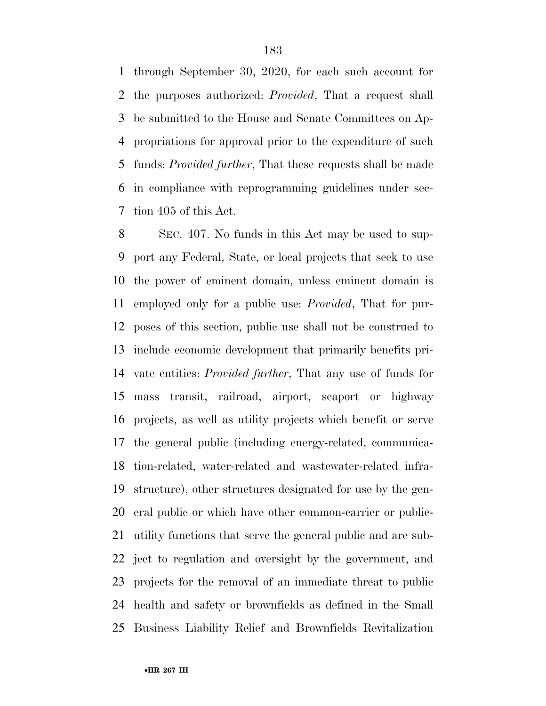through September 30, 2020, for each such account for the purposes authorized: *Provided*, That a request shall be submitted to the House and Senate Committees on Ap- propriations for approval prior to the expenditure of such funds: *Provided further*, That these requests shall be made in compliance with reprogramming guidelines under sec-tion 405 of this Act.

 SEC. 407. No funds in this Act may be used to sup- port any Federal, State, or local projects that seek to use the power of eminent domain, unless eminent domain is employed only for a public use: *Provided*, That for pur- poses of this section, public use shall not be construed to include economic development that primarily benefits pri- vate entities: *Provided further*, That any use of funds for mass transit, railroad, airport, seaport or highway projects, as well as utility projects which benefit or serve the general public (including energy-related, communica- tion-related, water-related and wastewater-related infra- structure), other structures designated for use by the gen- eral public or which have other common-carrier or public- utility functions that serve the general public and are sub- ject to regulation and oversight by the government, and projects for the removal of an immediate threat to public health and safety or brownfields as defined in the Small Business Liability Relief and Brownfields Revitalization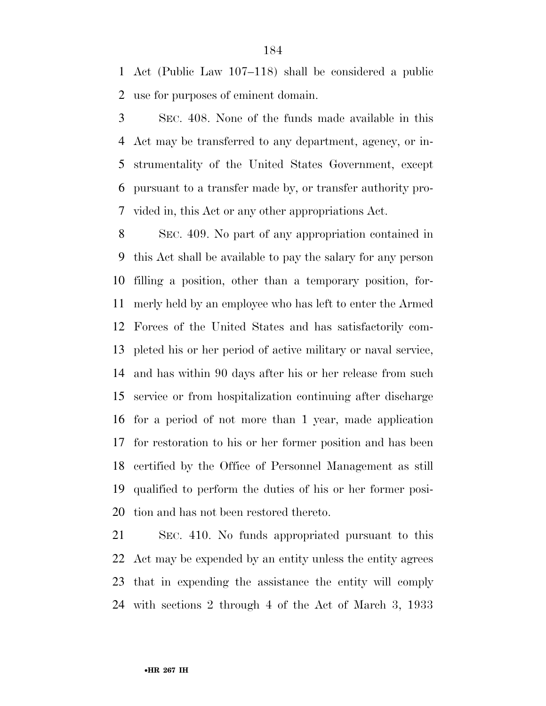Act (Public Law 107–118) shall be considered a public use for purposes of eminent domain.

 SEC. 408. None of the funds made available in this Act may be transferred to any department, agency, or in- strumentality of the United States Government, except pursuant to a transfer made by, or transfer authority pro-vided in, this Act or any other appropriations Act.

 SEC. 409. No part of any appropriation contained in this Act shall be available to pay the salary for any person filling a position, other than a temporary position, for- merly held by an employee who has left to enter the Armed Forces of the United States and has satisfactorily com- pleted his or her period of active military or naval service, and has within 90 days after his or her release from such service or from hospitalization continuing after discharge for a period of not more than 1 year, made application for restoration to his or her former position and has been certified by the Office of Personnel Management as still qualified to perform the duties of his or her former posi-tion and has not been restored thereto.

 SEC. 410. No funds appropriated pursuant to this Act may be expended by an entity unless the entity agrees that in expending the assistance the entity will comply with sections 2 through 4 of the Act of March 3, 1933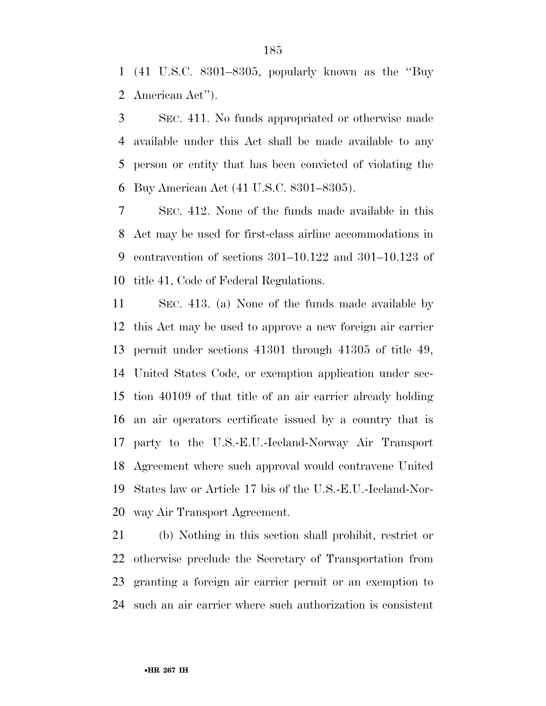(41 U.S.C. 8301–8305, popularly known as the ''Buy American Act'').

 SEC. 411. No funds appropriated or otherwise made available under this Act shall be made available to any person or entity that has been convicted of violating the Buy American Act (41 U.S.C. 8301–8305).

 SEC. 412. None of the funds made available in this Act may be used for first-class airline accommodations in contravention of sections 301–10.122 and 301–10.123 of title 41, Code of Federal Regulations.

 SEC. 413. (a) None of the funds made available by this Act may be used to approve a new foreign air carrier permit under sections 41301 through 41305 of title 49, United States Code, or exemption application under sec- tion 40109 of that title of an air carrier already holding an air operators certificate issued by a country that is party to the U.S.-E.U.-Iceland-Norway Air Transport Agreement where such approval would contravene United States law or Article 17 bis of the U.S.-E.U.-Iceland-Nor-way Air Transport Agreement.

 (b) Nothing in this section shall prohibit, restrict or otherwise preclude the Secretary of Transportation from granting a foreign air carrier permit or an exemption to such an air carrier where such authorization is consistent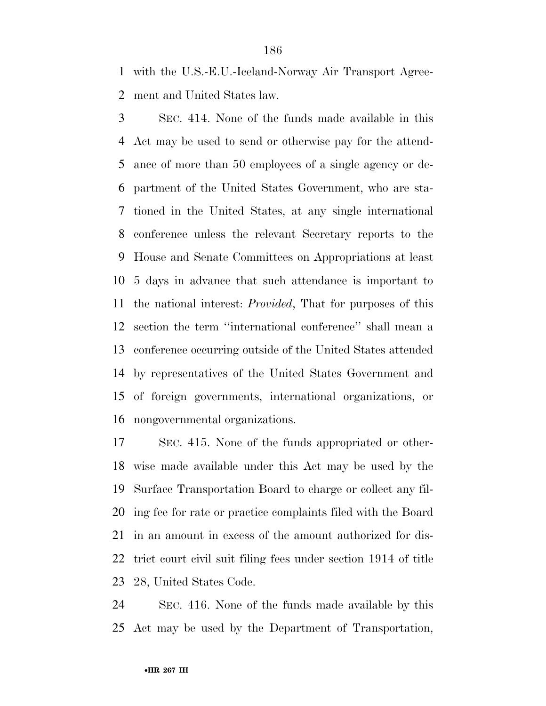with the U.S.-E.U.-Iceland-Norway Air Transport Agree-ment and United States law.

 SEC. 414. None of the funds made available in this Act may be used to send or otherwise pay for the attend- ance of more than 50 employees of a single agency or de- partment of the United States Government, who are sta- tioned in the United States, at any single international conference unless the relevant Secretary reports to the House and Senate Committees on Appropriations at least 5 days in advance that such attendance is important to the national interest: *Provided*, That for purposes of this section the term ''international conference'' shall mean a conference occurring outside of the United States attended by representatives of the United States Government and of foreign governments, international organizations, or nongovernmental organizations.

 SEC. 415. None of the funds appropriated or other- wise made available under this Act may be used by the Surface Transportation Board to charge or collect any fil- ing fee for rate or practice complaints filed with the Board in an amount in excess of the amount authorized for dis- trict court civil suit filing fees under section 1914 of title 28, United States Code.

 SEC. 416. None of the funds made available by this Act may be used by the Department of Transportation,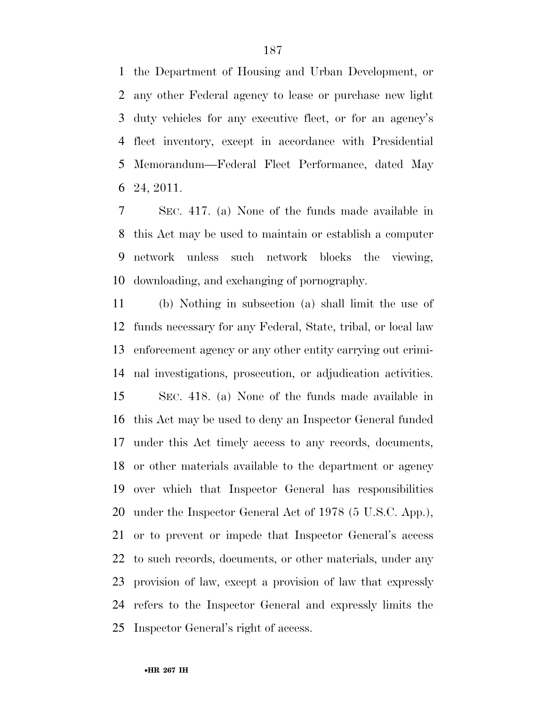the Department of Housing and Urban Development, or any other Federal agency to lease or purchase new light duty vehicles for any executive fleet, or for an agency's fleet inventory, except in accordance with Presidential Memorandum—Federal Fleet Performance, dated May 24, 2011.

 SEC. 417. (a) None of the funds made available in this Act may be used to maintain or establish a computer network unless such network blocks the viewing, downloading, and exchanging of pornography.

 (b) Nothing in subsection (a) shall limit the use of funds necessary for any Federal, State, tribal, or local law enforcement agency or any other entity carrying out crimi- nal investigations, prosecution, or adjudication activities. SEC. 418. (a) None of the funds made available in this Act may be used to deny an Inspector General funded under this Act timely access to any records, documents, or other materials available to the department or agency over which that Inspector General has responsibilities under the Inspector General Act of 1978 (5 U.S.C. App.), or to prevent or impede that Inspector General's access to such records, documents, or other materials, under any provision of law, except a provision of law that expressly refers to the Inspector General and expressly limits the Inspector General's right of access.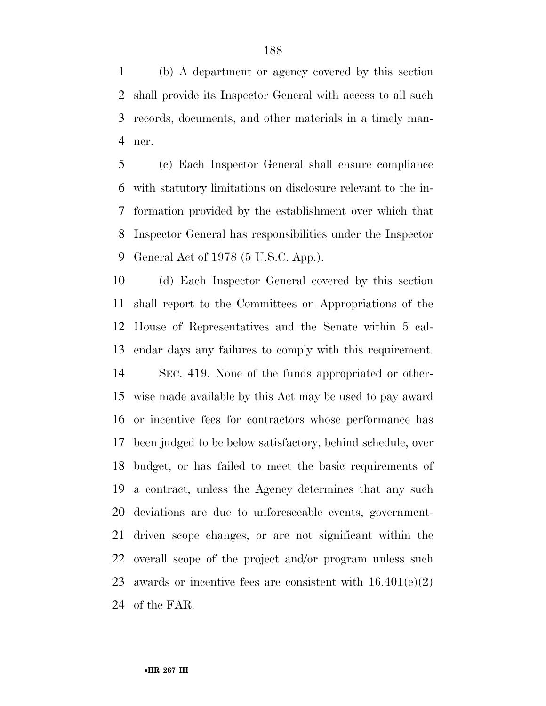(b) A department or agency covered by this section shall provide its Inspector General with access to all such records, documents, and other materials in a timely man-ner.

 (c) Each Inspector General shall ensure compliance with statutory limitations on disclosure relevant to the in- formation provided by the establishment over which that Inspector General has responsibilities under the Inspector General Act of 1978 (5 U.S.C. App.).

 (d) Each Inspector General covered by this section shall report to the Committees on Appropriations of the House of Representatives and the Senate within 5 cal-endar days any failures to comply with this requirement.

 SEC. 419. None of the funds appropriated or other- wise made available by this Act may be used to pay award or incentive fees for contractors whose performance has been judged to be below satisfactory, behind schedule, over budget, or has failed to meet the basic requirements of a contract, unless the Agency determines that any such deviations are due to unforeseeable events, government- driven scope changes, or are not significant within the overall scope of the project and/or program unless such 23 awards or incentive fees are consistent with  $16.401(e)(2)$ of the FAR.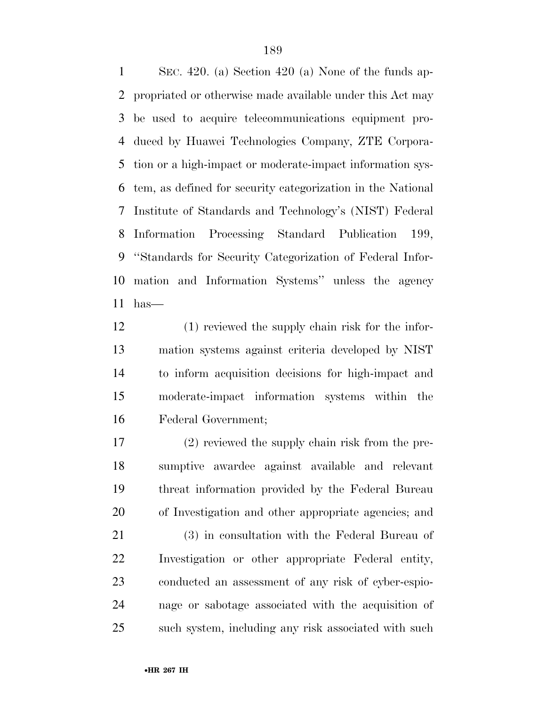SEC. 420. (a) Section 420 (a) None of the funds ap- propriated or otherwise made available under this Act may be used to acquire telecommunications equipment pro- duced by Huawei Technologies Company, ZTE Corpora- tion or a high-impact or moderate-impact information sys- tem, as defined for security categorization in the National Institute of Standards and Technology's (NIST) Federal Information Processing Standard Publication 199, ''Standards for Security Categorization of Federal Infor- mation and Information Systems'' unless the agency has—

 (1) reviewed the supply chain risk for the infor- mation systems against criteria developed by NIST to inform acquisition decisions for high-impact and moderate-impact information systems within the Federal Government;

 (2) reviewed the supply chain risk from the pre- sumptive awardee against available and relevant threat information provided by the Federal Bureau of Investigation and other appropriate agencies; and

 (3) in consultation with the Federal Bureau of Investigation or other appropriate Federal entity, conducted an assessment of any risk of cyber-espio- nage or sabotage associated with the acquisition of such system, including any risk associated with such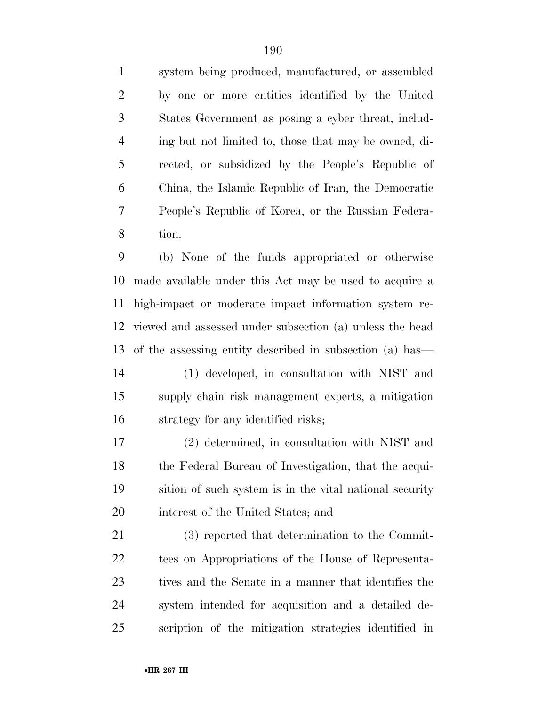system being produced, manufactured, or assembled by one or more entities identified by the United States Government as posing a cyber threat, includ- ing but not limited to, those that may be owned, di- rected, or subsidized by the People's Republic of China, the Islamic Republic of Iran, the Democratic People's Republic of Korea, or the Russian Federa-tion.

 (b) None of the funds appropriated or otherwise made available under this Act may be used to acquire a high-impact or moderate impact information system re- viewed and assessed under subsection (a) unless the head of the assessing entity described in subsection (a) has— (1) developed, in consultation with NIST and

 supply chain risk management experts, a mitigation strategy for any identified risks;

 (2) determined, in consultation with NIST and the Federal Bureau of Investigation, that the acqui- sition of such system is in the vital national security interest of the United States; and

 (3) reported that determination to the Commit- tees on Appropriations of the House of Representa- tives and the Senate in a manner that identifies the system intended for acquisition and a detailed de-scription of the mitigation strategies identified in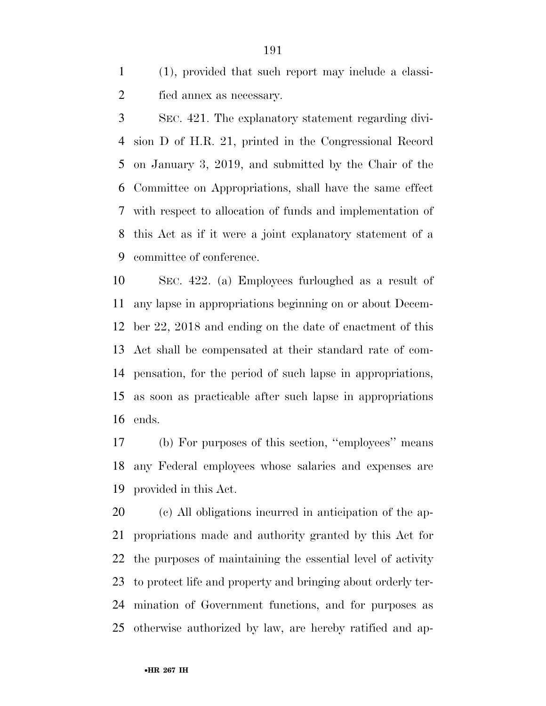(1), provided that such report may include a classi-fied annex as necessary.

 SEC. 421. The explanatory statement regarding divi- sion D of H.R. 21, printed in the Congressional Record on January 3, 2019, and submitted by the Chair of the Committee on Appropriations, shall have the same effect with respect to allocation of funds and implementation of this Act as if it were a joint explanatory statement of a committee of conference.

 SEC. 422. (a) Employees furloughed as a result of any lapse in appropriations beginning on or about Decem- ber 22, 2018 and ending on the date of enactment of this Act shall be compensated at their standard rate of com- pensation, for the period of such lapse in appropriations, as soon as practicable after such lapse in appropriations ends.

 (b) For purposes of this section, ''employees'' means any Federal employees whose salaries and expenses are provided in this Act.

 (c) All obligations incurred in anticipation of the ap- propriations made and authority granted by this Act for the purposes of maintaining the essential level of activity to protect life and property and bringing about orderly ter- mination of Government functions, and for purposes as otherwise authorized by law, are hereby ratified and ap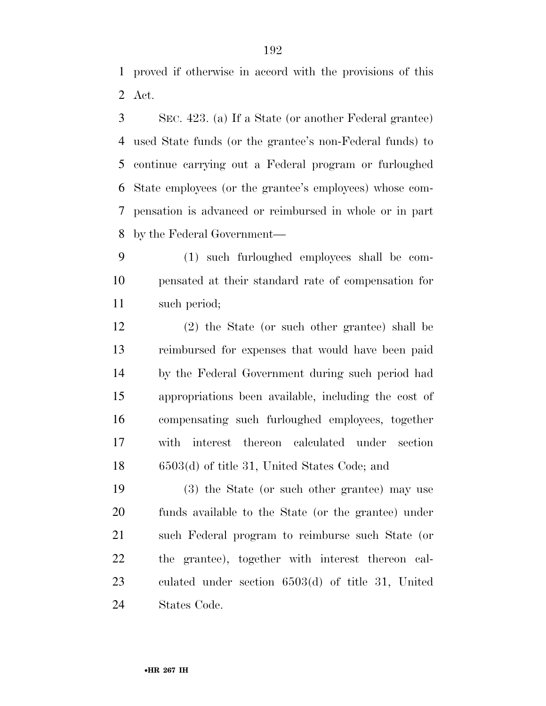proved if otherwise in accord with the provisions of this Act.

 SEC. 423. (a) If a State (or another Federal grantee) used State funds (or the grantee's non-Federal funds) to continue carrying out a Federal program or furloughed State employees (or the grantee's employees) whose com- pensation is advanced or reimbursed in whole or in part by the Federal Government—

 (1) such furloughed employees shall be com- pensated at their standard rate of compensation for such period;

 (2) the State (or such other grantee) shall be reimbursed for expenses that would have been paid by the Federal Government during such period had appropriations been available, including the cost of compensating such furloughed employees, together with interest thereon calculated under section 6503(d) of title 31, United States Code; and

 (3) the State (or such other grantee) may use funds available to the State (or the grantee) under such Federal program to reimburse such State (or the grantee), together with interest thereon cal- culated under section 6503(d) of title 31, United States Code.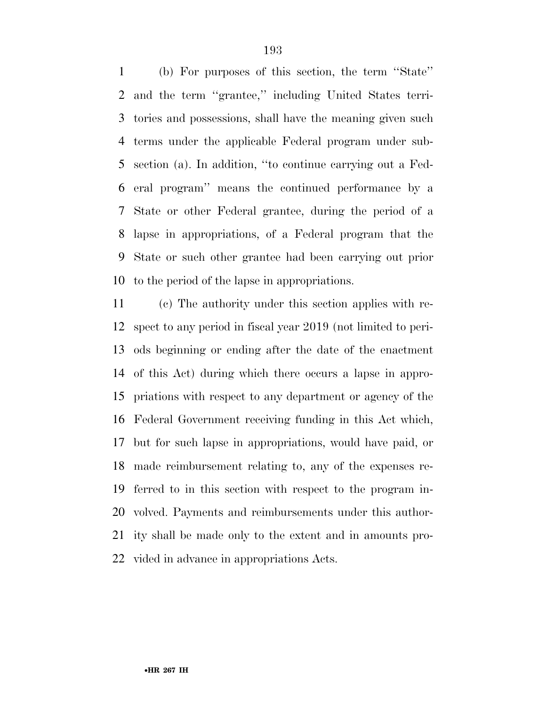(b) For purposes of this section, the term ''State'' and the term ''grantee,'' including United States terri- tories and possessions, shall have the meaning given such terms under the applicable Federal program under sub- section (a). In addition, ''to continue carrying out a Fed- eral program'' means the continued performance by a State or other Federal grantee, during the period of a lapse in appropriations, of a Federal program that the State or such other grantee had been carrying out prior to the period of the lapse in appropriations.

 (c) The authority under this section applies with re- spect to any period in fiscal year 2019 (not limited to peri- ods beginning or ending after the date of the enactment of this Act) during which there occurs a lapse in appro- priations with respect to any department or agency of the Federal Government receiving funding in this Act which, but for such lapse in appropriations, would have paid, or made reimbursement relating to, any of the expenses re- ferred to in this section with respect to the program in- volved. Payments and reimbursements under this author- ity shall be made only to the extent and in amounts pro-vided in advance in appropriations Acts.